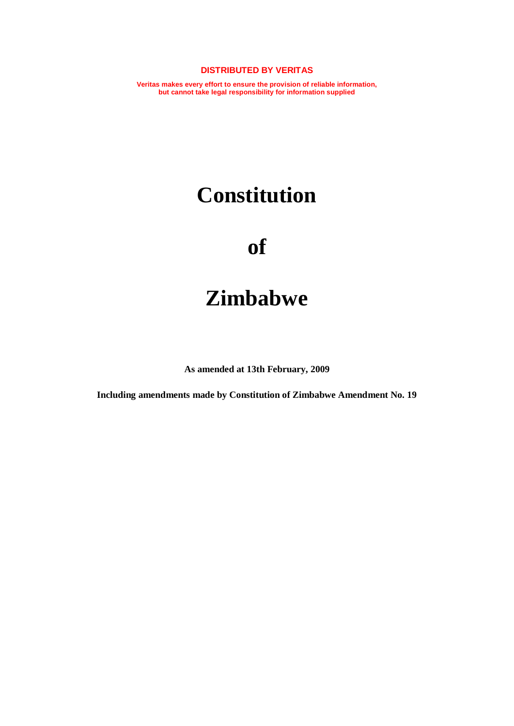#### **DISTRIBUTED BY VERITAS**

**Veritas makes every effort to ensure the provision of reliable information, but cannot take legal responsibility for information supplied**

# **Constitution**

**of**

# **Zimbabwe**

**As amended at 13th February, 2009**

**Including amendments made by Constitution of Zimbabwe Amendment No. 19**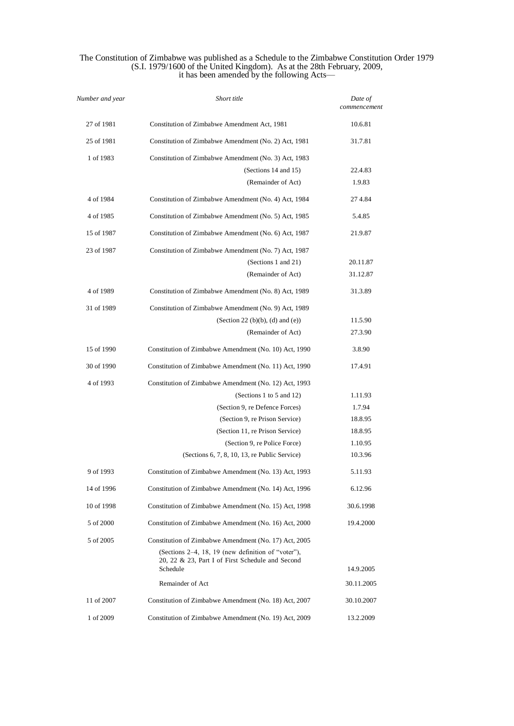#### The Constitution of Zimbabwe was published as a Schedule to the Zimbabwe Constitution Order 1979 (S.I. 1979/1600 of the United Kingdom). As at the 28th February, 2009, it has been amended by the following Acts—

| Number and year | Short title                                                                                                                                                                 | Date of<br>commencement      |
|-----------------|-----------------------------------------------------------------------------------------------------------------------------------------------------------------------------|------------------------------|
| 27 of 1981      | Constitution of Zimbabwe Amendment Act, 1981                                                                                                                                | 10.6.81                      |
| 25 of 1981      | Constitution of Zimbabwe Amendment (No. 2) Act, 1981                                                                                                                        | 31.7.81                      |
| 1 of 1983       | Constitution of Zimbabwe Amendment (No. 3) Act, 1983<br>(Sections 14 and 15)<br>(Remainder of Act)                                                                          | 22.4.83<br>1.9.83            |
| 4 of 1984       | Constitution of Zimbabwe Amendment (No. 4) Act, 1984                                                                                                                        | 274.84                       |
| 4 of 1985       | Constitution of Zimbabwe Amendment (No. 5) Act, 1985                                                                                                                        | 5.4.85                       |
| 15 of 1987      | Constitution of Zimbabwe Amendment (No. 6) Act, 1987                                                                                                                        | 21.9.87                      |
| 23 of 1987      | Constitution of Zimbabwe Amendment (No. 7) Act, 1987<br>(Sections 1 and 21)<br>(Remainder of Act)                                                                           | 20.11.87<br>31.12.87         |
| 4 of 1989       | Constitution of Zimbabwe Amendment (No. 8) Act, 1989                                                                                                                        | 31.3.89                      |
| 31 of 1989      | Constitution of Zimbabwe Amendment (No. 9) Act, 1989<br>(Section 22 (b)(b), (d) and (e))<br>(Remainder of Act)                                                              | 11.5.90<br>27.3.90           |
| 15 of 1990      | Constitution of Zimbabwe Amendment (No. 10) Act, 1990                                                                                                                       | 3.8.90                       |
| 30 of 1990      | Constitution of Zimbabwe Amendment (No. 11) Act, 1990                                                                                                                       | 17.4.91                      |
| 4 of 1993       | Constitution of Zimbabwe Amendment (No. 12) Act, 1993<br>(Sections 1 to 5 and 12)<br>(Section 9, re Defence Forces)<br>(Section 9, re Prison Service)                       | 1.11.93<br>1.7.94<br>18.8.95 |
|                 | (Section 11, re Prison Service)                                                                                                                                             | 18.8.95                      |
|                 | (Section 9, re Police Force)                                                                                                                                                | 1.10.95                      |
|                 | $(Sections 6, 7, 8, 10, 13, re Public Service)$                                                                                                                             | 10.3.96                      |
| 9 of 1993       | Constitution of Zimbabwe Amendment (No. 13) Act, 1993                                                                                                                       | 5.11.93                      |
| 14 of 1996      | Constitution of Zimbabwe Amendment (No. 14) Act, 1996                                                                                                                       | 6.12.96                      |
| 10 of 1998      | Constitution of Zimbabwe Amendment (No. 15) Act, 1998                                                                                                                       | 30.6.1998                    |
| 5 of 2000       | Constitution of Zimbabwe Amendment (No. 16) Act, 2000                                                                                                                       | 19.4.2000                    |
| 5 of 2005       | Constitution of Zimbabwe Amendment (No. 17) Act, 2005<br>(Sections 2–4, 18, 19 (new definition of "voter"),<br>20, 22 & 23, Part I of First Schedule and Second<br>Schedule | 14.9.2005                    |
|                 | Remainder of Act                                                                                                                                                            | 30.11.2005                   |
| 11 of 2007      | Constitution of Zimbabwe Amendment (No. 18) Act, 2007                                                                                                                       | 30.10.2007                   |
| 1 of 2009       | Constitution of Zimbabwe Amendment (No. 19) Act, 2009                                                                                                                       | 13.2.2009                    |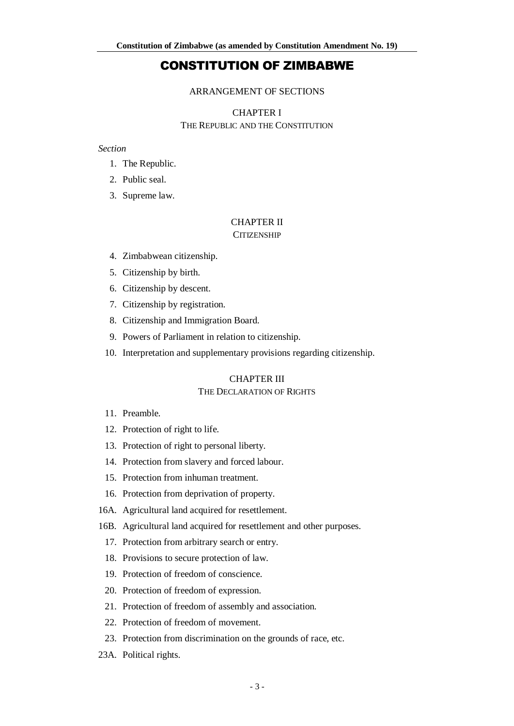## CONSTITUTION OF ZIMBABWE

ARRANGEMENT OF SECTIONS

## CHAPTER I THE REPUBLIC AND THE CONSTITUTION

## *Section*

- 1. The Republic.
- 2. Public seal.
- 3. Supreme law.

## CHAPTER II **CITIZENSHIP**

- 4. Zimbabwean citizenship.
- 5. Citizenship by birth.
- 6. Citizenship by descent.
- 7. Citizenship by registration.
- 8. Citizenship and Immigration Board.
- 9. Powers of Parliament in relation to citizenship.
- 10. Interpretation and supplementary provisions regarding citizenship.

## CHAPTER III

## THE DECLARATION OF RIGHTS

- 11. Preamble.
- 12. Protection of right to life.
- 13. Protection of right to personal liberty.
- 14. Protection from slavery and forced labour.
- 15. Protection from inhuman treatment.
- 16. Protection from deprivation of property.

16A. Agricultural land acquired for resettlement.

- 16B. Agricultural land acquired for resettlement and other purposes.
	- 17. Protection from arbitrary search or entry.
	- 18. Provisions to secure protection of law.
	- 19. Protection of freedom of conscience.
	- 20. Protection of freedom of expression.
	- 21. Protection of freedom of assembly and association.
	- 22. Protection of freedom of movement.
	- 23. Protection from discrimination on the grounds of race, etc.
- 23A. Political rights.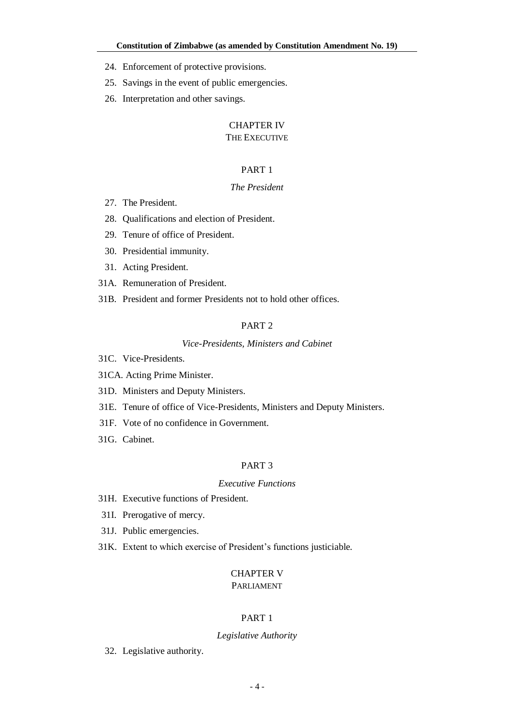- 24. Enforcement of protective provisions.
- 25. Savings in the event of public emergencies.
- 26. Interpretation and other savings.

## CHAPTER IV

## THE EXECUTIVE

### PART 1

### *The President*

- 27. The President.
- 28. Qualifications and election of President.
- 29. Tenure of office of President.
- 30. Presidential immunity.
- 31. Acting President.
- 31A. Remuneration of President.
- 31B. President and former Presidents not to hold other offices.

## PART 2

#### *Vice-Presidents, Ministers and Cabinet*

- 31C. Vice-Presidents.
- 31CA. Acting Prime Minister.
- 31D. Ministers and Deputy Ministers.
- 31E. Tenure of office of Vice-Presidents, Ministers and Deputy Ministers.
- 31F. Vote of no confidence in Government.
- 31G. Cabinet.

#### PART 3

#### *Executive Functions*

- 31H. Executive functions of President.
- 31I. Prerogative of mercy.
- 31J. Public emergencies.
- 31K. Extent to which exercise of President's functions justiciable.

## CHAPTER V

#### PARLIAMENT

## PART 1

#### *Legislative Authority*

32. Legislative authority.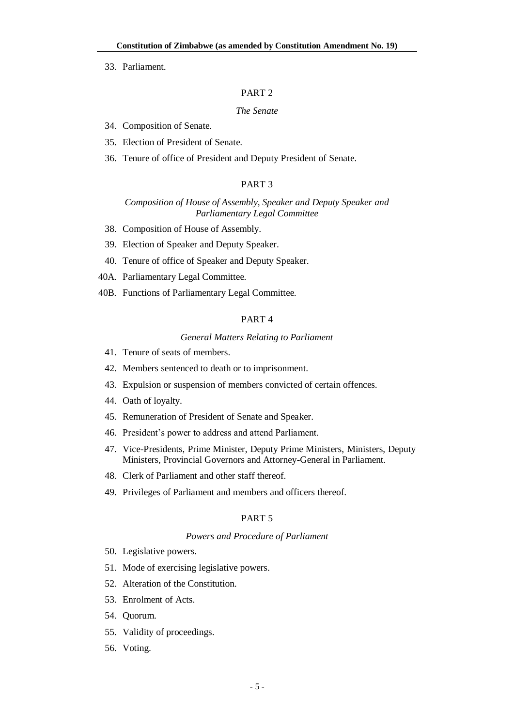33. Parliament.

## PART 2

### *The Senate*

- 34. Composition of Senate.
- 35. Election of President of Senate.
- 36. Tenure of office of President and Deputy President of Senate.

## PART 3

#### *Composition of House of Assembly, Speaker and Deputy Speaker and Parliamentary Legal Committee*

- 38. Composition of House of Assembly.
- 39. Election of Speaker and Deputy Speaker.
- 40. Tenure of office of Speaker and Deputy Speaker.
- 40A. Parliamentary Legal Committee.
- 40B. Functions of Parliamentary Legal Committee.

## PART 4

## *General Matters Relating to Parliament*

- 41. Tenure of seats of members.
- 42. Members sentenced to death or to imprisonment.
- 43. Expulsion or suspension of members convicted of certain offences.
- 44. Oath of loyalty.
- 45. Remuneration of President of Senate and Speaker.
- 46. President's power to address and attend Parliament.
- 47. Vice-Presidents, Prime Minister, Deputy Prime Ministers, Ministers, Deputy Ministers, Provincial Governors and Attorney-General in Parliament.
- 48. Clerk of Parliament and other staff thereof.
- 49. Privileges of Parliament and members and officers thereof.

## PART 5

#### *Powers and Procedure of Parliament*

- 50. Legislative powers.
- 51. Mode of exercising legislative powers.
- 52. Alteration of the Constitution.
- 53. Enrolment of Acts.
- 54. Quorum.
- 55. Validity of proceedings.
- 56. Voting.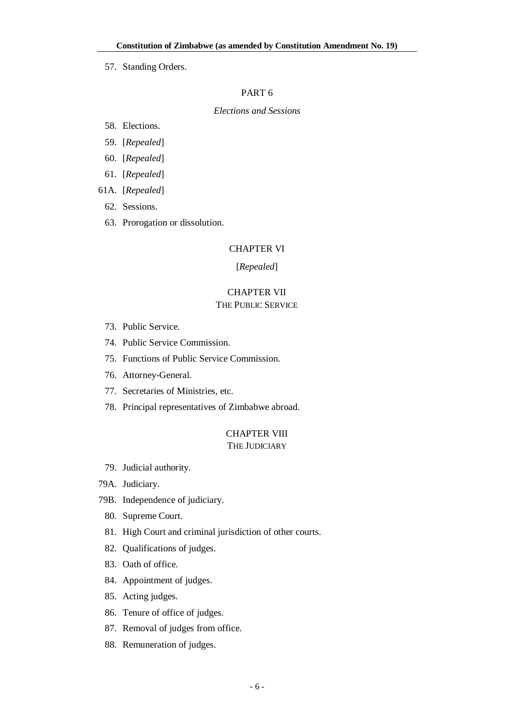57. Standing Orders.

## PART 6

## *Elections and Sessions*

- 58. Elections.
- 59. [*Repealed*]
- 60. [*Repealed*]
- 61. [*Repealed*]
- 61A. [*Repealed*]
	- 62. Sessions.
	- 63. Prorogation or dissolution.

#### CHAPTER VI

#### [*Repealed*]

## CHAPTER VII THE PUBLIC SERVICE

- 73. Public Service.
- 74. Public Service Commission.
- 75. Functions of Public Service Commission.
- 76. Attorney-General.
- 77. Secretaries of Ministries, etc.
- 78. Principal representatives of Zimbabwe abroad.

## CHAPTER VIII

## THE JUDICIARY

- 79. Judicial authority.
- 79A. Judiciary.
- 79B. Independence of judiciary.
	- 80. Supreme Court.
	- 81. High Court and criminal jurisdiction of other courts.
	- 82. Qualifications of judges.
	- 83. Oath of office.
	- 84. Appointment of judges.
	- 85. Acting judges.
	- 86. Tenure of office of judges.
	- 87. Removal of judges from office.
	- 88. Remuneration of judges.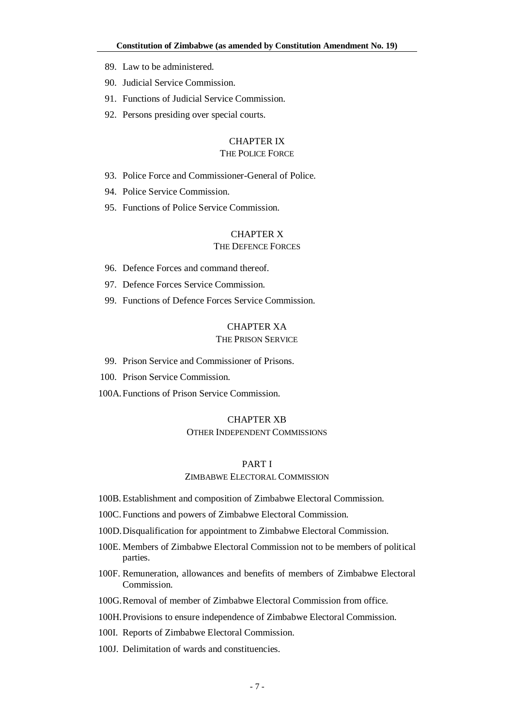- 89. Law to be administered.
- 90. Judicial Service Commission.
- 91. Functions of Judicial Service Commission.
- 92. Persons presiding over special courts.

## CHAPTER IX

## THE POLICE FORCE

- 93. Police Force and Commissioner-General of Police.
- 94. Police Service Commission.
- 95. Functions of Police Service Commission.

## CHAPTER X THE DEFENCE FORCES

- 96. Defence Forces and command thereof.
- 97. Defence Forces Service Commission.
- 99. Functions of Defence Forces Service Commission.

## CHAPTER XA THE PRISON SERVICE

- 99. Prison Service and Commissioner of Prisons.
- 100. Prison Service Commission.
- 100A.Functions of Prison Service Commission.

## CHAPTER XB

## OTHER INDEPENDENT COMMISSIONS

#### PART I

## ZIMBABWE ELECTORAL COMMISSION

100B. Establishment and composition of Zimbabwe Electoral Commission.

100C. Functions and powers of Zimbabwe Electoral Commission.

- 100D.Disqualification for appointment to Zimbabwe Electoral Commission.
- 100E. Members of Zimbabwe Electoral Commission not to be members of political parties.
- 100F. Remuneration, allowances and benefits of members of Zimbabwe Electoral **Commission**
- 100G.Removal of member of Zimbabwe Electoral Commission from office.
- 100H.Provisions to ensure independence of Zimbabwe Electoral Commission.
- 100I. Reports of Zimbabwe Electoral Commission.
- 100J. Delimitation of wards and constituencies.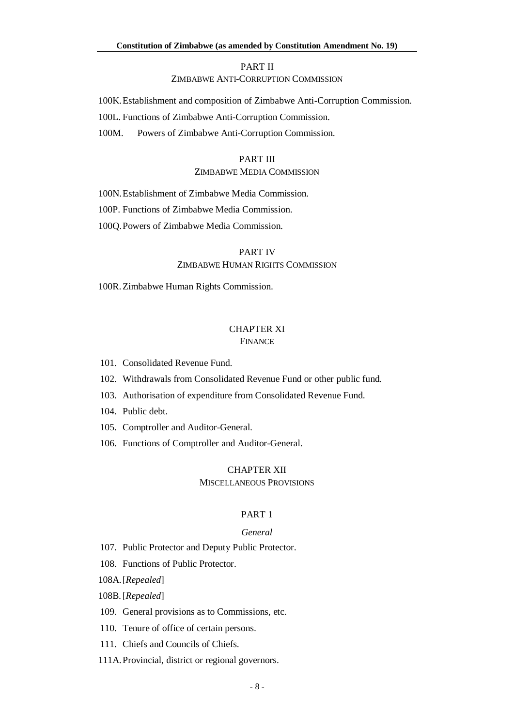#### PART II

#### ZIMBABWE ANTI-CORRUPTION COMMISSION

100K.Establishment and composition of Zimbabwe Anti-Corruption Commission.

100L. Functions of Zimbabwe Anti-Corruption Commission.

100M. Powers of Zimbabwe Anti-Corruption Commission.

#### PART III

#### ZIMBABWE MEDIA COMMISSION

100N.Establishment of Zimbabwe Media Commission.

100P. Functions of Zimbabwe Media Commission.

100Q.Powers of Zimbabwe Media Commission.

#### PART IV

## ZIMBABWE HUMAN RIGHTS COMMISSION

100R.Zimbabwe Human Rights Commission.

## CHAPTER XI **FINANCE**

101. Consolidated Revenue Fund.

102. Withdrawals from Consolidated Revenue Fund or other public fund.

103. Authorisation of expenditure from Consolidated Revenue Fund.

104. Public debt.

105. Comptroller and Auditor-General.

106. Functions of Comptroller and Auditor-General.

## CHAPTER XII MISCELLANEOUS PROVISIONS

#### PART 1

#### *General*

- 107. Public Protector and Deputy Public Protector.
- 108. Functions of Public Protector.

108A.[*Repealed*]

108B.[*Repealed*]

109. General provisions as to Commissions, etc.

110. Tenure of office of certain persons.

111. Chiefs and Councils of Chiefs.

111A.Provincial, district or regional governors.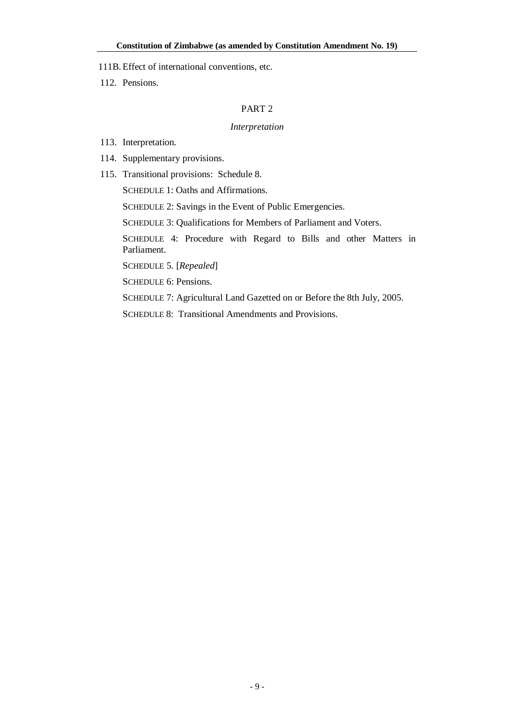- 111B. Effect of international conventions, etc.
- 112. Pensions.

## PART 2

#### *Interpretation*

- 113. Interpretation.
- 114. Supplementary provisions.
- 115. Transitional provisions: Schedule 8.

SCHEDULE 1: Oaths and Affirmations.

SCHEDULE 2: Savings in the Event of Public Emergencies.

SCHEDULE 3: Qualifications for Members of Parliament and Voters.

SCHEDULE 4: Procedure with Regard to Bills and other Matters in Parliament.

SCHEDULE 5. [*Repealed*]

SCHEDULE 6: Pensions.

SCHEDULE 7: Agricultural Land Gazetted on or Before the 8th July, 2005.

SCHEDULE 8: Transitional Amendments and Provisions.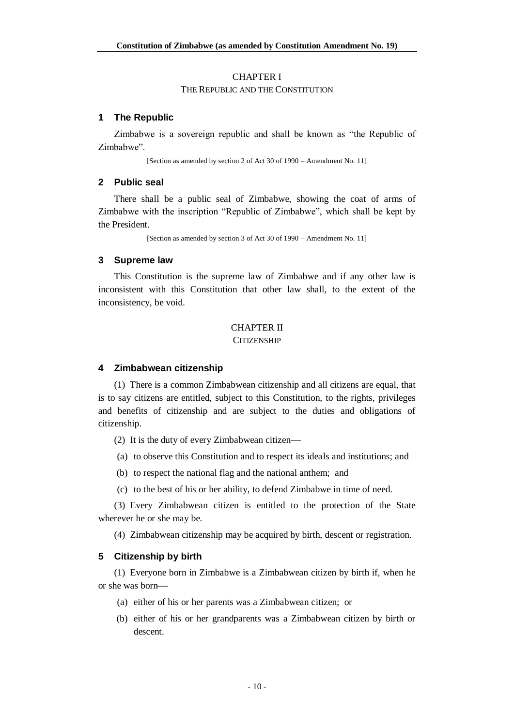## CHAPTER I

#### THE REPUBLIC AND THE CONSTITUTION

## **1 The Republic**

Zimbabwe is a sovereign republic and shall be known as "the Republic of Zimbabwe".

[Section as amended by section 2 of Act 30 of 1990 – Amendment No. 11]

## **2 Public seal**

There shall be a public seal of Zimbabwe, showing the coat of arms of Zimbabwe with the inscription "Republic of Zimbabwe", which shall be kept by the President.

[Section as amended by section 3 of Act 30 of 1990 – Amendment No. 11]

## **3 Supreme law**

This Constitution is the supreme law of Zimbabwe and if any other law is inconsistent with this Constitution that other law shall, to the extent of the inconsistency, be void.

## CHAPTER II **CITIZENSHIP**

## **4 Zimbabwean citizenship**

(1) There is a common Zimbabwean citizenship and all citizens are equal, that is to say citizens are entitled, subject to this Constitution, to the rights, privileges and benefits of citizenship and are subject to the duties and obligations of citizenship.

(2) It is the duty of every Zimbabwean citizen—

(a) to observe this Constitution and to respect its ideals and institutions; and

(b) to respect the national flag and the national anthem; and

(c) to the best of his or her ability, to defend Zimbabwe in time of need.

(3) Every Zimbabwean citizen is entitled to the protection of the State wherever he or she may be.

(4) Zimbabwean citizenship may be acquired by birth, descent or registration.

## **5 Citizenship by birth**

(1) Everyone born in Zimbabwe is a Zimbabwean citizen by birth if, when he or she was born—

- (a) either of his or her parents was a Zimbabwean citizen; or
- (b) either of his or her grandparents was a Zimbabwean citizen by birth or descent.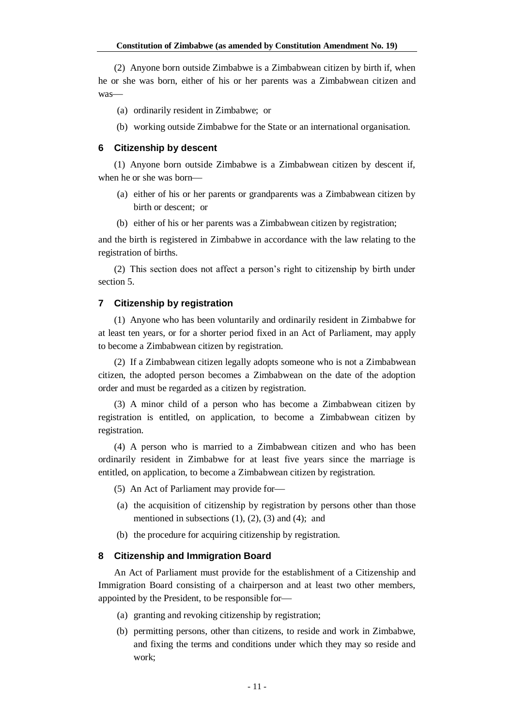(2) Anyone born outside Zimbabwe is a Zimbabwean citizen by birth if, when he or she was born, either of his or her parents was a Zimbabwean citizen and was—

- (a) ordinarily resident in Zimbabwe; or
- (b) working outside Zimbabwe for the State or an international organisation.

## **6 Citizenship by descent**

(1) Anyone born outside Zimbabwe is a Zimbabwean citizen by descent if, when he or she was born—

- (a) either of his or her parents or grandparents was a Zimbabwean citizen by birth or descent; or
- (b) either of his or her parents was a Zimbabwean citizen by registration;

and the birth is registered in Zimbabwe in accordance with the law relating to the registration of births.

(2) This section does not affect a person's right to citizenship by birth under section 5.

### **7 Citizenship by registration**

(1) Anyone who has been voluntarily and ordinarily resident in Zimbabwe for at least ten years, or for a shorter period fixed in an Act of Parliament, may apply to become a Zimbabwean citizen by registration.

(2) If a Zimbabwean citizen legally adopts someone who is not a Zimbabwean citizen, the adopted person becomes a Zimbabwean on the date of the adoption order and must be regarded as a citizen by registration.

(3) A minor child of a person who has become a Zimbabwean citizen by registration is entitled, on application, to become a Zimbabwean citizen by registration.

(4) A person who is married to a Zimbabwean citizen and who has been ordinarily resident in Zimbabwe for at least five years since the marriage is entitled, on application, to become a Zimbabwean citizen by registration.

 $(5)$  An Act of Parliament may provide for-

- (a) the acquisition of citizenship by registration by persons other than those mentioned in subsections  $(1)$ ,  $(2)$ ,  $(3)$  and  $(4)$ ; and
- (b) the procedure for acquiring citizenship by registration.

#### **8 Citizenship and Immigration Board**

An Act of Parliament must provide for the establishment of a Citizenship and Immigration Board consisting of a chairperson and at least two other members, appointed by the President, to be responsible for-

- (a) granting and revoking citizenship by registration;
- (b) permitting persons, other than citizens, to reside and work in Zimbabwe, and fixing the terms and conditions under which they may so reside and work;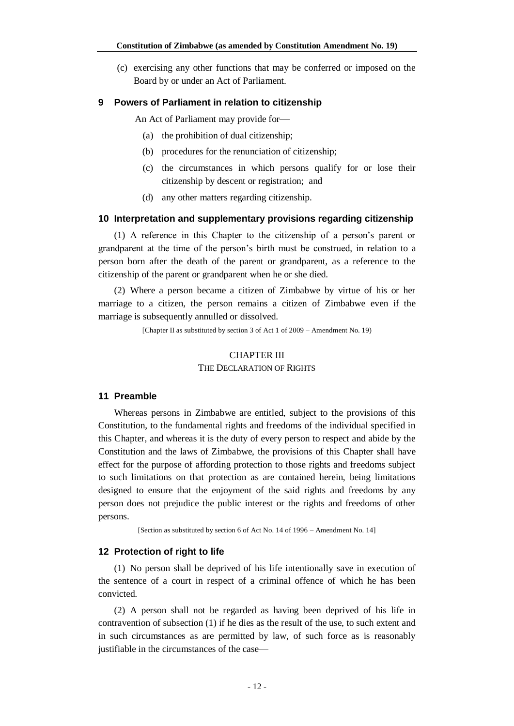(c) exercising any other functions that may be conferred or imposed on the Board by or under an Act of Parliament.

#### **9 Powers of Parliament in relation to citizenship**

An Act of Parliament may provide for-

- (a) the prohibition of dual citizenship;
- (b) procedures for the renunciation of citizenship;
- (c) the circumstances in which persons qualify for or lose their citizenship by descent or registration; and
- (d) any other matters regarding citizenship.

#### **10 Interpretation and supplementary provisions regarding citizenship**

(1) A reference in this Chapter to the citizenship of a person's parent or grandparent at the time of the person's birth must be construed, in relation to a person born after the death of the parent or grandparent, as a reference to the citizenship of the parent or grandparent when he or she died.

(2) Where a person became a citizen of Zimbabwe by virtue of his or her marriage to a citizen, the person remains a citizen of Zimbabwe even if the marriage is subsequently annulled or dissolved.

[Chapter II as substituted by section 3 of Act 1 of 2009 – Amendment No. 19)

## CHAPTER III THE DECLARATION OF RIGHTS

## **11 Preamble**

Whereas persons in Zimbabwe are entitled, subject to the provisions of this Constitution, to the fundamental rights and freedoms of the individual specified in this Chapter, and whereas it is the duty of every person to respect and abide by the Constitution and the laws of Zimbabwe, the provisions of this Chapter shall have effect for the purpose of affording protection to those rights and freedoms subject to such limitations on that protection as are contained herein, being limitations designed to ensure that the enjoyment of the said rights and freedoms by any person does not prejudice the public interest or the rights and freedoms of other persons.

[Section as substituted by section 6 of Act No. 14 of 1996 – Amendment No. 14]

## **12 Protection of right to life**

(1) No person shall be deprived of his life intentionally save in execution of the sentence of a court in respect of a criminal offence of which he has been convicted.

(2) A person shall not be regarded as having been deprived of his life in contravention of subsection (1) if he dies as the result of the use, to such extent and in such circumstances as are permitted by law, of such force as is reasonably justifiable in the circumstances of the case—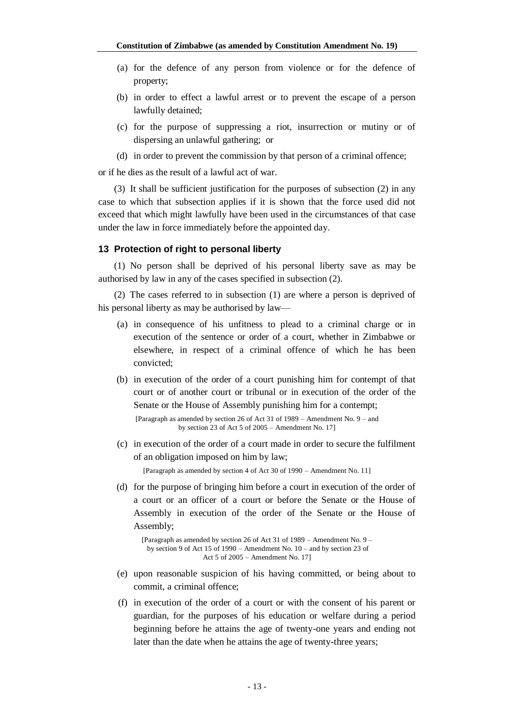- (a) for the defence of any person from violence or for the defence of property;
- (b) in order to effect a lawful arrest or to prevent the escape of a person lawfully detained;
- (c) for the purpose of suppressing a riot, insurrection or mutiny or of dispersing an unlawful gathering; or
- (d) in order to prevent the commission by that person of a criminal offence;

or if he dies as the result of a lawful act of war.

(3) It shall be sufficient justification for the purposes of subsection (2) in any case to which that subsection applies if it is shown that the force used did not exceed that which might lawfully have been used in the circumstances of that case under the law in force immediately before the appointed day.

#### **13 Protection of right to personal liberty**

(1) No person shall be deprived of his personal liberty save as may be authorised by law in any of the cases specified in subsection (2).

(2) The cases referred to in subsection (1) are where a person is deprived of his personal liberty as may be authorised by law—

- (a) in consequence of his unfitness to plead to a criminal charge or in execution of the sentence or order of a court, whether in Zimbabwe or elsewhere, in respect of a criminal offence of which he has been convicted;
- (b) in execution of the order of a court punishing him for contempt of that court or of another court or tribunal or in execution of the order of the Senate or the House of Assembly punishing him for a contempt;

```
[Paragraph as amended by section 26 of Act 31 of 1989 – Amendment No. 9 – and
 by section 23 of Act 5 of 2005 – Amendment No. 17]
```
(c) in execution of the order of a court made in order to secure the fulfilment of an obligation imposed on him by law;

[Paragraph as amended by section 4 of Act 30 of 1990 – Amendment No. 11]

(d) for the purpose of bringing him before a court in execution of the order of a court or an officer of a court or before the Senate or the House of Assembly in execution of the order of the Senate or the House of Assembly;

[Paragraph as amended by section 26 of Act 31 of 1989 – Amendment No. 9 – by section 9 of Act 15 of 1990 – Amendment No. 10 – and by section 23 of Act 5 of 2005 – Amendment No. 17]

- (e) upon reasonable suspicion of his having committed, or being about to commit, a criminal offence;
- (f) in execution of the order of a court or with the consent of his parent or guardian, for the purposes of his education or welfare during a period beginning before he attains the age of twenty-one years and ending not later than the date when he attains the age of twenty-three years;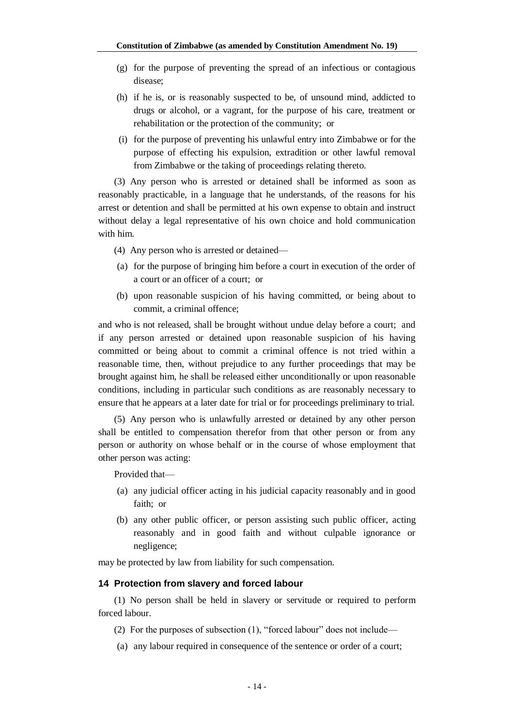- (g) for the purpose of preventing the spread of an infectious or contagious disease;
- (h) if he is, or is reasonably suspected to be, of unsound mind, addicted to drugs or alcohol, or a vagrant, for the purpose of his care, treatment or rehabilitation or the protection of the community; or
- (i) for the purpose of preventing his unlawful entry into Zimbabwe or for the purpose of effecting his expulsion, extradition or other lawful removal from Zimbabwe or the taking of proceedings relating thereto.

(3) Any person who is arrested or detained shall be informed as soon as reasonably practicable, in a language that he understands, of the reasons for his arrest or detention and shall be permitted at his own expense to obtain and instruct without delay a legal representative of his own choice and hold communication with him.

- (4) Any person who is arrested or detained—
- (a) for the purpose of bringing him before a court in execution of the order of a court or an officer of a court; or
- (b) upon reasonable suspicion of his having committed, or being about to commit, a criminal offence;

and who is not released, shall be brought without undue delay before a court; and if any person arrested or detained upon reasonable suspicion of his having committed or being about to commit a criminal offence is not tried within a reasonable time, then, without prejudice to any further proceedings that may be brought against him, he shall be released either unconditionally or upon reasonable conditions, including in particular such conditions as are reasonably necessary to ensure that he appears at a later date for trial or for proceedings preliminary to trial.

(5) Any person who is unlawfully arrested or detained by any other person shall be entitled to compensation therefor from that other person or from any person or authority on whose behalf or in the course of whose employment that other person was acting:

Provided that—

- (a) any judicial officer acting in his judicial capacity reasonably and in good faith; or
- (b) any other public officer, or person assisting such public officer, acting reasonably and in good faith and without culpable ignorance or negligence;

may be protected by law from liability for such compensation.

## **14 Protection from slavery and forced labour**

(1) No person shall be held in slavery or servitude or required to perform forced labour.

- (2) For the purposes of subsection (1), "forced labour" does not include—
- (a) any labour required in consequence of the sentence or order of a court;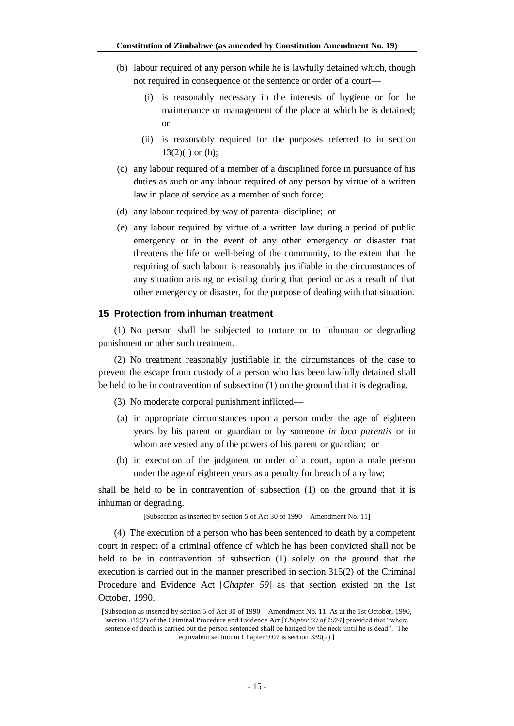- (b) labour required of any person while he is lawfully detained which, though not required in consequence of the sentence or order of a court—
	- (i) is reasonably necessary in the interests of hygiene or for the maintenance or management of the place at which he is detained; or
	- (ii) is reasonably required for the purposes referred to in section 13(2)(f) or (h);
- (c) any labour required of a member of a disciplined force in pursuance of his duties as such or any labour required of any person by virtue of a written law in place of service as a member of such force;
- (d) any labour required by way of parental discipline; or
- (e) any labour required by virtue of a written law during a period of public emergency or in the event of any other emergency or disaster that threatens the life or well-being of the community, to the extent that the requiring of such labour is reasonably justifiable in the circumstances of any situation arising or existing during that period or as a result of that other emergency or disaster, for the purpose of dealing with that situation.

### **15 Protection from inhuman treatment**

(1) No person shall be subjected to torture or to inhuman or degrading punishment or other such treatment.

(2) No treatment reasonably justifiable in the circumstances of the case to prevent the escape from custody of a person who has been lawfully detained shall be held to be in contravention of subsection (1) on the ground that it is degrading.

(3) No moderate corporal punishment inflicted—

- (a) in appropriate circumstances upon a person under the age of eighteen years by his parent or guardian or by someone *in loco parentis* or in whom are vested any of the powers of his parent or guardian; or
- (b) in execution of the judgment or order of a court, upon a male person under the age of eighteen years as a penalty for breach of any law;

shall be held to be in contravention of subsection (1) on the ground that it is inhuman or degrading.

[Subsection as inserted by section 5 of Act 30 of 1990 – Amendment No. 11]

(4) The execution of a person who has been sentenced to death by a competent court in respect of a criminal offence of which he has been convicted shall not be held to be in contravention of subsection (1) solely on the ground that the execution is carried out in the manner prescribed in section 315(2) of the Criminal Procedure and Evidence Act [*Chapter 59*] as that section existed on the 1st October, 1990.

<sup>[</sup>Subsection as inserted by section 5 of Act 30 of 1990 – Amendment No. 11. As at the 1st October, 1990, section 315(2) of the Criminal Procedure and Evidence Act [*Chapter 59 of 1974*] provided that "where sentence of death is carried out the person sentenced shall be hanged by the neck until he is dead". The equivalent section in Chapter 9:07 is section 339(2).]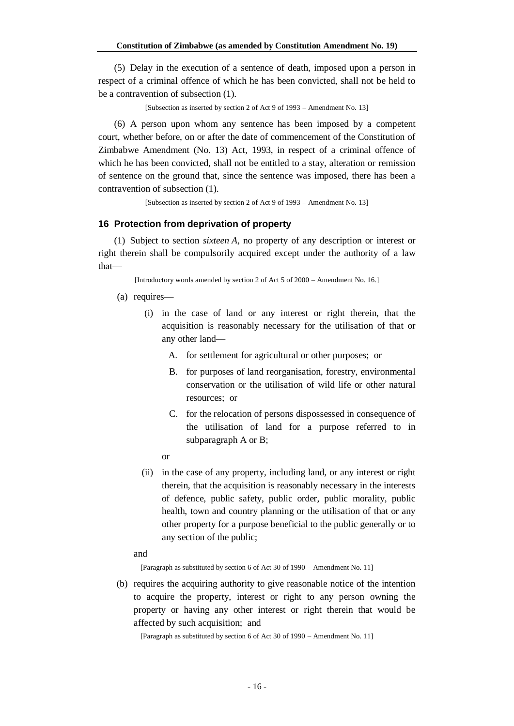(5) Delay in the execution of a sentence of death, imposed upon a person in respect of a criminal offence of which he has been convicted, shall not be held to be a contravention of subsection (1).

[Subsection as inserted by section 2 of Act 9 of 1993 – Amendment No. 13]

(6) A person upon whom any sentence has been imposed by a competent court, whether before, on or after the date of commencement of the Constitution of Zimbabwe Amendment (No. 13) Act, 1993, in respect of a criminal offence of which he has been convicted, shall not be entitled to a stay, alteration or remission of sentence on the ground that, since the sentence was imposed, there has been a contravention of subsection (1).

[Subsection as inserted by section 2 of Act 9 of 1993 – Amendment No. 13]

#### **16 Protection from deprivation of property**

(1) Subject to section *sixteen A*, no property of any description or interest or right therein shall be compulsorily acquired except under the authority of a law that—

[Introductory words amended by section 2 of Act 5 of 2000 – Amendment No. 16.]

(a) requires—

- (i) in the case of land or any interest or right therein, that the acquisition is reasonably necessary for the utilisation of that or any other land—
	- A. for settlement for agricultural or other purposes; or
	- B. for purposes of land reorganisation, forestry, environmental conservation or the utilisation of wild life or other natural resources; or
	- C. for the relocation of persons dispossessed in consequence of the utilisation of land for a purpose referred to in subparagraph A or B;
	- or
- (ii) in the case of any property, including land, or any interest or right therein, that the acquisition is reasonably necessary in the interests of defence, public safety, public order, public morality, public health, town and country planning or the utilisation of that or any other property for a purpose beneficial to the public generally or to any section of the public;

and

[Paragraph as substituted by section 6 of Act 30 of 1990 – Amendment No. 11]

(b) requires the acquiring authority to give reasonable notice of the intention to acquire the property, interest or right to any person owning the property or having any other interest or right therein that would be affected by such acquisition; and

[Paragraph as substituted by section 6 of Act 30 of 1990 – Amendment No. 11]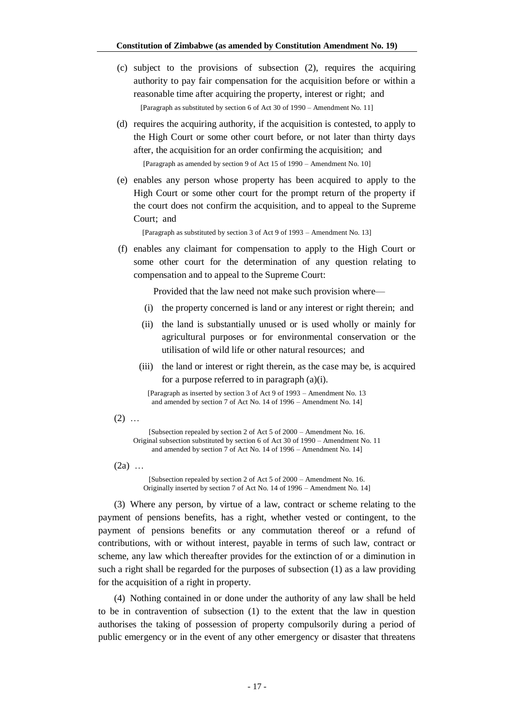- (c) subject to the provisions of subsection (2), requires the acquiring authority to pay fair compensation for the acquisition before or within a reasonable time after acquiring the property, interest or right; and [Paragraph as substituted by section 6 of Act 30 of 1990 – Amendment No. 11]
- (d) requires the acquiring authority, if the acquisition is contested, to apply to the High Court or some other court before, or not later than thirty days after, the acquisition for an order confirming the acquisition; and [Paragraph as amended by section 9 of Act 15 of 1990 – Amendment No. 10]
- (e) enables any person whose property has been acquired to apply to the High Court or some other court for the prompt return of the property if the court does not confirm the acquisition, and to appeal to the Supreme Court; and

[Paragraph as substituted by section 3 of Act 9 of 1993 – Amendment No. 13]

(f) enables any claimant for compensation to apply to the High Court or some other court for the determination of any question relating to compensation and to appeal to the Supreme Court:

Provided that the law need not make such provision where—

- (i) the property concerned is land or any interest or right therein; and
- (ii) the land is substantially unused or is used wholly or mainly for agricultural purposes or for environmental conservation or the utilisation of wild life or other natural resources; and
- (iii) the land or interest or right therein, as the case may be, is acquired for a purpose referred to in paragraph  $(a)(i)$ .

[Paragraph as inserted by section 3 of Act 9 of 1993 – Amendment No. 13 and amended by section 7 of Act No. 14 of 1996 – Amendment No. 14]

 $(2)$  ...

[Subsection repealed by section 2 of Act 5 of 2000 – Amendment No. 16. Original subsection substituted by section 6 of Act 30 of 1990 – Amendment No. 11 and amended by section 7 of Act No. 14 of 1996 – Amendment No. 14]

(2a) …

[Subsection repealed by section 2 of Act 5 of 2000 – Amendment No. 16. Originally inserted by section 7 of Act No. 14 of 1996 – Amendment No. 14]

(3) Where any person, by virtue of a law, contract or scheme relating to the payment of pensions benefits, has a right, whether vested or contingent, to the payment of pensions benefits or any commutation thereof or a refund of contributions, with or without interest, payable in terms of such law, contract or scheme, any law which thereafter provides for the extinction of or a diminution in such a right shall be regarded for the purposes of subsection (1) as a law providing for the acquisition of a right in property.

(4) Nothing contained in or done under the authority of any law shall be held to be in contravention of subsection (1) to the extent that the law in question authorises the taking of possession of property compulsorily during a period of public emergency or in the event of any other emergency or disaster that threatens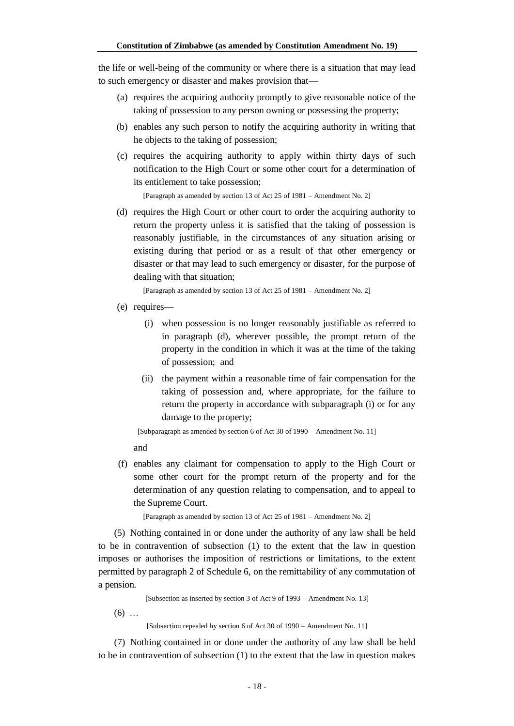the life or well-being of the community or where there is a situation that may lead to such emergency or disaster and makes provision that—

- (a) requires the acquiring authority promptly to give reasonable notice of the taking of possession to any person owning or possessing the property;
- (b) enables any such person to notify the acquiring authority in writing that he objects to the taking of possession;
- (c) requires the acquiring authority to apply within thirty days of such notification to the High Court or some other court for a determination of its entitlement to take possession;

[Paragraph as amended by section 13 of Act 25 of 1981 – Amendment No. 2]

(d) requires the High Court or other court to order the acquiring authority to return the property unless it is satisfied that the taking of possession is reasonably justifiable, in the circumstances of any situation arising or existing during that period or as a result of that other emergency or disaster or that may lead to such emergency or disaster, for the purpose of dealing with that situation;

[Paragraph as amended by section 13 of Act 25 of 1981 – Amendment No. 2]

- (e) requires—
	- (i) when possession is no longer reasonably justifiable as referred to in paragraph (d), wherever possible, the prompt return of the property in the condition in which it was at the time of the taking of possession; and
	- (ii) the payment within a reasonable time of fair compensation for the taking of possession and, where appropriate, for the failure to return the property in accordance with subparagraph (i) or for any damage to the property;

[Subparagraph as amended by section 6 of Act 30 of 1990 – Amendment No. 11]

and

(f) enables any claimant for compensation to apply to the High Court or some other court for the prompt return of the property and for the determination of any question relating to compensation, and to appeal to the Supreme Court.

[Paragraph as amended by section 13 of Act 25 of 1981 – Amendment No. 2]

(5) Nothing contained in or done under the authority of any law shall be held to be in contravention of subsection (1) to the extent that the law in question imposes or authorises the imposition of restrictions or limitations, to the extent permitted by paragraph 2 of Schedule 6, on the remittability of any commutation of a pension.

```
[Subsection as inserted by section 3 of Act 9 of 1993 – Amendment No. 13]
```
 $(6)$  ...

[Subsection repealed by section 6 of Act 30 of 1990 – Amendment No. 11]

(7) Nothing contained in or done under the authority of any law shall be held to be in contravention of subsection (1) to the extent that the law in question makes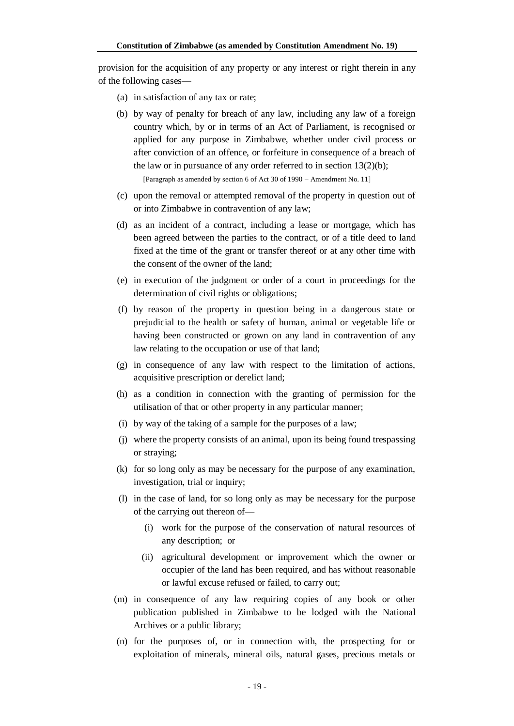provision for the acquisition of any property or any interest or right therein in any of the following cases—

- (a) in satisfaction of any tax or rate;
- (b) by way of penalty for breach of any law, including any law of a foreign country which, by or in terms of an Act of Parliament, is recognised or applied for any purpose in Zimbabwe, whether under civil process or after conviction of an offence, or forfeiture in consequence of a breach of the law or in pursuance of any order referred to in section  $13(2)(b)$ ;

[Paragraph as amended by section 6 of Act 30 of 1990 – Amendment No. 11]

- (c) upon the removal or attempted removal of the property in question out of or into Zimbabwe in contravention of any law;
- (d) as an incident of a contract, including a lease or mortgage, which has been agreed between the parties to the contract, or of a title deed to land fixed at the time of the grant or transfer thereof or at any other time with the consent of the owner of the land;
- (e) in execution of the judgment or order of a court in proceedings for the determination of civil rights or obligations;
- (f) by reason of the property in question being in a dangerous state or prejudicial to the health or safety of human, animal or vegetable life or having been constructed or grown on any land in contravention of any law relating to the occupation or use of that land;
- (g) in consequence of any law with respect to the limitation of actions, acquisitive prescription or derelict land;
- (h) as a condition in connection with the granting of permission for the utilisation of that or other property in any particular manner;
- (i) by way of the taking of a sample for the purposes of a law;
- (j) where the property consists of an animal, upon its being found trespassing or straying;
- (k) for so long only as may be necessary for the purpose of any examination, investigation, trial or inquiry;
- (l) in the case of land, for so long only as may be necessary for the purpose of the carrying out thereon of—
	- (i) work for the purpose of the conservation of natural resources of any description; or
	- (ii) agricultural development or improvement which the owner or occupier of the land has been required, and has without reasonable or lawful excuse refused or failed, to carry out;
- (m) in consequence of any law requiring copies of any book or other publication published in Zimbabwe to be lodged with the National Archives or a public library;
- (n) for the purposes of, or in connection with, the prospecting for or exploitation of minerals, mineral oils, natural gases, precious metals or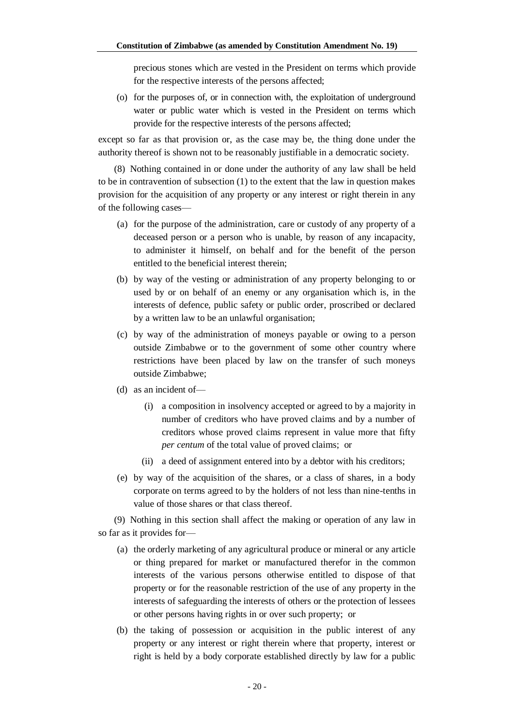precious stones which are vested in the President on terms which provide for the respective interests of the persons affected;

(o) for the purposes of, or in connection with, the exploitation of underground water or public water which is vested in the President on terms which provide for the respective interests of the persons affected;

except so far as that provision or, as the case may be, the thing done under the authority thereof is shown not to be reasonably justifiable in a democratic society.

(8) Nothing contained in or done under the authority of any law shall be held to be in contravention of subsection (1) to the extent that the law in question makes provision for the acquisition of any property or any interest or right therein in any of the following cases—

- (a) for the purpose of the administration, care or custody of any property of a deceased person or a person who is unable, by reason of any incapacity, to administer it himself, on behalf and for the benefit of the person entitled to the beneficial interest therein;
- (b) by way of the vesting or administration of any property belonging to or used by or on behalf of an enemy or any organisation which is, in the interests of defence, public safety or public order, proscribed or declared by a written law to be an unlawful organisation;
- (c) by way of the administration of moneys payable or owing to a person outside Zimbabwe or to the government of some other country where restrictions have been placed by law on the transfer of such moneys outside Zimbabwe;
- (d) as an incident of—
	- (i) a composition in insolvency accepted or agreed to by a majority in number of creditors who have proved claims and by a number of creditors whose proved claims represent in value more that fifty *per centum* of the total value of proved claims; or
	- (ii) a deed of assignment entered into by a debtor with his creditors;
- (e) by way of the acquisition of the shares, or a class of shares, in a body corporate on terms agreed to by the holders of not less than nine-tenths in value of those shares or that class thereof.

(9) Nothing in this section shall affect the making or operation of any law in so far as it provides for—

- (a) the orderly marketing of any agricultural produce or mineral or any article or thing prepared for market or manufactured therefor in the common interests of the various persons otherwise entitled to dispose of that property or for the reasonable restriction of the use of any property in the interests of safeguarding the interests of others or the protection of lessees or other persons having rights in or over such property; or
- (b) the taking of possession or acquisition in the public interest of any property or any interest or right therein where that property, interest or right is held by a body corporate established directly by law for a public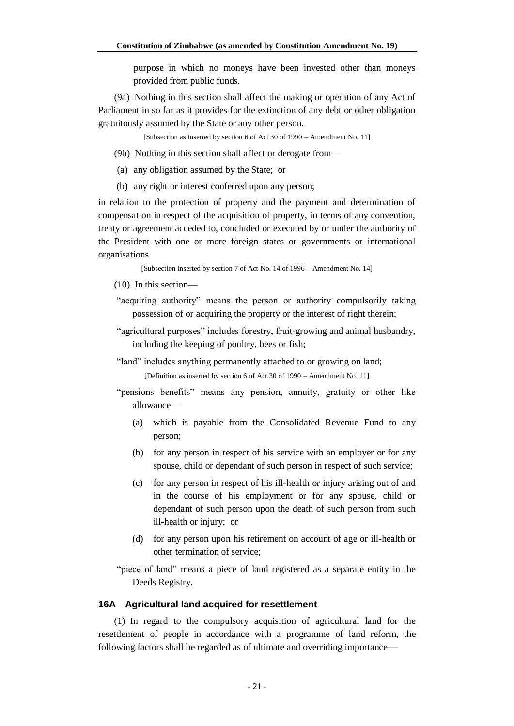purpose in which no moneys have been invested other than moneys provided from public funds.

(9a) Nothing in this section shall affect the making or operation of any Act of Parliament in so far as it provides for the extinction of any debt or other obligation gratuitously assumed by the State or any other person.

[Subsection as inserted by section 6 of Act 30 of 1990 – Amendment No. 11]

- (9b) Nothing in this section shall affect or derogate from—
- (a) any obligation assumed by the State; or
- (b) any right or interest conferred upon any person;

in relation to the protection of property and the payment and determination of compensation in respect of the acquisition of property, in terms of any convention, treaty or agreement acceded to, concluded or executed by or under the authority of the President with one or more foreign states or governments or international organisations.

[Subsection inserted by section 7 of Act No. 14 of 1996 – Amendment No. 14]

- (10) In this section—
- "acquiring authority" means the person or authority compulsorily taking possession of or acquiring the property or the interest of right therein;
- "agricultural purposes" includes forestry, fruit-growing and animal husbandry, including the keeping of poultry, bees or fish;
- "land" includes anything permanently attached to or growing on land; [Definition as inserted by section 6 of Act 30 of 1990 – Amendment No. 11]
- "pensions benefits" means any pension, annuity, gratuity or other like allowance—
	- (a) which is payable from the Consolidated Revenue Fund to any person;
	- (b) for any person in respect of his service with an employer or for any spouse, child or dependant of such person in respect of such service;
	- (c) for any person in respect of his ill-health or injury arising out of and in the course of his employment or for any spouse, child or dependant of such person upon the death of such person from such ill-health or injury; or
	- (d) for any person upon his retirement on account of age or ill-health or other termination of service;
- "piece of land" means a piece of land registered as a separate entity in the Deeds Registry.

## **16A Agricultural land acquired for resettlement**

(1) In regard to the compulsory acquisition of agricultural land for the resettlement of people in accordance with a programme of land reform, the following factors shall be regarded as of ultimate and overriding importance—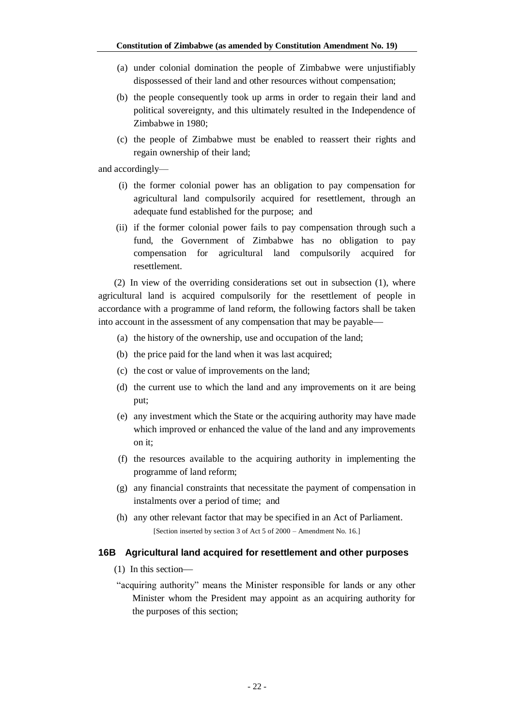- (a) under colonial domination the people of Zimbabwe were unjustifiably dispossessed of their land and other resources without compensation;
- (b) the people consequently took up arms in order to regain their land and political sovereignty, and this ultimately resulted in the Independence of Zimbabwe in 1980;
- (c) the people of Zimbabwe must be enabled to reassert their rights and regain ownership of their land;

and accordingly—

- (i) the former colonial power has an obligation to pay compensation for agricultural land compulsorily acquired for resettlement, through an adequate fund established for the purpose; and
- (ii) if the former colonial power fails to pay compensation through such a fund, the Government of Zimbabwe has no obligation to pay compensation for agricultural land compulsorily acquired for resettlement.

(2) In view of the overriding considerations set out in subsection (1), where agricultural land is acquired compulsorily for the resettlement of people in accordance with a programme of land reform, the following factors shall be taken into account in the assessment of any compensation that may be payable—

- (a) the history of the ownership, use and occupation of the land;
- (b) the price paid for the land when it was last acquired;
- (c) the cost or value of improvements on the land;
- (d) the current use to which the land and any improvements on it are being put;
- (e) any investment which the State or the acquiring authority may have made which improved or enhanced the value of the land and any improvements on it;
- (f) the resources available to the acquiring authority in implementing the programme of land reform;
- (g) any financial constraints that necessitate the payment of compensation in instalments over a period of time; and
- (h) any other relevant factor that may be specified in an Act of Parliament. [Section inserted by section 3 of Act 5 of 2000 – Amendment No. 16.]

## **16B Agricultural land acquired for resettlement and other purposes**

- $(1)$  In this section—
- "acquiring authority" means the Minister responsible for lands or any other Minister whom the President may appoint as an acquiring authority for the purposes of this section;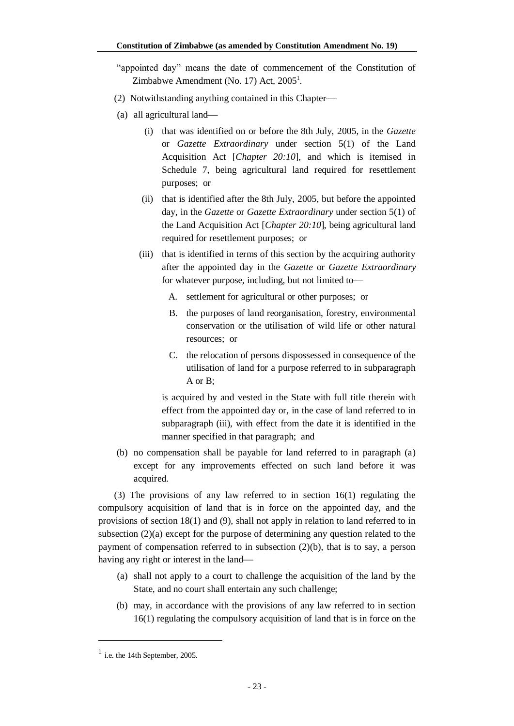- "appointed day" means the date of commencement of the Constitution of Zimbabwe Amendment (No. 17) Act, 2005<sup>1</sup>.
- (2) Notwithstanding anything contained in this Chapter—
- (a) all agricultural land—
	- (i) that was identified on or before the 8th July, 2005, in the *Gazette* or *Gazette Extraordinary* under section 5(1) of the Land Acquisition Act [*Chapter 20:10*], and which is itemised in Schedule 7, being agricultural land required for resettlement purposes; or
	- (ii) that is identified after the 8th July, 2005, but before the appointed day, in the *Gazette* or *Gazette Extraordinary* under section 5(1) of the Land Acquisition Act [*Chapter 20:10*], being agricultural land required for resettlement purposes; or
	- (iii) that is identified in terms of this section by the acquiring authority after the appointed day in the *Gazette* or *Gazette Extraordinary* for whatever purpose, including, but not limited to
		- A. settlement for agricultural or other purposes; or
		- B. the purposes of land reorganisation, forestry, environmental conservation or the utilisation of wild life or other natural resources; or
		- C. the relocation of persons dispossessed in consequence of the utilisation of land for a purpose referred to in subparagraph A or B;

is acquired by and vested in the State with full title therein with effect from the appointed day or, in the case of land referred to in subparagraph (iii), with effect from the date it is identified in the manner specified in that paragraph; and

(b) no compensation shall be payable for land referred to in paragraph (a) except for any improvements effected on such land before it was acquired.

(3) The provisions of any law referred to in section 16(1) regulating the compulsory acquisition of land that is in force on the appointed day, and the provisions of section 18(1) and (9), shall not apply in relation to land referred to in subsection (2)(a) except for the purpose of determining any question related to the payment of compensation referred to in subsection (2)(b), that is to say, a person having any right or interest in the land—

- (a) shall not apply to a court to challenge the acquisition of the land by the State, and no court shall entertain any such challenge;
- (b) may, in accordance with the provisions of any law referred to in section 16(1) regulating the compulsory acquisition of land that is in force on the

 $\overline{a}$ 

 $<sup>1</sup>$  i.e. the 14th September, 2005.</sup>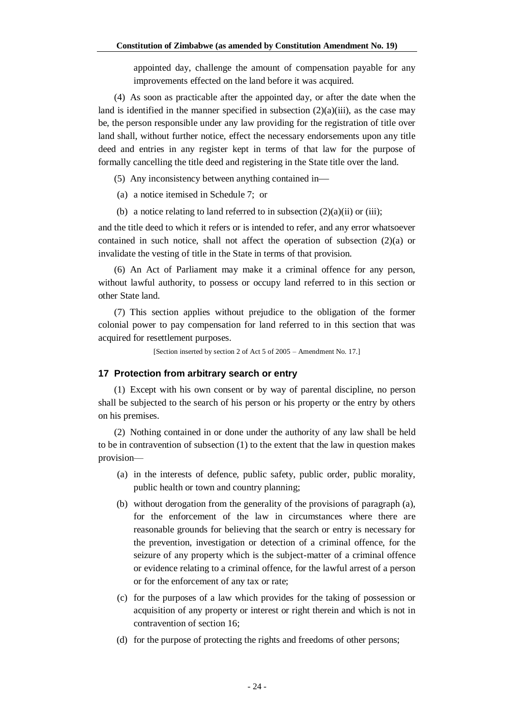appointed day, challenge the amount of compensation payable for any improvements effected on the land before it was acquired.

(4) As soon as practicable after the appointed day, or after the date when the land is identified in the manner specified in subsection  $(2)(a)(iii)$ , as the case may be, the person responsible under any law providing for the registration of title over land shall, without further notice, effect the necessary endorsements upon any title deed and entries in any register kept in terms of that law for the purpose of formally cancelling the title deed and registering in the State title over the land.

 $(5)$  Any inconsistency between anything contained in—

(a) a notice itemised in Schedule 7; or

(b) a notice relating to land referred to in subsection  $(2)(a)(ii)$  or (iii);

and the title deed to which it refers or is intended to refer, and any error whatsoever contained in such notice, shall not affect the operation of subsection (2)(a) or invalidate the vesting of title in the State in terms of that provision.

(6) An Act of Parliament may make it a criminal offence for any person, without lawful authority, to possess or occupy land referred to in this section or other State land.

(7) This section applies without prejudice to the obligation of the former colonial power to pay compensation for land referred to in this section that was acquired for resettlement purposes.

[Section inserted by section 2 of Act 5 of 2005 – Amendment No. 17.]

## **17 Protection from arbitrary search or entry**

(1) Except with his own consent or by way of parental discipline, no person shall be subjected to the search of his person or his property or the entry by others on his premises.

(2) Nothing contained in or done under the authority of any law shall be held to be in contravention of subsection (1) to the extent that the law in question makes provision—

- (a) in the interests of defence, public safety, public order, public morality, public health or town and country planning;
- (b) without derogation from the generality of the provisions of paragraph (a), for the enforcement of the law in circumstances where there are reasonable grounds for believing that the search or entry is necessary for the prevention, investigation or detection of a criminal offence, for the seizure of any property which is the subject-matter of a criminal offence or evidence relating to a criminal offence, for the lawful arrest of a person or for the enforcement of any tax or rate;
- (c) for the purposes of a law which provides for the taking of possession or acquisition of any property or interest or right therein and which is not in contravention of section 16;
- (d) for the purpose of protecting the rights and freedoms of other persons;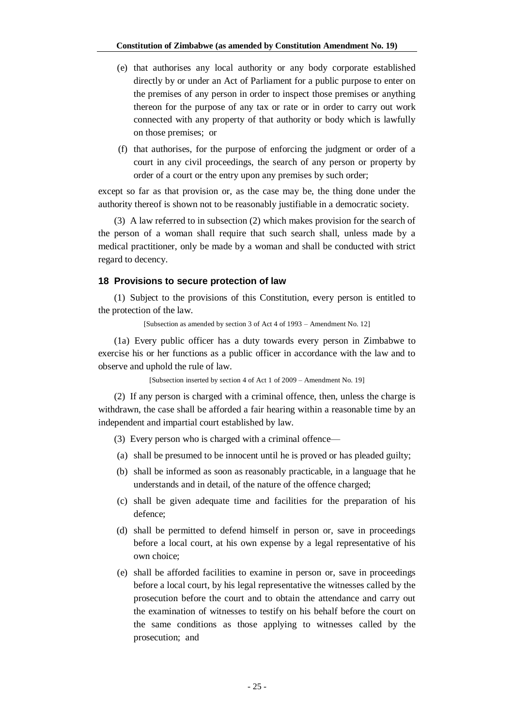- (e) that authorises any local authority or any body corporate established directly by or under an Act of Parliament for a public purpose to enter on the premises of any person in order to inspect those premises or anything thereon for the purpose of any tax or rate or in order to carry out work connected with any property of that authority or body which is lawfully on those premises; or
- (f) that authorises, for the purpose of enforcing the judgment or order of a court in any civil proceedings, the search of any person or property by order of a court or the entry upon any premises by such order;

except so far as that provision or, as the case may be, the thing done under the authority thereof is shown not to be reasonably justifiable in a democratic society.

(3) A law referred to in subsection (2) which makes provision for the search of the person of a woman shall require that such search shall, unless made by a medical practitioner, only be made by a woman and shall be conducted with strict regard to decency.

## **18 Provisions to secure protection of law**

(1) Subject to the provisions of this Constitution, every person is entitled to the protection of the law.

[Subsection as amended by section 3 of Act 4 of 1993 – Amendment No. 12]

(1a) Every public officer has a duty towards every person in Zimbabwe to exercise his or her functions as a public officer in accordance with the law and to observe and uphold the rule of law.

[Subsection inserted by section 4 of Act 1 of 2009 – Amendment No. 19]

(2) If any person is charged with a criminal offence, then, unless the charge is withdrawn, the case shall be afforded a fair hearing within a reasonable time by an independent and impartial court established by law.

(3) Every person who is charged with a criminal offence—

- (a) shall be presumed to be innocent until he is proved or has pleaded guilty;
- (b) shall be informed as soon as reasonably practicable, in a language that he understands and in detail, of the nature of the offence charged;
- (c) shall be given adequate time and facilities for the preparation of his defence;
- (d) shall be permitted to defend himself in person or, save in proceedings before a local court, at his own expense by a legal representative of his own choice;
- (e) shall be afforded facilities to examine in person or, save in proceedings before a local court, by his legal representative the witnesses called by the prosecution before the court and to obtain the attendance and carry out the examination of witnesses to testify on his behalf before the court on the same conditions as those applying to witnesses called by the prosecution; and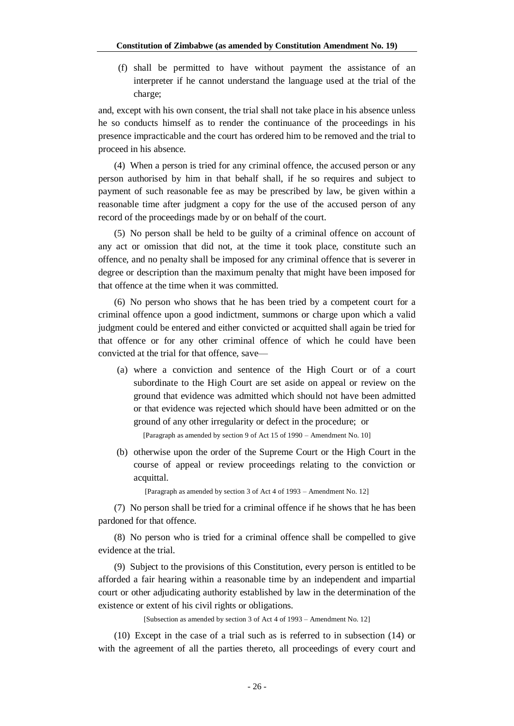(f) shall be permitted to have without payment the assistance of an interpreter if he cannot understand the language used at the trial of the charge;

and, except with his own consent, the trial shall not take place in his absence unless he so conducts himself as to render the continuance of the proceedings in his presence impracticable and the court has ordered him to be removed and the trial to proceed in his absence.

(4) When a person is tried for any criminal offence, the accused person or any person authorised by him in that behalf shall, if he so requires and subject to payment of such reasonable fee as may be prescribed by law, be given within a reasonable time after judgment a copy for the use of the accused person of any record of the proceedings made by or on behalf of the court.

(5) No person shall be held to be guilty of a criminal offence on account of any act or omission that did not, at the time it took place, constitute such an offence, and no penalty shall be imposed for any criminal offence that is severer in degree or description than the maximum penalty that might have been imposed for that offence at the time when it was committed.

(6) No person who shows that he has been tried by a competent court for a criminal offence upon a good indictment, summons or charge upon which a valid judgment could be entered and either convicted or acquitted shall again be tried for that offence or for any other criminal offence of which he could have been convicted at the trial for that offence, save—

(a) where a conviction and sentence of the High Court or of a court subordinate to the High Court are set aside on appeal or review on the ground that evidence was admitted which should not have been admitted or that evidence was rejected which should have been admitted or on the ground of any other irregularity or defect in the procedure; or

[Paragraph as amended by section 9 of Act 15 of 1990 – Amendment No. 10]

(b) otherwise upon the order of the Supreme Court or the High Court in the course of appeal or review proceedings relating to the conviction or acquittal.

[Paragraph as amended by section 3 of Act 4 of 1993 – Amendment No. 12]

(7) No person shall be tried for a criminal offence if he shows that he has been pardoned for that offence.

(8) No person who is tried for a criminal offence shall be compelled to give evidence at the trial.

(9) Subject to the provisions of this Constitution, every person is entitled to be afforded a fair hearing within a reasonable time by an independent and impartial court or other adjudicating authority established by law in the determination of the existence or extent of his civil rights or obligations.

[Subsection as amended by section 3 of Act 4 of 1993 – Amendment No. 12]

(10) Except in the case of a trial such as is referred to in subsection (14) or with the agreement of all the parties thereto, all proceedings of every court and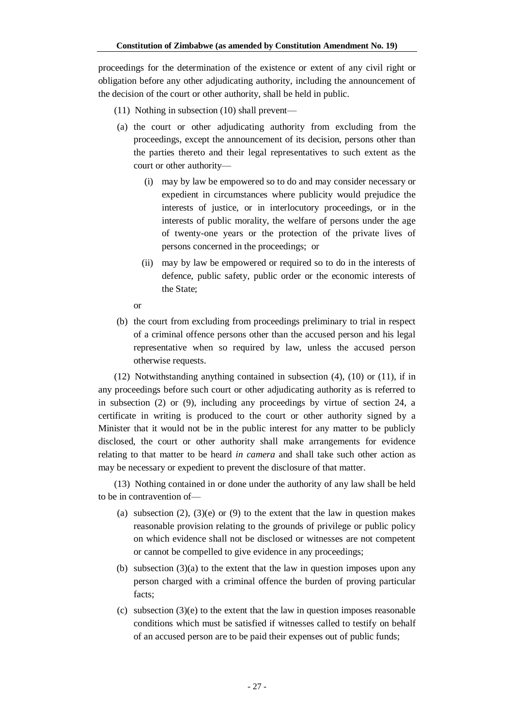proceedings for the determination of the existence or extent of any civil right or obligation before any other adjudicating authority, including the announcement of the decision of the court or other authority, shall be held in public.

- (11) Nothing in subsection (10) shall prevent—
- (a) the court or other adjudicating authority from excluding from the proceedings, except the announcement of its decision, persons other than the parties thereto and their legal representatives to such extent as the court or other authority—
	- (i) may by law be empowered so to do and may consider necessary or expedient in circumstances where publicity would prejudice the interests of justice, or in interlocutory proceedings, or in the interests of public morality, the welfare of persons under the age of twenty-one years or the protection of the private lives of persons concerned in the proceedings; or
	- (ii) may by law be empowered or required so to do in the interests of defence, public safety, public order or the economic interests of the State;
	- or
- (b) the court from excluding from proceedings preliminary to trial in respect of a criminal offence persons other than the accused person and his legal representative when so required by law, unless the accused person otherwise requests.

(12) Notwithstanding anything contained in subsection (4), (10) or (11), if in any proceedings before such court or other adjudicating authority as is referred to in subsection (2) or (9), including any proceedings by virtue of section 24, a certificate in writing is produced to the court or other authority signed by a Minister that it would not be in the public interest for any matter to be publicly disclosed, the court or other authority shall make arrangements for evidence relating to that matter to be heard *in camera* and shall take such other action as may be necessary or expedient to prevent the disclosure of that matter.

(13) Nothing contained in or done under the authority of any law shall be held to be in contravention of—

- (a) subsection (2), (3)(e) or (9) to the extent that the law in question makes reasonable provision relating to the grounds of privilege or public policy on which evidence shall not be disclosed or witnesses are not competent or cannot be compelled to give evidence in any proceedings;
- (b) subsection  $(3)(a)$  to the extent that the law in question imposes upon any person charged with a criminal offence the burden of proving particular facts;
- (c) subsection  $(3)(e)$  to the extent that the law in question imposes reasonable conditions which must be satisfied if witnesses called to testify on behalf of an accused person are to be paid their expenses out of public funds;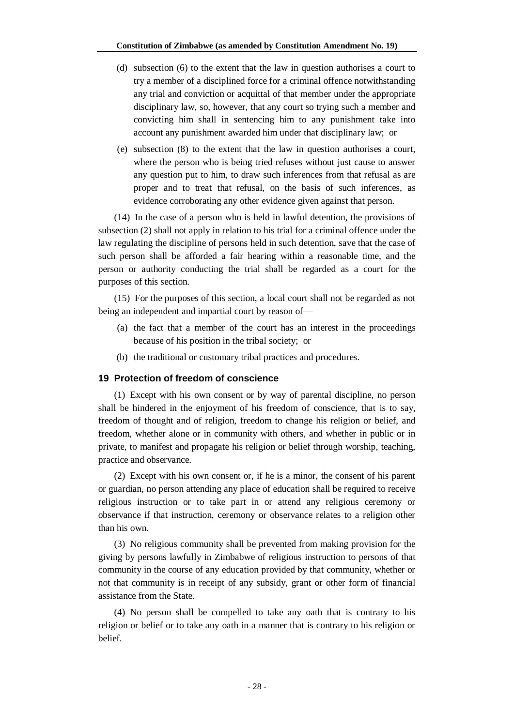- (d) subsection (6) to the extent that the law in question authorises a court to try a member of a disciplined force for a criminal offence notwithstanding any trial and conviction or acquittal of that member under the appropriate disciplinary law, so, however, that any court so trying such a member and convicting him shall in sentencing him to any punishment take into account any punishment awarded him under that disciplinary law; or
- (e) subsection (8) to the extent that the law in question authorises a court, where the person who is being tried refuses without just cause to answer any question put to him, to draw such inferences from that refusal as are proper and to treat that refusal, on the basis of such inferences, as evidence corroborating any other evidence given against that person.

(14) In the case of a person who is held in lawful detention, the provisions of subsection (2) shall not apply in relation to his trial for a criminal offence under the law regulating the discipline of persons held in such detention, save that the case of such person shall be afforded a fair hearing within a reasonable time, and the person or authority conducting the trial shall be regarded as a court for the purposes of this section.

(15) For the purposes of this section, a local court shall not be regarded as not being an independent and impartial court by reason of—

- (a) the fact that a member of the court has an interest in the proceedings because of his position in the tribal society; or
- (b) the traditional or customary tribal practices and procedures.

## **19 Protection of freedom of conscience**

(1) Except with his own consent or by way of parental discipline, no person shall be hindered in the enjoyment of his freedom of conscience, that is to say, freedom of thought and of religion, freedom to change his religion or belief, and freedom, whether alone or in community with others, and whether in public or in private, to manifest and propagate his religion or belief through worship, teaching, practice and observance.

(2) Except with his own consent or, if he is a minor, the consent of his parent or guardian, no person attending any place of education shall be required to receive religious instruction or to take part in or attend any religious ceremony or observance if that instruction, ceremony or observance relates to a religion other than his own.

(3) No religious community shall be prevented from making provision for the giving by persons lawfully in Zimbabwe of religious instruction to persons of that community in the course of any education provided by that community, whether or not that community is in receipt of any subsidy, grant or other form of financial assistance from the State.

(4) No person shall be compelled to take any oath that is contrary to his religion or belief or to take any oath in a manner that is contrary to his religion or belief.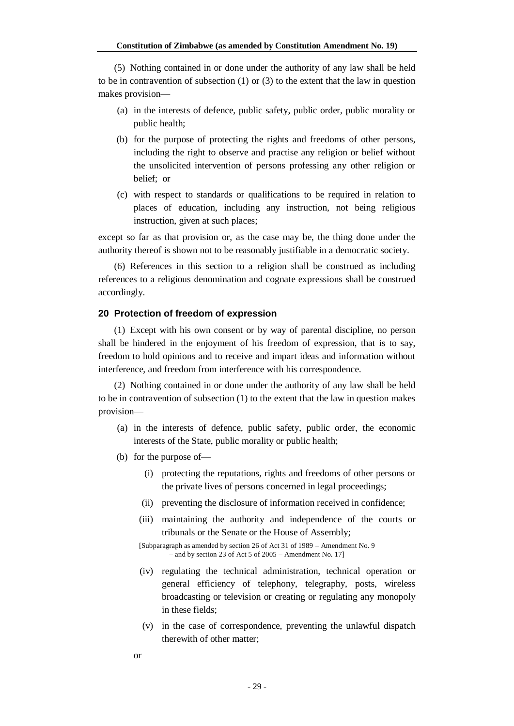(5) Nothing contained in or done under the authority of any law shall be held to be in contravention of subsection (1) or (3) to the extent that the law in question makes provision—

- (a) in the interests of defence, public safety, public order, public morality or public health;
- (b) for the purpose of protecting the rights and freedoms of other persons, including the right to observe and practise any religion or belief without the unsolicited intervention of persons professing any other religion or belief; or
- (c) with respect to standards or qualifications to be required in relation to places of education, including any instruction, not being religious instruction, given at such places;

except so far as that provision or, as the case may be, the thing done under the authority thereof is shown not to be reasonably justifiable in a democratic society.

(6) References in this section to a religion shall be construed as including references to a religious denomination and cognate expressions shall be construed accordingly.

#### **20 Protection of freedom of expression**

(1) Except with his own consent or by way of parental discipline, no person shall be hindered in the enjoyment of his freedom of expression, that is to say, freedom to hold opinions and to receive and impart ideas and information without interference, and freedom from interference with his correspondence.

(2) Nothing contained in or done under the authority of any law shall be held to be in contravention of subsection (1) to the extent that the law in question makes provision—

- (a) in the interests of defence, public safety, public order, the economic interests of the State, public morality or public health;
- (b) for the purpose of—
	- (i) protecting the reputations, rights and freedoms of other persons or the private lives of persons concerned in legal proceedings;
	- (ii) preventing the disclosure of information received in confidence;
	- (iii) maintaining the authority and independence of the courts or tribunals or the Senate or the House of Assembly;

[Subparagraph as amended by section 26 of Act 31 of 1989 – Amendment No. 9 – and by section 23 of Act 5 of  $2005$  – Amendment No. 17]

- (iv) regulating the technical administration, technical operation or general efficiency of telephony, telegraphy, posts, wireless broadcasting or television or creating or regulating any monopoly in these fields;
- (v) in the case of correspondence, preventing the unlawful dispatch therewith of other matter;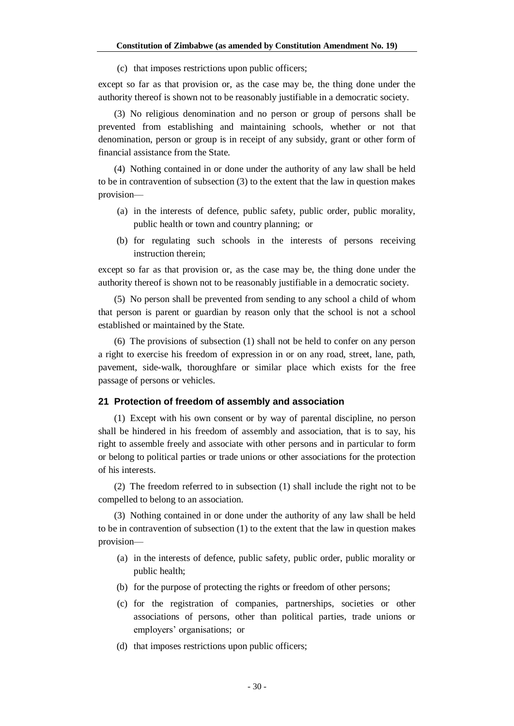(c) that imposes restrictions upon public officers;

except so far as that provision or, as the case may be, the thing done under the authority thereof is shown not to be reasonably justifiable in a democratic society.

(3) No religious denomination and no person or group of persons shall be prevented from establishing and maintaining schools, whether or not that denomination, person or group is in receipt of any subsidy, grant or other form of financial assistance from the State.

(4) Nothing contained in or done under the authority of any law shall be held to be in contravention of subsection (3) to the extent that the law in question makes provision—

- (a) in the interests of defence, public safety, public order, public morality, public health or town and country planning; or
- (b) for regulating such schools in the interests of persons receiving instruction therein;

except so far as that provision or, as the case may be, the thing done under the authority thereof is shown not to be reasonably justifiable in a democratic society.

(5) No person shall be prevented from sending to any school a child of whom that person is parent or guardian by reason only that the school is not a school established or maintained by the State.

(6) The provisions of subsection (1) shall not be held to confer on any person a right to exercise his freedom of expression in or on any road, street, lane, path, pavement, side-walk, thoroughfare or similar place which exists for the free passage of persons or vehicles.

## **21 Protection of freedom of assembly and association**

(1) Except with his own consent or by way of parental discipline, no person shall be hindered in his freedom of assembly and association, that is to say, his right to assemble freely and associate with other persons and in particular to form or belong to political parties or trade unions or other associations for the protection of his interests.

(2) The freedom referred to in subsection (1) shall include the right not to be compelled to belong to an association.

(3) Nothing contained in or done under the authority of any law shall be held to be in contravention of subsection (1) to the extent that the law in question makes provision—

- (a) in the interests of defence, public safety, public order, public morality or public health;
- (b) for the purpose of protecting the rights or freedom of other persons;
- (c) for the registration of companies, partnerships, societies or other associations of persons, other than political parties, trade unions or employers' organisations; or
- (d) that imposes restrictions upon public officers;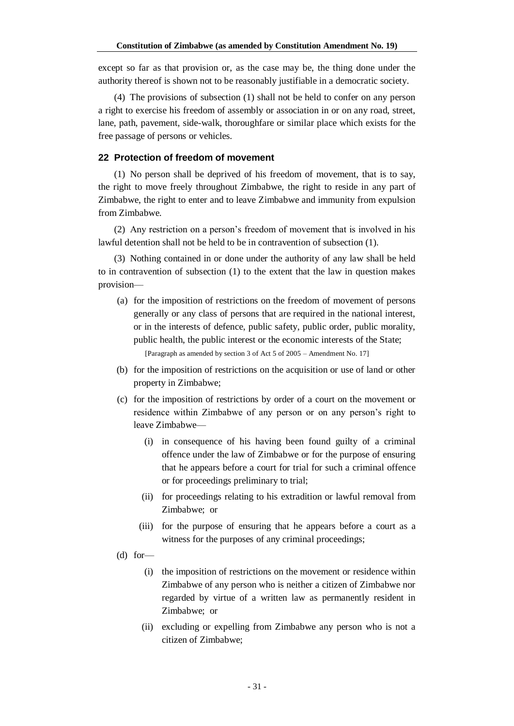except so far as that provision or, as the case may be, the thing done under the authority thereof is shown not to be reasonably justifiable in a democratic society.

(4) The provisions of subsection (1) shall not be held to confer on any person a right to exercise his freedom of assembly or association in or on any road, street, lane, path, pavement, side-walk, thoroughfare or similar place which exists for the free passage of persons or vehicles.

## **22 Protection of freedom of movement**

(1) No person shall be deprived of his freedom of movement, that is to say, the right to move freely throughout Zimbabwe, the right to reside in any part of Zimbabwe, the right to enter and to leave Zimbabwe and immunity from expulsion from Zimbabwe.

(2) Any restriction on a person's freedom of movement that is involved in his lawful detention shall not be held to be in contravention of subsection (1).

(3) Nothing contained in or done under the authority of any law shall be held to in contravention of subsection (1) to the extent that the law in question makes provision—

(a) for the imposition of restrictions on the freedom of movement of persons generally or any class of persons that are required in the national interest, or in the interests of defence, public safety, public order, public morality, public health, the public interest or the economic interests of the State;

[Paragraph as amended by section 3 of Act 5 of 2005 – Amendment No. 17]

- (b) for the imposition of restrictions on the acquisition or use of land or other property in Zimbabwe;
- (c) for the imposition of restrictions by order of a court on the movement or residence within Zimbabwe of any person or on any person's right to leave Zimbabwe—
	- (i) in consequence of his having been found guilty of a criminal offence under the law of Zimbabwe or for the purpose of ensuring that he appears before a court for trial for such a criminal offence or for proceedings preliminary to trial;
	- (ii) for proceedings relating to his extradition or lawful removal from Zimbabwe; or
	- (iii) for the purpose of ensuring that he appears before a court as a witness for the purposes of any criminal proceedings;
- $(d)$  for
	- (i) the imposition of restrictions on the movement or residence within Zimbabwe of any person who is neither a citizen of Zimbabwe nor regarded by virtue of a written law as permanently resident in Zimbabwe; or
	- (ii) excluding or expelling from Zimbabwe any person who is not a citizen of Zimbabwe;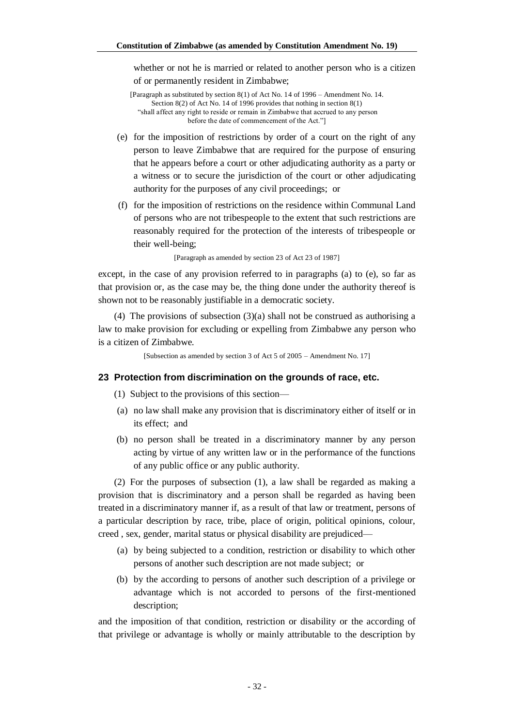whether or not he is married or related to another person who is a citizen of or permanently resident in Zimbabwe;

[Paragraph as substituted by section 8(1) of Act No. 14 of 1996 – Amendment No. 14. Section 8(2) of Act No. 14 of 1996 provides that nothing in section 8(1) "shall affect any right to reside or remain in Zimbabwe that accrued to any person before the date of commencement of the Act."]

- (e) for the imposition of restrictions by order of a court on the right of any person to leave Zimbabwe that are required for the purpose of ensuring that he appears before a court or other adjudicating authority as a party or a witness or to secure the jurisdiction of the court or other adjudicating authority for the purposes of any civil proceedings; or
- (f) for the imposition of restrictions on the residence within Communal Land of persons who are not tribespeople to the extent that such restrictions are reasonably required for the protection of the interests of tribespeople or their well-being;

[Paragraph as amended by section 23 of Act 23 of 1987]

except, in the case of any provision referred to in paragraphs (a) to (e), so far as that provision or, as the case may be, the thing done under the authority thereof is shown not to be reasonably justifiable in a democratic society.

(4) The provisions of subsection  $(3)(a)$  shall not be construed as authorising a law to make provision for excluding or expelling from Zimbabwe any person who is a citizen of Zimbabwe.

```
[Subsection as amended by section 3 of Act 5 of 2005 – Amendment No. 17]
```
## **23 Protection from discrimination on the grounds of race, etc.**

(1) Subject to the provisions of this section—

- (a) no law shall make any provision that is discriminatory either of itself or in its effect; and
- (b) no person shall be treated in a discriminatory manner by any person acting by virtue of any written law or in the performance of the functions of any public office or any public authority.

(2) For the purposes of subsection (1), a law shall be regarded as making a provision that is discriminatory and a person shall be regarded as having been treated in a discriminatory manner if, as a result of that law or treatment, persons of a particular description by race, tribe, place of origin, political opinions, colour, creed , sex, gender, marital status or physical disability are prejudiced—

- (a) by being subjected to a condition, restriction or disability to which other persons of another such description are not made subject; or
- (b) by the according to persons of another such description of a privilege or advantage which is not accorded to persons of the first-mentioned description;

and the imposition of that condition, restriction or disability or the according of that privilege or advantage is wholly or mainly attributable to the description by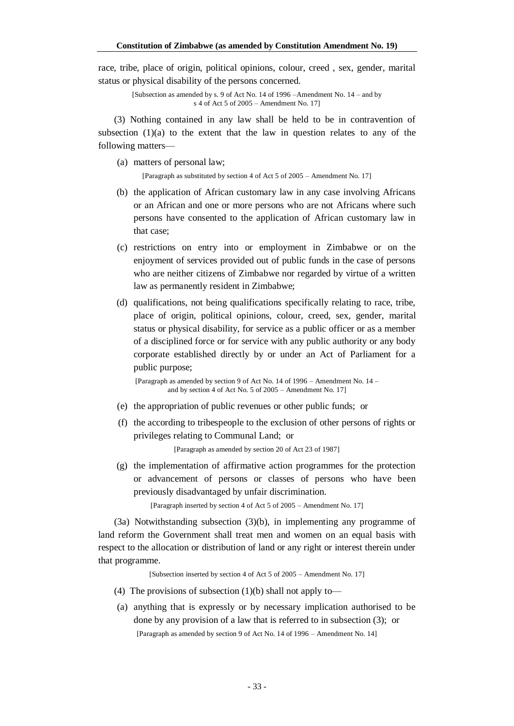race, tribe, place of origin, political opinions, colour, creed , sex, gender, marital status or physical disability of the persons concerned.

> [Subsection as amended by s. 9 of Act No. 14 of 1996 –Amendment No.  $14$  – and by s 4 of Act 5 of 2005 – Amendment No. 17]

(3) Nothing contained in any law shall be held to be in contravention of subsection  $(1)(a)$  to the extent that the law in question relates to any of the following matters—

(a) matters of personal law;

[Paragraph as substituted by section 4 of Act 5 of 2005 – Amendment No. 17]

- (b) the application of African customary law in any case involving Africans or an African and one or more persons who are not Africans where such persons have consented to the application of African customary law in that case;
- (c) restrictions on entry into or employment in Zimbabwe or on the enjoyment of services provided out of public funds in the case of persons who are neither citizens of Zimbabwe nor regarded by virtue of a written law as permanently resident in Zimbabwe;
- (d) qualifications, not being qualifications specifically relating to race, tribe, place of origin, political opinions, colour, creed, sex, gender, marital status or physical disability, for service as a public officer or as a member of a disciplined force or for service with any public authority or any body corporate established directly by or under an Act of Parliament for a public purpose;

[Paragraph as amended by section 9 of Act No. 14 of 1996 – Amendment No. 14 – and by section 4 of Act No. 5 of 2005 – Amendment No. 17]

- (e) the appropriation of public revenues or other public funds; or
- (f) the according to tribespeople to the exclusion of other persons of rights or privileges relating to Communal Land; or

[Paragraph as amended by section 20 of Act 23 of 1987]

(g) the implementation of affirmative action programmes for the protection or advancement of persons or classes of persons who have been previously disadvantaged by unfair discrimination.

[Paragraph inserted by section 4 of Act 5 of 2005 – Amendment No. 17]

(3a) Notwithstanding subsection (3)(b), in implementing any programme of land reform the Government shall treat men and women on an equal basis with respect to the allocation or distribution of land or any right or interest therein under that programme.

[Subsection inserted by section 4 of Act 5 of 2005 – Amendment No. 17]

- (4) The provisions of subsection  $(1)(b)$  shall not apply to—
- (a) anything that is expressly or by necessary implication authorised to be done by any provision of a law that is referred to in subsection (3); or [Paragraph as amended by section 9 of Act No. 14 of 1996 – Amendment No. 14]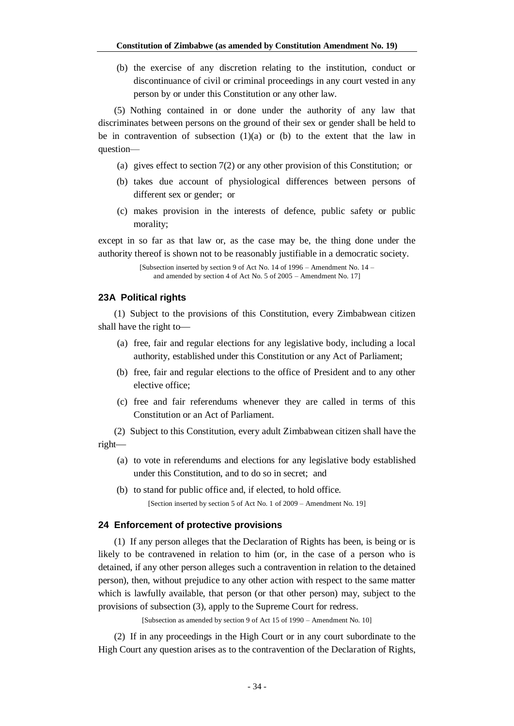(b) the exercise of any discretion relating to the institution, conduct or discontinuance of civil or criminal proceedings in any court vested in any person by or under this Constitution or any other law.

(5) Nothing contained in or done under the authority of any law that discriminates between persons on the ground of their sex or gender shall be held to be in contravention of subsection  $(1)(a)$  or  $(b)$  to the extent that the law in question—

- (a) gives effect to section 7(2) or any other provision of this Constitution; or
- (b) takes due account of physiological differences between persons of different sex or gender; or
- (c) makes provision in the interests of defence, public safety or public morality;

except in so far as that law or, as the case may be, the thing done under the authority thereof is shown not to be reasonably justifiable in a democratic society.

> [Subsection inserted by section 9 of Act No. 14 of 1996 – Amendment No. 14 – and amended by section 4 of Act No. 5 of 2005 – Amendment No. 17]

#### **23A Political rights**

(1) Subject to the provisions of this Constitution, every Zimbabwean citizen shall have the right to-

- (a) free, fair and regular elections for any legislative body, including a local authority, established under this Constitution or any Act of Parliament;
- (b) free, fair and regular elections to the office of President and to any other elective office;
- (c) free and fair referendums whenever they are called in terms of this Constitution or an Act of Parliament.

(2) Subject to this Constitution, every adult Zimbabwean citizen shall have the right—

- (a) to vote in referendums and elections for any legislative body established under this Constitution, and to do so in secret; and
- (b) to stand for public office and, if elected, to hold office. [Section inserted by section 5 of Act No. 1 of 2009 – Amendment No. 19]

#### **24 Enforcement of protective provisions**

(1) If any person alleges that the Declaration of Rights has been, is being or is likely to be contravened in relation to him (or, in the case of a person who is detained, if any other person alleges such a contravention in relation to the detained person), then, without prejudice to any other action with respect to the same matter which is lawfully available, that person (or that other person) may, subject to the provisions of subsection (3), apply to the Supreme Court for redress.

[Subsection as amended by section 9 of Act 15 of 1990 – Amendment No. 10]

(2) If in any proceedings in the High Court or in any court subordinate to the High Court any question arises as to the contravention of the Declaration of Rights,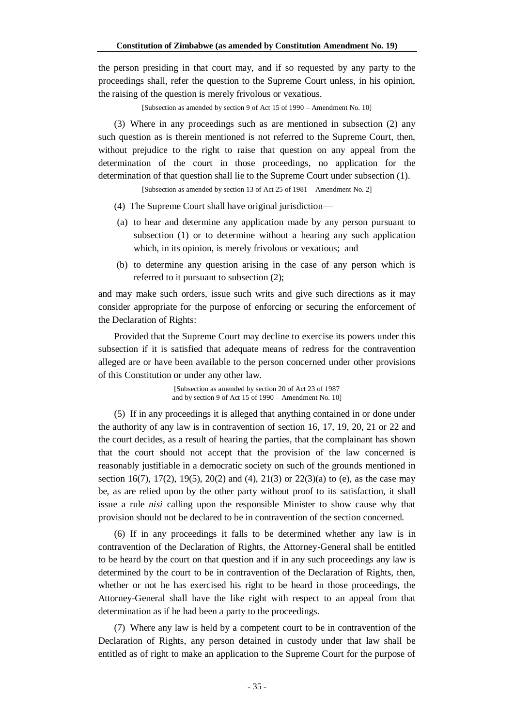the person presiding in that court may, and if so requested by any party to the proceedings shall, refer the question to the Supreme Court unless, in his opinion, the raising of the question is merely frivolous or vexatious.

[Subsection as amended by section 9 of Act 15 of 1990 – Amendment No. 10]

(3) Where in any proceedings such as are mentioned in subsection (2) any such question as is therein mentioned is not referred to the Supreme Court, then, without prejudice to the right to raise that question on any appeal from the determination of the court in those proceedings, no application for the determination of that question shall lie to the Supreme Court under subsection (1).

[Subsection as amended by section 13 of Act 25 of 1981 – Amendment No. 2]

- (4) The Supreme Court shall have original jurisdiction—
- (a) to hear and determine any application made by any person pursuant to subsection (1) or to determine without a hearing any such application which, in its opinion, is merely frivolous or vexatious; and
- (b) to determine any question arising in the case of any person which is referred to it pursuant to subsection (2);

and may make such orders, issue such writs and give such directions as it may consider appropriate for the purpose of enforcing or securing the enforcement of the Declaration of Rights:

Provided that the Supreme Court may decline to exercise its powers under this subsection if it is satisfied that adequate means of redress for the contravention alleged are or have been available to the person concerned under other provisions of this Constitution or under any other law.

> [Subsection as amended by section 20 of Act 23 of 1987 and by section 9 of Act 15 of 1990 – Amendment No. 10]

(5) If in any proceedings it is alleged that anything contained in or done under the authority of any law is in contravention of section 16, 17, 19, 20, 21 or 22 and the court decides, as a result of hearing the parties, that the complainant has shown that the court should not accept that the provision of the law concerned is reasonably justifiable in a democratic society on such of the grounds mentioned in section 16(7), 17(2), 19(5), 20(2) and (4), 21(3) or 22(3)(a) to (e), as the case may be, as are relied upon by the other party without proof to its satisfaction, it shall issue a rule *nisi* calling upon the responsible Minister to show cause why that provision should not be declared to be in contravention of the section concerned.

(6) If in any proceedings it falls to be determined whether any law is in contravention of the Declaration of Rights, the Attorney-General shall be entitled to be heard by the court on that question and if in any such proceedings any law is determined by the court to be in contravention of the Declaration of Rights, then, whether or not he has exercised his right to be heard in those proceedings, the Attorney-General shall have the like right with respect to an appeal from that determination as if he had been a party to the proceedings.

(7) Where any law is held by a competent court to be in contravention of the Declaration of Rights, any person detained in custody under that law shall be entitled as of right to make an application to the Supreme Court for the purpose of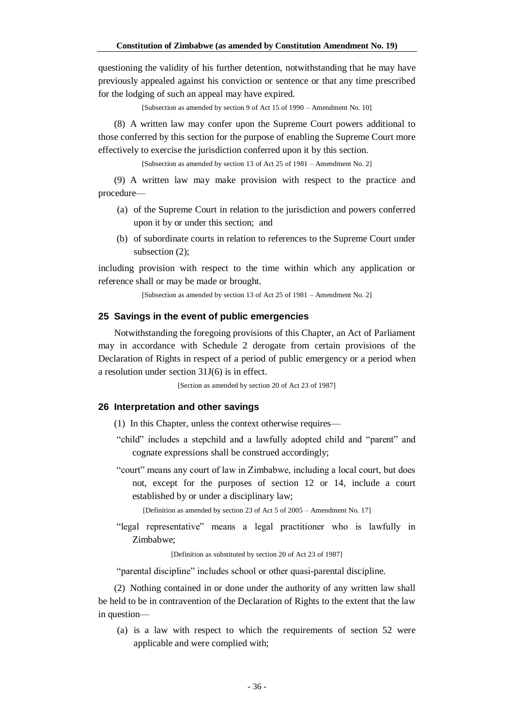questioning the validity of his further detention, notwithstanding that he may have previously appealed against his conviction or sentence or that any time prescribed for the lodging of such an appeal may have expired.

[Subsection as amended by section 9 of Act 15 of 1990 – Amendment No. 10]

(8) A written law may confer upon the Supreme Court powers additional to those conferred by this section for the purpose of enabling the Supreme Court more effectively to exercise the jurisdiction conferred upon it by this section.

[Subsection as amended by section 13 of Act 25 of 1981 – Amendment No. 2]

(9) A written law may make provision with respect to the practice and procedure—

- (a) of the Supreme Court in relation to the jurisdiction and powers conferred upon it by or under this section; and
- (b) of subordinate courts in relation to references to the Supreme Court under subsection (2);

including provision with respect to the time within which any application or reference shall or may be made or brought.

[Subsection as amended by section 13 of Act 25 of 1981 – Amendment No. 2]

#### **25 Savings in the event of public emergencies**

Notwithstanding the foregoing provisions of this Chapter, an Act of Parliament may in accordance with Schedule 2 derogate from certain provisions of the Declaration of Rights in respect of a period of public emergency or a period when a resolution under section 31J(6) is in effect.

[Section as amended by section 20 of Act 23 of 1987]

#### **26 Interpretation and other savings**

- (1) In this Chapter, unless the context otherwise requires—
- "child" includes a stepchild and a lawfully adopted child and "parent" and cognate expressions shall be construed accordingly;
- "court" means any court of law in Zimbabwe, including a local court, but does not, except for the purposes of section 12 or 14, include a court established by or under a disciplinary law;

[Definition as amended by section 23 of Act 5 of 2005 – Amendment No. 17]

"legal representative" means a legal practitioner who is lawfully in Zimbabwe;

[Definition as substituted by section 20 of Act 23 of 1987]

"parental discipline" includes school or other quasi-parental discipline.

(2) Nothing contained in or done under the authority of any written law shall be held to be in contravention of the Declaration of Rights to the extent that the law in question—

(a) is a law with respect to which the requirements of section 52 were applicable and were complied with;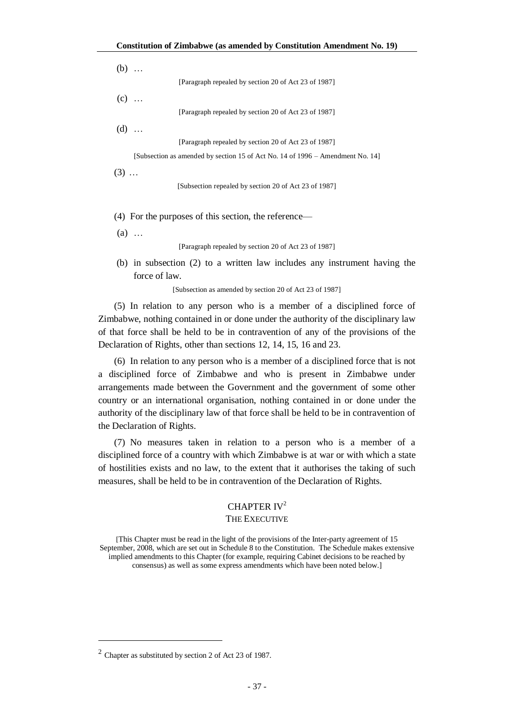| (b)          |                                                                                |
|--------------|--------------------------------------------------------------------------------|
|              | [Paragraph repealed by section 20 of Act 23 of 1987]                           |
| $(c) \ldots$ |                                                                                |
|              | [Paragraph repealed by section 20 of Act 23 of 1987]                           |
| $(d)$        |                                                                                |
|              | [Paragraph repealed by section 20 of Act 23 of 1987]                           |
|              | [Subsection as amended by section 15 of Act No. 14 of 1996 – Amendment No. 14] |
| $(3)$        |                                                                                |
|              | [Subsection repealed by section 20 of Act 23 of 1987]                          |

- (4) For the purposes of this section, the reference—
- (a) …

[Paragraph repealed by section 20 of Act 23 of 1987]

(b) in subsection (2) to a written law includes any instrument having the force of law.

[Subsection as amended by section 20 of Act 23 of 1987]

(5) In relation to any person who is a member of a disciplined force of Zimbabwe, nothing contained in or done under the authority of the disciplinary law of that force shall be held to be in contravention of any of the provisions of the Declaration of Rights, other than sections 12, 14, 15, 16 and 23.

(6) In relation to any person who is a member of a disciplined force that is not a disciplined force of Zimbabwe and who is present in Zimbabwe under arrangements made between the Government and the government of some other country or an international organisation, nothing contained in or done under the authority of the disciplinary law of that force shall be held to be in contravention of the Declaration of Rights.

(7) No measures taken in relation to a person who is a member of a disciplined force of a country with which Zimbabwe is at war or with which a state of hostilities exists and no law, to the extent that it authorises the taking of such measures, shall be held to be in contravention of the Declaration of Rights.

#### $CHAPTER IV<sup>2</sup>$

#### THE EXECUTIVE

[This Chapter must be read in the light of the provisions of the Inter-party agreement of 15 September, 2008, which are set out in Schedule 8 to the Constitution. The Schedule makes extensive implied amendments to this Chapter (for example, requiring Cabinet decisions to be reached by consensus) as well as some express amendments which have been noted below.]

 $\overline{a}$ 

<sup>2</sup> Chapter as substituted by section 2 of Act 23 of 1987.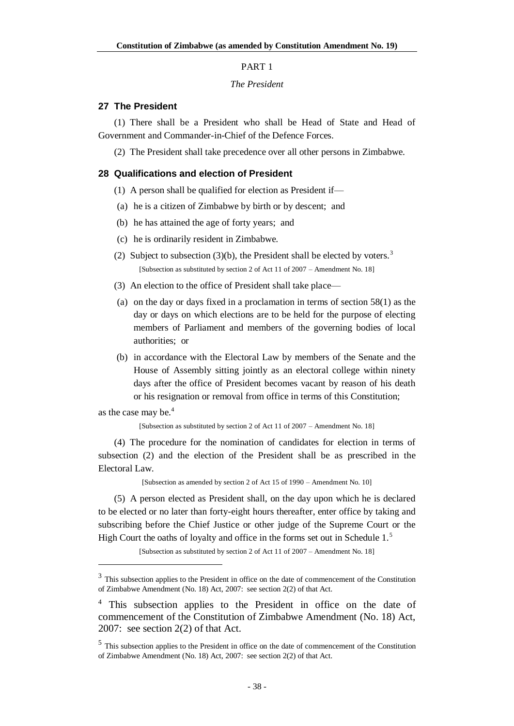# PART 1

## *The President*

### **27 The President**

(1) There shall be a President who shall be Head of State and Head of Government and Commander-in-Chief of the Defence Forces.

(2) The President shall take precedence over all other persons in Zimbabwe.

## **28 Qualifications and election of President**

(1) A person shall be qualified for election as President if—

- (a) he is a citizen of Zimbabwe by birth or by descent; and
- (b) he has attained the age of forty years; and
- (c) he is ordinarily resident in Zimbabwe.
- (2) Subject to subsection (3)(b), the President shall be elected by voters.<sup>3</sup> [Subsection as substituted by section 2 of Act 11 of 2007 – Amendment No. 18]
- (3) An election to the office of President shall take place—
- (a) on the day or days fixed in a proclamation in terms of section 58(1) as the day or days on which elections are to be held for the purpose of electing members of Parliament and members of the governing bodies of local authorities; or
- (b) in accordance with the Electoral Law by members of the Senate and the House of Assembly sitting jointly as an electoral college within ninety days after the office of President becomes vacant by reason of his death or his resignation or removal from office in terms of this Constitution;

as the case may be.<sup>4</sup>

 $\overline{a}$ 

[Subsection as substituted by section 2 of Act 11 of 2007 – Amendment No. 18]

(4) The procedure for the nomination of candidates for election in terms of subsection (2) and the election of the President shall be as prescribed in the Electoral Law.

[Subsection as amended by section 2 of Act 15 of 1990 – Amendment No. 10]

(5) A person elected as President shall, on the day upon which he is declared to be elected or no later than forty-eight hours thereafter, enter office by taking and subscribing before the Chief Justice or other judge of the Supreme Court or the High Court the oaths of loyalty and office in the forms set out in Schedule 1.<sup>5</sup>

[Subsection as substituted by section 2 of Act 11 of 2007 – Amendment No. 18]

 $3$  This subsection applies to the President in office on the date of commencement of the Constitution of Zimbabwe Amendment (No. 18) Act, 2007: see section 2(2) of that Act.

<sup>4</sup> This subsection applies to the President in office on the date of commencement of the Constitution of Zimbabwe Amendment (No. 18) Act, 2007: see section 2(2) of that Act.

<sup>&</sup>lt;sup>5</sup> This subsection applies to the President in office on the date of commencement of the Constitution of Zimbabwe Amendment (No. 18) Act, 2007: see section 2(2) of that Act.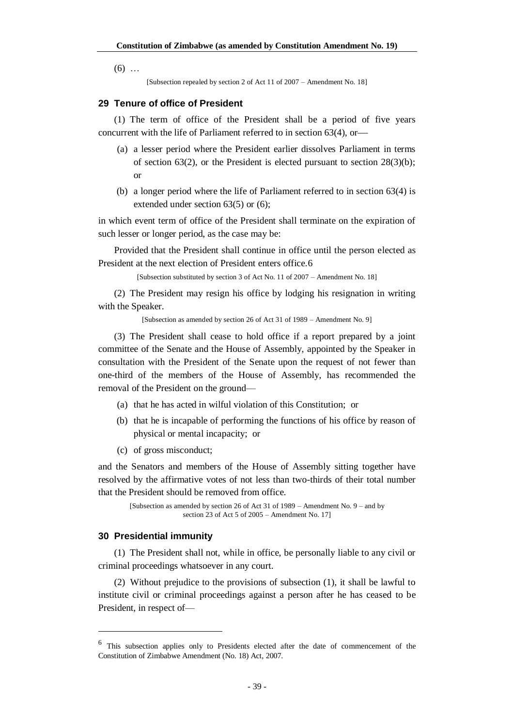(6) …

[Subsection repealed by section 2 of Act 11 of 2007 – Amendment No. 18]

### **29 Tenure of office of President**

(1) The term of office of the President shall be a period of five years concurrent with the life of Parliament referred to in section  $63(4)$ , or—

- (a) a lesser period where the President earlier dissolves Parliament in terms of section  $63(2)$ , or the President is elected pursuant to section  $28(3)(b)$ ; or
- (b) a longer period where the life of Parliament referred to in section 63(4) is extended under section 63(5) or (6);

in which event term of office of the President shall terminate on the expiration of such lesser or longer period, as the case may be:

Provided that the President shall continue in office until the person elected as President at the next election of President enters office.6

[Subsection substituted by section 3 of Act No. 11 of 2007 – Amendment No. 18]

(2) The President may resign his office by lodging his resignation in writing with the Speaker.

[Subsection as amended by section 26 of Act 31 of 1989 – Amendment No. 9]

(3) The President shall cease to hold office if a report prepared by a joint committee of the Senate and the House of Assembly, appointed by the Speaker in consultation with the President of the Senate upon the request of not fewer than one-third of the members of the House of Assembly, has recommended the removal of the President on the ground—

- (a) that he has acted in wilful violation of this Constitution; or
- (b) that he is incapable of performing the functions of his office by reason of physical or mental incapacity; or
- (c) of gross misconduct;

and the Senators and members of the House of Assembly sitting together have resolved by the affirmative votes of not less than two-thirds of their total number that the President should be removed from office.

[Subsection as amended by section 26 of Act 31 of  $1989 -$  Amendment No. 9 – and by section 23 of Act 5 of  $2005$  – Amendment No. 17]

### **30 Presidential immunity**

 $\overline{a}$ 

(1) The President shall not, while in office, be personally liable to any civil or criminal proceedings whatsoever in any court.

(2) Without prejudice to the provisions of subsection (1), it shall be lawful to institute civil or criminal proceedings against a person after he has ceased to be President, in respect of—

<sup>&</sup>lt;sup>6</sup> This subsection applies only to Presidents elected after the date of commencement of the Constitution of Zimbabwe Amendment (No. 18) Act, 2007.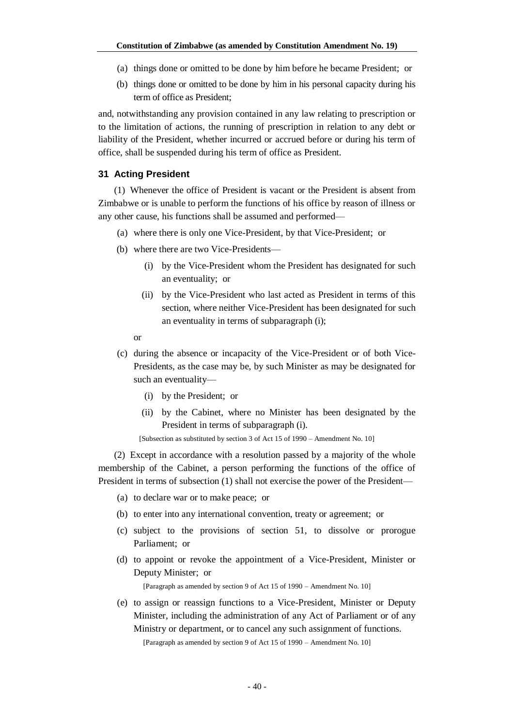- (a) things done or omitted to be done by him before he became President; or
- (b) things done or omitted to be done by him in his personal capacity during his term of office as President;

and, notwithstanding any provision contained in any law relating to prescription or to the limitation of actions, the running of prescription in relation to any debt or liability of the President, whether incurred or accrued before or during his term of office, shall be suspended during his term of office as President.

# **31 Acting President**

(1) Whenever the office of President is vacant or the President is absent from Zimbabwe or is unable to perform the functions of his office by reason of illness or any other cause, his functions shall be assumed and performed—

- (a) where there is only one Vice-President, by that Vice-President; or
- (b) where there are two Vice-Presidents—
	- (i) by the Vice-President whom the President has designated for such an eventuality; or
	- (ii) by the Vice-President who last acted as President in terms of this section, where neither Vice-President has been designated for such an eventuality in terms of subparagraph (i);
	- or
- (c) during the absence or incapacity of the Vice-President or of both Vice-Presidents, as the case may be, by such Minister as may be designated for such an eventuality—
	- (i) by the President; or
	- (ii) by the Cabinet, where no Minister has been designated by the President in terms of subparagraph (i).

[Subsection as substituted by section 3 of Act 15 of 1990 – Amendment No. 10]

(2) Except in accordance with a resolution passed by a majority of the whole membership of the Cabinet, a person performing the functions of the office of President in terms of subsection (1) shall not exercise the power of the President—

- (a) to declare war or to make peace; or
- (b) to enter into any international convention, treaty or agreement; or
- (c) subject to the provisions of section 51, to dissolve or prorogue Parliament; or
- (d) to appoint or revoke the appointment of a Vice-President, Minister or Deputy Minister; or

[Paragraph as amended by section 9 of Act 15 of 1990 – Amendment No. 10]

(e) to assign or reassign functions to a Vice-President, Minister or Deputy Minister, including the administration of any Act of Parliament or of any Ministry or department, or to cancel any such assignment of functions.

[Paragraph as amended by section 9 of Act 15 of 1990 – Amendment No. 10]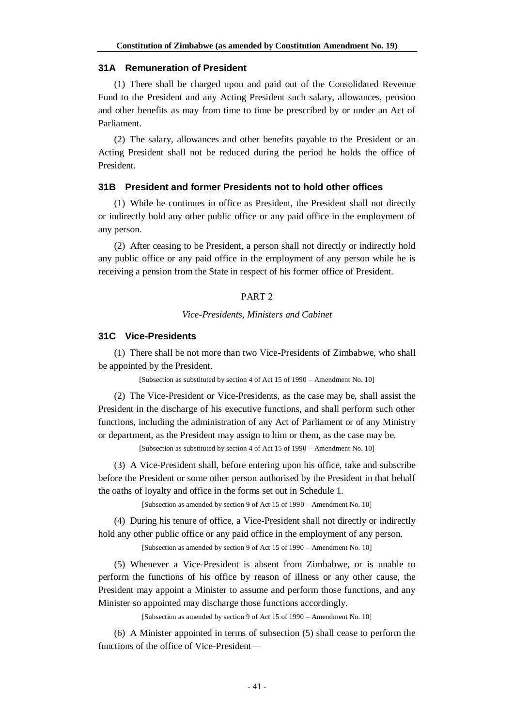#### **31A Remuneration of President**

(1) There shall be charged upon and paid out of the Consolidated Revenue Fund to the President and any Acting President such salary, allowances, pension and other benefits as may from time to time be prescribed by or under an Act of Parliament.

(2) The salary, allowances and other benefits payable to the President or an Acting President shall not be reduced during the period he holds the office of President.

#### **31B President and former Presidents not to hold other offices**

(1) While he continues in office as President, the President shall not directly or indirectly hold any other public office or any paid office in the employment of any person.

(2) After ceasing to be President, a person shall not directly or indirectly hold any public office or any paid office in the employment of any person while he is receiving a pension from the State in respect of his former office of President.

### PART 2

### *Vice-Presidents, Ministers and Cabinet*

# **31C Vice-Presidents**

(1) There shall be not more than two Vice-Presidents of Zimbabwe, who shall be appointed by the President.

[Subsection as substituted by section 4 of Act 15 of 1990 – Amendment No. 10]

(2) The Vice-President or Vice-Presidents, as the case may be, shall assist the President in the discharge of his executive functions, and shall perform such other functions, including the administration of any Act of Parliament or of any Ministry or department, as the President may assign to him or them, as the case may be.

[Subsection as substituted by section 4 of Act 15 of 1990 – Amendment No. 10]

(3) A Vice-President shall, before entering upon his office, take and subscribe before the President or some other person authorised by the President in that behalf the oaths of loyalty and office in the forms set out in Schedule 1.

[Subsection as amended by section 9 of Act 15 of 1990 – Amendment No. 10]

(4) During his tenure of office, a Vice-President shall not directly or indirectly hold any other public office or any paid office in the employment of any person.

[Subsection as amended by section 9 of Act 15 of 1990 – Amendment No. 10]

(5) Whenever a Vice-President is absent from Zimbabwe, or is unable to perform the functions of his office by reason of illness or any other cause, the President may appoint a Minister to assume and perform those functions, and any Minister so appointed may discharge those functions accordingly.

[Subsection as amended by section 9 of Act 15 of 1990 – Amendment No. 10]

(6) A Minister appointed in terms of subsection (5) shall cease to perform the functions of the office of Vice-President—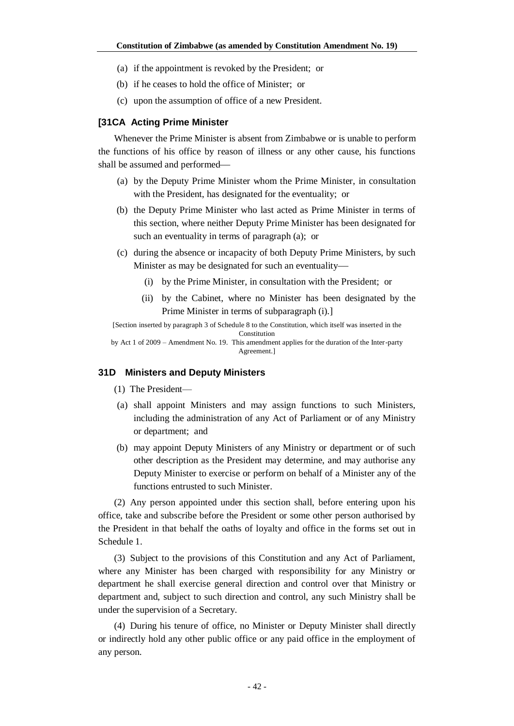- (a) if the appointment is revoked by the President; or
- (b) if he ceases to hold the office of Minister; or
- (c) upon the assumption of office of a new President.

# **[31CA Acting Prime Minister**

Whenever the Prime Minister is absent from Zimbabwe or is unable to perform the functions of his office by reason of illness or any other cause, his functions shall be assumed and performed-

- (a) by the Deputy Prime Minister whom the Prime Minister, in consultation with the President, has designated for the eventuality; or
- (b) the Deputy Prime Minister who last acted as Prime Minister in terms of this section, where neither Deputy Prime Minister has been designated for such an eventuality in terms of paragraph (a); or
- (c) during the absence or incapacity of both Deputy Prime Ministers, by such Minister as may be designated for such an eventuality—
	- (i) by the Prime Minister, in consultation with the President; or
	- (ii) by the Cabinet, where no Minister has been designated by the Prime Minister in terms of subparagraph (i).]

[Section inserted by paragraph 3 of Schedule 8 to the Constitution, which itself was inserted in the Constitution by Act 1 of 2009 – Amendment No. 19. This amendment applies for the duration of the Inter-party Agreement.]

# **31D Ministers and Deputy Ministers**

- (1) The President—
- (a) shall appoint Ministers and may assign functions to such Ministers, including the administration of any Act of Parliament or of any Ministry or department; and
- (b) may appoint Deputy Ministers of any Ministry or department or of such other description as the President may determine, and may authorise any Deputy Minister to exercise or perform on behalf of a Minister any of the functions entrusted to such Minister.

(2) Any person appointed under this section shall, before entering upon his office, take and subscribe before the President or some other person authorised by the President in that behalf the oaths of loyalty and office in the forms set out in Schedule 1.

(3) Subject to the provisions of this Constitution and any Act of Parliament, where any Minister has been charged with responsibility for any Ministry or department he shall exercise general direction and control over that Ministry or department and, subject to such direction and control, any such Ministry shall be under the supervision of a Secretary.

(4) During his tenure of office, no Minister or Deputy Minister shall directly or indirectly hold any other public office or any paid office in the employment of any person.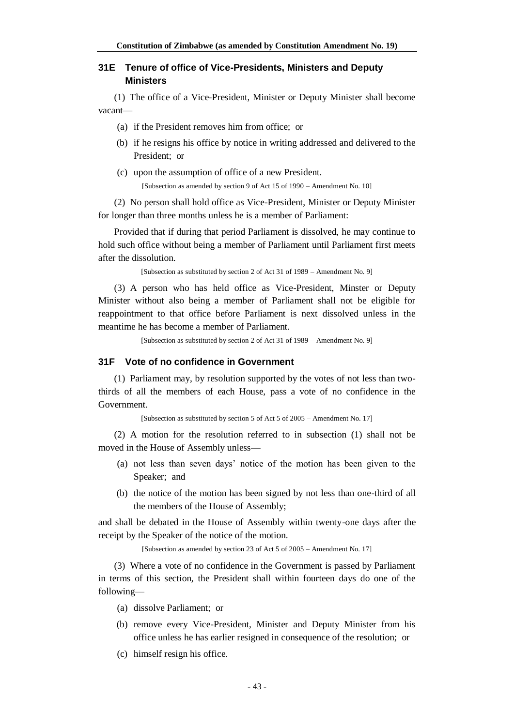# **31E Tenure of office of Vice-Presidents, Ministers and Deputy Ministers**

(1) The office of a Vice-President, Minister or Deputy Minister shall become vacant—

- (a) if the President removes him from office; or
- (b) if he resigns his office by notice in writing addressed and delivered to the President; or
- (c) upon the assumption of office of a new President.

[Subsection as amended by section 9 of Act 15 of 1990 – Amendment No. 10]

(2) No person shall hold office as Vice-President, Minister or Deputy Minister for longer than three months unless he is a member of Parliament:

Provided that if during that period Parliament is dissolved, he may continue to hold such office without being a member of Parliament until Parliament first meets after the dissolution.

[Subsection as substituted by section 2 of Act 31 of 1989 – Amendment No. 9]

(3) A person who has held office as Vice-President, Minster or Deputy Minister without also being a member of Parliament shall not be eligible for reappointment to that office before Parliament is next dissolved unless in the meantime he has become a member of Parliament.

[Subsection as substituted by section 2 of Act 31 of 1989 – Amendment No. 9]

#### **31F Vote of no confidence in Government**

(1) Parliament may, by resolution supported by the votes of not less than twothirds of all the members of each House, pass a vote of no confidence in the Government.

[Subsection as substituted by section 5 of Act 5 of 2005 – Amendment No. 17]

(2) A motion for the resolution referred to in subsection (1) shall not be moved in the House of Assembly unless—

- (a) not less than seven days' notice of the motion has been given to the Speaker; and
- (b) the notice of the motion has been signed by not less than one-third of all the members of the House of Assembly;

and shall be debated in the House of Assembly within twenty-one days after the receipt by the Speaker of the notice of the motion.

[Subsection as amended by section 23 of Act 5 of 2005 – Amendment No. 17]

(3) Where a vote of no confidence in the Government is passed by Parliament in terms of this section, the President shall within fourteen days do one of the following—

- (a) dissolve Parliament; or
- (b) remove every Vice-President, Minister and Deputy Minister from his office unless he has earlier resigned in consequence of the resolution; or
- (c) himself resign his office.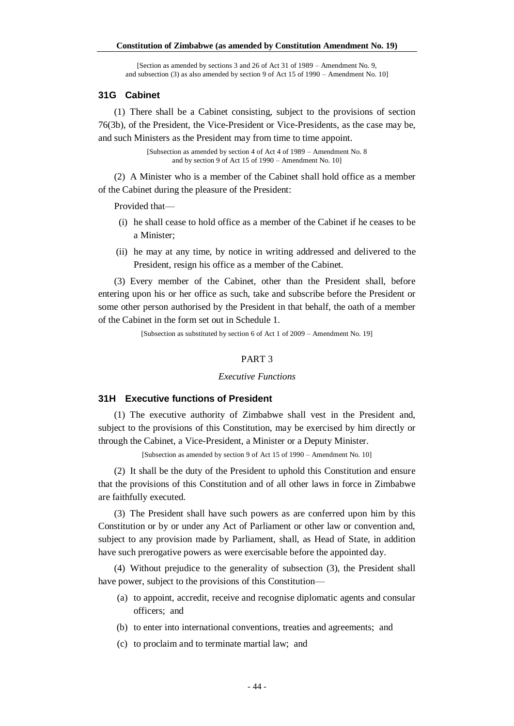[Section as amended by sections 3 and 26 of Act 31 of 1989 – Amendment No. 9, and subsection (3) as also amended by section 9 of Act 15 of 1990 – Amendment No. 10]

# **31G Cabinet**

(1) There shall be a Cabinet consisting, subject to the provisions of section 76(3b), of the President, the Vice-President or Vice-Presidents, as the case may be, and such Ministers as the President may from time to time appoint.

> [Subsection as amended by section 4 of Act 4 of 1989 – Amendment No. 8 and by section 9 of Act 15 of 1990 – Amendment No. 10]

(2) A Minister who is a member of the Cabinet shall hold office as a member of the Cabinet during the pleasure of the President:

Provided that—

- (i) he shall cease to hold office as a member of the Cabinet if he ceases to be a Minister;
- (ii) he may at any time, by notice in writing addressed and delivered to the President, resign his office as a member of the Cabinet.

(3) Every member of the Cabinet, other than the President shall, before entering upon his or her office as such, take and subscribe before the President or some other person authorised by the President in that behalf, the oath of a member of the Cabinet in the form set out in Schedule 1.

[Subsection as substituted by section 6 of Act 1 of 2009 – Amendment No. 19]

### PART 3

### *Executive Functions*

### **31H Executive functions of President**

(1) The executive authority of Zimbabwe shall vest in the President and, subject to the provisions of this Constitution, may be exercised by him directly or through the Cabinet, a Vice-President, a Minister or a Deputy Minister.

[Subsection as amended by section 9 of Act 15 of 1990 – Amendment No. 10]

(2) It shall be the duty of the President to uphold this Constitution and ensure that the provisions of this Constitution and of all other laws in force in Zimbabwe are faithfully executed.

(3) The President shall have such powers as are conferred upon him by this Constitution or by or under any Act of Parliament or other law or convention and, subject to any provision made by Parliament, shall, as Head of State, in addition have such prerogative powers as were exercisable before the appointed day.

(4) Without prejudice to the generality of subsection (3), the President shall have power, subject to the provisions of this Constitution—

- (a) to appoint, accredit, receive and recognise diplomatic agents and consular officers; and
- (b) to enter into international conventions, treaties and agreements; and
- (c) to proclaim and to terminate martial law; and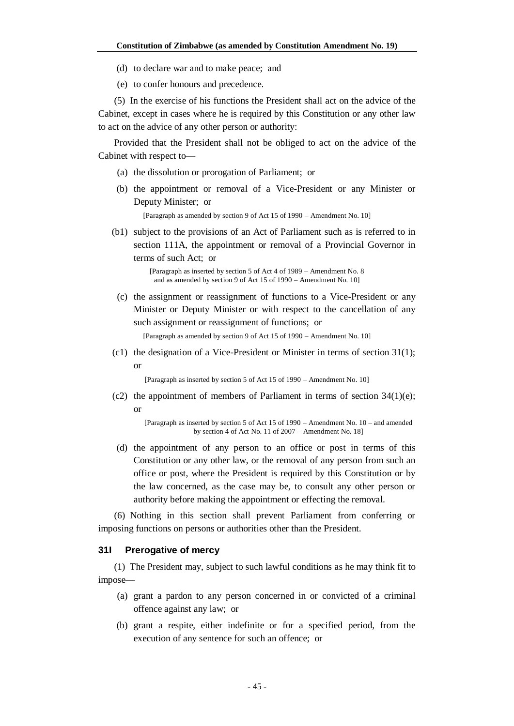- (d) to declare war and to make peace; and
- (e) to confer honours and precedence.

(5) In the exercise of his functions the President shall act on the advice of the Cabinet, except in cases where he is required by this Constitution or any other law to act on the advice of any other person or authority:

Provided that the President shall not be obliged to act on the advice of the Cabinet with respect to—

- (a) the dissolution or prorogation of Parliament; or
- (b) the appointment or removal of a Vice-President or any Minister or Deputy Minister; or

[Paragraph as amended by section 9 of Act 15 of 1990 – Amendment No. 10]

(b1) subject to the provisions of an Act of Parliament such as is referred to in section 111A, the appointment or removal of a Provincial Governor in terms of such Act; or

> [Paragraph as inserted by section 5 of Act 4 of 1989 – Amendment No. 8 and as amended by section 9 of Act 15 of 1990 – Amendment No. 10]

(c) the assignment or reassignment of functions to a Vice-President or any Minister or Deputy Minister or with respect to the cancellation of any such assignment or reassignment of functions; or

[Paragraph as amended by section 9 of Act 15 of 1990 – Amendment No. 10]

(c1) the designation of a Vice-President or Minister in terms of section 31(1); or

[Paragraph as inserted by section 5 of Act 15 of 1990 – Amendment No. 10]

(c2) the appointment of members of Parliament in terms of section  $34(1)(e)$ ; or

> [Paragraph as inserted by section 5 of Act 15 of 1990 – Amendment No.  $10$  – and amended by section 4 of Act No. 11 of 2007 – Amendment No. 18]

(d) the appointment of any person to an office or post in terms of this Constitution or any other law, or the removal of any person from such an office or post, where the President is required by this Constitution or by the law concerned, as the case may be, to consult any other person or authority before making the appointment or effecting the removal.

(6) Nothing in this section shall prevent Parliament from conferring or imposing functions on persons or authorities other than the President.

## **31I Prerogative of mercy**

(1) The President may, subject to such lawful conditions as he may think fit to impose—

- (a) grant a pardon to any person concerned in or convicted of a criminal offence against any law; or
- (b) grant a respite, either indefinite or for a specified period, from the execution of any sentence for such an offence; or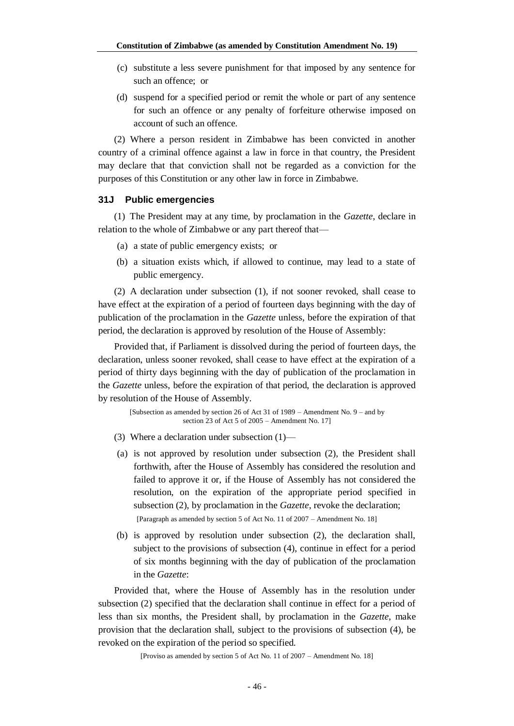- (c) substitute a less severe punishment for that imposed by any sentence for such an offence; or
- (d) suspend for a specified period or remit the whole or part of any sentence for such an offence or any penalty of forfeiture otherwise imposed on account of such an offence.

(2) Where a person resident in Zimbabwe has been convicted in another country of a criminal offence against a law in force in that country, the President may declare that that conviction shall not be regarded as a conviction for the purposes of this Constitution or any other law in force in Zimbabwe.

### **31J Public emergencies**

(1) The President may at any time, by proclamation in the *Gazette*, declare in relation to the whole of Zimbabwe or any part thereof that—

- (a) a state of public emergency exists; or
- (b) a situation exists which, if allowed to continue, may lead to a state of public emergency.

(2) A declaration under subsection (1), if not sooner revoked, shall cease to have effect at the expiration of a period of fourteen days beginning with the day of publication of the proclamation in the *Gazette* unless, before the expiration of that period, the declaration is approved by resolution of the House of Assembly:

Provided that, if Parliament is dissolved during the period of fourteen days, the declaration, unless sooner revoked, shall cease to have effect at the expiration of a period of thirty days beginning with the day of publication of the proclamation in the *Gazette* unless, before the expiration of that period, the declaration is approved by resolution of the House of Assembly.

[Subsection as amended by section 26 of Act 31 of 1989 – Amendment No. 9 – and by section 23 of Act 5 of 2005 – Amendment No. 17]

- (3) Where a declaration under subsection (1)—
- (a) is not approved by resolution under subsection (2), the President shall forthwith, after the House of Assembly has considered the resolution and failed to approve it or, if the House of Assembly has not considered the resolution, on the expiration of the appropriate period specified in subsection (2), by proclamation in the *Gazette*, revoke the declaration; [Paragraph as amended by section 5 of Act No. 11 of 2007 – Amendment No. 18]
- (b) is approved by resolution under subsection (2), the declaration shall, subject to the provisions of subsection (4), continue in effect for a period of six months beginning with the day of publication of the proclamation in the *Gazette*:

Provided that, where the House of Assembly has in the resolution under subsection (2) specified that the declaration shall continue in effect for a period of less than six months, the President shall, by proclamation in the *Gazette*, make provision that the declaration shall, subject to the provisions of subsection (4), be revoked on the expiration of the period so specified.

[Proviso as amended by section 5 of Act No. 11 of 2007 – Amendment No. 18]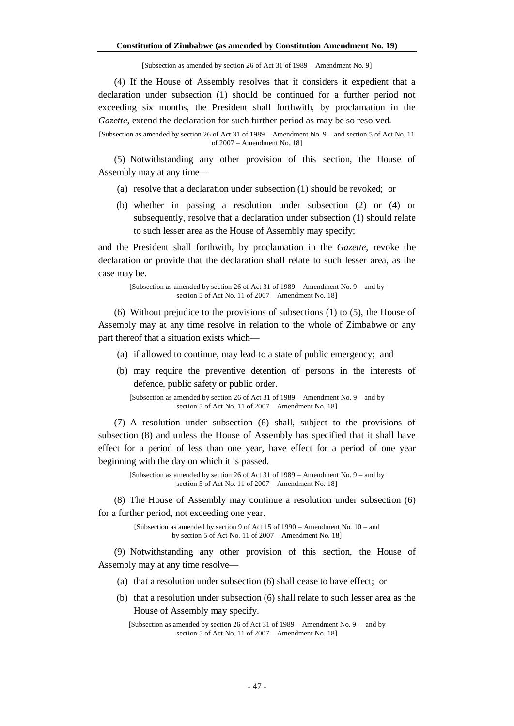[Subsection as amended by section 26 of Act 31 of 1989 – Amendment No. 9]

(4) If the House of Assembly resolves that it considers it expedient that a declaration under subsection (1) should be continued for a further period not exceeding six months, the President shall forthwith, by proclamation in the *Gazette*, extend the declaration for such further period as may be so resolved.

[Subsection as amended by section 26 of Act 31 of 1989 – Amendment No. 9 – and section 5 of Act No. 11 of 2007 – Amendment No. 18]

(5) Notwithstanding any other provision of this section, the House of Assembly may at any time—

- (a) resolve that a declaration under subsection (1) should be revoked; or
- (b) whether in passing a resolution under subsection (2) or (4) or subsequently, resolve that a declaration under subsection (1) should relate to such lesser area as the House of Assembly may specify;

and the President shall forthwith, by proclamation in the *Gazette*, revoke the declaration or provide that the declaration shall relate to such lesser area, as the case may be.

[Subsection as amended by section 26 of Act 31 of 1989 – Amendment No. 9 – and by section 5 of Act No. 11 of 2007 – Amendment No. 18]

(6) Without prejudice to the provisions of subsections (1) to (5), the House of Assembly may at any time resolve in relation to the whole of Zimbabwe or any part thereof that a situation exists which—

- (a) if allowed to continue, may lead to a state of public emergency; and
- (b) may require the preventive detention of persons in the interests of defence, public safety or public order.

[Subsection as amended by section 26 of Act 31 of 1989 – Amendment No. 9 – and by section 5 of Act No. 11 of 2007 – Amendment No. 18]

(7) A resolution under subsection (6) shall, subject to the provisions of subsection (8) and unless the House of Assembly has specified that it shall have effect for a period of less than one year, have effect for a period of one year beginning with the day on which it is passed.

[Subsection as amended by section 26 of Act 31 of 1989 – Amendment No.  $9$  – and by section 5 of Act No. 11 of  $2007 -$  Amendment No. 18]

(8) The House of Assembly may continue a resolution under subsection (6) for a further period, not exceeding one year.

> [Subsection as amended by section 9 of Act 15 of 1990 – Amendment No. 10 – and by section 5 of Act No. 11 of 2007 – Amendment No. 18]

(9) Notwithstanding any other provision of this section, the House of Assembly may at any time resolve—

- (a) that a resolution under subsection (6) shall cease to have effect; or
- (b) that a resolution under subsection (6) shall relate to such lesser area as the House of Assembly may specify.

[Subsection as amended by section 26 of Act 31 of 1989 – Amendment No. 9 – and by section 5 of Act No. 11 of 2007 – Amendment No. 18]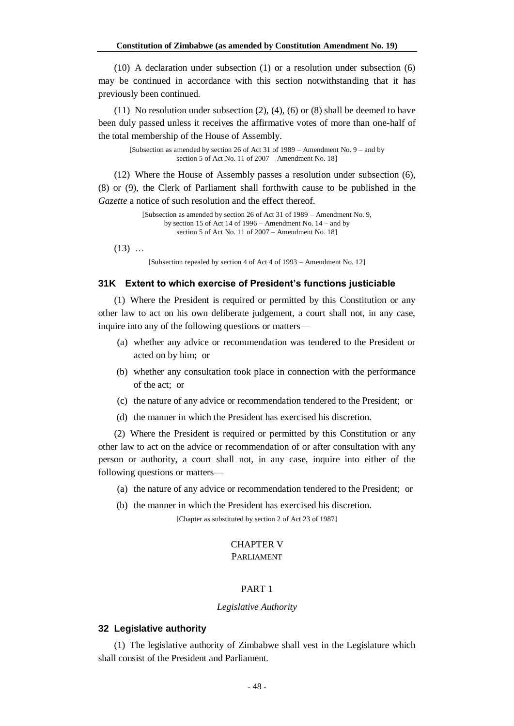(10) A declaration under subsection (1) or a resolution under subsection (6) may be continued in accordance with this section notwithstanding that it has previously been continued.

(11) No resolution under subsection (2), (4), (6) or (8) shall be deemed to have been duly passed unless it receives the affirmative votes of more than one-half of the total membership of the House of Assembly.

[Subsection as amended by section 26 of Act 31 of 1989 – Amendment No. 9 – and by section 5 of Act No. 11 of  $2007 -$  Amendment No. 18]

(12) Where the House of Assembly passes a resolution under subsection (6), (8) or (9), the Clerk of Parliament shall forthwith cause to be published in the *Gazette* a notice of such resolution and the effect thereof.

```
[Subsection as amended by section 26 of Act 31 of 1989 – Amendment No. 9, 
      by section 15 of Act 14 of 1996 – Amendment No. 14 – and by 
          section 5 of Act No. 11 of 2007 – Amendment No. 18]
```
 $(13)$  ...

[Subsection repealed by section 4 of Act 4 of 1993 – Amendment No. 12]

#### **31K Extent to which exercise of President's functions justiciable**

(1) Where the President is required or permitted by this Constitution or any other law to act on his own deliberate judgement, a court shall not, in any case, inquire into any of the following questions or matters—

- (a) whether any advice or recommendation was tendered to the President or acted on by him; or
- (b) whether any consultation took place in connection with the performance of the act; or
- (c) the nature of any advice or recommendation tendered to the President; or
- (d) the manner in which the President has exercised his discretion.

(2) Where the President is required or permitted by this Constitution or any other law to act on the advice or recommendation of or after consultation with any person or authority, a court shall not, in any case, inquire into either of the following questions or matters—

- (a) the nature of any advice or recommendation tendered to the President; or
- (b) the manner in which the President has exercised his discretion.

[Chapter as substituted by section 2 of Act 23 of 1987]

# CHAPTER V

### PARLIAMENT

# PART 1

#### *Legislative Authority*

### **32 Legislative authority**

(1) The legislative authority of Zimbabwe shall vest in the Legislature which shall consist of the President and Parliament.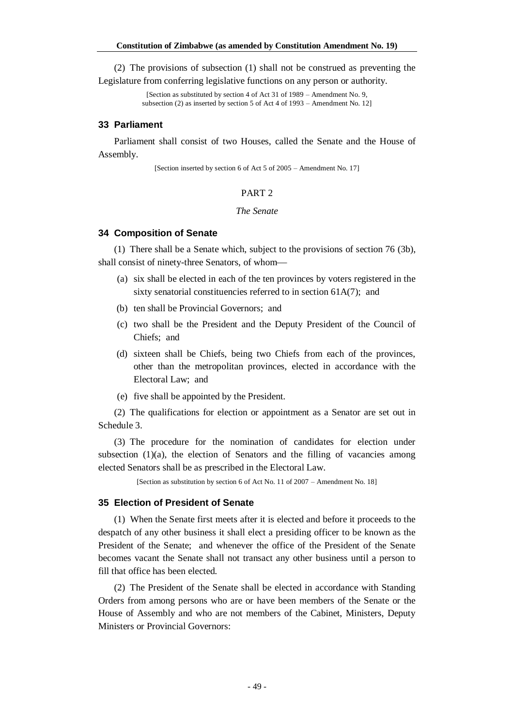(2) The provisions of subsection (1) shall not be construed as preventing the Legislature from conferring legislative functions on any person or authority.

> [Section as substituted by section 4 of Act 31 of 1989 – Amendment No. 9, subsection (2) as inserted by section 5 of Act 4 of 1993 – Amendment No. 12]

### **33 Parliament**

Parliament shall consist of two Houses, called the Senate and the House of Assembly.

[Section inserted by section 6 of Act 5 of 2005 – Amendment No. 17]

### PART 2

#### *The Senate*

### **34 Composition of Senate**

(1) There shall be a Senate which, subject to the provisions of section 76 (3b), shall consist of ninety-three Senators, of whom—

- (a) six shall be elected in each of the ten provinces by voters registered in the sixty senatorial constituencies referred to in section 61A(7); and
- (b) ten shall be Provincial Governors; and
- (c) two shall be the President and the Deputy President of the Council of Chiefs; and
- (d) sixteen shall be Chiefs, being two Chiefs from each of the provinces, other than the metropolitan provinces, elected in accordance with the Electoral Law; and
- (e) five shall be appointed by the President.

(2) The qualifications for election or appointment as a Senator are set out in Schedule 3.

(3) The procedure for the nomination of candidates for election under subsection  $(1)(a)$ , the election of Senators and the filling of vacancies among elected Senators shall be as prescribed in the Electoral Law.

[Section as substitution by section 6 of Act No. 11 of 2007 – Amendment No. 18]

#### **35 Election of President of Senate**

(1) When the Senate first meets after it is elected and before it proceeds to the despatch of any other business it shall elect a presiding officer to be known as the President of the Senate; and whenever the office of the President of the Senate becomes vacant the Senate shall not transact any other business until a person to fill that office has been elected.

(2) The President of the Senate shall be elected in accordance with Standing Orders from among persons who are or have been members of the Senate or the House of Assembly and who are not members of the Cabinet, Ministers, Deputy Ministers or Provincial Governors: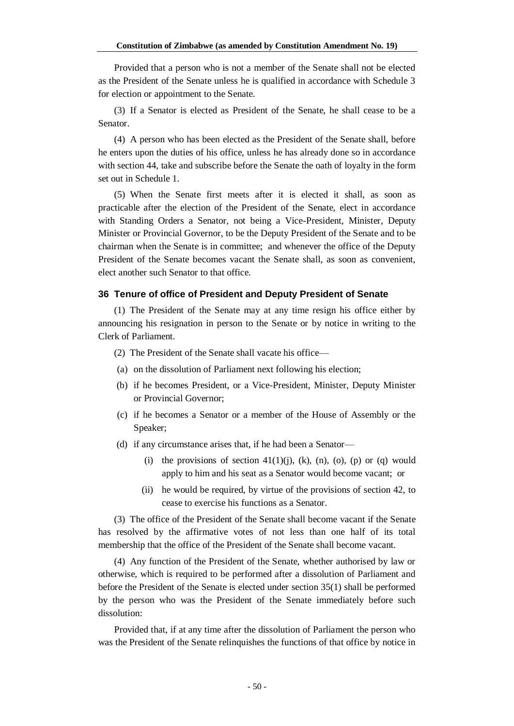Provided that a person who is not a member of the Senate shall not be elected as the President of the Senate unless he is qualified in accordance with Schedule 3 for election or appointment to the Senate.

(3) If a Senator is elected as President of the Senate, he shall cease to be a Senator.

(4) A person who has been elected as the President of the Senate shall, before he enters upon the duties of his office, unless he has already done so in accordance with section 44, take and subscribe before the Senate the oath of loyalty in the form set out in Schedule 1.

(5) When the Senate first meets after it is elected it shall, as soon as practicable after the election of the President of the Senate, elect in accordance with Standing Orders a Senator, not being a Vice-President, Minister, Deputy Minister or Provincial Governor, to be the Deputy President of the Senate and to be chairman when the Senate is in committee; and whenever the office of the Deputy President of the Senate becomes vacant the Senate shall, as soon as convenient, elect another such Senator to that office.

### **36 Tenure of office of President and Deputy President of Senate**

(1) The President of the Senate may at any time resign his office either by announcing his resignation in person to the Senate or by notice in writing to the Clerk of Parliament.

- (2) The President of the Senate shall vacate his office—
- (a) on the dissolution of Parliament next following his election;
- (b) if he becomes President, or a Vice-President, Minister, Deputy Minister or Provincial Governor;
- (c) if he becomes a Senator or a member of the House of Assembly or the Speaker;
- (d) if any circumstance arises that, if he had been a Senator—
	- (i) the provisions of section  $41(1)(i)$ , (k), (n), (o), (p) or (q) would apply to him and his seat as a Senator would become vacant; or
	- (ii) he would be required, by virtue of the provisions of section 42, to cease to exercise his functions as a Senator.

(3) The office of the President of the Senate shall become vacant if the Senate has resolved by the affirmative votes of not less than one half of its total membership that the office of the President of the Senate shall become vacant.

(4) Any function of the President of the Senate, whether authorised by law or otherwise, which is required to be performed after a dissolution of Parliament and before the President of the Senate is elected under section 35(1) shall be performed by the person who was the President of the Senate immediately before such dissolution:

Provided that, if at any time after the dissolution of Parliament the person who was the President of the Senate relinquishes the functions of that office by notice in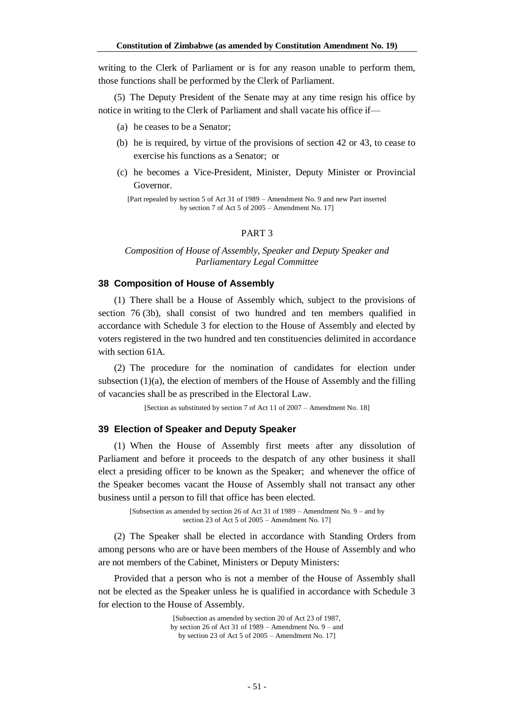writing to the Clerk of Parliament or is for any reason unable to perform them, those functions shall be performed by the Clerk of Parliament.

(5) The Deputy President of the Senate may at any time resign his office by notice in writing to the Clerk of Parliament and shall vacate his office if—

- (a) he ceases to be a Senator;
- (b) he is required, by virtue of the provisions of section 42 or 43, to cease to exercise his functions as a Senator; or
- (c) he becomes a Vice-President, Minister, Deputy Minister or Provincial Governor.

[Part repealed by section 5 of Act 31 of 1989 – Amendment No. 9 and new Part inserted by section 7 of Act 5 of 2005 – Amendment No. 17]

#### PART 3

*Composition of House of Assembly, Speaker and Deputy Speaker and Parliamentary Legal Committee*

# **38 Composition of House of Assembly**

(1) There shall be a House of Assembly which, subject to the provisions of section 76 (3b), shall consist of two hundred and ten members qualified in accordance with Schedule 3 for election to the House of Assembly and elected by voters registered in the two hundred and ten constituencies delimited in accordance with section 61A

(2) The procedure for the nomination of candidates for election under subsection  $(1)(a)$ , the election of members of the House of Assembly and the filling of vacancies shall be as prescribed in the Electoral Law.

[Section as substituted by section 7 of Act 11 of 2007 – Amendment No. 18]

## **39 Election of Speaker and Deputy Speaker**

(1) When the House of Assembly first meets after any dissolution of Parliament and before it proceeds to the despatch of any other business it shall elect a presiding officer to be known as the Speaker; and whenever the office of the Speaker becomes vacant the House of Assembly shall not transact any other business until a person to fill that office has been elected.

```
[Subsection as amended by section 26 of Act 31 of 1989 – Amendment No. 9 – and by
                 section 23 of Act 5 of 2005 – Amendment No. 17]
```
(2) The Speaker shall be elected in accordance with Standing Orders from among persons who are or have been members of the House of Assembly and who are not members of the Cabinet, Ministers or Deputy Ministers:

Provided that a person who is not a member of the House of Assembly shall not be elected as the Speaker unless he is qualified in accordance with Schedule 3 for election to the House of Assembly.

> [Subsection as amended by section 20 of Act 23 of 1987, by section 26 of Act 31 of 1989 – Amendment No. 9 – and by section 23 of Act 5 of 2005 – Amendment No. 17]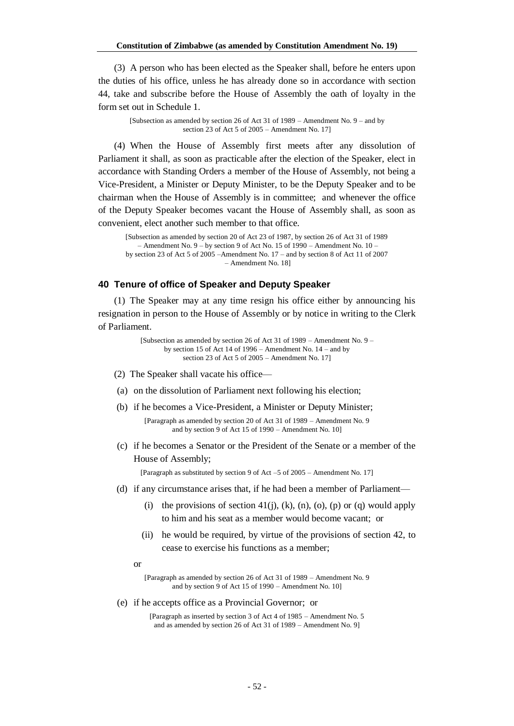(3) A person who has been elected as the Speaker shall, before he enters upon the duties of his office, unless he has already done so in accordance with section 44, take and subscribe before the House of Assembly the oath of loyalty in the form set out in Schedule 1.

> [Subsection as amended by section 26 of Act 31 of 1989 – Amendment No.  $9$  – and by section 23 of Act 5 of 2005 – Amendment No. 17]

(4) When the House of Assembly first meets after any dissolution of Parliament it shall, as soon as practicable after the election of the Speaker, elect in accordance with Standing Orders a member of the House of Assembly, not being a Vice-President, a Minister or Deputy Minister, to be the Deputy Speaker and to be chairman when the House of Assembly is in committee; and whenever the office of the Deputy Speaker becomes vacant the House of Assembly shall, as soon as convenient, elect another such member to that office.

[Subsection as amended by section 20 of Act 23 of 1987, by section 26 of Act 31 of 1989 – Amendment No. 9 – by section 9 of Act No. 15 of 1990 – Amendment No. 10 – by section 23 of Act 5 of 2005 –Amendment No. 17 – and by section 8 of Act 11 of 2007 – Amendment No. 18]

#### **40 Tenure of office of Speaker and Deputy Speaker**

(1) The Speaker may at any time resign his office either by announcing his resignation in person to the House of Assembly or by notice in writing to the Clerk of Parliament.

> [Subsection as amended by section 26 of Act 31 of 1989 – Amendment No. 9 – by section 15 of Act 14 of 1996 – Amendment No. 14 – and by section 23 of Act 5 of 2005 – Amendment No. 17]

- (2) The Speaker shall vacate his office—
- (a) on the dissolution of Parliament next following his election;
- (b) if he becomes a Vice-President, a Minister or Deputy Minister;

[Paragraph as amended by section 20 of Act 31 of 1989 – Amendment No. 9 and by section 9 of Act 15 of 1990 – Amendment No. 10]

(c) if he becomes a Senator or the President of the Senate or a member of the House of Assembly;

[Paragraph as substituted by section 9 of Act –5 of 2005 – Amendment No. 17]

- (d) if any circumstance arises that, if he had been a member of Parliament—
	- (i) the provisions of section 41(j), (k), (n), (o), (p) or (q) would apply to him and his seat as a member would become vacant; or
	- (ii) he would be required, by virtue of the provisions of section 42, to cease to exercise his functions as a member;
	- or

[Paragraph as amended by section 26 of Act 31 of 1989 – Amendment No. 9 and by section 9 of Act 15 of 1990 – Amendment No. 10]

(e) if he accepts office as a Provincial Governor; or

[Paragraph as inserted by section 3 of Act 4 of 1985 – Amendment No. 5 and as amended by section 26 of Act 31 of 1989 – Amendment No. 9]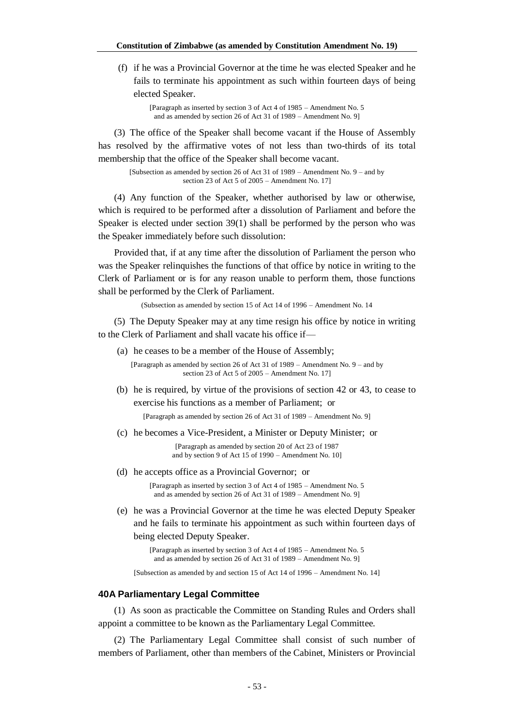(f) if he was a Provincial Governor at the time he was elected Speaker and he fails to terminate his appointment as such within fourteen days of being elected Speaker.

> [Paragraph as inserted by section 3 of Act 4 of 1985 – Amendment No. 5 and as amended by section 26 of Act 31 of 1989 – Amendment No. 9]

(3) The office of the Speaker shall become vacant if the House of Assembly has resolved by the affirmative votes of not less than two-thirds of its total membership that the office of the Speaker shall become vacant.

[Subsection as amended by section 26 of Act 31 of 1989 – Amendment No.  $9$  – and by section 23 of Act 5 of 2005 – Amendment No. 17]

(4) Any function of the Speaker, whether authorised by law or otherwise, which is required to be performed after a dissolution of Parliament and before the Speaker is elected under section 39(1) shall be performed by the person who was the Speaker immediately before such dissolution:

Provided that, if at any time after the dissolution of Parliament the person who was the Speaker relinquishes the functions of that office by notice in writing to the Clerk of Parliament or is for any reason unable to perform them, those functions shall be performed by the Clerk of Parliament.

(Subsection as amended by section 15 of Act 14 of 1996 – Amendment No. 14

(5) The Deputy Speaker may at any time resign his office by notice in writing to the Clerk of Parliament and shall vacate his office if—

(a) he ceases to be a member of the House of Assembly;

[Paragraph as amended by section 26 of Act 31 of  $1989 -$  Amendment No. 9 – and by section 23 of Act 5 of 2005 – Amendment No. 17]

(b) he is required, by virtue of the provisions of section 42 or 43, to cease to exercise his functions as a member of Parliament; or

[Paragraph as amended by section 26 of Act 31 of 1989 – Amendment No. 9]

(c) he becomes a Vice-President, a Minister or Deputy Minister; or

[Paragraph as amended by section 20 of Act 23 of 1987 and by section 9 of Act 15 of 1990 – Amendment No. 10]

(d) he accepts office as a Provincial Governor; or

[Paragraph as inserted by section 3 of Act 4 of 1985 – Amendment No. 5 and as amended by section 26 of Act 31 of 1989 – Amendment No. 9]

(e) he was a Provincial Governor at the time he was elected Deputy Speaker and he fails to terminate his appointment as such within fourteen days of being elected Deputy Speaker.

> [Paragraph as inserted by section 3 of Act 4 of 1985 – Amendment No. 5 and as amended by section 26 of Act 31 of 1989 – Amendment No. 9]

[Subsection as amended by and section 15 of Act 14 of 1996 – Amendment No. 14]

## **40A Parliamentary Legal Committee**

(1) As soon as practicable the Committee on Standing Rules and Orders shall appoint a committee to be known as the Parliamentary Legal Committee.

(2) The Parliamentary Legal Committee shall consist of such number of members of Parliament, other than members of the Cabinet, Ministers or Provincial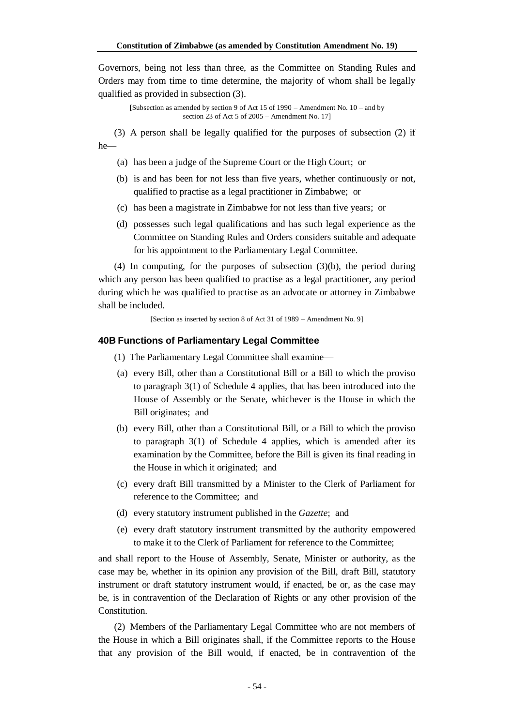Governors, being not less than three, as the Committee on Standing Rules and Orders may from time to time determine, the majority of whom shall be legally qualified as provided in subsection (3).

[Subsection as amended by section 9 of Act 15 of 1990 – Amendment No. 10 – and by section 23 of Act 5 of 2005 – Amendment No. 17]

(3) A person shall be legally qualified for the purposes of subsection (2) if he—

- (a) has been a judge of the Supreme Court or the High Court; or
- (b) is and has been for not less than five years, whether continuously or not, qualified to practise as a legal practitioner in Zimbabwe; or
- (c) has been a magistrate in Zimbabwe for not less than five years; or
- (d) possesses such legal qualifications and has such legal experience as the Committee on Standing Rules and Orders considers suitable and adequate for his appointment to the Parliamentary Legal Committee.

(4) In computing, for the purposes of subsection (3)(b), the period during which any person has been qualified to practise as a legal practitioner, any period during which he was qualified to practise as an advocate or attorney in Zimbabwe shall be included.

[Section as inserted by section 8 of Act 31 of  $1989 -$ Amendment No. 9]

### **40B Functions of Parliamentary Legal Committee**

- (1) The Parliamentary Legal Committee shall examine—
- (a) every Bill, other than a Constitutional Bill or a Bill to which the proviso to paragraph 3(1) of Schedule 4 applies, that has been introduced into the House of Assembly or the Senate, whichever is the House in which the Bill originates; and
- (b) every Bill, other than a Constitutional Bill, or a Bill to which the proviso to paragraph 3(1) of Schedule 4 applies, which is amended after its examination by the Committee, before the Bill is given its final reading in the House in which it originated; and
- (c) every draft Bill transmitted by a Minister to the Clerk of Parliament for reference to the Committee; and
- (d) every statutory instrument published in the *Gazette*; and
- (e) every draft statutory instrument transmitted by the authority empowered to make it to the Clerk of Parliament for reference to the Committee;

and shall report to the House of Assembly, Senate, Minister or authority, as the case may be, whether in its opinion any provision of the Bill, draft Bill, statutory instrument or draft statutory instrument would, if enacted, be or, as the case may be, is in contravention of the Declaration of Rights or any other provision of the Constitution.

(2) Members of the Parliamentary Legal Committee who are not members of the House in which a Bill originates shall, if the Committee reports to the House that any provision of the Bill would, if enacted, be in contravention of the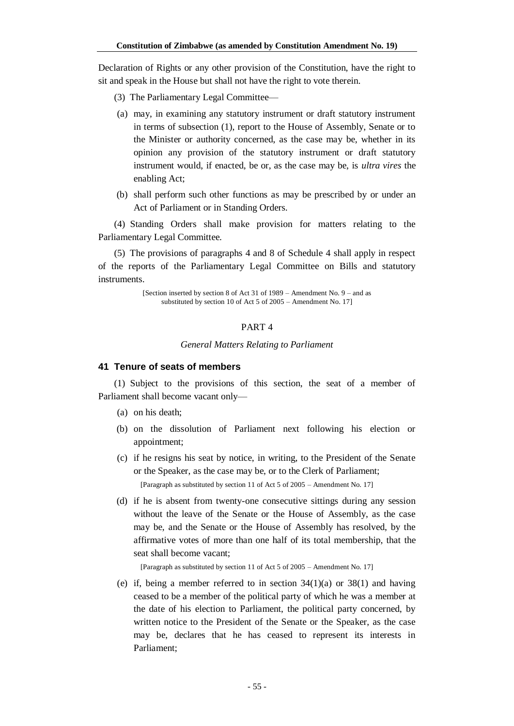Declaration of Rights or any other provision of the Constitution, have the right to sit and speak in the House but shall not have the right to vote therein.

- (3) The Parliamentary Legal Committee—
- (a) may, in examining any statutory instrument or draft statutory instrument in terms of subsection (1), report to the House of Assembly, Senate or to the Minister or authority concerned, as the case may be, whether in its opinion any provision of the statutory instrument or draft statutory instrument would, if enacted, be or, as the case may be, is *ultra vires* the enabling Act;
- (b) shall perform such other functions as may be prescribed by or under an Act of Parliament or in Standing Orders.

(4) Standing Orders shall make provision for matters relating to the Parliamentary Legal Committee.

(5) The provisions of paragraphs 4 and 8 of Schedule 4 shall apply in respect of the reports of the Parliamentary Legal Committee on Bills and statutory instruments.

> [Section inserted by section 8 of Act 31 of 1989 – Amendment No.  $9 -$  and as substituted by section 10 of Act 5 of 2005 – Amendment No. 17]

## PART 4

### *General Matters Relating to Parliament*

### **41 Tenure of seats of members**

(1) Subject to the provisions of this section, the seat of a member of Parliament shall become vacant only—

- (a) on his death;
- (b) on the dissolution of Parliament next following his election or appointment;
- (c) if he resigns his seat by notice, in writing, to the President of the Senate or the Speaker, as the case may be, or to the Clerk of Parliament; [Paragraph as substituted by section 11 of Act 5 of 2005 – Amendment No. 17]
- (d) if he is absent from twenty-one consecutive sittings during any session without the leave of the Senate or the House of Assembly, as the case may be, and the Senate or the House of Assembly has resolved, by the affirmative votes of more than one half of its total membership, that the seat shall become vacant;

[Paragraph as substituted by section 11 of Act 5 of 2005 – Amendment No. 17]

(e) if, being a member referred to in section 34(1)(a) or 38(1) and having ceased to be a member of the political party of which he was a member at the date of his election to Parliament, the political party concerned, by written notice to the President of the Senate or the Speaker, as the case may be, declares that he has ceased to represent its interests in Parliament;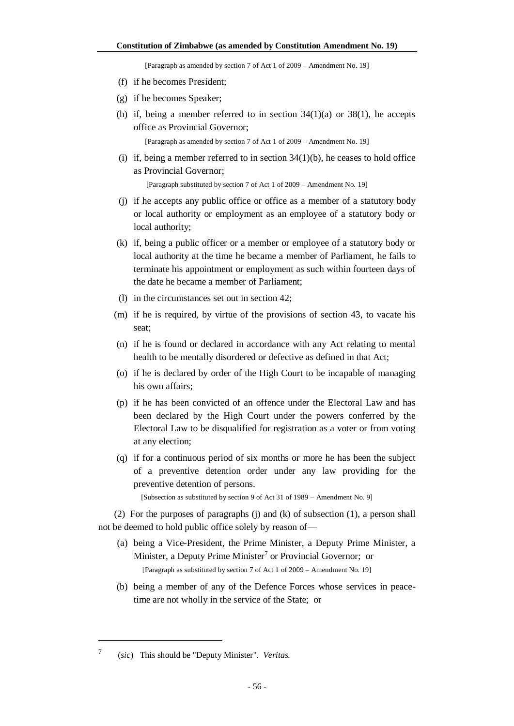[Paragraph as amended by section 7 of Act 1 of 2009 – Amendment No. 19]

- (f) if he becomes President;
- (g) if he becomes Speaker;
- (h) if, being a member referred to in section  $34(1)(a)$  or  $38(1)$ , he accepts office as Provincial Governor;

[Paragraph as amended by section 7 of Act 1 of 2009 – Amendment No. 19]

(i) if, being a member referred to in section  $34(1)(b)$ , he ceases to hold office as Provincial Governor;

[Paragraph substituted by section 7 of Act 1 of 2009 – Amendment No. 19]

- (j) if he accepts any public office or office as a member of a statutory body or local authority or employment as an employee of a statutory body or local authority;
- (k) if, being a public officer or a member or employee of a statutory body or local authority at the time he became a member of Parliament, he fails to terminate his appointment or employment as such within fourteen days of the date he became a member of Parliament;
- (l) in the circumstances set out in section 42;
- (m) if he is required, by virtue of the provisions of section 43, to vacate his seat;
- (n) if he is found or declared in accordance with any Act relating to mental health to be mentally disordered or defective as defined in that Act;
- (o) if he is declared by order of the High Court to be incapable of managing his own affairs;
- (p) if he has been convicted of an offence under the Electoral Law and has been declared by the High Court under the powers conferred by the Electoral Law to be disqualified for registration as a voter or from voting at any election;
- (q) if for a continuous period of six months or more he has been the subject of a preventive detention order under any law providing for the preventive detention of persons.

[Subsection as substituted by section 9 of Act 31 of 1989 – Amendment No. 9]

(2) For the purposes of paragraphs (j) and (k) of subsection (1), a person shall not be deemed to hold public office solely by reason of—

- (a) being a Vice-President, the Prime Minister, a Deputy Prime Minister, a Minister, a Deputy Prime Minister<sup>7</sup> or Provincial Governor; or [Paragraph as substituted by section 7 of Act 1 of 2009 – Amendment No. 19]
- (b) being a member of any of the Defence Forces whose services in peacetime are not wholly in the service of the State; or

 $\overline{a}$ 7

<sup>(</sup>*sic*) This should be "Deputy Minister". *Veritas.*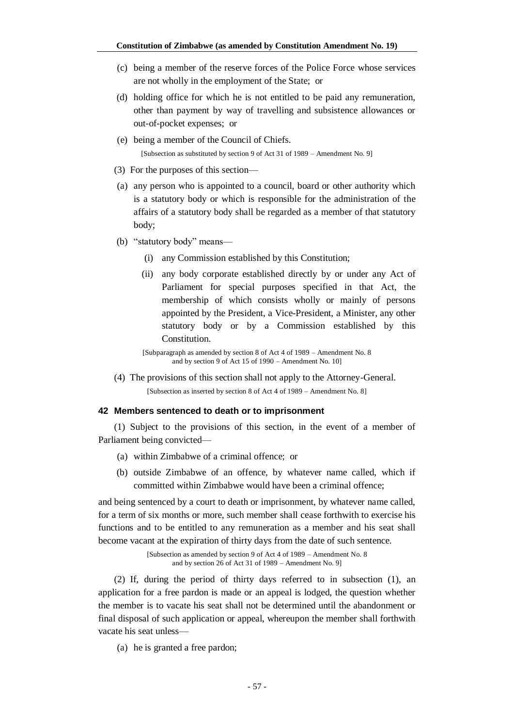- (c) being a member of the reserve forces of the Police Force whose services are not wholly in the employment of the State; or
- (d) holding office for which he is not entitled to be paid any remuneration, other than payment by way of travelling and subsistence allowances or out-of-pocket expenses; or
- (e) being a member of the Council of Chiefs. [Subsection as substituted by section 9 of Act 31 of 1989 – Amendment No. 9]
- (3) For the purposes of this section—
- (a) any person who is appointed to a council, board or other authority which is a statutory body or which is responsible for the administration of the affairs of a statutory body shall be regarded as a member of that statutory body;
- (b) "statutory body" means—
	- (i) any Commission established by this Constitution;
	- (ii) any body corporate established directly by or under any Act of Parliament for special purposes specified in that Act, the membership of which consists wholly or mainly of persons appointed by the President, a Vice-President, a Minister, any other statutory body or by a Commission established by this Constitution.

[Subparagraph as amended by section 8 of Act 4 of 1989 – Amendment No. 8 and by section 9 of Act 15 of 1990 – Amendment No. 10]

(4) The provisions of this section shall not apply to the Attorney-General. [Subsection as inserted by section 8 of Act 4 of 1989 – Amendment No. 8]

#### **42 Members sentenced to death or to imprisonment**

(1) Subject to the provisions of this section, in the event of a member of Parliament being convicted—

- (a) within Zimbabwe of a criminal offence; or
- (b) outside Zimbabwe of an offence, by whatever name called, which if committed within Zimbabwe would have been a criminal offence;

and being sentenced by a court to death or imprisonment, by whatever name called, for a term of six months or more, such member shall cease forthwith to exercise his functions and to be entitled to any remuneration as a member and his seat shall become vacant at the expiration of thirty days from the date of such sentence.

> [Subsection as amended by section 9 of Act 4 of 1989 – Amendment No. 8 and by section 26 of Act 31 of 1989 – Amendment No. 9]

(2) If, during the period of thirty days referred to in subsection (1), an application for a free pardon is made or an appeal is lodged, the question whether the member is to vacate his seat shall not be determined until the abandonment or final disposal of such application or appeal, whereupon the member shall forthwith vacate his seat unless—

(a) he is granted a free pardon;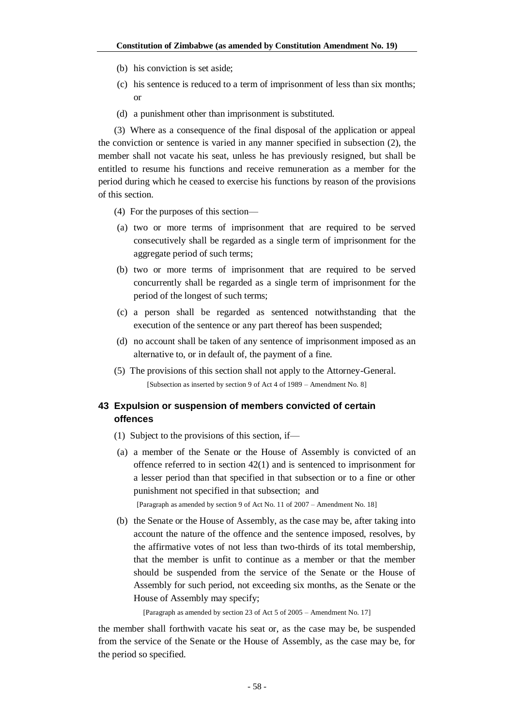- (b) his conviction is set aside;
- (c) his sentence is reduced to a term of imprisonment of less than six months; or
- (d) a punishment other than imprisonment is substituted.

(3) Where as a consequence of the final disposal of the application or appeal the conviction or sentence is varied in any manner specified in subsection (2), the member shall not vacate his seat, unless he has previously resigned, but shall be entitled to resume his functions and receive remuneration as a member for the period during which he ceased to exercise his functions by reason of the provisions of this section.

(4) For the purposes of this section—

- (a) two or more terms of imprisonment that are required to be served consecutively shall be regarded as a single term of imprisonment for the aggregate period of such terms;
- (b) two or more terms of imprisonment that are required to be served concurrently shall be regarded as a single term of imprisonment for the period of the longest of such terms;
- (c) a person shall be regarded as sentenced notwithstanding that the execution of the sentence or any part thereof has been suspended;
- (d) no account shall be taken of any sentence of imprisonment imposed as an alternative to, or in default of, the payment of a fine.
- (5) The provisions of this section shall not apply to the Attorney-General. [Subsection as inserted by section 9 of Act 4 of 1989 – Amendment No. 8]

# **43 Expulsion or suspension of members convicted of certain offences**

- (1) Subject to the provisions of this section, if—
- (a) a member of the Senate or the House of Assembly is convicted of an offence referred to in section 42(1) and is sentenced to imprisonment for a lesser period than that specified in that subsection or to a fine or other punishment not specified in that subsection; and

[Paragraph as amended by section 9 of Act No. 11 of 2007 – Amendment No. 18]

(b) the Senate or the House of Assembly, as the case may be, after taking into account the nature of the offence and the sentence imposed, resolves, by the affirmative votes of not less than two-thirds of its total membership, that the member is unfit to continue as a member or that the member should be suspended from the service of the Senate or the House of Assembly for such period, not exceeding six months, as the Senate or the House of Assembly may specify;

[Paragraph as amended by section 23 of Act 5 of 2005 – Amendment No. 17]

the member shall forthwith vacate his seat or, as the case may be, be suspended from the service of the Senate or the House of Assembly, as the case may be, for the period so specified.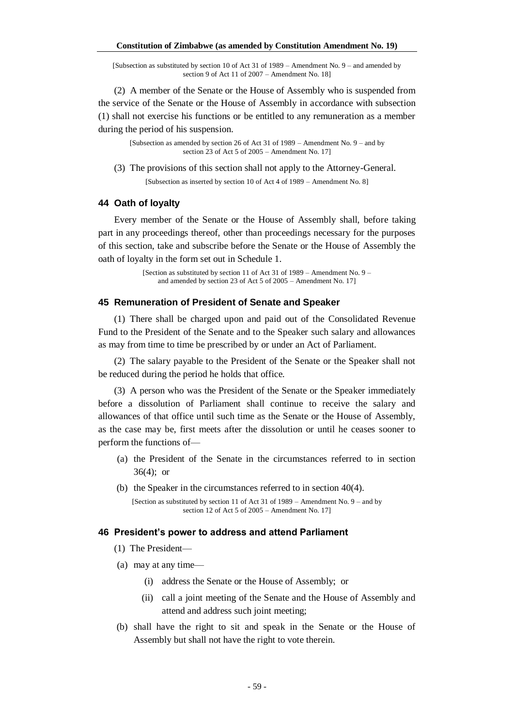[Subsection as substituted by section 10 of Act 31 of 1989 – Amendment No.  $9$  – and amended by section 9 of Act 11 of 2007 – Amendment No. 18]

(2) A member of the Senate or the House of Assembly who is suspended from the service of the Senate or the House of Assembly in accordance with subsection (1) shall not exercise his functions or be entitled to any remuneration as a member during the period of his suspension.

[Subsection as amended by section 26 of Act 31 of 1989 – Amendment No.  $9$  – and by section 23 of Act 5 of 2005 – Amendment No. 17]

(3) The provisions of this section shall not apply to the Attorney-General. [Subsection as inserted by section 10 of Act 4 of 1989 – Amendment No. 8]

## **44 Oath of loyalty**

Every member of the Senate or the House of Assembly shall, before taking part in any proceedings thereof, other than proceedings necessary for the purposes of this section, take and subscribe before the Senate or the House of Assembly the oath of loyalty in the form set out in Schedule 1.

> [Section as substituted by section 11 of Act 31 of 1989 – Amendment No. 9 – and amended by section 23 of Act 5 of 2005 – Amendment No. 17]

### **45 Remuneration of President of Senate and Speaker**

(1) There shall be charged upon and paid out of the Consolidated Revenue Fund to the President of the Senate and to the Speaker such salary and allowances as may from time to time be prescribed by or under an Act of Parliament.

(2) The salary payable to the President of the Senate or the Speaker shall not be reduced during the period he holds that office.

(3) A person who was the President of the Senate or the Speaker immediately before a dissolution of Parliament shall continue to receive the salary and allowances of that office until such time as the Senate or the House of Assembly, as the case may be, first meets after the dissolution or until he ceases sooner to perform the functions of—

- (a) the President of the Senate in the circumstances referred to in section 36(4); or
- (b) the Speaker in the circumstances referred to in section 40(4).

[Section as substituted by section 11 of Act 31 of 1989 – Amendment No.  $9$  – and by section 12 of Act 5 of 2005 – Amendment No. 17]

### **46 President's power to address and attend Parliament**

- (1) The President—
- (a) may at any time—
	- (i) address the Senate or the House of Assembly; or
	- (ii) call a joint meeting of the Senate and the House of Assembly and attend and address such joint meeting;
- (b) shall have the right to sit and speak in the Senate or the House of Assembly but shall not have the right to vote therein.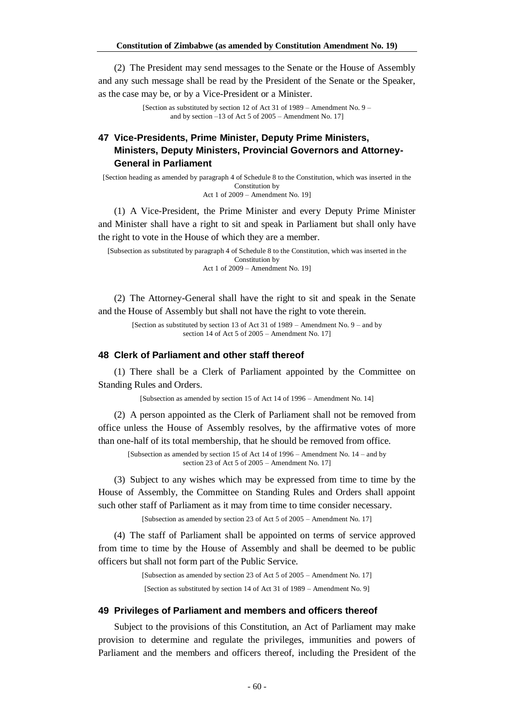(2) The President may send messages to the Senate or the House of Assembly and any such message shall be read by the President of the Senate or the Speaker, as the case may be, or by a Vice-President or a Minister.

> [Section as substituted by section 12 of Act 31 of 1989 – Amendment No. 9 – and by section  $-13$  of Act 5 of 2005 – Amendment No. 17]

# **47 Vice-Presidents, Prime Minister, Deputy Prime Ministers, Ministers, Deputy Ministers, Provincial Governors and Attorney-General in Parliament**

[Section heading as amended by paragraph 4 of Schedule 8 to the Constitution, which was inserted in the Constitution by Act 1 of 2009 – Amendment No. 19]

(1) A Vice-President, the Prime Minister and every Deputy Prime Minister and Minister shall have a right to sit and speak in Parliament but shall only have the right to vote in the House of which they are a member.

[Subsection as substituted by paragraph 4 of Schedule 8 to the Constitution, which was inserted in the Constitution by Act 1 of 2009 – Amendment No. 19]

(2) The Attorney-General shall have the right to sit and speak in the Senate and the House of Assembly but shall not have the right to vote therein.

> [Section as substituted by section 13 of Act 31 of 1989 – Amendment No. 9 – and by section 14 of Act 5 of 2005 – Amendment No. 17]

# **48 Clerk of Parliament and other staff thereof**

(1) There shall be a Clerk of Parliament appointed by the Committee on Standing Rules and Orders.

[Subsection as amended by section 15 of Act 14 of 1996 – Amendment No. 14]

(2) A person appointed as the Clerk of Parliament shall not be removed from office unless the House of Assembly resolves, by the affirmative votes of more than one-half of its total membership, that he should be removed from office.

[Subsection as amended by section 15 of Act 14 of 1996 – Amendment No. 14 – and by section 23 of Act 5 of 2005 – Amendment No. 17]

(3) Subject to any wishes which may be expressed from time to time by the House of Assembly, the Committee on Standing Rules and Orders shall appoint such other staff of Parliament as it may from time to time consider necessary.

[Subsection as amended by section 23 of Act 5 of 2005 – Amendment No. 17]

(4) The staff of Parliament shall be appointed on terms of service approved from time to time by the House of Assembly and shall be deemed to be public officers but shall not form part of the Public Service.

> [Subsection as amended by section 23 of Act 5 of 2005 – Amendment No. 17] [Section as substituted by section 14 of Act 31 of 1989 – Amendment No. 9]

### **49 Privileges of Parliament and members and officers thereof**

Subject to the provisions of this Constitution, an Act of Parliament may make provision to determine and regulate the privileges, immunities and powers of Parliament and the members and officers thereof, including the President of the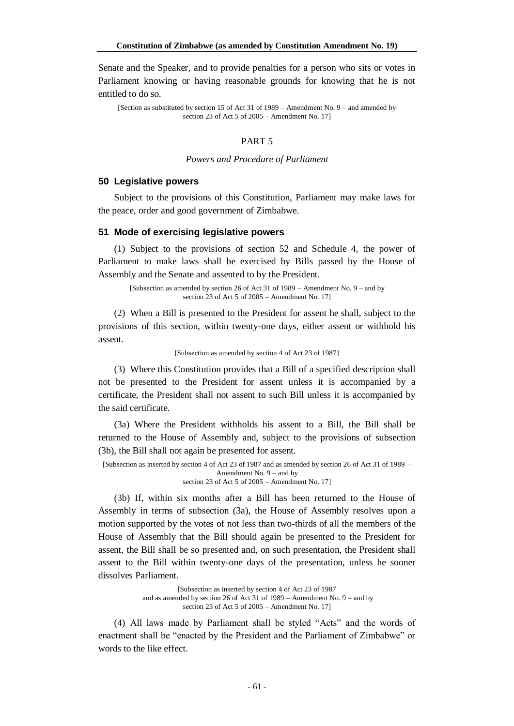Senate and the Speaker, and to provide penalties for a person who sits or votes in Parliament knowing or having reasonable grounds for knowing that he is not entitled to do so.

[Section as substituted by section 15 of Act 31 of 1989 – Amendment No. 9 – and amended by section 23 of Act 5 of 2005 – Amendment No. 17]

### PART 5

#### *Powers and Procedure of Parliament*

#### **50 Legislative powers**

Subject to the provisions of this Constitution, Parliament may make laws for the peace, order and good government of Zimbabwe.

### **51 Mode of exercising legislative powers**

(1) Subject to the provisions of section 52 and Schedule 4, the power of Parliament to make laws shall be exercised by Bills passed by the House of Assembly and the Senate and assented to by the President.

[Subsection as amended by section 26 of Act 31 of 1989 – Amendment No. 9 – and by section 23 of Act 5 of 2005 – Amendment No. 17]

(2) When a Bill is presented to the President for assent he shall, subject to the provisions of this section, within twenty-one days, either assent or withhold his assent.

[Subsection as amended by section 4 of Act 23 of 1987]

(3) Where this Constitution provides that a Bill of a specified description shall not be presented to the President for assent unless it is accompanied by a certificate, the President shall not assent to such Bill unless it is accompanied by the said certificate.

(3a) Where the President withholds his assent to a Bill, the Bill shall be returned to the House of Assembly and, subject to the provisions of subsection (3b), the Bill shall not again be presented for assent.

[Subsection as inserted by section 4 of Act 23 of 1987 and as amended by section 26 of Act 31 of 1989 – Amendment No. 9 – and by section 23 of Act 5 of 2005 – Amendment No. 17]

(3b) If, within six months after a Bill has been returned to the House of Assembly in terms of subsection (3a), the House of Assembly resolves upon a motion supported by the votes of not less than two-thirds of all the members of the House of Assembly that the Bill should again be presented to the President for assent, the Bill shall be so presented and, on such presentation, the President shall assent to the Bill within twenty-one days of the presentation, unless he sooner dissolves Parliament.

> [Subsection as inserted by section 4 of Act 23 of 1987 and as amended by section 26 of Act 31 of 1989 – Amendment No. 9 – and by section 23 of Act 5 of 2005 – Amendment No. 17]

(4) All laws made by Parliament shall be styled "Acts" and the words of enactment shall be "enacted by the President and the Parliament of Zimbabwe" or words to the like effect.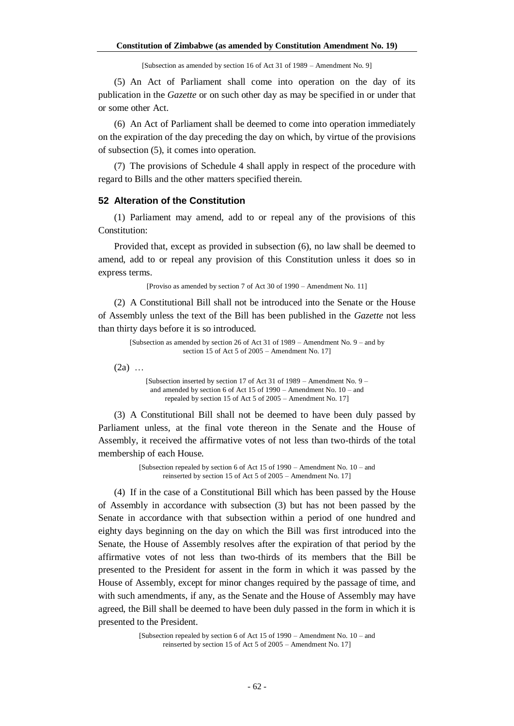[Subsection as amended by section 16 of Act 31 of 1989 – Amendment No. 9]

(5) An Act of Parliament shall come into operation on the day of its publication in the *Gazette* or on such other day as may be specified in or under that or some other Act.

(6) An Act of Parliament shall be deemed to come into operation immediately on the expiration of the day preceding the day on which, by virtue of the provisions of subsection (5), it comes into operation.

(7) The provisions of Schedule 4 shall apply in respect of the procedure with regard to Bills and the other matters specified therein.

#### **52 Alteration of the Constitution**

(1) Parliament may amend, add to or repeal any of the provisions of this Constitution:

Provided that, except as provided in subsection (6), no law shall be deemed to amend, add to or repeal any provision of this Constitution unless it does so in express terms.

[Proviso as amended by section 7 of Act 30 of 1990 – Amendment No. 11]

(2) A Constitutional Bill shall not be introduced into the Senate or the House of Assembly unless the text of the Bill has been published in the *Gazette* not less than thirty days before it is so introduced.

[Subsection as amended by section 26 of Act 31 of 1989 – Amendment No. 9 – and by section 15 of Act 5 of 2005 – Amendment No. 17]

(2a) …

[Subsection inserted by section 17 of Act 31 of 1989 – Amendment No. 9 – and amended by section 6 of Act 15 of 1990 – Amendment No. 10 – and repealed by section 15 of Act 5 of 2005 – Amendment No. 17]

(3) A Constitutional Bill shall not be deemed to have been duly passed by Parliament unless, at the final vote thereon in the Senate and the House of Assembly, it received the affirmative votes of not less than two-thirds of the total membership of each House.

> [Subsection repealed by section 6 of Act 15 of 1990 – Amendment No. 10 – and reinserted by section 15 of Act 5 of 2005 – Amendment No. 17]

(4) If in the case of a Constitutional Bill which has been passed by the House of Assembly in accordance with subsection (3) but has not been passed by the Senate in accordance with that subsection within a period of one hundred and eighty days beginning on the day on which the Bill was first introduced into the Senate, the House of Assembly resolves after the expiration of that period by the affirmative votes of not less than two-thirds of its members that the Bill be presented to the President for assent in the form in which it was passed by the House of Assembly, except for minor changes required by the passage of time, and with such amendments, if any, as the Senate and the House of Assembly may have agreed, the Bill shall be deemed to have been duly passed in the form in which it is presented to the President.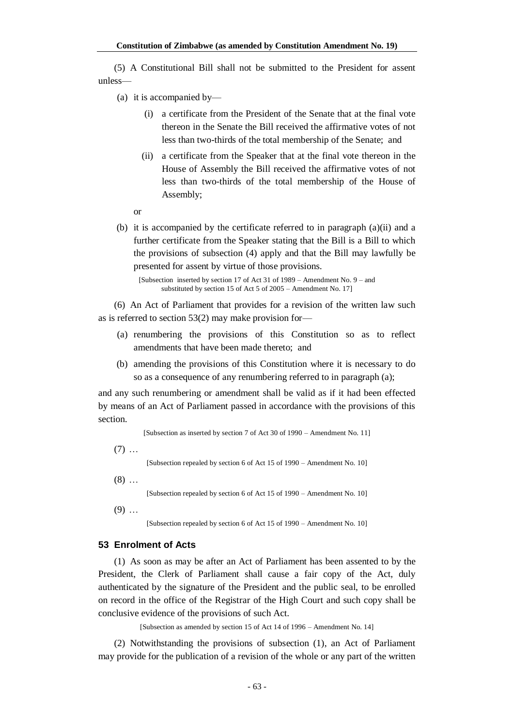(5) A Constitutional Bill shall not be submitted to the President for assent unless—

- (a) it is accompanied by—
	- (i) a certificate from the President of the Senate that at the final vote thereon in the Senate the Bill received the affirmative votes of not less than two-thirds of the total membership of the Senate; and
	- (ii) a certificate from the Speaker that at the final vote thereon in the House of Assembly the Bill received the affirmative votes of not less than two-thirds of the total membership of the House of Assembly;
	- or
- (b) it is accompanied by the certificate referred to in paragraph (a)(ii) and a further certificate from the Speaker stating that the Bill is a Bill to which the provisions of subsection (4) apply and that the Bill may lawfully be presented for assent by virtue of those provisions.

[Subsection inserted by section 17 of Act 31 of 1989 – Amendment No. 9 – and substituted by section 15 of Act 5 of 2005 – Amendment No. 17]

(6) An Act of Parliament that provides for a revision of the written law such as is referred to section 53(2) may make provision for—

- (a) renumbering the provisions of this Constitution so as to reflect amendments that have been made thereto; and
- (b) amending the provisions of this Constitution where it is necessary to do so as a consequence of any renumbering referred to in paragraph (a);

and any such renumbering or amendment shall be valid as if it had been effected by means of an Act of Parliament passed in accordance with the provisions of this section.

[Subsection as inserted by section 7 of Act 30 of 1990 – Amendment No. 11]

 $(7)$  ...

[Subsection repealed by section 6 of Act 15 of 1990 – Amendment No. 10]

(8) …

[Subsection repealed by section 6 of Act 15 of 1990 – Amendment No. 10]

 $(9)$  ...

[Subsection repealed by section 6 of Act 15 of 1990 – Amendment No. 10]

# **53 Enrolment of Acts**

(1) As soon as may be after an Act of Parliament has been assented to by the President, the Clerk of Parliament shall cause a fair copy of the Act, duly authenticated by the signature of the President and the public seal, to be enrolled on record in the office of the Registrar of the High Court and such copy shall be conclusive evidence of the provisions of such Act.

[Subsection as amended by section 15 of Act 14 of 1996 – Amendment No. 14]

(2) Notwithstanding the provisions of subsection (1), an Act of Parliament may provide for the publication of a revision of the whole or any part of the written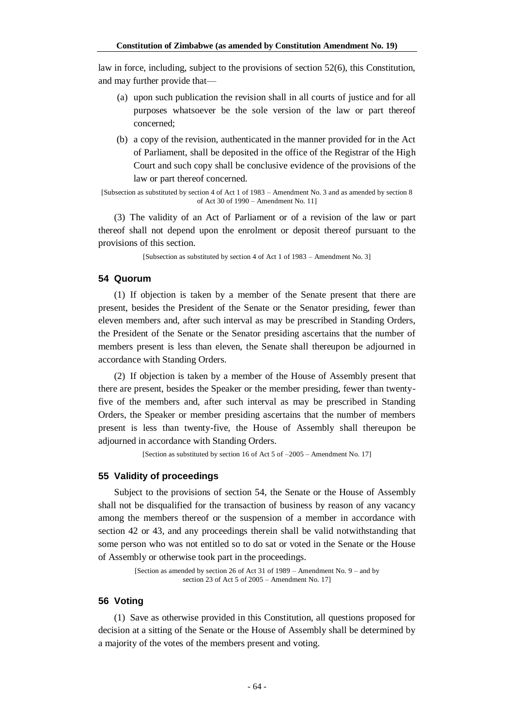law in force, including, subject to the provisions of section 52(6), this Constitution, and may further provide that—

- (a) upon such publication the revision shall in all courts of justice and for all purposes whatsoever be the sole version of the law or part thereof concerned;
- (b) a copy of the revision, authenticated in the manner provided for in the Act of Parliament, shall be deposited in the office of the Registrar of the High Court and such copy shall be conclusive evidence of the provisions of the law or part thereof concerned.

[Subsection as substituted by section 4 of Act 1 of 1983 – Amendment No. 3 and as amended by section 8 of Act 30 of 1990 – Amendment No. 11]

(3) The validity of an Act of Parliament or of a revision of the law or part thereof shall not depend upon the enrolment or deposit thereof pursuant to the provisions of this section.

[Subsection as substituted by section 4 of Act 1 of 1983 – Amendment No. 3]

## **54 Quorum**

(1) If objection is taken by a member of the Senate present that there are present, besides the President of the Senate or the Senator presiding, fewer than eleven members and, after such interval as may be prescribed in Standing Orders, the President of the Senate or the Senator presiding ascertains that the number of members present is less than eleven, the Senate shall thereupon be adjourned in accordance with Standing Orders.

(2) If objection is taken by a member of the House of Assembly present that there are present, besides the Speaker or the member presiding, fewer than twentyfive of the members and, after such interval as may be prescribed in Standing Orders, the Speaker or member presiding ascertains that the number of members present is less than twenty-five, the House of Assembly shall thereupon be adjourned in accordance with Standing Orders.

[Section as substituted by section 16 of Act 5 of –2005 – Amendment No. 17]

### **55 Validity of proceedings**

Subject to the provisions of section 54, the Senate or the House of Assembly shall not be disqualified for the transaction of business by reason of any vacancy among the members thereof or the suspension of a member in accordance with section 42 or 43, and any proceedings therein shall be valid notwithstanding that some person who was not entitled so to do sat or voted in the Senate or the House of Assembly or otherwise took part in the proceedings.

```
[Section as amended by section 26 of Act 31 of 1989 – Amendment No. 9 – and by 
               section 23 of Act 5 of 2005 – Amendment No. 17]
```
#### **56 Voting**

(1) Save as otherwise provided in this Constitution, all questions proposed for decision at a sitting of the Senate or the House of Assembly shall be determined by a majority of the votes of the members present and voting.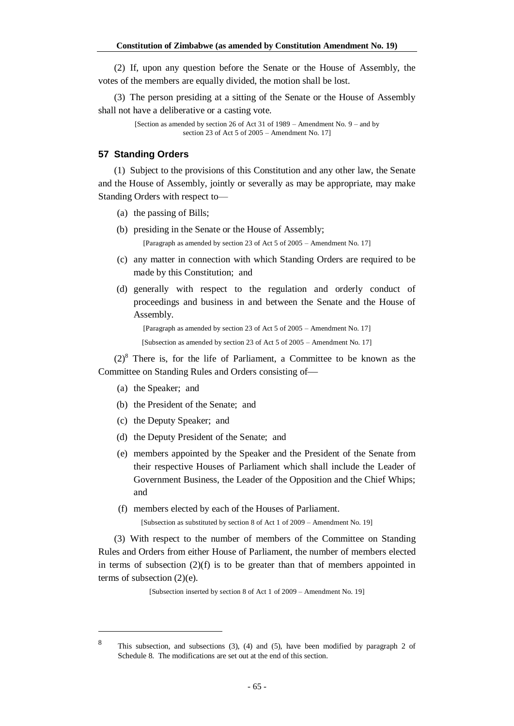(2) If, upon any question before the Senate or the House of Assembly, the votes of the members are equally divided, the motion shall be lost.

(3) The person presiding at a sitting of the Senate or the House of Assembly shall not have a deliberative or a casting vote.

> [Section as amended by section 26 of Act 31 of 1989 – Amendment No. 9 – and by section 23 of Act 5 of 2005 – Amendment No. 17]

### **57 Standing Orders**

(1) Subject to the provisions of this Constitution and any other law, the Senate and the House of Assembly, jointly or severally as may be appropriate, may make Standing Orders with respect to—

- (a) the passing of Bills;
- (b) presiding in the Senate or the House of Assembly; [Paragraph as amended by section 23 of Act 5 of 2005 – Amendment No. 17]
- (c) any matter in connection with which Standing Orders are required to be made by this Constitution; and
- (d) generally with respect to the regulation and orderly conduct of proceedings and business in and between the Senate and the House of Assembly.

```
[Paragraph as amended by section 23 of Act 5 of 2005 – Amendment No. 17]
[Subsection as amended by section 23 of Act 5 of 2005 – Amendment No. 17]
```
 $(2)^8$  There is, for the life of Parliament, a Committee to be known as the Committee on Standing Rules and Orders consisting of-

(a) the Speaker; and

 $\overline{a}$ 

- (b) the President of the Senate; and
- (c) the Deputy Speaker; and
- (d) the Deputy President of the Senate; and
- (e) members appointed by the Speaker and the President of the Senate from their respective Houses of Parliament which shall include the Leader of Government Business, the Leader of the Opposition and the Chief Whips; and
- (f) members elected by each of the Houses of Parliament.

[Subsection as substituted by section 8 of Act 1 of 2009 – Amendment No. 19]

(3) With respect to the number of members of the Committee on Standing Rules and Orders from either House of Parliament, the number of members elected in terms of subsection  $(2)(f)$  is to be greater than that of members appointed in terms of subsection (2)(e).

[Subsection inserted by section 8 of Act 1 of 2009 – Amendment No. 19]

<sup>8</sup> This subsection, and subsections (3), (4) and (5), have been modified by paragraph 2 of Schedule 8. The modifications are set out at the end of this section.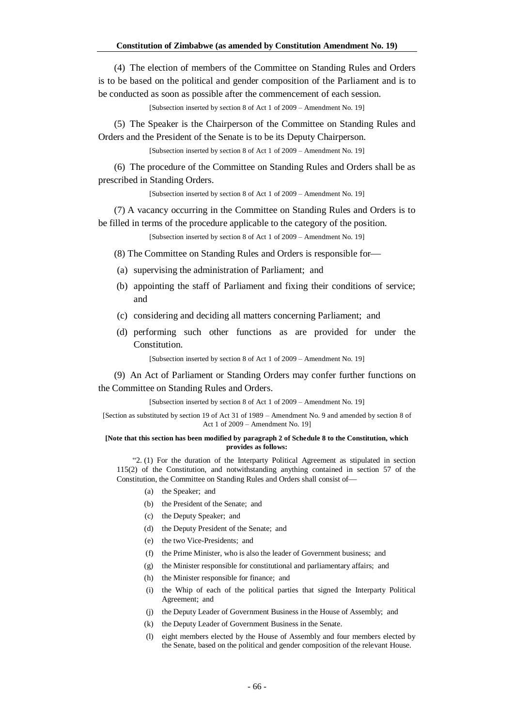(4) The election of members of the Committee on Standing Rules and Orders is to be based on the political and gender composition of the Parliament and is to be conducted as soon as possible after the commencement of each session.

[Subsection inserted by section 8 of Act 1 of 2009 – Amendment No. 19]

(5) The Speaker is the Chairperson of the Committee on Standing Rules and Orders and the President of the Senate is to be its Deputy Chairperson.

[Subsection inserted by section 8 of Act 1 of 2009 – Amendment No. 19]

(6) The procedure of the Committee on Standing Rules and Orders shall be as prescribed in Standing Orders.

[Subsection inserted by section 8 of Act 1 of 2009 – Amendment No. 19]

(7) A vacancy occurring in the Committee on Standing Rules and Orders is to be filled in terms of the procedure applicable to the category of the position.

[Subsection inserted by section 8 of Act 1 of 2009 – Amendment No. 19]

(8) The Committee on Standing Rules and Orders is responsible for-

- (a) supervising the administration of Parliament; and
- (b) appointing the staff of Parliament and fixing their conditions of service; and
- (c) considering and deciding all matters concerning Parliament; and
- (d) performing such other functions as are provided for under the Constitution.

[Subsection inserted by section 8 of Act 1 of 2009 – Amendment No. 19]

(9) An Act of Parliament or Standing Orders may confer further functions on the Committee on Standing Rules and Orders.

[Subsection inserted by section 8 of Act 1 of 2009 – Amendment No. 19]

[Section as substituted by section 19 of Act 31 of 1989 – Amendment No. 9 and amended by section 8 of Act 1 of 2009 – Amendment No. 19]

#### **[Note that this section has been modified by paragraph 2 of Schedule 8 to the Constitution, which provides as follows:**

"2. (1) For the duration of the Interparty Political Agreement as stipulated in section 115(2) of the Constitution, and notwithstanding anything contained in section 57 of the Constitution, the Committee on Standing Rules and Orders shall consist of-

- (a) the Speaker; and
- (b) the President of the Senate; and
- (c) the Deputy Speaker; and
- (d) the Deputy President of the Senate; and
- (e) the two Vice-Presidents; and
- (f) the Prime Minister, who is also the leader of Government business; and
- (g) the Minister responsible for constitutional and parliamentary affairs; and
- (h) the Minister responsible for finance; and
- (i) the Whip of each of the political parties that signed the Interparty Political Agreement; and
- (j) the Deputy Leader of Government Business in the House of Assembly; and
- (k) the Deputy Leader of Government Business in the Senate.
- (l) eight members elected by the House of Assembly and four members elected by the Senate, based on the political and gender composition of the relevant House.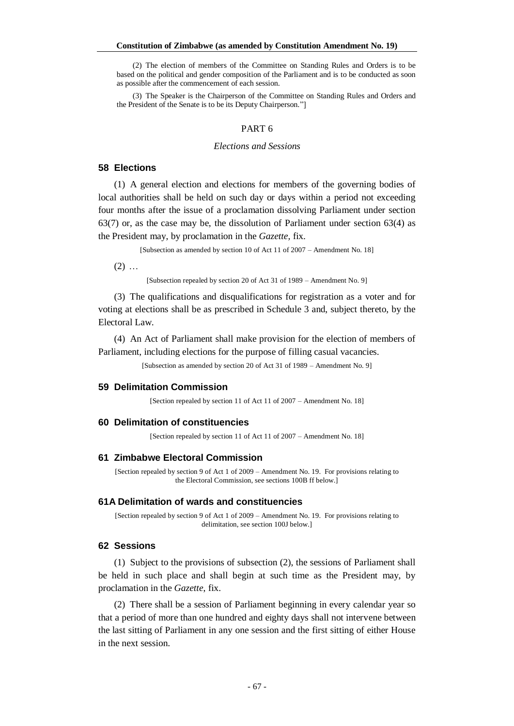(2) The election of members of the Committee on Standing Rules and Orders is to be based on the political and gender composition of the Parliament and is to be conducted as soon as possible after the commencement of each session.

(3) The Speaker is the Chairperson of the Committee on Standing Rules and Orders and the President of the Senate is to be its Deputy Chairperson."]

### PART 6

### *Elections and Sessions*

### **58 Elections**

(1) A general election and elections for members of the governing bodies of local authorities shall be held on such day or days within a period not exceeding four months after the issue of a proclamation dissolving Parliament under section 63(7) or, as the case may be, the dissolution of Parliament under section 63(4) as the President may, by proclamation in the *Gazette,* fix.

[Subsection as amended by section 10 of Act 11 of 2007 – Amendment No. 18]

 $(2)$  ...

[Subsection repealed by section 20 of Act 31 of 1989 – Amendment No. 9]

(3) The qualifications and disqualifications for registration as a voter and for voting at elections shall be as prescribed in Schedule 3 and, subject thereto, by the Electoral Law.

(4) An Act of Parliament shall make provision for the election of members of Parliament, including elections for the purpose of filling casual vacancies.

[Subsection as amended by section 20 of Act 31 of 1989 – Amendment No. 9]

#### **59 Delimitation Commission**

[Section repealed by section 11 of Act 11 of 2007 – Amendment No. 18]

#### **60 Delimitation of constituencies**

[Section repealed by section 11 of Act 11 of 2007 – Amendment No. 18]

#### **61 Zimbabwe Electoral Commission**

[Section repealed by section 9 of Act 1 of 2009 – Amendment No. 19. For provisions relating to the Electoral Commission, see sections 100B ff below.]

#### **61A Delimitation of wards and constituencies**

[Section repealed by section 9 of Act 1 of 2009 – Amendment No. 19. For provisions relating to delimitation, see section 100J below.]

# **62 Sessions**

(1) Subject to the provisions of subsection (2), the sessions of Parliament shall be held in such place and shall begin at such time as the President may, by proclamation in the *Gazette*, fix.

(2) There shall be a session of Parliament beginning in every calendar year so that a period of more than one hundred and eighty days shall not intervene between the last sitting of Parliament in any one session and the first sitting of either House in the next session.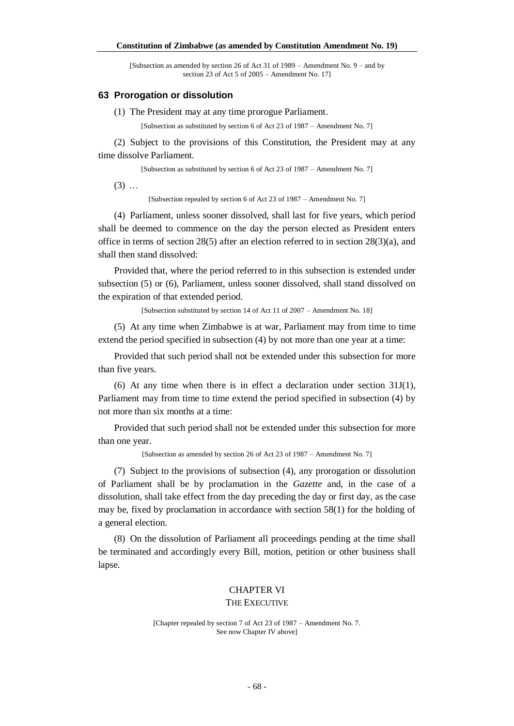[Subsection as amended by section 26 of Act 31 of  $1989 -$  Amendment No. 9 – and by section 23 of Act 5 of  $2005 -$ Amendment No. 17]

#### **63 Prorogation or dissolution**

(1) The President may at any time prorogue Parliament.

[Subsection as substituted by section 6 of Act 23 of 1987 – Amendment No. 7]

(2) Subject to the provisions of this Constitution, the President may at any time dissolve Parliament.

[Subsection as substituted by section 6 of Act 23 of 1987 – Amendment No. 7]

 $(3)$  ...

[Subsection repealed by section 6 of Act 23 of 1987 – Amendment No. 7]

(4) Parliament, unless sooner dissolved, shall last for five years, which period shall be deemed to commence on the day the person elected as President enters office in terms of section  $28(5)$  after an election referred to in section  $28(3)(a)$ , and shall then stand dissolved:

Provided that, where the period referred to in this subsection is extended under subsection (5) or (6), Parliament, unless sooner dissolved, shall stand dissolved on the expiration of that extended period.

[Subsection substituted by section 14 of Act 11 of 2007 – Amendment No. 18]

(5) At any time when Zimbabwe is at war, Parliament may from time to time extend the period specified in subsection (4) by not more than one year at a time:

Provided that such period shall not be extended under this subsection for more than five years.

(6) At any time when there is in effect a declaration under section  $31J(1)$ , Parliament may from time to time extend the period specified in subsection (4) by not more than six months at a time:

Provided that such period shall not be extended under this subsection for more than one year.

[Subsection as amended by section 26 of Act 23 of 1987 – Amendment No. 7]

(7) Subject to the provisions of subsection (4), any prorogation or dissolution of Parliament shall be by proclamation in the *Gazette* and, in the case of a dissolution, shall take effect from the day preceding the day or first day, as the case may be, fixed by proclamation in accordance with section 58(1) for the holding of a general election.

(8) On the dissolution of Parliament all proceedings pending at the time shall be terminated and accordingly every Bill, motion, petition or other business shall lapse.

### CHAPTER VI THE EXECUTIVE

[Chapter repealed by section 7 of Act 23 of 1987 – Amendment No. 7. See now Chapter IV above]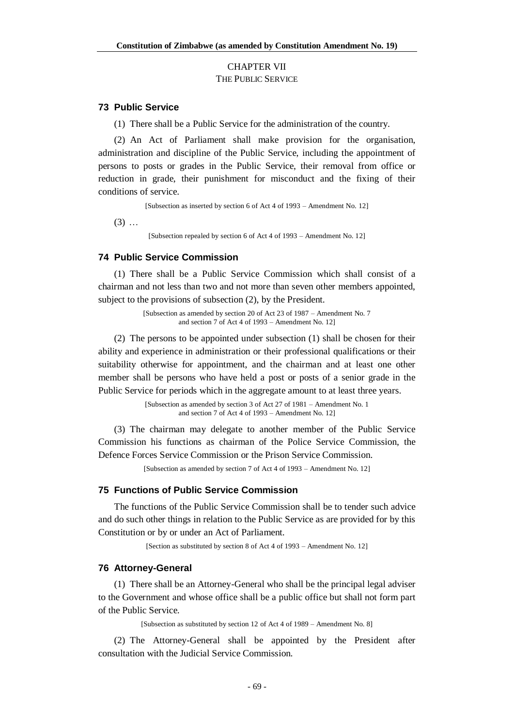# CHAPTER VII THE PUBLIC SERVICE

### **73 Public Service**

(1) There shall be a Public Service for the administration of the country.

(2) An Act of Parliament shall make provision for the organisation, administration and discipline of the Public Service, including the appointment of persons to posts or grades in the Public Service, their removal from office or reduction in grade, their punishment for misconduct and the fixing of their conditions of service.

[Subsection as inserted by section 6 of Act 4 of 1993 – Amendment No. 12]

 $(3)$  ...

[Subsection repealed by section 6 of Act 4 of 1993 – Amendment No. 12]

### **74 Public Service Commission**

(1) There shall be a Public Service Commission which shall consist of a chairman and not less than two and not more than seven other members appointed, subject to the provisions of subsection (2), by the President.

> [Subsection as amended by section 20 of Act 23 of 1987 – Amendment No. 7 and section 7 of Act 4 of 1993 – Amendment No. 12]

(2) The persons to be appointed under subsection (1) shall be chosen for their ability and experience in administration or their professional qualifications or their suitability otherwise for appointment, and the chairman and at least one other member shall be persons who have held a post or posts of a senior grade in the Public Service for periods which in the aggregate amount to at least three years.

> [Subsection as amended by section 3 of Act 27 of 1981 – Amendment No. 1 and section 7 of Act 4 of 1993 – Amendment No. 12]

(3) The chairman may delegate to another member of the Public Service Commission his functions as chairman of the Police Service Commission, the Defence Forces Service Commission or the Prison Service Commission.

[Subsection as amended by section 7 of Act 4 of 1993 – Amendment No. 12]

# **75 Functions of Public Service Commission**

The functions of the Public Service Commission shall be to tender such advice and do such other things in relation to the Public Service as are provided for by this Constitution or by or under an Act of Parliament.

[Section as substituted by section 8 of Act 4 of 1993 – Amendment No. 12]

### **76 Attorney-General**

(1) There shall be an Attorney-General who shall be the principal legal adviser to the Government and whose office shall be a public office but shall not form part of the Public Service.

[Subsection as substituted by section 12 of Act 4 of 1989 – Amendment No. 8]

(2) The Attorney-General shall be appointed by the President after consultation with the Judicial Service Commission.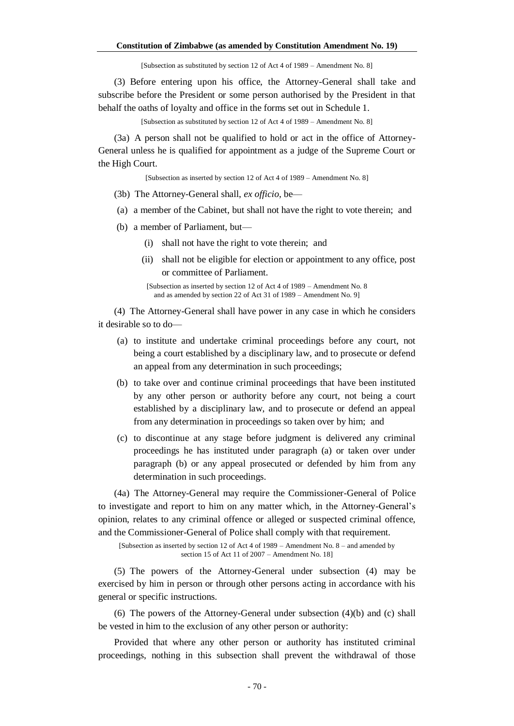[Subsection as substituted by section 12 of Act 4 of 1989 – Amendment No. 8]

(3) Before entering upon his office, the Attorney-General shall take and subscribe before the President or some person authorised by the President in that behalf the oaths of loyalty and office in the forms set out in Schedule 1.

[Subsection as substituted by section 12 of Act 4 of 1989 – Amendment No. 8]

(3a) A person shall not be qualified to hold or act in the office of Attorney-General unless he is qualified for appointment as a judge of the Supreme Court or the High Court.

[Subsection as inserted by section 12 of Act 4 of 1989 – Amendment No. 8]

- (3b) The Attorney-General shall, *ex officio*, be—
- (a) a member of the Cabinet, but shall not have the right to vote therein; and
- (b) a member of Parliament, but—
	- (i) shall not have the right to vote therein; and
	- (ii) shall not be eligible for election or appointment to any office, post or committee of Parliament.

[Subsection as inserted by section 12 of Act 4 of 1989 – Amendment No. 8 and as amended by section 22 of Act 31 of 1989 – Amendment No. 9]

(4) The Attorney-General shall have power in any case in which he considers it desirable so to do—

- (a) to institute and undertake criminal proceedings before any court, not being a court established by a disciplinary law, and to prosecute or defend an appeal from any determination in such proceedings;
- (b) to take over and continue criminal proceedings that have been instituted by any other person or authority before any court, not being a court established by a disciplinary law, and to prosecute or defend an appeal from any determination in proceedings so taken over by him; and
- (c) to discontinue at any stage before judgment is delivered any criminal proceedings he has instituted under paragraph (a) or taken over under paragraph (b) or any appeal prosecuted or defended by him from any determination in such proceedings.

(4a) The Attorney-General may require the Commissioner-General of Police to investigate and report to him on any matter which, in the Attorney-General's opinion, relates to any criminal offence or alleged or suspected criminal offence, and the Commissioner-General of Police shall comply with that requirement.

[Subsection as inserted by section 12 of Act 4 of 1989 – Amendment No. 8 – and amended by section 15 of Act 11 of 2007 – Amendment No. 18]

(5) The powers of the Attorney-General under subsection (4) may be exercised by him in person or through other persons acting in accordance with his general or specific instructions.

(6) The powers of the Attorney-General under subsection (4)(b) and (c) shall be vested in him to the exclusion of any other person or authority:

Provided that where any other person or authority has instituted criminal proceedings, nothing in this subsection shall prevent the withdrawal of those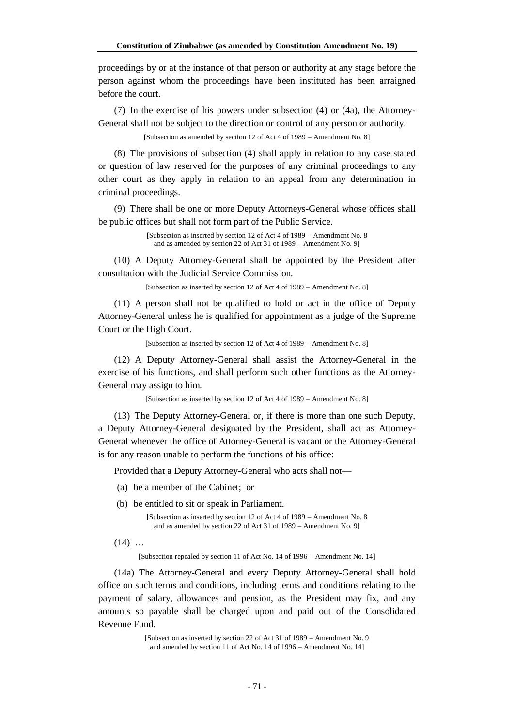proceedings by or at the instance of that person or authority at any stage before the person against whom the proceedings have been instituted has been arraigned before the court.

(7) In the exercise of his powers under subsection (4) or (4a), the Attorney-General shall not be subject to the direction or control of any person or authority.

[Subsection as amended by section 12 of Act 4 of 1989 – Amendment No. 8]

(8) The provisions of subsection (4) shall apply in relation to any case stated or question of law reserved for the purposes of any criminal proceedings to any other court as they apply in relation to an appeal from any determination in criminal proceedings.

(9) There shall be one or more Deputy Attorneys-General whose offices shall be public offices but shall not form part of the Public Service.

> [Subsection as inserted by section 12 of Act 4 of 1989 – Amendment No. 8 and as amended by section 22 of Act 31 of 1989 – Amendment No. 9]

(10) A Deputy Attorney-General shall be appointed by the President after consultation with the Judicial Service Commission.

[Subsection as inserted by section 12 of Act 4 of 1989 – Amendment No. 8]

(11) A person shall not be qualified to hold or act in the office of Deputy Attorney-General unless he is qualified for appointment as a judge of the Supreme Court or the High Court.

[Subsection as inserted by section 12 of Act 4 of 1989 – Amendment No. 8]

(12) A Deputy Attorney-General shall assist the Attorney-General in the exercise of his functions, and shall perform such other functions as the Attorney-General may assign to him.

[Subsection as inserted by section 12 of Act 4 of 1989 – Amendment No. 8]

(13) The Deputy Attorney-General or, if there is more than one such Deputy, a Deputy Attorney-General designated by the President, shall act as Attorney-General whenever the office of Attorney-General is vacant or the Attorney-General is for any reason unable to perform the functions of his office:

Provided that a Deputy Attorney-General who acts shall not—

(a) be a member of the Cabinet; or

(b) be entitled to sit or speak in Parliament.

[Subsection as inserted by section 12 of Act 4 of 1989 – Amendment No. 8 and as amended by section 22 of Act 31 of 1989 – Amendment No. 9]

 $(14)$  ...

[Subsection repealed by section 11 of Act No. 14 of 1996 – Amendment No. 14]

(14a) The Attorney-General and every Deputy Attorney-General shall hold office on such terms and conditions, including terms and conditions relating to the payment of salary, allowances and pension, as the President may fix, and any amounts so payable shall be charged upon and paid out of the Consolidated Revenue Fund.

> [Subsection as inserted by section 22 of Act 31 of 1989 – Amendment No. 9 and amended by section 11 of Act No. 14 of 1996 – Amendment No. 14]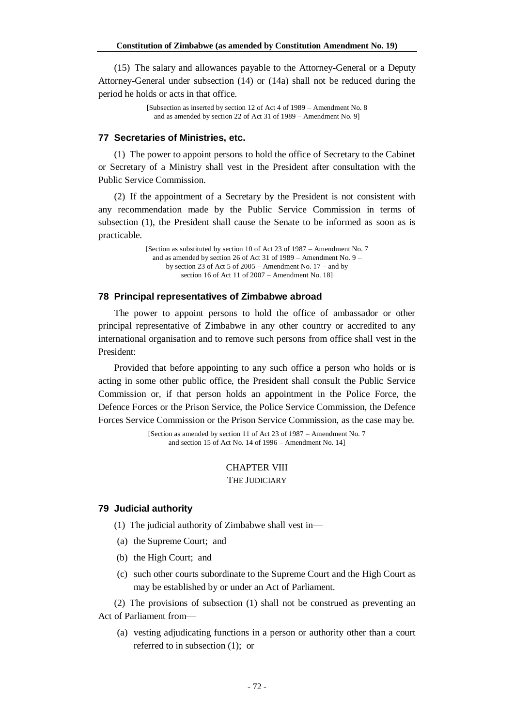(15) The salary and allowances payable to the Attorney-General or a Deputy Attorney-General under subsection (14) or (14a) shall not be reduced during the period he holds or acts in that office.

> [Subsection as inserted by section 12 of Act 4 of 1989 – Amendment No. 8 and as amended by section 22 of Act 31 of 1989 – Amendment No. 9]

#### **77 Secretaries of Ministries, etc.**

(1) The power to appoint persons to hold the office of Secretary to the Cabinet or Secretary of a Ministry shall vest in the President after consultation with the Public Service Commission.

(2) If the appointment of a Secretary by the President is not consistent with any recommendation made by the Public Service Commission in terms of subsection (1), the President shall cause the Senate to be informed as soon as is practicable.

> [Section as substituted by section 10 of Act 23 of 1987 – Amendment No. 7 and as amended by section 26 of Act 31 of 1989 – Amendment No. 9 – by section 23 of Act 5 of 2005 – Amendment No. 17 – and by section 16 of Act 11 of 2007 – Amendment No. 18]

## **78 Principal representatives of Zimbabwe abroad**

The power to appoint persons to hold the office of ambassador or other principal representative of Zimbabwe in any other country or accredited to any international organisation and to remove such persons from office shall vest in the President:

Provided that before appointing to any such office a person who holds or is acting in some other public office, the President shall consult the Public Service Commission or, if that person holds an appointment in the Police Force, the Defence Forces or the Prison Service, the Police Service Commission, the Defence Forces Service Commission or the Prison Service Commission, as the case may be.

> [Section as amended by section 11 of Act 23 of 1987 – Amendment No. 7 and section 15 of Act No. 14 of 1996 – Amendment No. 14]

# CHAPTER VIII THE **JUDICIARY**

### **79 Judicial authority**

- (1) The judicial authority of Zimbabwe shall vest in—
- (a) the Supreme Court; and
- (b) the High Court; and
- (c) such other courts subordinate to the Supreme Court and the High Court as may be established by or under an Act of Parliament.

(2) The provisions of subsection (1) shall not be construed as preventing an Act of Parliament from—

(a) vesting adjudicating functions in a person or authority other than a court referred to in subsection (1); or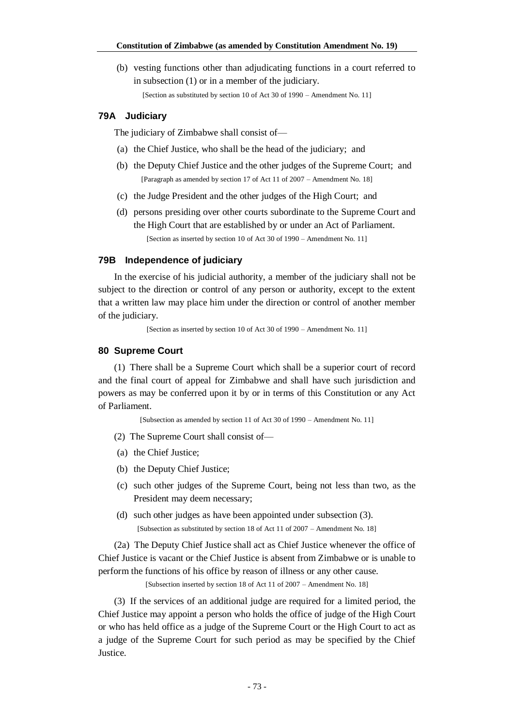(b) vesting functions other than adjudicating functions in a court referred to in subsection (1) or in a member of the judiciary. [Section as substituted by section 10 of Act 30 of 1990 – Amendment No. 11]

#### **79A Judiciary**

The judiciary of Zimbabwe shall consist of—

- (a) the Chief Justice, who shall be the head of the judiciary; and
- (b) the Deputy Chief Justice and the other judges of the Supreme Court; and [Paragraph as amended by section 17 of Act 11 of 2007 – Amendment No. 18]
- (c) the Judge President and the other judges of the High Court; and
- (d) persons presiding over other courts subordinate to the Supreme Court and the High Court that are established by or under an Act of Parliament. [Section as inserted by section 10 of Act 30 of 1990 – Amendment No. 11]

### **79B Independence of judiciary**

In the exercise of his judicial authority, a member of the judiciary shall not be subject to the direction or control of any person or authority, except to the extent that a written law may place him under the direction or control of another member of the judiciary.

[Section as inserted by section 10 of Act 30 of  $1990 -$  Amendment No. 11]

### **80 Supreme Court**

(1) There shall be a Supreme Court which shall be a superior court of record and the final court of appeal for Zimbabwe and shall have such jurisdiction and powers as may be conferred upon it by or in terms of this Constitution or any Act of Parliament.

[Subsection as amended by section 11 of Act 30 of 1990 – Amendment No. 11]

- (2) The Supreme Court shall consist of—
- (a) the Chief Justice;
- (b) the Deputy Chief Justice;
- (c) such other judges of the Supreme Court, being not less than two, as the President may deem necessary;
- (d) such other judges as have been appointed under subsection (3). [Subsection as substituted by section 18 of Act 11 of 2007 – Amendment No. 18]

(2a) The Deputy Chief Justice shall act as Chief Justice whenever the office of Chief Justice is vacant or the Chief Justice is absent from Zimbabwe or is unable to perform the functions of his office by reason of illness or any other cause.

[Subsection inserted by section 18 of Act 11 of 2007 – Amendment No. 18]

(3) If the services of an additional judge are required for a limited period, the Chief Justice may appoint a person who holds the office of judge of the High Court or who has held office as a judge of the Supreme Court or the High Court to act as a judge of the Supreme Court for such period as may be specified by the Chief Justice.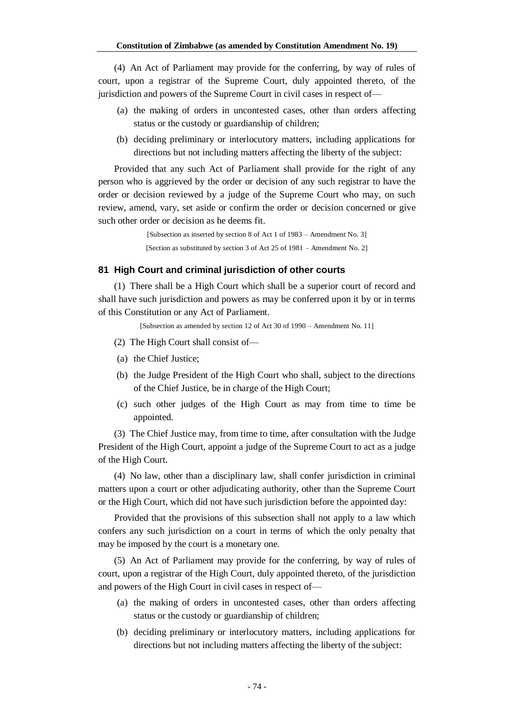(4) An Act of Parliament may provide for the conferring, by way of rules of court, upon a registrar of the Supreme Court, duly appointed thereto, of the jurisdiction and powers of the Supreme Court in civil cases in respect of—

- (a) the making of orders in uncontested cases, other than orders affecting status or the custody or guardianship of children;
- (b) deciding preliminary or interlocutory matters, including applications for directions but not including matters affecting the liberty of the subject:

Provided that any such Act of Parliament shall provide for the right of any person who is aggrieved by the order or decision of any such registrar to have the order or decision reviewed by a judge of the Supreme Court who may, on such review, amend, vary, set aside or confirm the order or decision concerned or give such other order or decision as he deems fit.

> [Subsection as inserted by section 8 of Act 1 of 1983 – Amendment No. 3] [Section as substituted by section 3 of Act 25 of 1981 – Amendment No. 2]

### **81 High Court and criminal jurisdiction of other courts**

(1) There shall be a High Court which shall be a superior court of record and shall have such jurisdiction and powers as may be conferred upon it by or in terms of this Constitution or any Act of Parliament.

[Subsection as amended by section 12 of Act 30 of 1990 – Amendment No. 11]

- (2) The High Court shall consist of—
- (a) the Chief Justice;
- (b) the Judge President of the High Court who shall, subject to the directions of the Chief Justice, be in charge of the High Court;
- (c) such other judges of the High Court as may from time to time be appointed.

(3) The Chief Justice may, from time to time, after consultation with the Judge President of the High Court, appoint a judge of the Supreme Court to act as a judge of the High Court.

(4) No law, other than a disciplinary law, shall confer jurisdiction in criminal matters upon a court or other adjudicating authority, other than the Supreme Court or the High Court, which did not have such jurisdiction before the appointed day:

Provided that the provisions of this subsection shall not apply to a law which confers any such jurisdiction on a court in terms of which the only penalty that may be imposed by the court is a monetary one.

(5) An Act of Parliament may provide for the conferring, by way of rules of court, upon a registrar of the High Court, duly appointed thereto, of the jurisdiction and powers of the High Court in civil cases in respect of—

- (a) the making of orders in uncontested cases, other than orders affecting status or the custody or guardianship of children;
- (b) deciding preliminary or interlocutory matters, including applications for directions but not including matters affecting the liberty of the subject: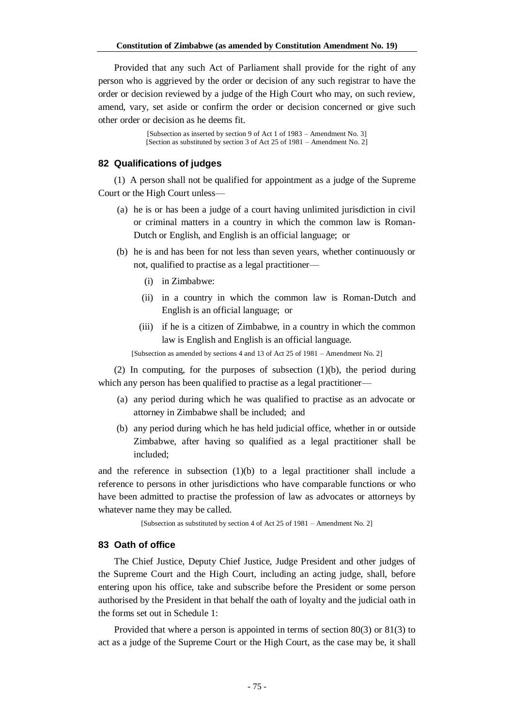Provided that any such Act of Parliament shall provide for the right of any person who is aggrieved by the order or decision of any such registrar to have the order or decision reviewed by a judge of the High Court who may, on such review, amend, vary, set aside or confirm the order or decision concerned or give such other order or decision as he deems fit.

> [Subsection as inserted by section 9 of Act 1 of 1983 – Amendment No. 3] [Section as substituted by section 3 of Act 25 of 1981 – Amendment No. 2]

### **82 Qualifications of judges**

(1) A person shall not be qualified for appointment as a judge of the Supreme Court or the High Court unless—

- (a) he is or has been a judge of a court having unlimited jurisdiction in civil or criminal matters in a country in which the common law is Roman-Dutch or English, and English is an official language; or
- (b) he is and has been for not less than seven years, whether continuously or not, qualified to practise as a legal practitioner—
	- (i) in Zimbabwe:
	- (ii) in a country in which the common law is Roman-Dutch and English is an official language; or
	- (iii) if he is a citizen of Zimbabwe, in a country in which the common law is English and English is an official language.

[Subsection as amended by sections 4 and 13 of Act 25 of 1981 – Amendment No. 2]

(2) In computing, for the purposes of subsection (1)(b), the period during which any person has been qualified to practise as a legal practitioner—

- (a) any period during which he was qualified to practise as an advocate or attorney in Zimbabwe shall be included; and
- (b) any period during which he has held judicial office, whether in or outside Zimbabwe, after having so qualified as a legal practitioner shall be included;

and the reference in subsection  $(1)(b)$  to a legal practitioner shall include a reference to persons in other jurisdictions who have comparable functions or who have been admitted to practise the profession of law as advocates or attorneys by whatever name they may be called.

```
[Subsection as substituted by section 4 of Act 25 of 1981 – Amendment No. 2]
```
### **83 Oath of office**

The Chief Justice, Deputy Chief Justice, Judge President and other judges of the Supreme Court and the High Court, including an acting judge, shall, before entering upon his office, take and subscribe before the President or some person authorised by the President in that behalf the oath of loyalty and the judicial oath in the forms set out in Schedule 1:

Provided that where a person is appointed in terms of section 80(3) or 81(3) to act as a judge of the Supreme Court or the High Court, as the case may be, it shall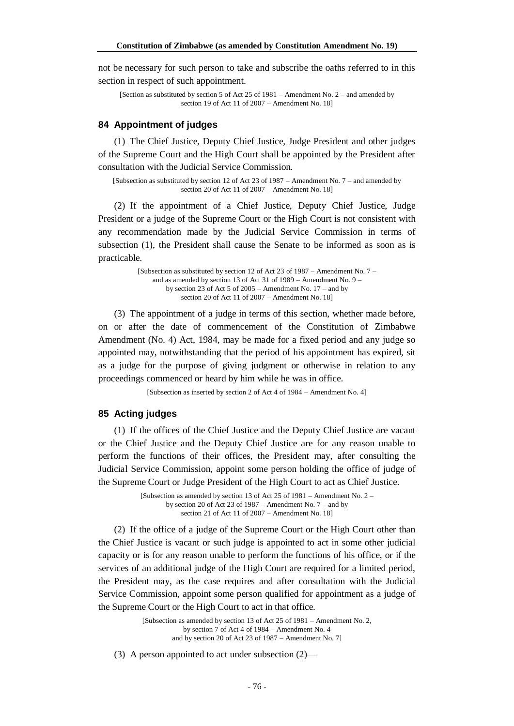not be necessary for such person to take and subscribe the oaths referred to in this section in respect of such appointment.

```
[Section as substituted by section 5 of Act 25 of 1981 -Amendment No. 2 – and amended by
               section 19 of Act 11 of 2007 – Amendment No. 18]
```
### **84 Appointment of judges**

(1) The Chief Justice, Deputy Chief Justice, Judge President and other judges of the Supreme Court and the High Court shall be appointed by the President after consultation with the Judicial Service Commission.

```
[Subsection as substituted by section 12 of Act 23 of 1987 – Amendment No. 7 – and amended by 
                 section 20 of Act 11 of 2007 – Amendment No. 18]
```
(2) If the appointment of a Chief Justice, Deputy Chief Justice, Judge President or a judge of the Supreme Court or the High Court is not consistent with any recommendation made by the Judicial Service Commission in terms of subsection (1), the President shall cause the Senate to be informed as soon as is practicable.

```
[Subsection as substituted by section 12 of Act 23 of 1987 – Amendment No. 7 –
and as amended by section 13 of Act 31 of 1989 – Amendment No. 9 –
     by section 23 of Act 5 of 2005 – Amendment No. 17 – and by 
          section 20 of Act 11 of 2007 – Amendment No. 18]
```
(3) The appointment of a judge in terms of this section, whether made before, on or after the date of commencement of the Constitution of Zimbabwe Amendment (No. 4) Act, 1984, may be made for a fixed period and any judge so appointed may, notwithstanding that the period of his appointment has expired, sit as a judge for the purpose of giving judgment or otherwise in relation to any proceedings commenced or heard by him while he was in office.

[Subsection as inserted by section 2 of Act 4 of 1984 – Amendment No. 4]

### **85 Acting judges**

(1) If the offices of the Chief Justice and the Deputy Chief Justice are vacant or the Chief Justice and the Deputy Chief Justice are for any reason unable to perform the functions of their offices, the President may, after consulting the Judicial Service Commission, appoint some person holding the office of judge of the Supreme Court or Judge President of the High Court to act as Chief Justice.

```
[Subsection as amended by section 13 of Act 25 of 1981 – Amendment No. 2 –
   by section 20 of Act 23 of 1987 – Amendment No. 7 – and by 
        section 21 of Act 11 of 2007 – Amendment No. 18]
```
(2) If the office of a judge of the Supreme Court or the High Court other than the Chief Justice is vacant or such judge is appointed to act in some other judicial capacity or is for any reason unable to perform the functions of his office, or if the services of an additional judge of the High Court are required for a limited period, the President may, as the case requires and after consultation with the Judicial Service Commission, appoint some person qualified for appointment as a judge of the Supreme Court or the High Court to act in that office.

> [Subsection as amended by section 13 of Act 25 of 1981 – Amendment No. 2, by section 7 of Act 4 of 1984 – Amendment No. 4 and by section 20 of Act 23 of 1987 – Amendment No. 7]

(3) A person appointed to act under subsection (2)—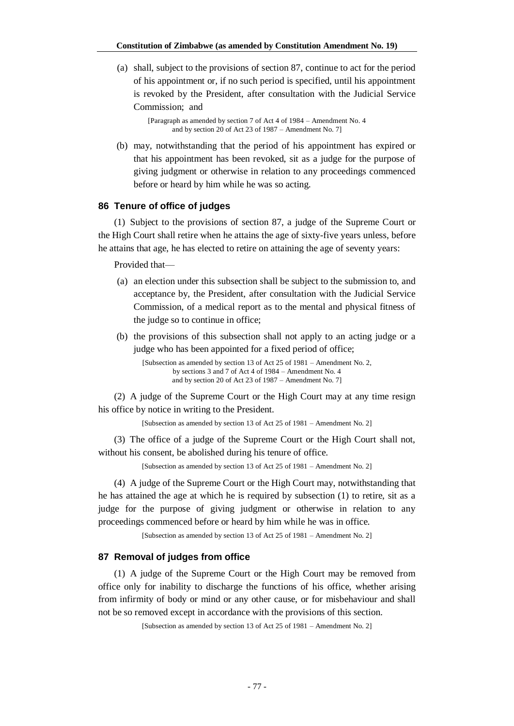(a) shall, subject to the provisions of section 87, continue to act for the period of his appointment or, if no such period is specified, until his appointment is revoked by the President, after consultation with the Judicial Service Commission; and

> [Paragraph as amended by section 7 of Act 4 of 1984 – Amendment No. 4 and by section 20 of Act 23 of 1987 – Amendment No. 7]

(b) may, notwithstanding that the period of his appointment has expired or that his appointment has been revoked, sit as a judge for the purpose of giving judgment or otherwise in relation to any proceedings commenced before or heard by him while he was so acting.

### **86 Tenure of office of judges**

(1) Subject to the provisions of section 87, a judge of the Supreme Court or the High Court shall retire when he attains the age of sixty-five years unless, before he attains that age, he has elected to retire on attaining the age of seventy years:

Provided that—

- (a) an election under this subsection shall be subject to the submission to, and acceptance by, the President, after consultation with the Judicial Service Commission, of a medical report as to the mental and physical fitness of the judge so to continue in office;
- (b) the provisions of this subsection shall not apply to an acting judge or a judge who has been appointed for a fixed period of office;

[Subsection as amended by section 13 of Act 25 of 1981 – Amendment No. 2, by sections 3 and 7 of Act 4 of 1984 – Amendment No. 4 and by section 20 of Act 23 of 1987 – Amendment No. 7]

(2) A judge of the Supreme Court or the High Court may at any time resign his office by notice in writing to the President.

[Subsection as amended by section 13 of Act 25 of 1981 – Amendment No. 2]

(3) The office of a judge of the Supreme Court or the High Court shall not, without his consent, be abolished during his tenure of office.

[Subsection as amended by section 13 of Act 25 of 1981 – Amendment No. 2]

(4) A judge of the Supreme Court or the High Court may, notwithstanding that he has attained the age at which he is required by subsection (1) to retire, sit as a judge for the purpose of giving judgment or otherwise in relation to any proceedings commenced before or heard by him while he was in office.

[Subsection as amended by section 13 of Act 25 of 1981 – Amendment No. 2]

# **87 Removal of judges from office**

(1) A judge of the Supreme Court or the High Court may be removed from office only for inability to discharge the functions of his office, whether arising from infirmity of body or mind or any other cause, or for misbehaviour and shall not be so removed except in accordance with the provisions of this section.

[Subsection as amended by section 13 of Act 25 of 1981 – Amendment No. 2]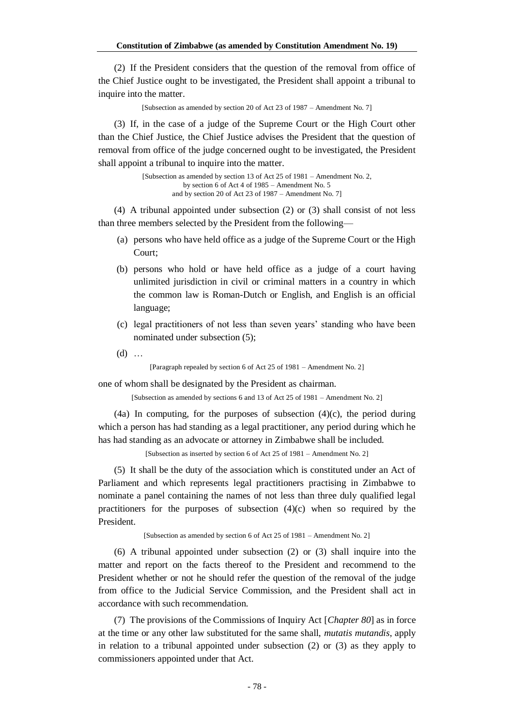(2) If the President considers that the question of the removal from office of the Chief Justice ought to be investigated, the President shall appoint a tribunal to inquire into the matter.

[Subsection as amended by section 20 of Act 23 of 1987 – Amendment No. 7]

(3) If, in the case of a judge of the Supreme Court or the High Court other than the Chief Justice, the Chief Justice advises the President that the question of removal from office of the judge concerned ought to be investigated, the President shall appoint a tribunal to inquire into the matter.

```
[Subsection as amended by section 13 of Act 25 of 1981 – Amendment No. 2, 
         by section 6 of Act 4 of 1985 – Amendment No. 5 
     and by section 20 of Act 23 of 1987 – Amendment No. 7]
```
(4) A tribunal appointed under subsection (2) or (3) shall consist of not less than three members selected by the President from the following—

- (a) persons who have held office as a judge of the Supreme Court or the High Court;
- (b) persons who hold or have held office as a judge of a court having unlimited jurisdiction in civil or criminal matters in a country in which the common law is Roman-Dutch or English, and English is an official language;
- (c) legal practitioners of not less than seven years' standing who have been nominated under subsection (5);
- (d) …

[Paragraph repealed by section 6 of Act 25 of 1981 – Amendment No. 2]

one of whom shall be designated by the President as chairman.

[Subsection as amended by sections 6 and 13 of Act 25 of 1981 – Amendment No. 2]

 $(4a)$  In computing, for the purposes of subsection  $(4)(c)$ , the period during which a person has had standing as a legal practitioner, any period during which he has had standing as an advocate or attorney in Zimbabwe shall be included.

[Subsection as inserted by section 6 of Act 25 of  $1981 -$ Amendment No. 2]

(5) It shall be the duty of the association which is constituted under an Act of Parliament and which represents legal practitioners practising in Zimbabwe to nominate a panel containing the names of not less than three duly qualified legal practitioners for the purposes of subsection  $(4)(c)$  when so required by the President.

```
[Subsection as amended by section 6 of Act 25 of 1981 – Amendment No. 2]
```
(6) A tribunal appointed under subsection (2) or (3) shall inquire into the matter and report on the facts thereof to the President and recommend to the President whether or not he should refer the question of the removal of the judge from office to the Judicial Service Commission, and the President shall act in accordance with such recommendation.

(7) The provisions of the Commissions of Inquiry Act [*Chapter 80*] as in force at the time or any other law substituted for the same shall, *mutatis mutandis*, apply in relation to a tribunal appointed under subsection (2) or (3) as they apply to commissioners appointed under that Act.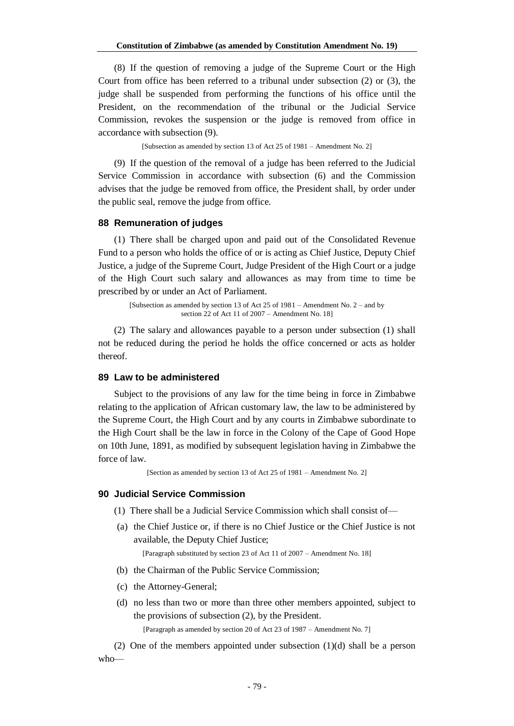(8) If the question of removing a judge of the Supreme Court or the High Court from office has been referred to a tribunal under subsection (2) or (3), the judge shall be suspended from performing the functions of his office until the President, on the recommendation of the tribunal or the Judicial Service Commission, revokes the suspension or the judge is removed from office in accordance with subsection (9).

[Subsection as amended by section 13 of Act 25 of 1981 – Amendment No. 2]

(9) If the question of the removal of a judge has been referred to the Judicial Service Commission in accordance with subsection (6) and the Commission advises that the judge be removed from office, the President shall, by order under the public seal, remove the judge from office.

### **88 Remuneration of judges**

(1) There shall be charged upon and paid out of the Consolidated Revenue Fund to a person who holds the office of or is acting as Chief Justice, Deputy Chief Justice, a judge of the Supreme Court, Judge President of the High Court or a judge of the High Court such salary and allowances as may from time to time be prescribed by or under an Act of Parliament.

```
[Subsection as amended by section 13 of Act 25 of 1981 - Amendment No. 2 – and by
            section 22 of Act 11 of 2007 – Amendment No. 18]
```
(2) The salary and allowances payable to a person under subsection (1) shall not be reduced during the period he holds the office concerned or acts as holder thereof.

#### **89 Law to be administered**

Subject to the provisions of any law for the time being in force in Zimbabwe relating to the application of African customary law, the law to be administered by the Supreme Court, the High Court and by any courts in Zimbabwe subordinate to the High Court shall be the law in force in the Colony of the Cape of Good Hope on 10th June, 1891, as modified by subsequent legislation having in Zimbabwe the force of law.

[Section as amended by section 13 of Act 25 of 1981 – Amendment No. 2]

#### **90 Judicial Service Commission**

- (1) There shall be a Judicial Service Commission which shall consist of—
- (a) the Chief Justice or, if there is no Chief Justice or the Chief Justice is not available, the Deputy Chief Justice;

[Paragraph substituted by section 23 of Act 11 of 2007 – Amendment No. 18]

- (b) the Chairman of the Public Service Commission;
- (c) the Attorney-General;
- (d) no less than two or more than three other members appointed, subject to the provisions of subsection (2), by the President.

[Paragraph as amended by section 20 of Act 23 of 1987 – Amendment No. 7]

(2) One of the members appointed under subsection (1)(d) shall be a person who—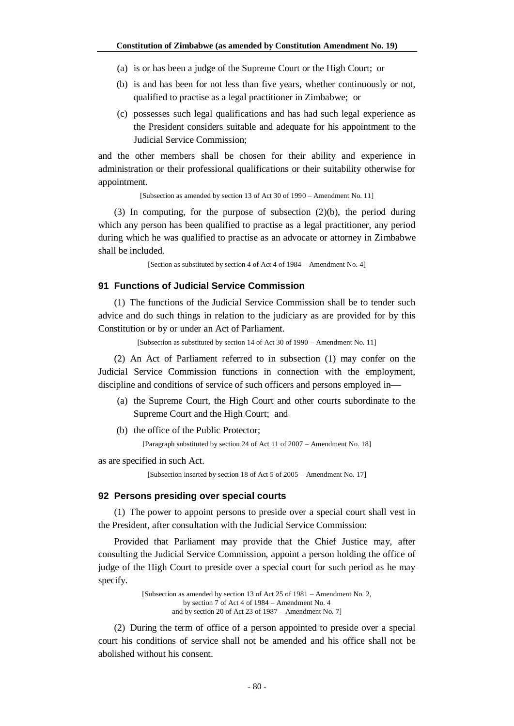- (a) is or has been a judge of the Supreme Court or the High Court; or
- (b) is and has been for not less than five years, whether continuously or not, qualified to practise as a legal practitioner in Zimbabwe; or
- (c) possesses such legal qualifications and has had such legal experience as the President considers suitable and adequate for his appointment to the Judicial Service Commission;

and the other members shall be chosen for their ability and experience in administration or their professional qualifications or their suitability otherwise for appointment.

[Subsection as amended by section 13 of Act 30 of 1990 – Amendment No. 11]

(3) In computing, for the purpose of subsection (2)(b), the period during which any person has been qualified to practise as a legal practitioner, any period during which he was qualified to practise as an advocate or attorney in Zimbabwe shall be included.

[Section as substituted by section 4 of Act 4 of 1984 – Amendment No. 4]

#### **91 Functions of Judicial Service Commission**

(1) The functions of the Judicial Service Commission shall be to tender such advice and do such things in relation to the judiciary as are provided for by this Constitution or by or under an Act of Parliament.

[Subsection as substituted by section 14 of Act 30 of 1990 – Amendment No. 11]

(2) An Act of Parliament referred to in subsection (1) may confer on the Judicial Service Commission functions in connection with the employment, discipline and conditions of service of such officers and persons employed in—

- (a) the Supreme Court, the High Court and other courts subordinate to the Supreme Court and the High Court; and
- (b) the office of the Public Protector;

[Paragraph substituted by section 24 of Act 11 of 2007 – Amendment No. 18]

as are specified in such Act.

[Subsection inserted by section 18 of Act 5 of 2005 – Amendment No. 17]

### **92 Persons presiding over special courts**

(1) The power to appoint persons to preside over a special court shall vest in the President, after consultation with the Judicial Service Commission:

Provided that Parliament may provide that the Chief Justice may, after consulting the Judicial Service Commission, appoint a person holding the office of judge of the High Court to preside over a special court for such period as he may specify.

```
[Subsection as amended by section 13 of Act 25 of 1981 – Amendment No. 2,
         by section 7 of Act 4 of 1984 – Amendment No. 4 
     and by section 20 of Act 23 of 1987 – Amendment No. 7]
```
(2) During the term of office of a person appointed to preside over a special court his conditions of service shall not be amended and his office shall not be abolished without his consent.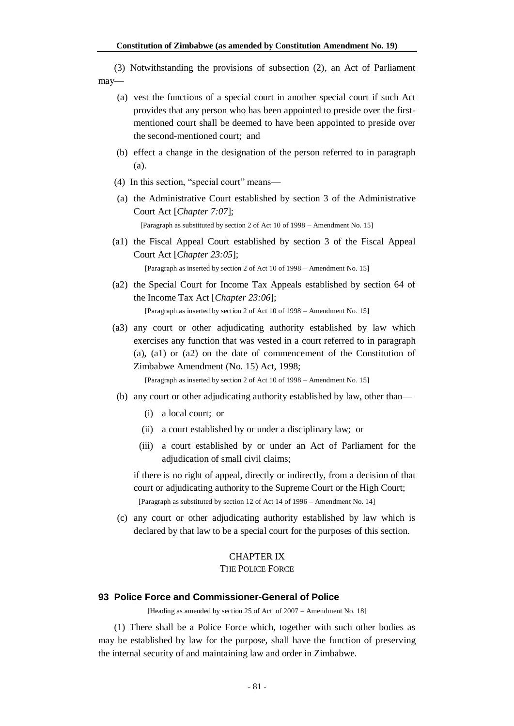(3) Notwithstanding the provisions of subsection (2), an Act of Parliament may—

- (a) vest the functions of a special court in another special court if such Act provides that any person who has been appointed to preside over the firstmentioned court shall be deemed to have been appointed to preside over the second-mentioned court; and
- (b) effect a change in the designation of the person referred to in paragraph (a).
- (4) In this section, "special court" means—
- (a) the Administrative Court established by section 3 of the Administrative Court Act [*Chapter 7:07*]; [Paragraph as substituted by section 2 of Act 10 of 1998 – Amendment No. 15]
- (a1) the Fiscal Appeal Court established by section 3 of the Fiscal Appeal Court Act [*Chapter 23:05*]; [Paragraph as inserted by section 2 of Act 10 of 1998 – Amendment No. 15]

(a2) the Special Court for Income Tax Appeals established by section 64 of the Income Tax Act [*Chapter 23:06*];

[Paragraph as inserted by section 2 of Act 10 of 1998 – Amendment No. 15]

(a3) any court or other adjudicating authority established by law which exercises any function that was vested in a court referred to in paragraph (a), (a1) or (a2) on the date of commencement of the Constitution of Zimbabwe Amendment (No. 15) Act, 1998;

[Paragraph as inserted by section 2 of Act 10 of 1998 – Amendment No. 15]

- (b) any court or other adjudicating authority established by law, other than—
	- (i) a local court; or
	- (ii) a court established by or under a disciplinary law; or
	- (iii) a court established by or under an Act of Parliament for the adjudication of small civil claims:

if there is no right of appeal, directly or indirectly, from a decision of that court or adjudicating authority to the Supreme Court or the High Court; [Paragraph as substituted by section 12 of Act 14 of 1996 – Amendment No. 14]

(c) any court or other adjudicating authority established by law which is declared by that law to be a special court for the purposes of this section.

### CHAPTER IX

#### THE POLICE FORCE

#### **93 Police Force and Commissioner-General of Police**

[Heading as amended by section 25 of Act of 2007 – Amendment No. 18]

(1) There shall be a Police Force which, together with such other bodies as may be established by law for the purpose, shall have the function of preserving the internal security of and maintaining law and order in Zimbabwe.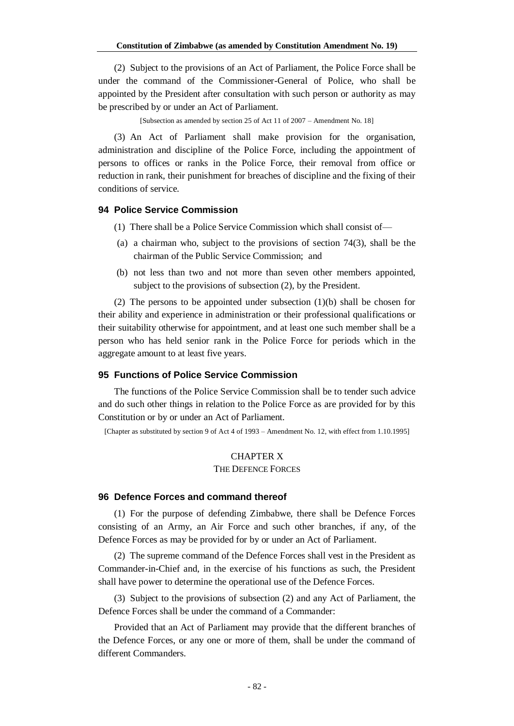(2) Subject to the provisions of an Act of Parliament, the Police Force shall be under the command of the Commissioner-General of Police, who shall be appointed by the President after consultation with such person or authority as may be prescribed by or under an Act of Parliament.

[Subsection as amended by section 25 of Act 11 of 2007 – Amendment No. 18]

(3) An Act of Parliament shall make provision for the organisation, administration and discipline of the Police Force, including the appointment of persons to offices or ranks in the Police Force, their removal from office or reduction in rank, their punishment for breaches of discipline and the fixing of their conditions of service.

### **94 Police Service Commission**

- (1) There shall be a Police Service Commission which shall consist of—
- (a) a chairman who, subject to the provisions of section 74(3), shall be the chairman of the Public Service Commission; and
- (b) not less than two and not more than seven other members appointed, subject to the provisions of subsection (2), by the President.

(2) The persons to be appointed under subsection (1)(b) shall be chosen for their ability and experience in administration or their professional qualifications or their suitability otherwise for appointment, and at least one such member shall be a person who has held senior rank in the Police Force for periods which in the aggregate amount to at least five years.

# **95 Functions of Police Service Commission**

The functions of the Police Service Commission shall be to tender such advice and do such other things in relation to the Police Force as are provided for by this Constitution or by or under an Act of Parliament.

[Chapter as substituted by section 9 of Act 4 of 1993 – Amendment No. 12, with effect from 1.10.1995]

# CHAPTER X

### THE DEFENCE FORCES

### **96 Defence Forces and command thereof**

(1) For the purpose of defending Zimbabwe, there shall be Defence Forces consisting of an Army, an Air Force and such other branches, if any, of the Defence Forces as may be provided for by or under an Act of Parliament.

(2) The supreme command of the Defence Forces shall vest in the President as Commander-in-Chief and, in the exercise of his functions as such, the President shall have power to determine the operational use of the Defence Forces.

(3) Subject to the provisions of subsection (2) and any Act of Parliament, the Defence Forces shall be under the command of a Commander:

Provided that an Act of Parliament may provide that the different branches of the Defence Forces, or any one or more of them, shall be under the command of different Commanders.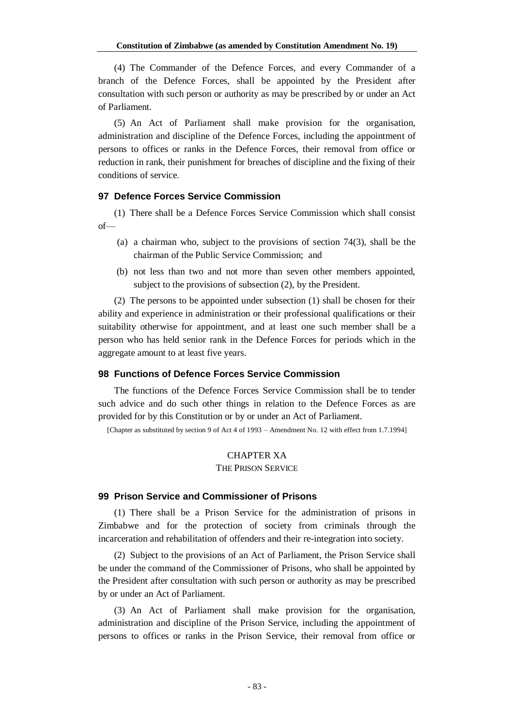(4) The Commander of the Defence Forces, and every Commander of a branch of the Defence Forces, shall be appointed by the President after consultation with such person or authority as may be prescribed by or under an Act of Parliament.

(5) An Act of Parliament shall make provision for the organisation, administration and discipline of the Defence Forces, including the appointment of persons to offices or ranks in the Defence Forces, their removal from office or reduction in rank, their punishment for breaches of discipline and the fixing of their conditions of service.

### **97 Defence Forces Service Commission**

(1) There shall be a Defence Forces Service Commission which shall consist of—

- (a) a chairman who, subject to the provisions of section 74(3), shall be the chairman of the Public Service Commission; and
- (b) not less than two and not more than seven other members appointed, subject to the provisions of subsection (2), by the President.

(2) The persons to be appointed under subsection (1) shall be chosen for their ability and experience in administration or their professional qualifications or their suitability otherwise for appointment, and at least one such member shall be a person who has held senior rank in the Defence Forces for periods which in the aggregate amount to at least five years.

# **98 Functions of Defence Forces Service Commission**

The functions of the Defence Forces Service Commission shall be to tender such advice and do such other things in relation to the Defence Forces as are provided for by this Constitution or by or under an Act of Parliament.

[Chapter as substituted by section 9 of Act 4 of 1993 – Amendment No. 12 with effect from 1.7.1994]

### CHAPTER XA THE PRISON SERVICE

### **99 Prison Service and Commissioner of Prisons**

(1) There shall be a Prison Service for the administration of prisons in Zimbabwe and for the protection of society from criminals through the incarceration and rehabilitation of offenders and their re-integration into society.

(2) Subject to the provisions of an Act of Parliament, the Prison Service shall be under the command of the Commissioner of Prisons, who shall be appointed by the President after consultation with such person or authority as may be prescribed by or under an Act of Parliament.

(3) An Act of Parliament shall make provision for the organisation, administration and discipline of the Prison Service, including the appointment of persons to offices or ranks in the Prison Service, their removal from office or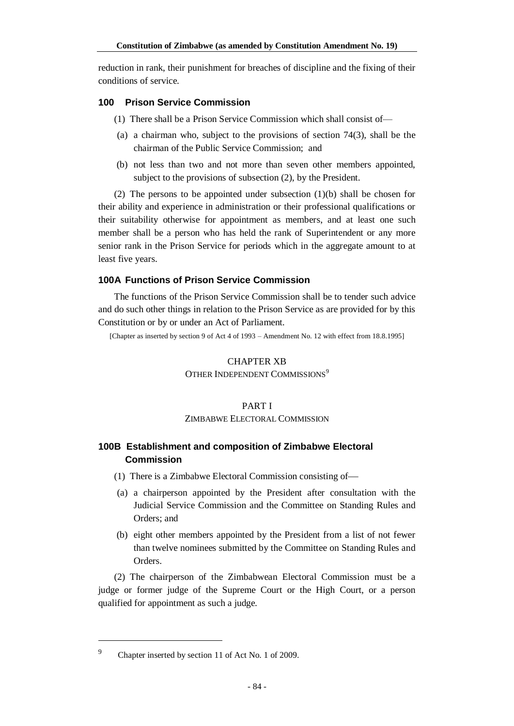reduction in rank, their punishment for breaches of discipline and the fixing of their conditions of service.

# **100 Prison Service Commission**

- (1) There shall be a Prison Service Commission which shall consist of—
- (a) a chairman who, subject to the provisions of section 74(3), shall be the chairman of the Public Service Commission; and
- (b) not less than two and not more than seven other members appointed, subject to the provisions of subsection (2), by the President.

(2) The persons to be appointed under subsection (1)(b) shall be chosen for their ability and experience in administration or their professional qualifications or their suitability otherwise for appointment as members, and at least one such member shall be a person who has held the rank of Superintendent or any more senior rank in the Prison Service for periods which in the aggregate amount to at least five years.

# **100A Functions of Prison Service Commission**

The functions of the Prison Service Commission shall be to tender such advice and do such other things in relation to the Prison Service as are provided for by this Constitution or by or under an Act of Parliament.

[Chapter as inserted by section 9 of Act 4 of 1993 – Amendment No. 12 with effect from 18.8.1995]

# CHAPTER XB OTHER INDEPENDENT COMMISSIONS<sup>9</sup>

# PART I ZIMBABWE ELECTORAL COMMISSION

# **100B Establishment and composition of Zimbabwe Electoral Commission**

- (1) There is a Zimbabwe Electoral Commission consisting of—
- (a) a chairperson appointed by the President after consultation with the Judicial Service Commission and the Committee on Standing Rules and Orders; and
- (b) eight other members appointed by the President from a list of not fewer than twelve nominees submitted by the Committee on Standing Rules and Orders.

(2) The chairperson of the Zimbabwean Electoral Commission must be a judge or former judge of the Supreme Court or the High Court, or a person qualified for appointment as such a judge.

 $\overline{a}$ 

<sup>9</sup> Chapter inserted by section 11 of Act No. 1 of 2009.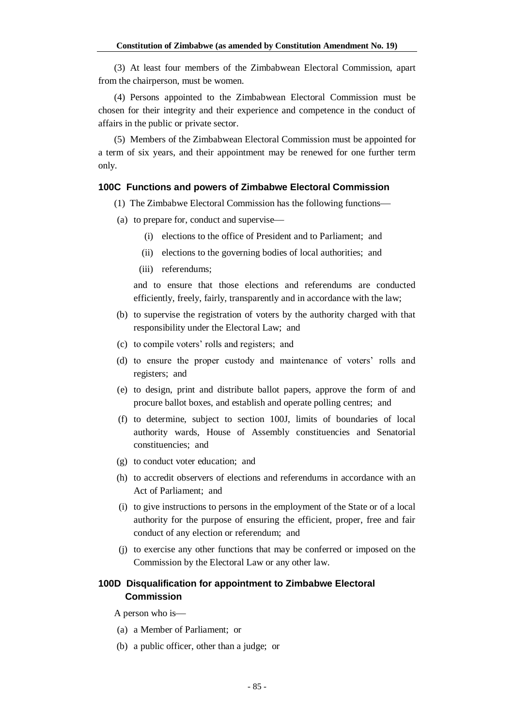(3) At least four members of the Zimbabwean Electoral Commission, apart from the chairperson, must be women.

(4) Persons appointed to the Zimbabwean Electoral Commission must be chosen for their integrity and their experience and competence in the conduct of affairs in the public or private sector.

(5) Members of the Zimbabwean Electoral Commission must be appointed for a term of six years, and their appointment may be renewed for one further term only.

### **100C Functions and powers of Zimbabwe Electoral Commission**

- (1) The Zimbabwe Electoral Commission has the following functions—
- (a) to prepare for, conduct and supervise $\overline{\phantom{a}}$ 
	- (i) elections to the office of President and to Parliament; and
	- (ii) elections to the governing bodies of local authorities; and
	- (iii) referendums;

and to ensure that those elections and referendums are conducted efficiently, freely, fairly, transparently and in accordance with the law;

- (b) to supervise the registration of voters by the authority charged with that responsibility under the Electoral Law; and
- (c) to compile voters' rolls and registers; and
- (d) to ensure the proper custody and maintenance of voters' rolls and registers; and
- (e) to design, print and distribute ballot papers, approve the form of and procure ballot boxes, and establish and operate polling centres; and
- (f) to determine, subject to section 100J, limits of boundaries of local authority wards, House of Assembly constituencies and Senatorial constituencies; and
- (g) to conduct voter education; and
- (h) to accredit observers of elections and referendums in accordance with an Act of Parliament; and
- (i) to give instructions to persons in the employment of the State or of a local authority for the purpose of ensuring the efficient, proper, free and fair conduct of any election or referendum; and
- (j) to exercise any other functions that may be conferred or imposed on the Commission by the Electoral Law or any other law.

# **100D Disqualification for appointment to Zimbabwe Electoral Commission**

A person who is  $\equiv$ 

- (a) a Member of Parliament; or
- (b) a public officer, other than a judge; or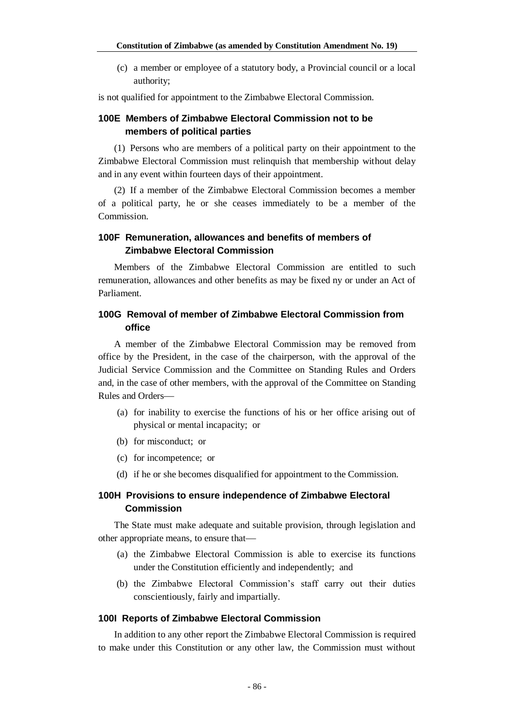(c) a member or employee of a statutory body, a Provincial council or a local authority;

is not qualified for appointment to the Zimbabwe Electoral Commission.

# **100E Members of Zimbabwe Electoral Commission not to be members of political parties**

(1) Persons who are members of a political party on their appointment to the Zimbabwe Electoral Commission must relinquish that membership without delay and in any event within fourteen days of their appointment.

(2) If a member of the Zimbabwe Electoral Commission becomes a member of a political party, he or she ceases immediately to be a member of the Commission.

# **100F Remuneration, allowances and benefits of members of Zimbabwe Electoral Commission**

Members of the Zimbabwe Electoral Commission are entitled to such remuneration, allowances and other benefits as may be fixed ny or under an Act of Parliament.

# **100G Removal of member of Zimbabwe Electoral Commission from office**

A member of the Zimbabwe Electoral Commission may be removed from office by the President, in the case of the chairperson, with the approval of the Judicial Service Commission and the Committee on Standing Rules and Orders and, in the case of other members, with the approval of the Committee on Standing Rules and Orders-

- (a) for inability to exercise the functions of his or her office arising out of physical or mental incapacity; or
- (b) for misconduct; or
- (c) for incompetence; or
- (d) if he or she becomes disqualified for appointment to the Commission.

# **100H Provisions to ensure independence of Zimbabwe Electoral Commission**

The State must make adequate and suitable provision, through legislation and other appropriate means, to ensure that—

- (a) the Zimbabwe Electoral Commission is able to exercise its functions under the Constitution efficiently and independently; and
- (b) the Zimbabwe Electoral Commission's staff carry out their duties conscientiously, fairly and impartially.

### **100I Reports of Zimbabwe Electoral Commission**

In addition to any other report the Zimbabwe Electoral Commission is required to make under this Constitution or any other law, the Commission must without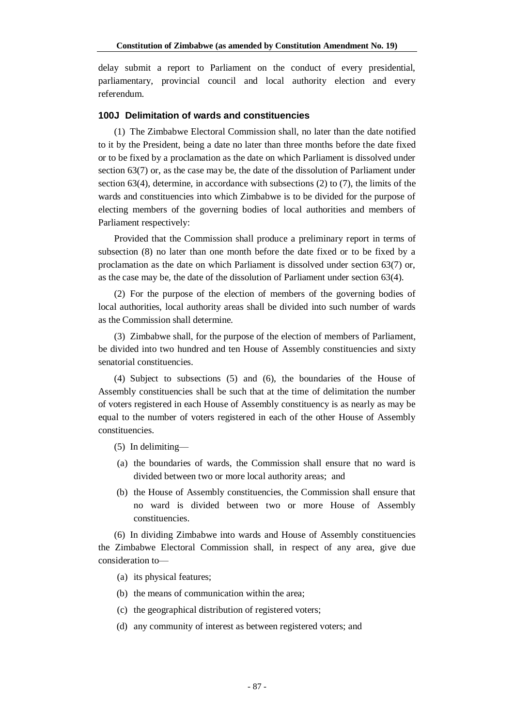delay submit a report to Parliament on the conduct of every presidential, parliamentary, provincial council and local authority election and every referendum.

# **100J Delimitation of wards and constituencies**

(1) The Zimbabwe Electoral Commission shall, no later than the date notified to it by the President, being a date no later than three months before the date fixed or to be fixed by a proclamation as the date on which Parliament is dissolved under section 63(7) or, as the case may be, the date of the dissolution of Parliament under section 63(4), determine, in accordance with subsections (2) to (7), the limits of the wards and constituencies into which Zimbabwe is to be divided for the purpose of electing members of the governing bodies of local authorities and members of Parliament respectively:

Provided that the Commission shall produce a preliminary report in terms of subsection (8) no later than one month before the date fixed or to be fixed by a proclamation as the date on which Parliament is dissolved under section 63(7) or, as the case may be, the date of the dissolution of Parliament under section 63(4).

(2) For the purpose of the election of members of the governing bodies of local authorities, local authority areas shall be divided into such number of wards as the Commission shall determine.

(3) Zimbabwe shall, for the purpose of the election of members of Parliament, be divided into two hundred and ten House of Assembly constituencies and sixty senatorial constituencies.

(4) Subject to subsections (5) and (6), the boundaries of the House of Assembly constituencies shall be such that at the time of delimitation the number of voters registered in each House of Assembly constituency is as nearly as may be equal to the number of voters registered in each of the other House of Assembly constituencies.

- (5) In delimiting—
- (a) the boundaries of wards, the Commission shall ensure that no ward is divided between two or more local authority areas; and
- (b) the House of Assembly constituencies, the Commission shall ensure that no ward is divided between two or more House of Assembly constituencies.

(6) In dividing Zimbabwe into wards and House of Assembly constituencies the Zimbabwe Electoral Commission shall, in respect of any area, give due consideration to—

- (a) its physical features;
- (b) the means of communication within the area;
- (c) the geographical distribution of registered voters;
- (d) any community of interest as between registered voters; and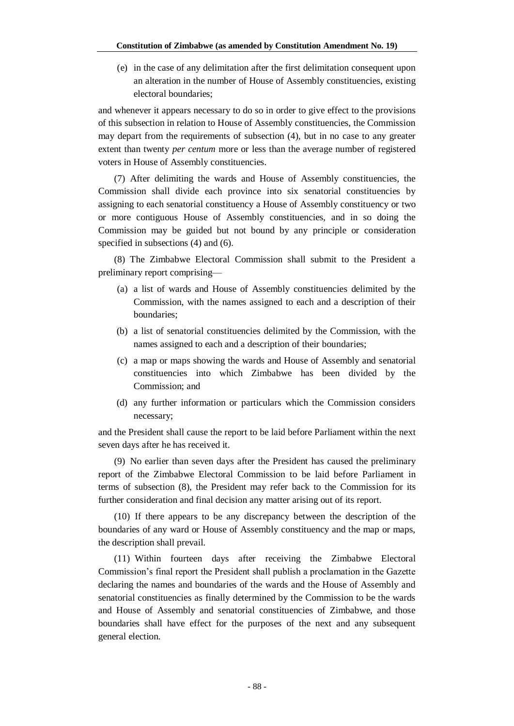(e) in the case of any delimitation after the first delimitation consequent upon an alteration in the number of House of Assembly constituencies, existing electoral boundaries;

and whenever it appears necessary to do so in order to give effect to the provisions of this subsection in relation to House of Assembly constituencies, the Commission may depart from the requirements of subsection (4), but in no case to any greater extent than twenty *per centum* more or less than the average number of registered voters in House of Assembly constituencies.

(7) After delimiting the wards and House of Assembly constituencies, the Commission shall divide each province into six senatorial constituencies by assigning to each senatorial constituency a House of Assembly constituency or two or more contiguous House of Assembly constituencies, and in so doing the Commission may be guided but not bound by any principle or consideration specified in subsections (4) and (6).

(8) The Zimbabwe Electoral Commission shall submit to the President a preliminary report comprising—

- (a) a list of wards and House of Assembly constituencies delimited by the Commission, with the names assigned to each and a description of their boundaries;
- (b) a list of senatorial constituencies delimited by the Commission, with the names assigned to each and a description of their boundaries;
- (c) a map or maps showing the wards and House of Assembly and senatorial constituencies into which Zimbabwe has been divided by the Commission; and
- (d) any further information or particulars which the Commission considers necessary;

and the President shall cause the report to be laid before Parliament within the next seven days after he has received it.

(9) No earlier than seven days after the President has caused the preliminary report of the Zimbabwe Electoral Commission to be laid before Parliament in terms of subsection (8), the President may refer back to the Commission for its further consideration and final decision any matter arising out of its report.

(10) If there appears to be any discrepancy between the description of the boundaries of any ward or House of Assembly constituency and the map or maps, the description shall prevail.

(11) Within fourteen days after receiving the Zimbabwe Electoral Commission's final report the President shall publish a proclamation in the Gazette declaring the names and boundaries of the wards and the House of Assembly and senatorial constituencies as finally determined by the Commission to be the wards and House of Assembly and senatorial constituencies of Zimbabwe, and those boundaries shall have effect for the purposes of the next and any subsequent general election.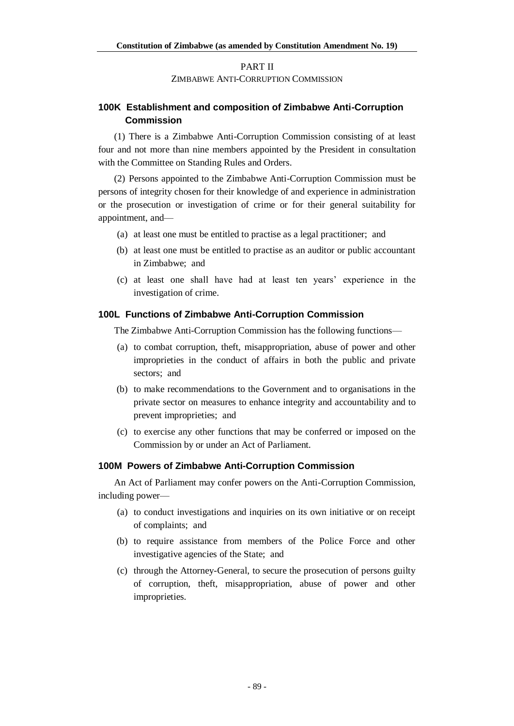# PART II ZIMBABWE ANTI-CORRUPTION COMMISSION

# **100K Establishment and composition of Zimbabwe Anti-Corruption Commission**

(1) There is a Zimbabwe Anti-Corruption Commission consisting of at least four and not more than nine members appointed by the President in consultation with the Committee on Standing Rules and Orders.

(2) Persons appointed to the Zimbabwe Anti-Corruption Commission must be persons of integrity chosen for their knowledge of and experience in administration or the prosecution or investigation of crime or for their general suitability for appointment, and—

- (a) at least one must be entitled to practise as a legal practitioner; and
- (b) at least one must be entitled to practise as an auditor or public accountant in Zimbabwe; and
- (c) at least one shall have had at least ten years' experience in the investigation of crime.

# **100L Functions of Zimbabwe Anti-Corruption Commission**

The Zimbabwe Anti-Corruption Commission has the following functions—

- (a) to combat corruption, theft, misappropriation, abuse of power and other improprieties in the conduct of affairs in both the public and private sectors; and
- (b) to make recommendations to the Government and to organisations in the private sector on measures to enhance integrity and accountability and to prevent improprieties; and
- (c) to exercise any other functions that may be conferred or imposed on the Commission by or under an Act of Parliament.

# **100M Powers of Zimbabwe Anti-Corruption Commission**

An Act of Parliament may confer powers on the Anti-Corruption Commission, including power—

- (a) to conduct investigations and inquiries on its own initiative or on receipt of complaints; and
- (b) to require assistance from members of the Police Force and other investigative agencies of the State; and
- (c) through the Attorney-General, to secure the prosecution of persons guilty of corruption, theft, misappropriation, abuse of power and other improprieties.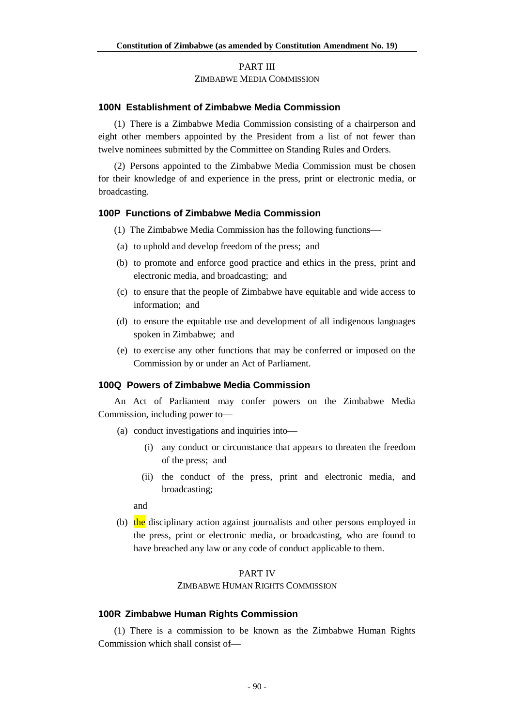# PART III ZIMBABWE MEDIA COMMISSION

### **100N Establishment of Zimbabwe Media Commission**

(1) There is a Zimbabwe Media Commission consisting of a chairperson and eight other members appointed by the President from a list of not fewer than twelve nominees submitted by the Committee on Standing Rules and Orders.

(2) Persons appointed to the Zimbabwe Media Commission must be chosen for their knowledge of and experience in the press, print or electronic media, or broadcasting.

### **100P Functions of Zimbabwe Media Commission**

- (1) The Zimbabwe Media Commission has the following functions—
- (a) to uphold and develop freedom of the press; and
- (b) to promote and enforce good practice and ethics in the press, print and electronic media, and broadcasting; and
- (c) to ensure that the people of Zimbabwe have equitable and wide access to information; and
- (d) to ensure the equitable use and development of all indigenous languages spoken in Zimbabwe; and
- (e) to exercise any other functions that may be conferred or imposed on the Commission by or under an Act of Parliament.

### **100Q Powers of Zimbabwe Media Commission**

An Act of Parliament may confer powers on the Zimbabwe Media Commission, including power to-

- (a) conduct investigations and inquiries into $\overline{\phantom{a}}$ 
	- (i) any conduct or circumstance that appears to threaten the freedom of the press; and
	- (ii) the conduct of the press, print and electronic media, and broadcasting;

and

(b) the disciplinary action against journalists and other persons employed in the press, print or electronic media, or broadcasting, who are found to have breached any law or any code of conduct applicable to them.

### PART IV

### ZIMBABWE HUMAN RIGHTS COMMISSION

### **100R Zimbabwe Human Rights Commission**

(1) There is a commission to be known as the Zimbabwe Human Rights Commission which shall consist of-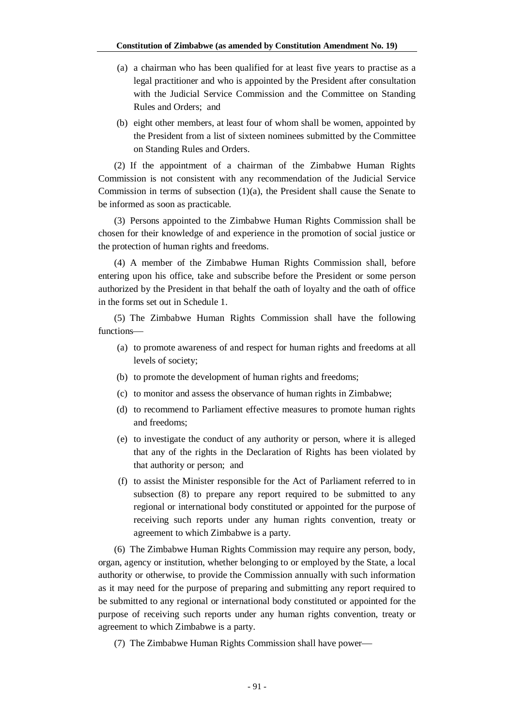- (a) a chairman who has been qualified for at least five years to practise as a legal practitioner and who is appointed by the President after consultation with the Judicial Service Commission and the Committee on Standing Rules and Orders; and
- (b) eight other members, at least four of whom shall be women, appointed by the President from a list of sixteen nominees submitted by the Committee on Standing Rules and Orders.

(2) If the appointment of a chairman of the Zimbabwe Human Rights Commission is not consistent with any recommendation of the Judicial Service Commission in terms of subsection  $(1)(a)$ , the President shall cause the Senate to be informed as soon as practicable.

(3) Persons appointed to the Zimbabwe Human Rights Commission shall be chosen for their knowledge of and experience in the promotion of social justice or the protection of human rights and freedoms.

(4) A member of the Zimbabwe Human Rights Commission shall, before entering upon his office, take and subscribe before the President or some person authorized by the President in that behalf the oath of loyalty and the oath of office in the forms set out in Schedule 1.

(5) The Zimbabwe Human Rights Commission shall have the following functions-

- (a) to promote awareness of and respect for human rights and freedoms at all levels of society;
- (b) to promote the development of human rights and freedoms;
- (c) to monitor and assess the observance of human rights in Zimbabwe;
- (d) to recommend to Parliament effective measures to promote human rights and freedoms;
- (e) to investigate the conduct of any authority or person, where it is alleged that any of the rights in the Declaration of Rights has been violated by that authority or person; and
- (f) to assist the Minister responsible for the Act of Parliament referred to in subsection (8) to prepare any report required to be submitted to any regional or international body constituted or appointed for the purpose of receiving such reports under any human rights convention, treaty or agreement to which Zimbabwe is a party.

(6) The Zimbabwe Human Rights Commission may require any person, body, organ, agency or institution, whether belonging to or employed by the State, a local authority or otherwise, to provide the Commission annually with such information as it may need for the purpose of preparing and submitting any report required to be submitted to any regional or international body constituted or appointed for the purpose of receiving such reports under any human rights convention, treaty or agreement to which Zimbabwe is a party.

(7) The Zimbabwe Human Rights Commission shall have power—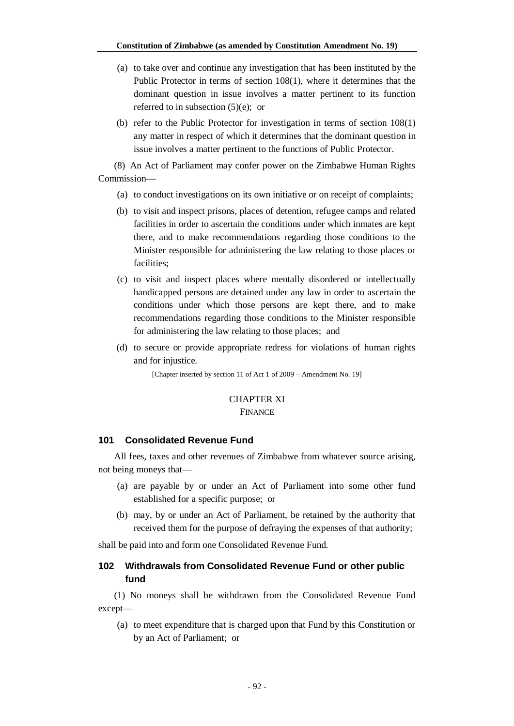- (a) to take over and continue any investigation that has been instituted by the Public Protector in terms of section 108(1), where it determines that the dominant question in issue involves a matter pertinent to its function referred to in subsection  $(5)(e)$ ; or
- (b) refer to the Public Protector for investigation in terms of section 108(1) any matter in respect of which it determines that the dominant question in issue involves a matter pertinent to the functions of Public Protector.

(8) An Act of Parliament may confer power on the Zimbabwe Human Rights Commission-

- (a) to conduct investigations on its own initiative or on receipt of complaints;
- (b) to visit and inspect prisons, places of detention, refugee camps and related facilities in order to ascertain the conditions under which inmates are kept there, and to make recommendations regarding those conditions to the Minister responsible for administering the law relating to those places or facilities;
- (c) to visit and inspect places where mentally disordered or intellectually handicapped persons are detained under any law in order to ascertain the conditions under which those persons are kept there, and to make recommendations regarding those conditions to the Minister responsible for administering the law relating to those places; and
- (d) to secure or provide appropriate redress for violations of human rights and for injustice.

[Chapter inserted by section 11 of Act 1 of 2009 – Amendment No. 19]

# CHAPTER XI

# **FINANCE**

# **101 Consolidated Revenue Fund**

All fees, taxes and other revenues of Zimbabwe from whatever source arising, not being moneys that—

- (a) are payable by or under an Act of Parliament into some other fund established for a specific purpose; or
- (b) may, by or under an Act of Parliament, be retained by the authority that received them for the purpose of defraying the expenses of that authority;

shall be paid into and form one Consolidated Revenue Fund.

# **102 Withdrawals from Consolidated Revenue Fund or other public fund**

(1) No moneys shall be withdrawn from the Consolidated Revenue Fund except—

(a) to meet expenditure that is charged upon that Fund by this Constitution or by an Act of Parliament; or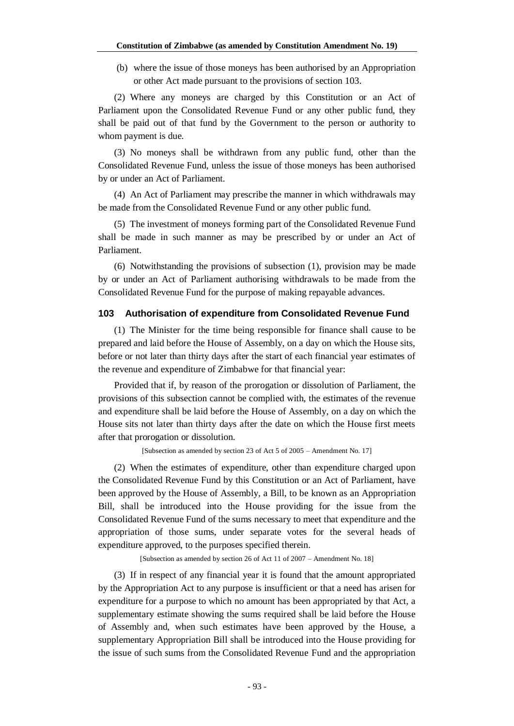(b) where the issue of those moneys has been authorised by an Appropriation or other Act made pursuant to the provisions of section 103.

(2) Where any moneys are charged by this Constitution or an Act of Parliament upon the Consolidated Revenue Fund or any other public fund, they shall be paid out of that fund by the Government to the person or authority to whom payment is due.

(3) No moneys shall be withdrawn from any public fund, other than the Consolidated Revenue Fund, unless the issue of those moneys has been authorised by or under an Act of Parliament.

(4) An Act of Parliament may prescribe the manner in which withdrawals may be made from the Consolidated Revenue Fund or any other public fund.

(5) The investment of moneys forming part of the Consolidated Revenue Fund shall be made in such manner as may be prescribed by or under an Act of Parliament.

(6) Notwithstanding the provisions of subsection (1), provision may be made by or under an Act of Parliament authorising withdrawals to be made from the Consolidated Revenue Fund for the purpose of making repayable advances.

# **103 Authorisation of expenditure from Consolidated Revenue Fund**

(1) The Minister for the time being responsible for finance shall cause to be prepared and laid before the House of Assembly, on a day on which the House sits, before or not later than thirty days after the start of each financial year estimates of the revenue and expenditure of Zimbabwe for that financial year:

Provided that if, by reason of the prorogation or dissolution of Parliament, the provisions of this subsection cannot be complied with, the estimates of the revenue and expenditure shall be laid before the House of Assembly, on a day on which the House sits not later than thirty days after the date on which the House first meets after that prorogation or dissolution.

[Subsection as amended by section 23 of Act 5 of 2005 – Amendment No. 17]

(2) When the estimates of expenditure, other than expenditure charged upon the Consolidated Revenue Fund by this Constitution or an Act of Parliament, have been approved by the House of Assembly, a Bill, to be known as an Appropriation Bill, shall be introduced into the House providing for the issue from the Consolidated Revenue Fund of the sums necessary to meet that expenditure and the appropriation of those sums, under separate votes for the several heads of expenditure approved, to the purposes specified therein.

[Subsection as amended by section 26 of Act 11 of 2007 – Amendment No. 18]

(3) If in respect of any financial year it is found that the amount appropriated by the Appropriation Act to any purpose is insufficient or that a need has arisen for expenditure for a purpose to which no amount has been appropriated by that Act, a supplementary estimate showing the sums required shall be laid before the House of Assembly and, when such estimates have been approved by the House, a supplementary Appropriation Bill shall be introduced into the House providing for the issue of such sums from the Consolidated Revenue Fund and the appropriation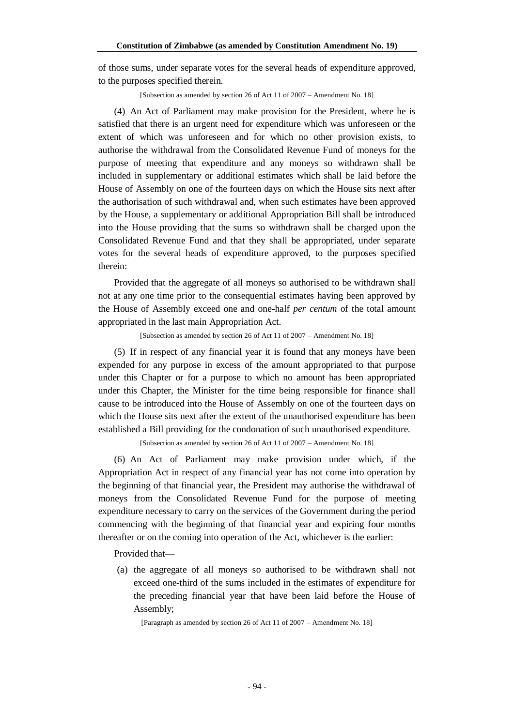of those sums, under separate votes for the several heads of expenditure approved, to the purposes specified therein.

[Subsection as amended by section 26 of Act 11 of 2007 – Amendment No. 18]

(4) An Act of Parliament may make provision for the President, where he is satisfied that there is an urgent need for expenditure which was unforeseen or the extent of which was unforeseen and for which no other provision exists, to authorise the withdrawal from the Consolidated Revenue Fund of moneys for the purpose of meeting that expenditure and any moneys so withdrawn shall be included in supplementary or additional estimates which shall be laid before the House of Assembly on one of the fourteen days on which the House sits next after the authorisation of such withdrawal and, when such estimates have been approved by the House, a supplementary or additional Appropriation Bill shall be introduced into the House providing that the sums so withdrawn shall be charged upon the Consolidated Revenue Fund and that they shall be appropriated, under separate votes for the several heads of expenditure approved, to the purposes specified therein:

Provided that the aggregate of all moneys so authorised to be withdrawn shall not at any one time prior to the consequential estimates having been approved by the House of Assembly exceed one and one-half *per centum* of the total amount appropriated in the last main Appropriation Act.

[Subsection as amended by section 26 of Act 11 of 2007 – Amendment No. 18]

(5) If in respect of any financial year it is found that any moneys have been expended for any purpose in excess of the amount appropriated to that purpose under this Chapter or for a purpose to which no amount has been appropriated under this Chapter, the Minister for the time being responsible for finance shall cause to be introduced into the House of Assembly on one of the fourteen days on which the House sits next after the extent of the unauthorised expenditure has been established a Bill providing for the condonation of such unauthorised expenditure.

[Subsection as amended by section 26 of Act 11 of 2007 – Amendment No. 18]

(6) An Act of Parliament may make provision under which, if the Appropriation Act in respect of any financial year has not come into operation by the beginning of that financial year, the President may authorise the withdrawal of moneys from the Consolidated Revenue Fund for the purpose of meeting expenditure necessary to carry on the services of the Government during the period commencing with the beginning of that financial year and expiring four months thereafter or on the coming into operation of the Act, whichever is the earlier:

Provided that—

(a) the aggregate of all moneys so authorised to be withdrawn shall not exceed one-third of the sums included in the estimates of expenditure for the preceding financial year that have been laid before the House of Assembly;

[Paragraph as amended by section 26 of Act 11 of 2007 – Amendment No. 18]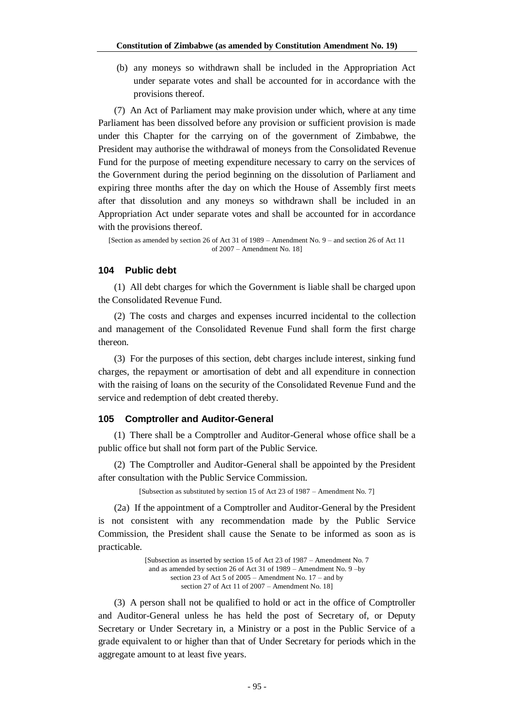(b) any moneys so withdrawn shall be included in the Appropriation Act under separate votes and shall be accounted for in accordance with the provisions thereof.

(7) An Act of Parliament may make provision under which, where at any time Parliament has been dissolved before any provision or sufficient provision is made under this Chapter for the carrying on of the government of Zimbabwe, the President may authorise the withdrawal of moneys from the Consolidated Revenue Fund for the purpose of meeting expenditure necessary to carry on the services of the Government during the period beginning on the dissolution of Parliament and expiring three months after the day on which the House of Assembly first meets after that dissolution and any moneys so withdrawn shall be included in an Appropriation Act under separate votes and shall be accounted for in accordance with the provisions thereof.

```
[Section as amended by section 26 of Act 31 of 1989 – Amendment No. 9 – and section 26 of Act 11 
                             of 2007 – Amendment No. 18]
```
### **104 Public debt**

(1) All debt charges for which the Government is liable shall be charged upon the Consolidated Revenue Fund.

(2) The costs and charges and expenses incurred incidental to the collection and management of the Consolidated Revenue Fund shall form the first charge thereon.

(3) For the purposes of this section, debt charges include interest, sinking fund charges, the repayment or amortisation of debt and all expenditure in connection with the raising of loans on the security of the Consolidated Revenue Fund and the service and redemption of debt created thereby.

### **105 Comptroller and Auditor-General**

(1) There shall be a Comptroller and Auditor-General whose office shall be a public office but shall not form part of the Public Service.

(2) The Comptroller and Auditor-General shall be appointed by the President after consultation with the Public Service Commission.

[Subsection as substituted by section 15 of Act 23 of 1987 – Amendment No. 7]

(2a) If the appointment of a Comptroller and Auditor-General by the President is not consistent with any recommendation made by the Public Service Commission, the President shall cause the Senate to be informed as soon as is practicable.

> [Subsection as inserted by section 15 of Act 23 of 1987 – Amendment No. 7 and as amended by section 26 of Act 31 of 1989 – Amendment No. 9 –by section 23 of Act 5 of 2005 – Amendment No. 17 – and by section 27 of Act 11 of 2007 – Amendment No. 18]

(3) A person shall not be qualified to hold or act in the office of Comptroller and Auditor-General unless he has held the post of Secretary of, or Deputy Secretary or Under Secretary in, a Ministry or a post in the Public Service of a grade equivalent to or higher than that of Under Secretary for periods which in the aggregate amount to at least five years.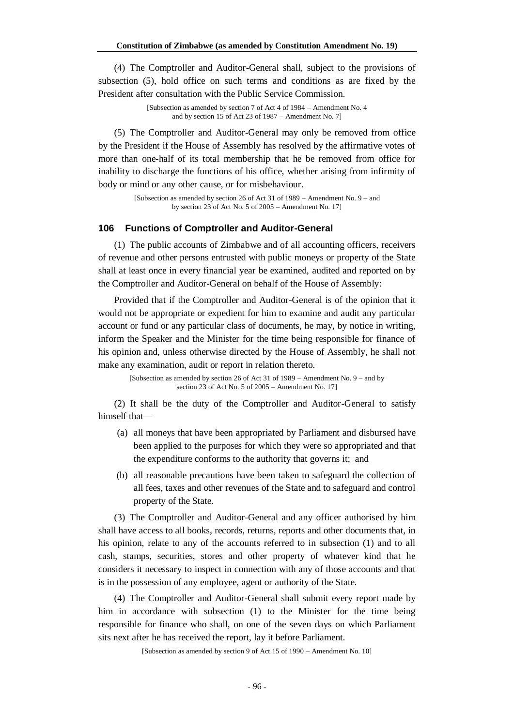(4) The Comptroller and Auditor-General shall, subject to the provisions of subsection (5), hold office on such terms and conditions as are fixed by the President after consultation with the Public Service Commission.

> [Subsection as amended by section 7 of Act 4 of  $1984 -$  Amendment No. 4 and by section 15 of Act 23 of 1987 – Amendment No. 7]

(5) The Comptroller and Auditor-General may only be removed from office by the President if the House of Assembly has resolved by the affirmative votes of more than one-half of its total membership that he be removed from office for inability to discharge the functions of his office, whether arising from infirmity of body or mind or any other cause, or for misbehaviour.

> [Subsection as amended by section 26 of Act 31 of 1989 – Amendment No. 9 – and by section 23 of Act No. 5 of 2005 – Amendment No. 17]

#### **106 Functions of Comptroller and Auditor-General**

(1) The public accounts of Zimbabwe and of all accounting officers, receivers of revenue and other persons entrusted with public moneys or property of the State shall at least once in every financial year be examined, audited and reported on by the Comptroller and Auditor-General on behalf of the House of Assembly:

Provided that if the Comptroller and Auditor-General is of the opinion that it would not be appropriate or expedient for him to examine and audit any particular account or fund or any particular class of documents, he may, by notice in writing, inform the Speaker and the Minister for the time being responsible for finance of his opinion and, unless otherwise directed by the House of Assembly, he shall not make any examination, audit or report in relation thereto.

[Subsection as amended by section 26 of Act 31 of  $1989 -$ Amendment No. 9 – and by section 23 of Act No. 5 of 2005 – Amendment No. 17]

(2) It shall be the duty of the Comptroller and Auditor-General to satisfy himself that—

- (a) all moneys that have been appropriated by Parliament and disbursed have been applied to the purposes for which they were so appropriated and that the expenditure conforms to the authority that governs it; and
- (b) all reasonable precautions have been taken to safeguard the collection of all fees, taxes and other revenues of the State and to safeguard and control property of the State.

(3) The Comptroller and Auditor-General and any officer authorised by him shall have access to all books, records, returns, reports and other documents that, in his opinion, relate to any of the accounts referred to in subsection (1) and to all cash, stamps, securities, stores and other property of whatever kind that he considers it necessary to inspect in connection with any of those accounts and that is in the possession of any employee, agent or authority of the State.

(4) The Comptroller and Auditor-General shall submit every report made by him in accordance with subsection (1) to the Minister for the time being responsible for finance who shall, on one of the seven days on which Parliament sits next after he has received the report, lay it before Parliament.

[Subsection as amended by section 9 of Act 15 of 1990 – Amendment No. 10]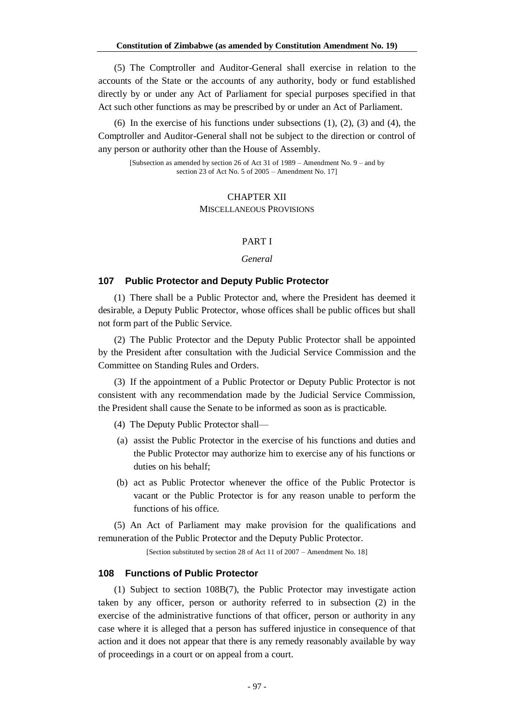(5) The Comptroller and Auditor-General shall exercise in relation to the accounts of the State or the accounts of any authority, body or fund established directly by or under any Act of Parliament for special purposes specified in that Act such other functions as may be prescribed by or under an Act of Parliament.

(6) In the exercise of his functions under subsections  $(1)$ ,  $(2)$ ,  $(3)$  and  $(4)$ , the Comptroller and Auditor-General shall not be subject to the direction or control of any person or authority other than the House of Assembly.

[Subsection as amended by section 26 of Act 31 of 1989 – Amendment No. 9 – and by section 23 of Act No. 5 of 2005 – Amendment No. 17]

# CHAPTER XII MISCELLANEOUS PROVISIONS

## PART I

### *General*

### **107 Public Protector and Deputy Public Protector**

(1) There shall be a Public Protector and, where the President has deemed it desirable, a Deputy Public Protector, whose offices shall be public offices but shall not form part of the Public Service.

(2) The Public Protector and the Deputy Public Protector shall be appointed by the President after consultation with the Judicial Service Commission and the Committee on Standing Rules and Orders.

(3) If the appointment of a Public Protector or Deputy Public Protector is not consistent with any recommendation made by the Judicial Service Commission, the President shall cause the Senate to be informed as soon as is practicable.

(4) The Deputy Public Protector shall—

- (a) assist the Public Protector in the exercise of his functions and duties and the Public Protector may authorize him to exercise any of his functions or duties on his behalf;
- (b) act as Public Protector whenever the office of the Public Protector is vacant or the Public Protector is for any reason unable to perform the functions of his office.

(5) An Act of Parliament may make provision for the qualifications and remuneration of the Public Protector and the Deputy Public Protector.

[Section substituted by section 28 of Act 11 of 2007 – Amendment No. 18]

### **108 Functions of Public Protector**

(1) Subject to section 108B(7), the Public Protector may investigate action taken by any officer, person or authority referred to in subsection (2) in the exercise of the administrative functions of that officer, person or authority in any case where it is alleged that a person has suffered injustice in consequence of that action and it does not appear that there is any remedy reasonably available by way of proceedings in a court or on appeal from a court.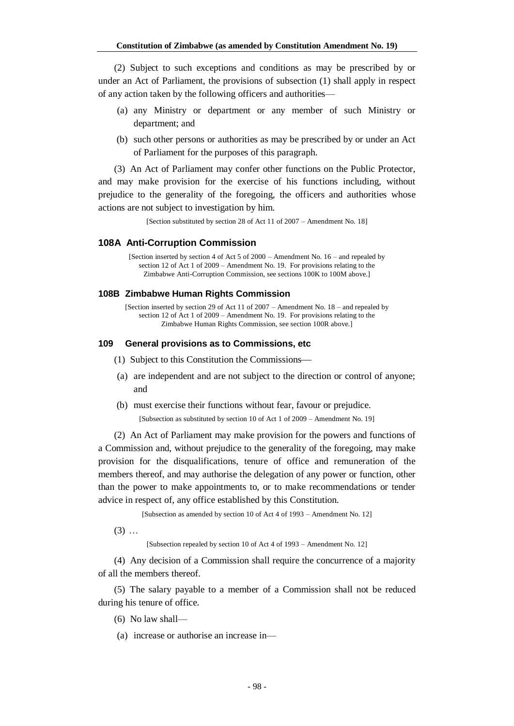(2) Subject to such exceptions and conditions as may be prescribed by or under an Act of Parliament, the provisions of subsection (1) shall apply in respect of any action taken by the following officers and authorities—

- (a) any Ministry or department or any member of such Ministry or department; and
- (b) such other persons or authorities as may be prescribed by or under an Act of Parliament for the purposes of this paragraph.

(3) An Act of Parliament may confer other functions on the Public Protector, and may make provision for the exercise of his functions including, without prejudice to the generality of the foregoing, the officers and authorities whose actions are not subject to investigation by him.

[Section substituted by section 28 of Act 11 of 2007 – Amendment No. 18]

#### **108A Anti-Corruption Commission**

[Section inserted by section 4 of Act 5 of  $2000$  – Amendment No. 16 – and repealed by section 12 of Act 1 of 2009 – Amendment No. 19. For provisions relating to the Zimbabwe Anti-Corruption Commission, see sections 100K to 100M above.]

#### **108B Zimbabwe Human Rights Commission**

[Section inserted by section 29 of Act 11 of 2007 – Amendment No. 18 – and repealed by section 12 of Act 1 of 2009 – Amendment No. 19. For provisions relating to the Zimbabwe Human Rights Commission, see section 100R above.]

### **109 General provisions as to Commissions, etc**

(1) Subject to this Constitution the Commissions—

- (a) are independent and are not subject to the direction or control of anyone; and
- (b) must exercise their functions without fear, favour or prejudice.

[Subsection as substituted by section 10 of Act 1 of 2009 – Amendment No. 19]

(2) An Act of Parliament may make provision for the powers and functions of a Commission and, without prejudice to the generality of the foregoing, may make provision for the disqualifications, tenure of office and remuneration of the members thereof, and may authorise the delegation of any power or function, other than the power to make appointments to, or to make recommendations or tender advice in respect of, any office established by this Constitution.

[Subsection as amended by section 10 of Act 4 of 1993 – Amendment No. 12]

 $(3)$  ...

[Subsection repealed by section 10 of Act 4 of 1993 – Amendment No. 12]

(4) Any decision of a Commission shall require the concurrence of a majority of all the members thereof.

(5) The salary payable to a member of a Commission shall not be reduced during his tenure of office.

- (6) No law shall—
- (a) increase or authorise an increase in—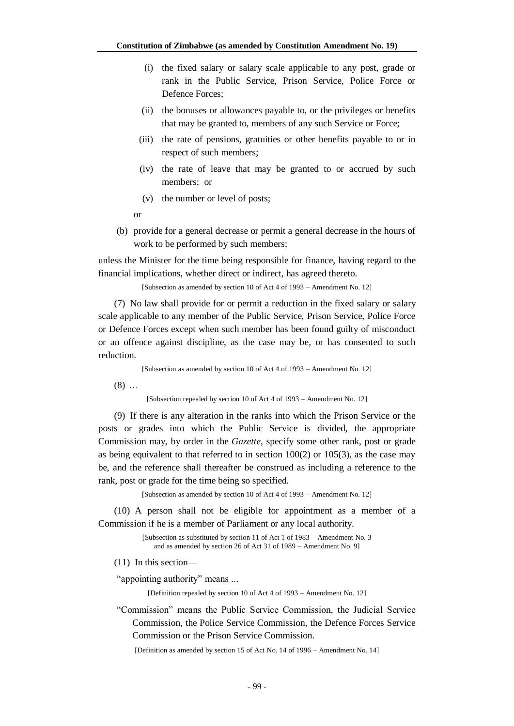- (i) the fixed salary or salary scale applicable to any post, grade or rank in the Public Service, Prison Service, Police Force or Defence Forces;
- (ii) the bonuses or allowances payable to, or the privileges or benefits that may be granted to, members of any such Service or Force;
- (iii) the rate of pensions, gratuities or other benefits payable to or in respect of such members;
- (iv) the rate of leave that may be granted to or accrued by such members; or
- (v) the number or level of posts;
- or
- (b) provide for a general decrease or permit a general decrease in the hours of work to be performed by such members;

unless the Minister for the time being responsible for finance, having regard to the financial implications, whether direct or indirect, has agreed thereto.

[Subsection as amended by section 10 of Act 4 of 1993 – Amendment No. 12]

(7) No law shall provide for or permit a reduction in the fixed salary or salary scale applicable to any member of the Public Service, Prison Service, Police Force or Defence Forces except when such member has been found guilty of misconduct or an offence against discipline, as the case may be, or has consented to such reduction.

[Subsection as amended by section 10 of Act 4 of 1993 – Amendment No. 12]

 $(8)$  ...

[Subsection repealed by section 10 of Act 4 of 1993 – Amendment No. 12]

(9) If there is any alteration in the ranks into which the Prison Service or the posts or grades into which the Public Service is divided, the appropriate Commission may, by order in the *Gazette*, specify some other rank, post or grade as being equivalent to that referred to in section  $100(2)$  or  $105(3)$ , as the case may be, and the reference shall thereafter be construed as including a reference to the rank, post or grade for the time being so specified.

[Subsection as amended by section 10 of Act 4 of 1993 – Amendment No. 12]

(10) A person shall not be eligible for appointment as a member of a Commission if he is a member of Parliament or any local authority.

> [Subsection as substituted by section 11 of Act 1 of 1983 – Amendment No. 3 and as amended by section 26 of Act 31 of 1989 – Amendment No. 9]

(11) In this section—

"appointing authority" means ...

[Definition repealed by section 10 of Act 4 of 1993 – Amendment No. 12]

"Commission" means the Public Service Commission, the Judicial Service Commission, the Police Service Commission, the Defence Forces Service Commission or the Prison Service Commission.

[Definition as amended by section 15 of Act No. 14 of 1996 – Amendment No. 14]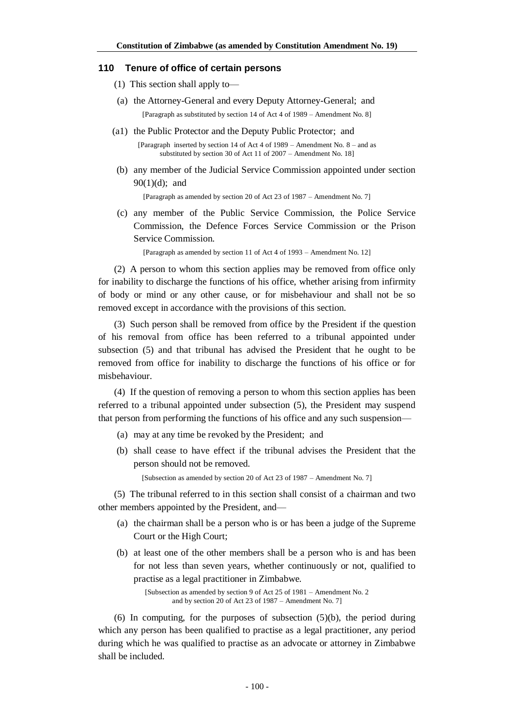#### **110 Tenure of office of certain persons**

- (1) This section shall apply to—
- (a) the Attorney-General and every Deputy Attorney-General; and [Paragraph as substituted by section 14 of Act 4 of 1989 – Amendment No. 8]
- (a1) the Public Protector and the Deputy Public Protector; and

[Paragraph inserted by section 14 of Act 4 of 1989 – Amendment No. 8 – and as substituted by section 30 of Act 11 of 2007 – Amendment No. 18]

(b) any member of the Judicial Service Commission appointed under section 90(1)(d); and

[Paragraph as amended by section 20 of Act 23 of 1987 – Amendment No. 7]

(c) any member of the Public Service Commission, the Police Service Commission, the Defence Forces Service Commission or the Prison Service Commission.

[Paragraph as amended by section 11 of Act 4 of 1993 – Amendment No. 12]

(2) A person to whom this section applies may be removed from office only for inability to discharge the functions of his office, whether arising from infirmity of body or mind or any other cause, or for misbehaviour and shall not be so removed except in accordance with the provisions of this section.

(3) Such person shall be removed from office by the President if the question of his removal from office has been referred to a tribunal appointed under subsection (5) and that tribunal has advised the President that he ought to be removed from office for inability to discharge the functions of his office or for misbehaviour.

(4) If the question of removing a person to whom this section applies has been referred to a tribunal appointed under subsection (5), the President may suspend that person from performing the functions of his office and any such suspension—

- (a) may at any time be revoked by the President; and
- (b) shall cease to have effect if the tribunal advises the President that the person should not be removed.

[Subsection as amended by section 20 of Act 23 of 1987 – Amendment No. 7]

(5) The tribunal referred to in this section shall consist of a chairman and two other members appointed by the President, and—

- (a) the chairman shall be a person who is or has been a judge of the Supreme Court or the High Court;
- (b) at least one of the other members shall be a person who is and has been for not less than seven years, whether continuously or not, qualified to practise as a legal practitioner in Zimbabwe.

[Subsection as amended by section 9 of Act 25 of 1981 – Amendment No. 2 and by section 20 of Act 23 of  $1987 -$  Amendment No. 7]

(6) In computing, for the purposes of subsection  $(5)(b)$ , the period during which any person has been qualified to practise as a legal practitioner, any period during which he was qualified to practise as an advocate or attorney in Zimbabwe shall be included.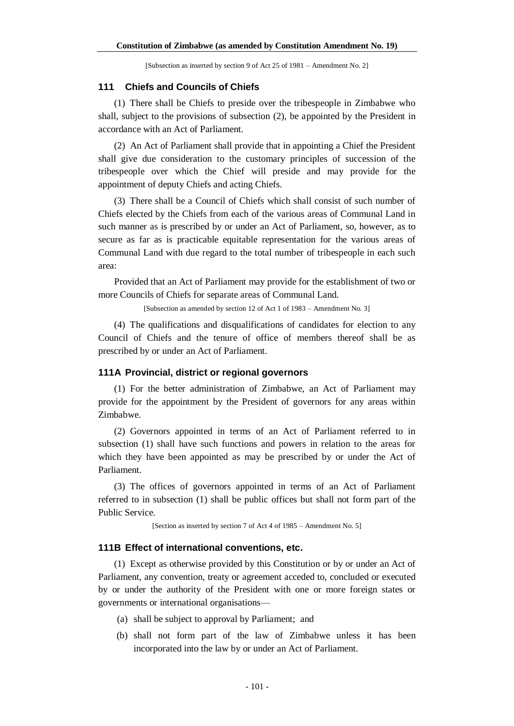[Subsection as inserted by section 9 of Act 25 of 1981 – Amendment No. 2]

### **111 Chiefs and Councils of Chiefs**

(1) There shall be Chiefs to preside over the tribespeople in Zimbabwe who shall, subject to the provisions of subsection (2), be appointed by the President in accordance with an Act of Parliament.

(2) An Act of Parliament shall provide that in appointing a Chief the President shall give due consideration to the customary principles of succession of the tribespeople over which the Chief will preside and may provide for the appointment of deputy Chiefs and acting Chiefs.

(3) There shall be a Council of Chiefs which shall consist of such number of Chiefs elected by the Chiefs from each of the various areas of Communal Land in such manner as is prescribed by or under an Act of Parliament, so, however, as to secure as far as is practicable equitable representation for the various areas of Communal Land with due regard to the total number of tribespeople in each such area:

Provided that an Act of Parliament may provide for the establishment of two or more Councils of Chiefs for separate areas of Communal Land.

[Subsection as amended by section 12 of Act 1 of 1983 – Amendment No. 3]

(4) The qualifications and disqualifications of candidates for election to any Council of Chiefs and the tenure of office of members thereof shall be as prescribed by or under an Act of Parliament.

### **111A Provincial, district or regional governors**

(1) For the better administration of Zimbabwe, an Act of Parliament may provide for the appointment by the President of governors for any areas within Zimbabwe.

(2) Governors appointed in terms of an Act of Parliament referred to in subsection (1) shall have such functions and powers in relation to the areas for which they have been appointed as may be prescribed by or under the Act of Parliament.

(3) The offices of governors appointed in terms of an Act of Parliament referred to in subsection (1) shall be public offices but shall not form part of the Public Service.

[Section as inserted by section 7 of Act 4 of 1985 – Amendment No. 5]

### **111B Effect of international conventions, etc.**

(1) Except as otherwise provided by this Constitution or by or under an Act of Parliament, any convention, treaty or agreement acceded to, concluded or executed by or under the authority of the President with one or more foreign states or governments or international organisations—

- (a) shall be subject to approval by Parliament; and
- (b) shall not form part of the law of Zimbabwe unless it has been incorporated into the law by or under an Act of Parliament.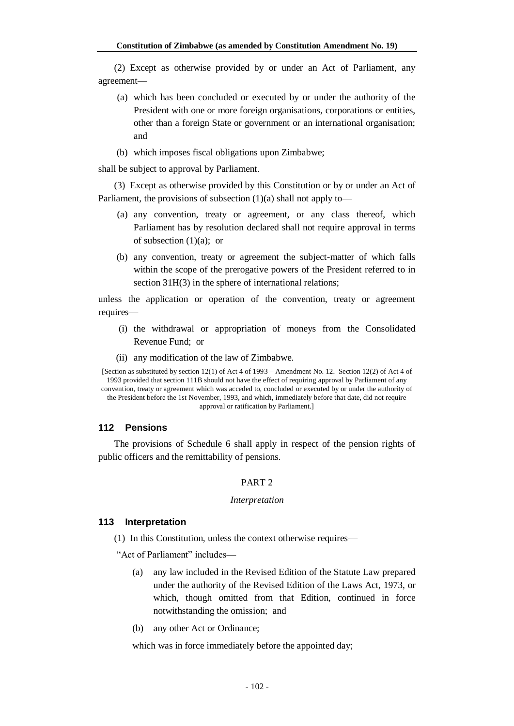(2) Except as otherwise provided by or under an Act of Parliament, any agreement—

- (a) which has been concluded or executed by or under the authority of the President with one or more foreign organisations, corporations or entities, other than a foreign State or government or an international organisation; and
- (b) which imposes fiscal obligations upon Zimbabwe;

shall be subject to approval by Parliament.

(3) Except as otherwise provided by this Constitution or by or under an Act of Parliament, the provisions of subsection  $(1)(a)$  shall not apply to—

- (a) any convention, treaty or agreement, or any class thereof, which Parliament has by resolution declared shall not require approval in terms of subsection  $(1)(a)$ ; or
- (b) any convention, treaty or agreement the subject-matter of which falls within the scope of the prerogative powers of the President referred to in section 31H(3) in the sphere of international relations;

unless the application or operation of the convention, treaty or agreement requires—

- (i) the withdrawal or appropriation of moneys from the Consolidated Revenue Fund; or
- (ii) any modification of the law of Zimbabwe.

[Section as substituted by section 12(1) of Act 4 of 1993 – Amendment No. 12. Section 12(2) of Act 4 of 1993 provided that section 111B should not have the effect of requiring approval by Parliament of any convention, treaty or agreement which was acceded to, concluded or executed by or under the authority of the President before the 1st November, 1993, and which, immediately before that date, did not require approval or ratification by Parliament.]

# **112 Pensions**

The provisions of Schedule 6 shall apply in respect of the pension rights of public officers and the remittability of pensions.

#### PART<sub>2</sub>

#### *Interpretation*

#### **113 Interpretation**

(1) In this Constitution, unless the context otherwise requires—

"Act of Parliament" includes—

- (a) any law included in the Revised Edition of the Statute Law prepared under the authority of the Revised Edition of the Laws Act, 1973, or which, though omitted from that Edition, continued in force notwithstanding the omission; and
- (b) any other Act or Ordinance;

which was in force immediately before the appointed day;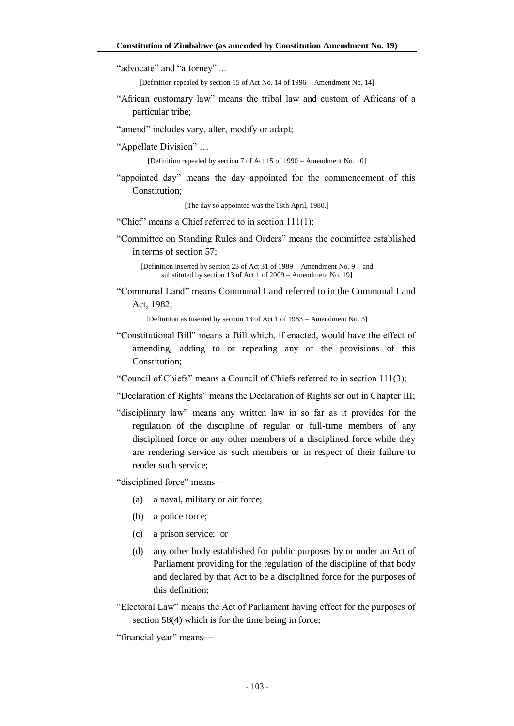"advocate" and "attorney" ...

[Definition repealed by section 15 of Act No. 14 of 1996 – Amendment No. 14]

"African customary law" means the tribal law and custom of Africans of a particular tribe;

"amend" includes vary, alter, modify or adapt;

"Appellate Division" …

[Definition repealed by section 7 of Act 15 of 1990 – Amendment No. 10]

"appointed day" means the day appointed for the commencement of this Constitution;

[The day so appointed was the 18th April, 1980.]

- "Chief" means a Chief referred to in section 111(1);
- "Committee on Standing Rules and Orders" means the committee established in terms of section 57;

[Definition inserted by section 23 of Act 31 of 1989 – Amendment No. 9 – and substituted by section 13 of Act 1 of 2009 – Amendment No. 19]

"Communal Land" means Communal Land referred to in the Communal Land Act, 1982;

[Definition as inserted by section 13 of Act 1 of  $1983 -$ Amendment No. 3]

- "Constitutional Bill" means a Bill which, if enacted, would have the effect of amending, adding to or repealing any of the provisions of this Constitution;
- "Council of Chiefs" means a Council of Chiefs referred to in section 111(3);
- "Declaration of Rights" means the Declaration of Rights set out in Chapter III;
- "disciplinary law" means any written law in so far as it provides for the regulation of the discipline of regular or full-time members of any disciplined force or any other members of a disciplined force while they are rendering service as such members or in respect of their failure to render such service;

"disciplined force" means—

- (a) a naval, military or air force;
- (b) a police force;
- (c) a prison service; or
- (d) any other body established for public purposes by or under an Act of Parliament providing for the regulation of the discipline of that body and declared by that Act to be a disciplined force for the purposes of this definition;
- "Electoral Law" means the Act of Parliament having effect for the purposes of section 58(4) which is for the time being in force;

"financial year" means-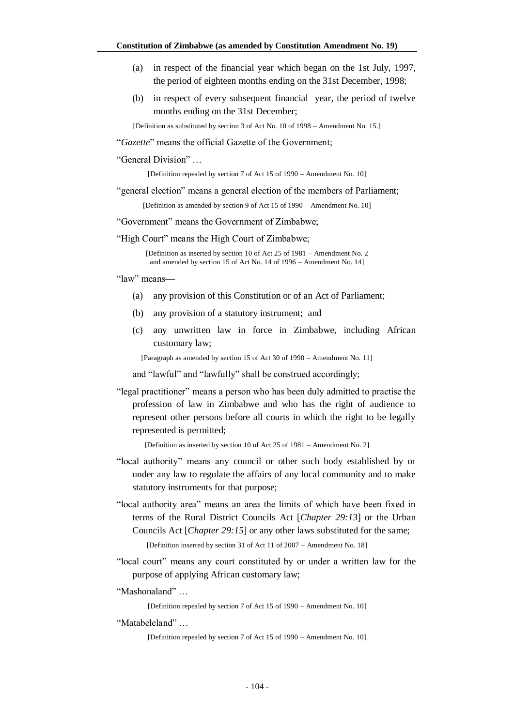- (a) in respect of the financial year which began on the 1st July, 1997, the period of eighteen months ending on the 31st December, 1998;
- (b) in respect of every subsequent financial year, the period of twelve months ending on the 31st December;

[Definition as substituted by section 3 of Act No. 10 of 1998 – Amendment No. 15.]

"*Gazette*" means the official Gazette of the Government;

"General Division" …

[Definition repealed by section 7 of Act 15 of 1990 – Amendment No. 10]

"general election" means a general election of the members of Parliament;

[Definition as amended by section 9 of Act 15 of 1990 – Amendment No. 10]

"Government" means the Government of Zimbabwe;

"High Court" means the High Court of Zimbabwe;

[Definition as inserted by section 10 of Act 25 of 1981 – Amendment No. 2 and amended by section 15 of Act No. 14 of 1996 – Amendment No. 14]

"law" means—

- (a) any provision of this Constitution or of an Act of Parliament;
- (b) any provision of a statutory instrument; and
- (c) any unwritten law in force in Zimbabwe, including African customary law;

[Paragraph as amended by section 15 of Act 30 of 1990 – Amendment No. 11]

and "lawful" and "lawfully" shall be construed accordingly;

"legal practitioner" means a person who has been duly admitted to practise the profession of law in Zimbabwe and who has the right of audience to represent other persons before all courts in which the right to be legally represented is permitted;

[Definition as inserted by section 10 of Act 25 of 1981 – Amendment No. 2]

- "local authority" means any council or other such body established by or under any law to regulate the affairs of any local community and to make statutory instruments for that purpose;
- "local authority area" means an area the limits of which have been fixed in terms of the Rural District Councils Act [*Chapter 29:13*] or the Urban Councils Act [*Chapter 29:15*] or any other laws substituted for the same;

[Definition inserted by section 31 of Act 11 of 2007 – Amendment No. 18]

"local court" means any court constituted by or under a written law for the purpose of applying African customary law;

"Mashonaland" …

[Definition repealed by section 7 of Act 15 of 1990 – Amendment No. 10]

"Matabeleland" …

[Definition repealed by section 7 of Act 15 of 1990 – Amendment No. 10]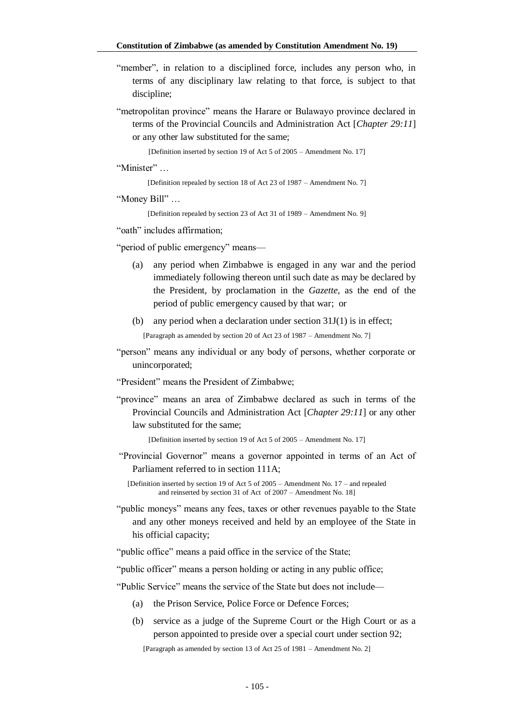- "member", in relation to a disciplined force, includes any person who, in terms of any disciplinary law relating to that force, is subject to that discipline;
- "metropolitan province" means the Harare or Bulawayo province declared in terms of the Provincial Councils and Administration Act [*Chapter 29:11*] or any other law substituted for the same;

[Definition inserted by section 19 of Act 5 of 2005 – Amendment No. 17]

"Minister" …

[Definition repealed by section 18 of Act 23 of 1987 – Amendment No. 7]

"Money Bill" …

[Definition repealed by section 23 of Act 31 of 1989 – Amendment No. 9]

"oath" includes affirmation;

"period of public emergency" means—

- (a) any period when Zimbabwe is engaged in any war and the period immediately following thereon until such date as may be declared by the President, by proclamation in the *Gazette*, as the end of the period of public emergency caused by that war; or
- (b) any period when a declaration under section 31J(1) is in effect; [Paragraph as amended by section 20 of Act 23 of 1987 – Amendment No. 7]
- "person" means any individual or any body of persons, whether corporate or unincorporated;

"President" means the President of Zimbabwe;

"province" means an area of Zimbabwe declared as such in terms of the Provincial Councils and Administration Act [*Chapter 29:11*] or any other law substituted for the same;

[Definition inserted by section 19 of Act 5 of 2005 – Amendment No. 17]

"Provincial Governor" means a governor appointed in terms of an Act of Parliament referred to in section 111A;

[Definition inserted by section 19 of Act 5 of 2005 – Amendment No. 17 – and repealed and reinserted by section 31 of Act of 2007 – Amendment No. 18]

"public moneys" means any fees, taxes or other revenues payable to the State and any other moneys received and held by an employee of the State in his official capacity;

"public office" means a paid office in the service of the State;

"public officer" means a person holding or acting in any public office;

"Public Service" means the service of the State but does not include—

- (a) the Prison Service, Police Force or Defence Forces;
- (b) service as a judge of the Supreme Court or the High Court or as a person appointed to preside over a special court under section 92;

[Paragraph as amended by section 13 of Act 25 of 1981 – Amendment No. 2]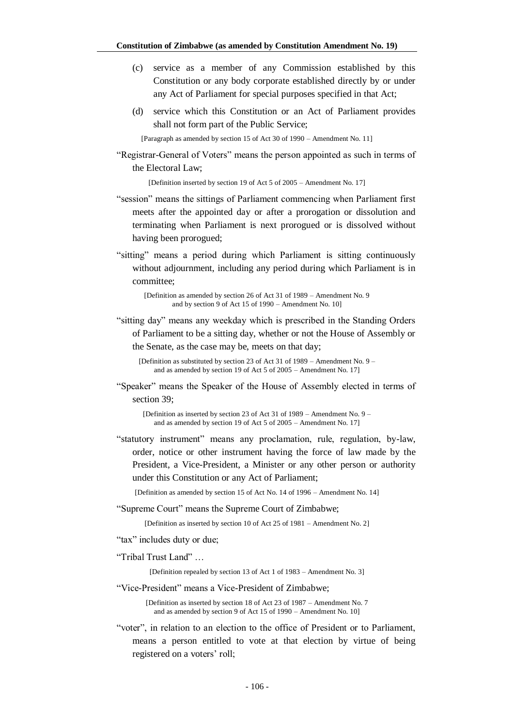- (c) service as a member of any Commission established by this Constitution or any body corporate established directly by or under any Act of Parliament for special purposes specified in that Act;
- (d) service which this Constitution or an Act of Parliament provides shall not form part of the Public Service;

[Paragraph as amended by section 15 of Act 30 of 1990 – Amendment No. 11]

"Registrar-General of Voters" means the person appointed as such in terms of the Electoral Law;

[Definition inserted by section 19 of Act 5 of 2005 – Amendment No. 17]

- "session" means the sittings of Parliament commencing when Parliament first meets after the appointed day or after a prorogation or dissolution and terminating when Parliament is next prorogued or is dissolved without having been prorogued;
- "sitting" means a period during which Parliament is sitting continuously without adjournment, including any period during which Parliament is in committee;

[Definition as amended by section 26 of Act 31 of 1989 – Amendment No. 9 and by section 9 of Act 15 of 1990 – Amendment No. 10]

"sitting day" means any weekday which is prescribed in the Standing Orders of Parliament to be a sitting day, whether or not the House of Assembly or the Senate, as the case may be, meets on that day;

[Definition as substituted by section 23 of Act 31 of 1989 – Amendment No. 9 – and as amended by section 19 of Act 5 of 2005 – Amendment No. 17]

"Speaker" means the Speaker of the House of Assembly elected in terms of section 39;

[Definition as inserted by section 23 of Act 31 of 1989 – Amendment No. 9 – and as amended by section 19 of Act 5 of 2005 – Amendment No. 17]

"statutory instrument" means any proclamation, rule, regulation, by-law, order, notice or other instrument having the force of law made by the President, a Vice-President, a Minister or any other person or authority under this Constitution or any Act of Parliament;

[Definition as amended by section 15 of Act No. 14 of 1996 – Amendment No. 14]

"Supreme Court" means the Supreme Court of Zimbabwe;

[Definition as inserted by section 10 of Act 25 of 1981 – Amendment No. 2]

"tax" includes duty or due;

"Tribal Trust Land" …

[Definition repealed by section 13 of Act 1 of 1983 – Amendment No. 3]

"Vice-President" means a Vice-President of Zimbabwe;

[Definition as inserted by section 18 of Act 23 of 1987 – Amendment No. 7 and as amended by section 9 of Act 15 of 1990 – Amendment No. 10]

"voter", in relation to an election to the office of President or to Parliament, means a person entitled to vote at that election by virtue of being registered on a voters' roll;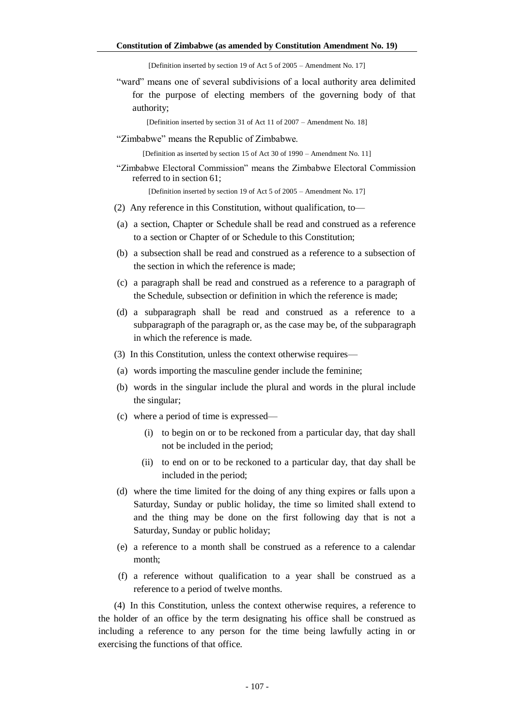[Definition inserted by section 19 of Act 5 of 2005 – Amendment No. 17]

"ward" means one of several subdivisions of a local authority area delimited for the purpose of electing members of the governing body of that authority;

[Definition inserted by section 31 of Act 11 of 2007 – Amendment No. 18]

"Zimbabwe" means the Republic of Zimbabwe.

[Definition as inserted by section 15 of Act 30 of 1990 – Amendment No. 11]

"Zimbabwe Electoral Commission" means the Zimbabwe Electoral Commission referred to in section 61;

[Definition inserted by section 19 of Act 5 of 2005 – Amendment No. 17]

- (2) Any reference in this Constitution, without qualification, to—
- (a) a section, Chapter or Schedule shall be read and construed as a reference to a section or Chapter of or Schedule to this Constitution;
- (b) a subsection shall be read and construed as a reference to a subsection of the section in which the reference is made;
- (c) a paragraph shall be read and construed as a reference to a paragraph of the Schedule, subsection or definition in which the reference is made;
- (d) a subparagraph shall be read and construed as a reference to a subparagraph of the paragraph or, as the case may be, of the subparagraph in which the reference is made.
- (3) In this Constitution, unless the context otherwise requires—
- (a) words importing the masculine gender include the feminine;
- (b) words in the singular include the plural and words in the plural include the singular;
- (c) where a period of time is expressed—
	- (i) to begin on or to be reckoned from a particular day, that day shall not be included in the period;
	- (ii) to end on or to be reckoned to a particular day, that day shall be included in the period;
- (d) where the time limited for the doing of any thing expires or falls upon a Saturday, Sunday or public holiday, the time so limited shall extend to and the thing may be done on the first following day that is not a Saturday, Sunday or public holiday;
- (e) a reference to a month shall be construed as a reference to a calendar month;
- (f) a reference without qualification to a year shall be construed as a reference to a period of twelve months.

(4) In this Constitution, unless the context otherwise requires, a reference to the holder of an office by the term designating his office shall be construed as including a reference to any person for the time being lawfully acting in or exercising the functions of that office.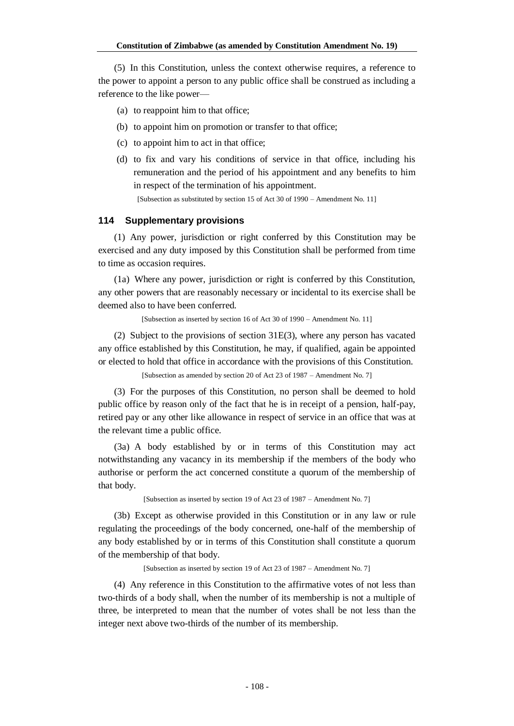(5) In this Constitution, unless the context otherwise requires, a reference to the power to appoint a person to any public office shall be construed as including a reference to the like power—

- (a) to reappoint him to that office;
- (b) to appoint him on promotion or transfer to that office;
- (c) to appoint him to act in that office;
- (d) to fix and vary his conditions of service in that office, including his remuneration and the period of his appointment and any benefits to him in respect of the termination of his appointment.

[Subsection as substituted by section 15 of Act 30 of 1990 – Amendment No. 11]

### **114 Supplementary provisions**

(1) Any power, jurisdiction or right conferred by this Constitution may be exercised and any duty imposed by this Constitution shall be performed from time to time as occasion requires.

(1a) Where any power, jurisdiction or right is conferred by this Constitution, any other powers that are reasonably necessary or incidental to its exercise shall be deemed also to have been conferred.

[Subsection as inserted by section 16 of Act 30 of 1990 – Amendment No. 11]

(2) Subject to the provisions of section 31E(3), where any person has vacated any office established by this Constitution, he may, if qualified, again be appointed or elected to hold that office in accordance with the provisions of this Constitution.

[Subsection as amended by section 20 of Act 23 of 1987 – Amendment No. 7]

(3) For the purposes of this Constitution, no person shall be deemed to hold public office by reason only of the fact that he is in receipt of a pension, half-pay, retired pay or any other like allowance in respect of service in an office that was at the relevant time a public office.

(3a) A body established by or in terms of this Constitution may act notwithstanding any vacancy in its membership if the members of the body who authorise or perform the act concerned constitute a quorum of the membership of that body.

[Subsection as inserted by section 19 of Act 23 of 1987 – Amendment No. 7]

(3b) Except as otherwise provided in this Constitution or in any law or rule regulating the proceedings of the body concerned, one-half of the membership of any body established by or in terms of this Constitution shall constitute a quorum of the membership of that body.

[Subsection as inserted by section 19 of Act 23 of 1987 – Amendment No. 7]

(4) Any reference in this Constitution to the affirmative votes of not less than two-thirds of a body shall, when the number of its membership is not a multiple of three, be interpreted to mean that the number of votes shall be not less than the integer next above two-thirds of the number of its membership.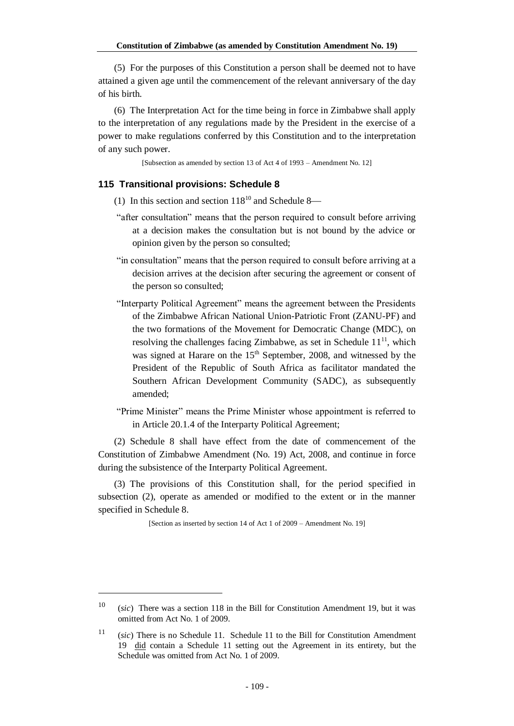(5) For the purposes of this Constitution a person shall be deemed not to have attained a given age until the commencement of the relevant anniversary of the day of his birth.

(6) The Interpretation Act for the time being in force in Zimbabwe shall apply to the interpretation of any regulations made by the President in the exercise of a power to make regulations conferred by this Constitution and to the interpretation of any such power.

[Subsection as amended by section 13 of Act 4 of 1993 – Amendment No. 12]

# **115 Transitional provisions: Schedule 8**

- (1) In this section and section  $118^{10}$  and Schedule 8—
- "after consultation" means that the person required to consult before arriving at a decision makes the consultation but is not bound by the advice or opinion given by the person so consulted;
- "in consultation" means that the person required to consult before arriving at a decision arrives at the decision after securing the agreement or consent of the person so consulted;
- "Interparty Political Agreement" means the agreement between the Presidents of the Zimbabwe African National Union-Patriotic Front (ZANU-PF) and the two formations of the Movement for Democratic Change (MDC), on resolving the challenges facing Zimbabwe, as set in Schedule  $11<sup>11</sup>$ , which was signed at Harare on the  $15<sup>th</sup>$  September, 2008, and witnessed by the President of the Republic of South Africa as facilitator mandated the Southern African Development Community (SADC), as subsequently amended;
- "Prime Minister" means the Prime Minister whose appointment is referred to in Article 20.1.4 of the Interparty Political Agreement;

(2) Schedule 8 shall have effect from the date of commencement of the Constitution of Zimbabwe Amendment (No. 19) Act, 2008, and continue in force during the subsistence of the Interparty Political Agreement.

(3) The provisions of this Constitution shall, for the period specified in subsection (2), operate as amended or modified to the extent or in the manner specified in Schedule 8.

[Section as inserted by section 14 of Act 1 of 2009 – Amendment No. 19]

 $\overline{a}$ 

<sup>10</sup> (*sic*) There was a section 118 in the Bill for Constitution Amendment 19, but it was omitted from Act No. 1 of 2009.

<sup>11</sup> (*sic*) There is no Schedule 11. Schedule 11 to the Bill for Constitution Amendment 19 did contain a Schedule 11 setting out the Agreement in its entirety, but the Schedule was omitted from Act No. 1 of 2009.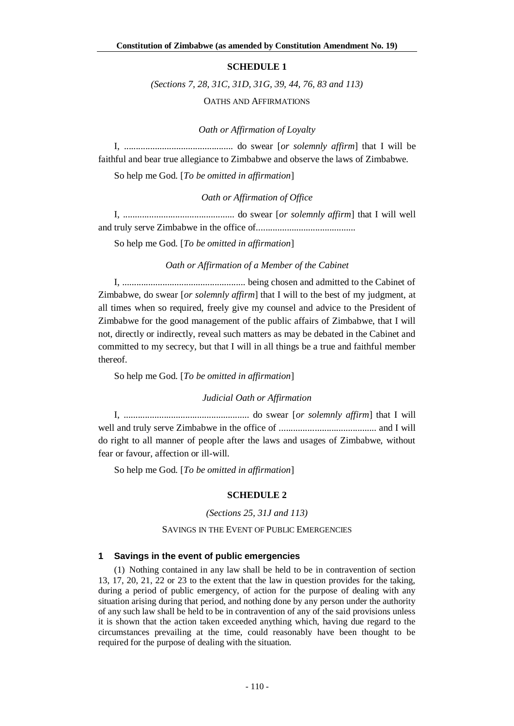# **SCHEDULE 1**

*(Sections 7, 28, 31C, 31D, 31G, 39, 44, 76, 83 and 113)*

OATHS AND AFFIRMATIONS

### *Oath or Affirmation of Loyalty*

I, .............................................. do swear [*or solemnly affirm*] that I will be faithful and bear true allegiance to Zimbabwe and observe the laws of Zimbabwe.

So help me God. [*To be omitted in affirmation*]

### *Oath or Affirmation of Office*

I, ............................................... do swear [*or solemnly affirm*] that I will well and truly serve Zimbabwe in the office of..........................................

So help me God. [*To be omitted in affirmation*]

### *Oath or Affirmation of a Member of the Cabinet*

I, .................................................... being chosen and admitted to the Cabinet of Zimbabwe, do swear [*or solemnly affirm*] that I will to the best of my judgment, at all times when so required, freely give my counsel and advice to the President of Zimbabwe for the good management of the public affairs of Zimbabwe, that I will not, directly or indirectly, reveal such matters as may be debated in the Cabinet and committed to my secrecy, but that I will in all things be a true and faithful member thereof.

So help me God. [*To be omitted in affirmation*]

### *Judicial Oath or Affirmation*

I, ..................................................... do swear [*or solemnly affirm*] that I will well and truly serve Zimbabwe in the office of ......................................... and I will do right to all manner of people after the laws and usages of Zimbabwe, without fear or favour, affection or ill-will.

So help me God. [*To be omitted in affirmation*]

#### **SCHEDULE 2**

#### *(Sections 25, 31J and 113)*

#### SAVINGS IN THE EVENT OF PUBLIC EMERGENCIES

#### **1 Savings in the event of public emergencies**

(1) Nothing contained in any law shall be held to be in contravention of section 13, 17, 20, 21, 22 or 23 to the extent that the law in question provides for the taking, during a period of public emergency, of action for the purpose of dealing with any situation arising during that period, and nothing done by any person under the authority of any such law shall be held to be in contravention of any of the said provisions unless it is shown that the action taken exceeded anything which, having due regard to the circumstances prevailing at the time, could reasonably have been thought to be required for the purpose of dealing with the situation.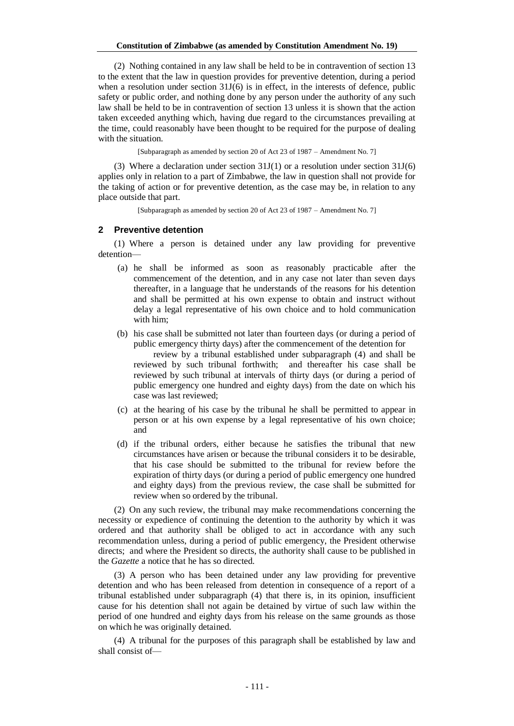(2) Nothing contained in any law shall be held to be in contravention of section 13 to the extent that the law in question provides for preventive detention, during a period when a resolution under section  $31J(6)$  is in effect, in the interests of defence, public safety or public order, and nothing done by any person under the authority of any such law shall be held to be in contravention of section 13 unless it is shown that the action taken exceeded anything which, having due regard to the circumstances prevailing at the time, could reasonably have been thought to be required for the purpose of dealing with the situation.

[Subparagraph as amended by section 20 of Act 23 of 1987 – Amendment No. 7]

(3) Where a declaration under section  $31J(1)$  or a resolution under section  $31J(6)$ applies only in relation to a part of Zimbabwe, the law in question shall not provide for the taking of action or for preventive detention, as the case may be, in relation to any place outside that part.

[Subparagraph as amended by section 20 of Act 23 of 1987 – Amendment No. 7]

### **2 Preventive detention**

(1) Where a person is detained under any law providing for preventive detention—

- (a) he shall be informed as soon as reasonably practicable after the commencement of the detention, and in any case not later than seven days thereafter, in a language that he understands of the reasons for his detention and shall be permitted at his own expense to obtain and instruct without delay a legal representative of his own choice and to hold communication with him;
- (b) his case shall be submitted not later than fourteen days (or during a period of public emergency thirty days) after the commencement of the detention for

review by a tribunal established under subparagraph (4) and shall be reviewed by such tribunal forthwith; and thereafter his case shall be reviewed by such tribunal at intervals of thirty days (or during a period of public emergency one hundred and eighty days) from the date on which his case was last reviewed;

- (c) at the hearing of his case by the tribunal he shall be permitted to appear in person or at his own expense by a legal representative of his own choice; and
- (d) if the tribunal orders, either because he satisfies the tribunal that new circumstances have arisen or because the tribunal considers it to be desirable, that his case should be submitted to the tribunal for review before the expiration of thirty days (or during a period of public emergency one hundred and eighty days) from the previous review, the case shall be submitted for review when so ordered by the tribunal.

(2) On any such review, the tribunal may make recommendations concerning the necessity or expedience of continuing the detention to the authority by which it was ordered and that authority shall be obliged to act in accordance with any such recommendation unless, during a period of public emergency, the President otherwise directs; and where the President so directs, the authority shall cause to be published in the *Gazette* a notice that he has so directed.

(3) A person who has been detained under any law providing for preventive detention and who has been released from detention in consequence of a report of a tribunal established under subparagraph (4) that there is, in its opinion, insufficient cause for his detention shall not again be detained by virtue of such law within the period of one hundred and eighty days from his release on the same grounds as those on which he was originally detained.

(4) A tribunal for the purposes of this paragraph shall be established by law and shall consist of—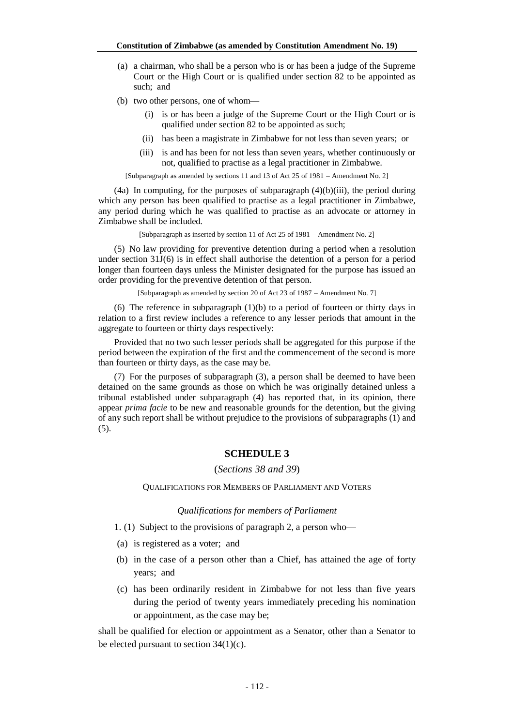- (a) a chairman, who shall be a person who is or has been a judge of the Supreme Court or the High Court or is qualified under section 82 to be appointed as such; and
- (b) two other persons, one of whom—
	- (i) is or has been a judge of the Supreme Court or the High Court or is qualified under section 82 to be appointed as such;
	- (ii) has been a magistrate in Zimbabwe for not less than seven years; or
	- (iii) is and has been for not less than seven years, whether continuously or not, qualified to practise as a legal practitioner in Zimbabwe.

[Subparagraph as amended by sections 11 and 13 of Act 25 of 1981 – Amendment No. 2]

 $(4a)$  In computing, for the purposes of subparagraph  $(4)(b)(iii)$ , the period during which any person has been qualified to practise as a legal practitioner in Zimbabwe, any period during which he was qualified to practise as an advocate or attorney in Zimbabwe shall be included.

[Subparagraph as inserted by section 11 of Act 25 of 1981 – Amendment No. 2]

(5) No law providing for preventive detention during a period when a resolution under section 31J(6) is in effect shall authorise the detention of a person for a period longer than fourteen days unless the Minister designated for the purpose has issued an order providing for the preventive detention of that person.

[Subparagraph as amended by section 20 of Act 23 of  $1987 -$  Amendment No. 7]

(6) The reference in subparagraph (1)(b) to a period of fourteen or thirty days in relation to a first review includes a reference to any lesser periods that amount in the aggregate to fourteen or thirty days respectively:

Provided that no two such lesser periods shall be aggregated for this purpose if the period between the expiration of the first and the commencement of the second is more than fourteen or thirty days, as the case may be.

(7) For the purposes of subparagraph (3), a person shall be deemed to have been detained on the same grounds as those on which he was originally detained unless a tribunal established under subparagraph (4) has reported that, in its opinion, there appear *prima facie* to be new and reasonable grounds for the detention, but the giving of any such report shall be without prejudice to the provisions of subparagraphs (1) and (5).

## **SCHEDULE 3**

(*Sections 38 and 39*)

QUALIFICATIONS FOR MEMBERS OF PARLIAMENT AND VOTERS

### *Qualifications for members of Parliament*

1. (1) Subject to the provisions of paragraph 2, a person who—

- (a) is registered as a voter; and
- (b) in the case of a person other than a Chief, has attained the age of forty years; and
- (c) has been ordinarily resident in Zimbabwe for not less than five years during the period of twenty years immediately preceding his nomination or appointment, as the case may be;

shall be qualified for election or appointment as a Senator, other than a Senator to be elected pursuant to section  $34(1)(c)$ .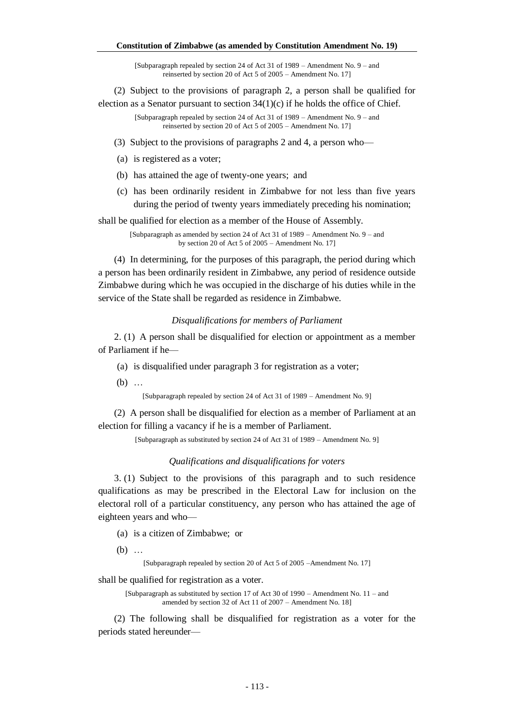[Subparagraph repealed by section 24 of Act 31 of 1989 – Amendment No. 9 – and reinserted by section 20 of Act 5 of 2005 – Amendment No. 17]

(2) Subject to the provisions of paragraph 2, a person shall be qualified for election as a Senator pursuant to section  $34(1)(c)$  if he holds the office of Chief.

> [Subparagraph repealed by section 24 of Act 31 of 1989 – Amendment No. 9 – and reinserted by section 20 of Act 5 of 2005 – Amendment No. 17]

- (3) Subject to the provisions of paragraphs 2 and 4, a person who—
- (a) is registered as a voter;
- (b) has attained the age of twenty-one years; and
- (c) has been ordinarily resident in Zimbabwe for not less than five years during the period of twenty years immediately preceding his nomination;

shall be qualified for election as a member of the House of Assembly.

[Subparagraph as amended by section 24 of Act 31 of 1989 – Amendment No.  $9 -$  and by section 20 of Act 5 of 2005 – Amendment No. 17]

(4) In determining, for the purposes of this paragraph, the period during which a person has been ordinarily resident in Zimbabwe, any period of residence outside Zimbabwe during which he was occupied in the discharge of his duties while in the service of the State shall be regarded as residence in Zimbabwe.

### *Disqualifications for members of Parliament*

2. (1) A person shall be disqualified for election or appointment as a member of Parliament if he—

(a) is disqualified under paragraph 3 for registration as a voter;

(b) …

[Subparagraph repealed by section 24 of Act 31 of 1989 – Amendment No. 9]

(2) A person shall be disqualified for election as a member of Parliament at an election for filling a vacancy if he is a member of Parliament.

[Subparagraph as substituted by section 24 of Act 31 of 1989 – Amendment No. 9]

#### *Qualifications and disqualifications for voters*

3. (1) Subject to the provisions of this paragraph and to such residence qualifications as may be prescribed in the Electoral Law for inclusion on the electoral roll of a particular constituency, any person who has attained the age of eighteen years and who—

(a) is a citizen of Zimbabwe; or

(b) …

[Subparagraph repealed by section 20 of Act 5 of 2005 –Amendment No. 17]

shall be qualified for registration as a voter.

[Subparagraph as substituted by section 17 of Act 30 of 1990 – Amendment No.  $11$  – and amended by section 32 of Act 11 of 2007 – Amendment No. 18]

(2) The following shall be disqualified for registration as a voter for the periods stated hereunder—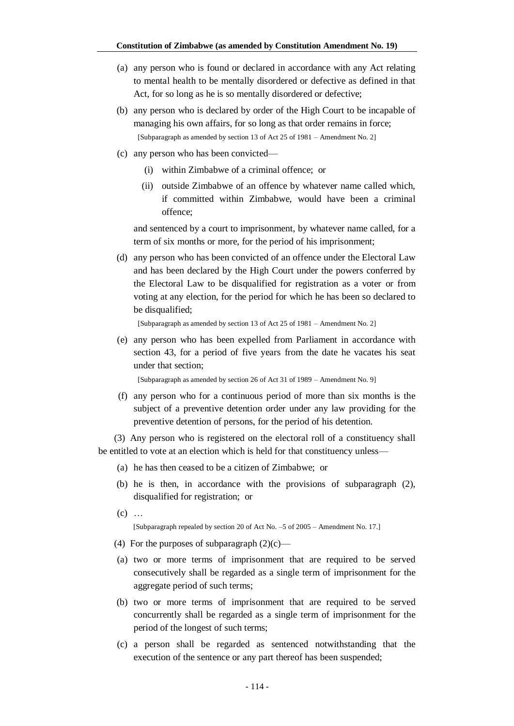- (a) any person who is found or declared in accordance with any Act relating to mental health to be mentally disordered or defective as defined in that Act, for so long as he is so mentally disordered or defective;
- (b) any person who is declared by order of the High Court to be incapable of managing his own affairs, for so long as that order remains in force; [Subparagraph as amended by section 13 of Act 25 of 1981 – Amendment No. 2]
- (c) any person who has been convicted—
	- (i) within Zimbabwe of a criminal offence; or
	- (ii) outside Zimbabwe of an offence by whatever name called which, if committed within Zimbabwe, would have been a criminal offence;

and sentenced by a court to imprisonment, by whatever name called, for a term of six months or more, for the period of his imprisonment;

(d) any person who has been convicted of an offence under the Electoral Law and has been declared by the High Court under the powers conferred by the Electoral Law to be disqualified for registration as a voter or from voting at any election, for the period for which he has been so declared to be disqualified;

[Subparagraph as amended by section 13 of Act 25 of 1981 – Amendment No. 2]

(e) any person who has been expelled from Parliament in accordance with section 43, for a period of five years from the date he vacates his seat under that section;

[Subparagraph as amended by section 26 of Act 31 of 1989 – Amendment No. 9]

(f) any person who for a continuous period of more than six months is the subject of a preventive detention order under any law providing for the preventive detention of persons, for the period of his detention.

(3) Any person who is registered on the electoral roll of a constituency shall be entitled to vote at an election which is held for that constituency unless—

- (a) he has then ceased to be a citizen of Zimbabwe; or
- (b) he is then, in accordance with the provisions of subparagraph (2), disqualified for registration; or
- $(c)$  ...
	- [Subparagraph repealed by section 20 of Act No. –5 of 2005 Amendment No. 17.]
- (4) For the purposes of subparagraph  $(2)(c)$ —
- (a) two or more terms of imprisonment that are required to be served consecutively shall be regarded as a single term of imprisonment for the aggregate period of such terms;
- (b) two or more terms of imprisonment that are required to be served concurrently shall be regarded as a single term of imprisonment for the period of the longest of such terms;
- (c) a person shall be regarded as sentenced notwithstanding that the execution of the sentence or any part thereof has been suspended;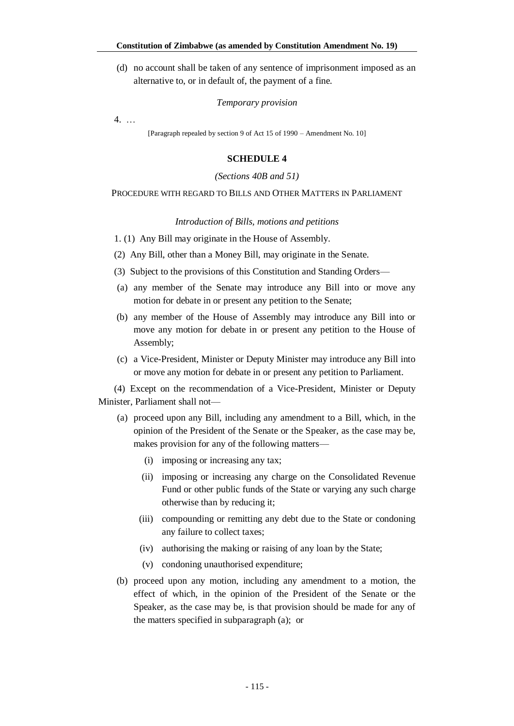(d) no account shall be taken of any sentence of imprisonment imposed as an alternative to, or in default of, the payment of a fine.

*Temporary provision*

4. …

[Paragraph repealed by section 9 of Act 15 of 1990 – Amendment No. 10]

# **SCHEDULE 4**

## *(Sections 40B and 51)*

# PROCEDURE WITH REGARD TO BILLS AND OTHER MATTERS IN PARLIAMENT

# *Introduction of Bills, motions and petitions*

- 1. (1) Any Bill may originate in the House of Assembly.
- (2) Any Bill, other than a Money Bill, may originate in the Senate.
- (3) Subject to the provisions of this Constitution and Standing Orders—
- (a) any member of the Senate may introduce any Bill into or move any motion for debate in or present any petition to the Senate;
- (b) any member of the House of Assembly may introduce any Bill into or move any motion for debate in or present any petition to the House of Assembly;
- (c) a Vice-President, Minister or Deputy Minister may introduce any Bill into or move any motion for debate in or present any petition to Parliament.

(4) Except on the recommendation of a Vice-President, Minister or Deputy Minister, Parliament shall not—

- (a) proceed upon any Bill, including any amendment to a Bill, which, in the opinion of the President of the Senate or the Speaker, as the case may be, makes provision for any of the following matters—
	- (i) imposing or increasing any tax;
	- (ii) imposing or increasing any charge on the Consolidated Revenue Fund or other public funds of the State or varying any such charge otherwise than by reducing it;
	- (iii) compounding or remitting any debt due to the State or condoning any failure to collect taxes;
	- (iv) authorising the making or raising of any loan by the State;
	- (v) condoning unauthorised expenditure;
- (b) proceed upon any motion, including any amendment to a motion, the effect of which, in the opinion of the President of the Senate or the Speaker, as the case may be, is that provision should be made for any of the matters specified in subparagraph (a); or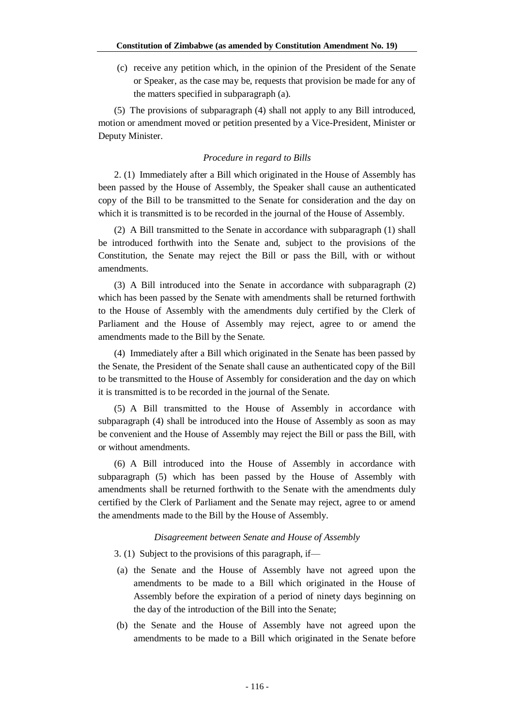(c) receive any petition which, in the opinion of the President of the Senate or Speaker, as the case may be, requests that provision be made for any of the matters specified in subparagraph (a).

(5) The provisions of subparagraph (4) shall not apply to any Bill introduced, motion or amendment moved or petition presented by a Vice-President, Minister or Deputy Minister.

# *Procedure in regard to Bills*

2. (1) Immediately after a Bill which originated in the House of Assembly has been passed by the House of Assembly, the Speaker shall cause an authenticated copy of the Bill to be transmitted to the Senate for consideration and the day on which it is transmitted is to be recorded in the journal of the House of Assembly.

(2) A Bill transmitted to the Senate in accordance with subparagraph (1) shall be introduced forthwith into the Senate and, subject to the provisions of the Constitution, the Senate may reject the Bill or pass the Bill, with or without amendments.

(3) A Bill introduced into the Senate in accordance with subparagraph (2) which has been passed by the Senate with amendments shall be returned forthwith to the House of Assembly with the amendments duly certified by the Clerk of Parliament and the House of Assembly may reject, agree to or amend the amendments made to the Bill by the Senate.

(4) Immediately after a Bill which originated in the Senate has been passed by the Senate, the President of the Senate shall cause an authenticated copy of the Bill to be transmitted to the House of Assembly for consideration and the day on which it is transmitted is to be recorded in the journal of the Senate.

(5) A Bill transmitted to the House of Assembly in accordance with subparagraph (4) shall be introduced into the House of Assembly as soon as may be convenient and the House of Assembly may reject the Bill or pass the Bill, with or without amendments.

(6) A Bill introduced into the House of Assembly in accordance with subparagraph (5) which has been passed by the House of Assembly with amendments shall be returned forthwith to the Senate with the amendments duly certified by the Clerk of Parliament and the Senate may reject, agree to or amend the amendments made to the Bill by the House of Assembly.

# *Disagreement between Senate and House of Assembly*

- 3. (1) Subject to the provisions of this paragraph, if—
- (a) the Senate and the House of Assembly have not agreed upon the amendments to be made to a Bill which originated in the House of Assembly before the expiration of a period of ninety days beginning on the day of the introduction of the Bill into the Senate;
- (b) the Senate and the House of Assembly have not agreed upon the amendments to be made to a Bill which originated in the Senate before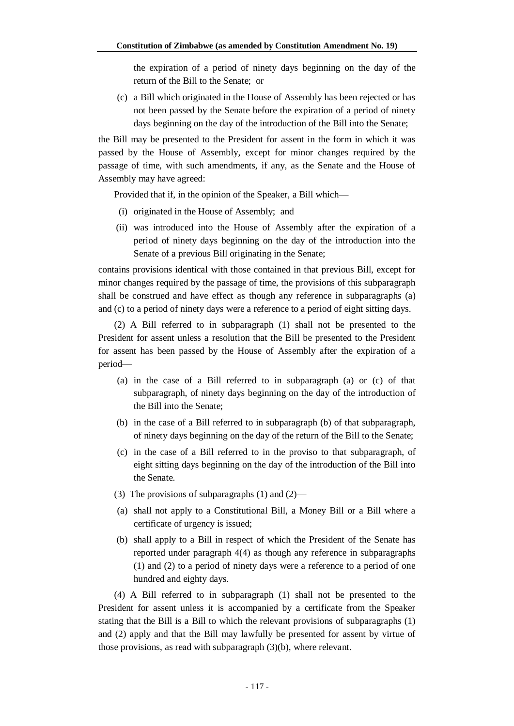the expiration of a period of ninety days beginning on the day of the return of the Bill to the Senate; or

(c) a Bill which originated in the House of Assembly has been rejected or has not been passed by the Senate before the expiration of a period of ninety days beginning on the day of the introduction of the Bill into the Senate;

the Bill may be presented to the President for assent in the form in which it was passed by the House of Assembly, except for minor changes required by the passage of time, with such amendments, if any, as the Senate and the House of Assembly may have agreed:

Provided that if, in the opinion of the Speaker, a Bill which—

- (i) originated in the House of Assembly; and
- (ii) was introduced into the House of Assembly after the expiration of a period of ninety days beginning on the day of the introduction into the Senate of a previous Bill originating in the Senate;

contains provisions identical with those contained in that previous Bill, except for minor changes required by the passage of time, the provisions of this subparagraph shall be construed and have effect as though any reference in subparagraphs (a) and (c) to a period of ninety days were a reference to a period of eight sitting days.

(2) A Bill referred to in subparagraph (1) shall not be presented to the President for assent unless a resolution that the Bill be presented to the President for assent has been passed by the House of Assembly after the expiration of a period—

- (a) in the case of a Bill referred to in subparagraph (a) or (c) of that subparagraph, of ninety days beginning on the day of the introduction of the Bill into the Senate;
- (b) in the case of a Bill referred to in subparagraph (b) of that subparagraph, of ninety days beginning on the day of the return of the Bill to the Senate;
- (c) in the case of a Bill referred to in the proviso to that subparagraph, of eight sitting days beginning on the day of the introduction of the Bill into the Senate.
- (3) The provisions of subparagraphs (1) and (2)—
- (a) shall not apply to a Constitutional Bill, a Money Bill or a Bill where a certificate of urgency is issued;
- (b) shall apply to a Bill in respect of which the President of the Senate has reported under paragraph 4(4) as though any reference in subparagraphs (1) and (2) to a period of ninety days were a reference to a period of one hundred and eighty days.

(4) A Bill referred to in subparagraph (1) shall not be presented to the President for assent unless it is accompanied by a certificate from the Speaker stating that the Bill is a Bill to which the relevant provisions of subparagraphs (1) and (2) apply and that the Bill may lawfully be presented for assent by virtue of those provisions, as read with subparagraph (3)(b), where relevant.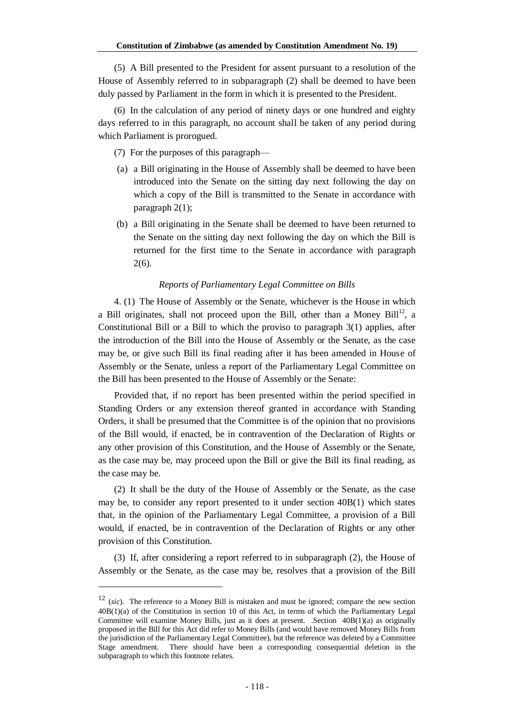(5) A Bill presented to the President for assent pursuant to a resolution of the House of Assembly referred to in subparagraph (2) shall be deemed to have been duly passed by Parliament in the form in which it is presented to the President.

(6) In the calculation of any period of ninety days or one hundred and eighty days referred to in this paragraph, no account shall be taken of any period during which Parliament is prorogued.

(7) For the purposes of this paragraph—

- (a) a Bill originating in the House of Assembly shall be deemed to have been introduced into the Senate on the sitting day next following the day on which a copy of the Bill is transmitted to the Senate in accordance with paragraph 2(1);
- (b) a Bill originating in the Senate shall be deemed to have been returned to the Senate on the sitting day next following the day on which the Bill is returned for the first time to the Senate in accordance with paragraph 2(6).

### *Reports of Parliamentary Legal Committee on Bills*

4. (1) The House of Assembly or the Senate, whichever is the House in which a Bill originates, shall not proceed upon the Bill, other than a Money Bill<sup>12</sup>, a Constitutional Bill or a Bill to which the proviso to paragraph 3(1) applies, after the introduction of the Bill into the House of Assembly or the Senate, as the case may be, or give such Bill its final reading after it has been amended in House of Assembly or the Senate, unless a report of the Parliamentary Legal Committee on the Bill has been presented to the House of Assembly or the Senate:

Provided that, if no report has been presented within the period specified in Standing Orders or any extension thereof granted in accordance with Standing Orders, it shall be presumed that the Committee is of the opinion that no provisions of the Bill would, if enacted, be in contravention of the Declaration of Rights or any other provision of this Constitution, and the House of Assembly or the Senate, as the case may be, may proceed upon the Bill or give the Bill its final reading, as the case may be.

(2) It shall be the duty of the House of Assembly or the Senate, as the case may be, to consider any report presented to it under section 40B(1) which states that, in the opinion of the Parliamentary Legal Committee, a provision of a Bill would, if enacted, be in contravention of the Declaration of Rights or any other provision of this Constitution.

(3) If, after considering a report referred to in subparagraph (2), the House of Assembly or the Senate, as the case may be, resolves that a provision of the Bill

 $\overline{a}$ 

<sup>12</sup> (*sic*). The reference to a Money Bill is mistaken and must be ignored; compare the new section 40B(1)(a) of the Constitution in section 10 of this Act, in terms of which the Parliamentary Legal Committee will examine Money Bills, just as it does at present. .Section 40B(1)(a) as originally proposed in the Bill for this Act did refer to Money Bills (and would have removed Money Bills from the jurisdiction of the Parliamentary Legal Committee), but the reference was deleted by a Committee Stage amendment. There should have been a corresponding consequential deletion in the subparagraph to which this footnote relates.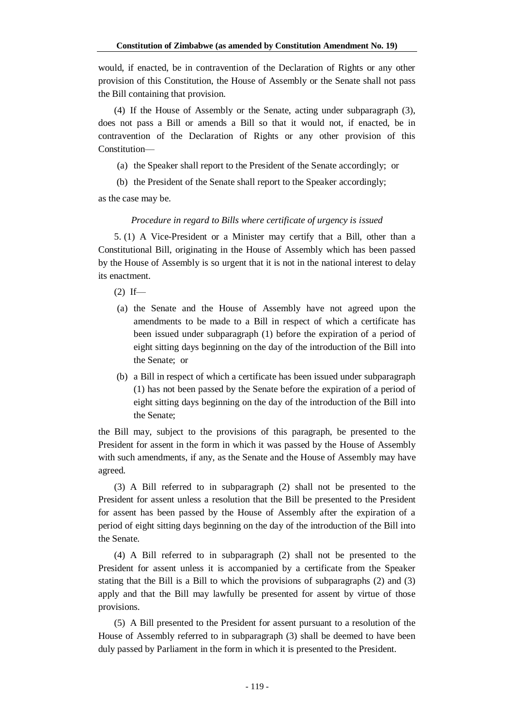would, if enacted, be in contravention of the Declaration of Rights or any other provision of this Constitution, the House of Assembly or the Senate shall not pass the Bill containing that provision.

(4) If the House of Assembly or the Senate, acting under subparagraph (3), does not pass a Bill or amends a Bill so that it would not, if enacted, be in contravention of the Declaration of Rights or any other provision of this Constitution—

(a) the Speaker shall report to the President of the Senate accordingly; or

(b) the President of the Senate shall report to the Speaker accordingly;

as the case may be.

# *Procedure in regard to Bills where certificate of urgency is issued*

5. (1) A Vice-President or a Minister may certify that a Bill, other than a Constitutional Bill, originating in the House of Assembly which has been passed by the House of Assembly is so urgent that it is not in the national interest to delay its enactment.

 $(2)$  If—

- (a) the Senate and the House of Assembly have not agreed upon the amendments to be made to a Bill in respect of which a certificate has been issued under subparagraph (1) before the expiration of a period of eight sitting days beginning on the day of the introduction of the Bill into the Senate; or
- (b) a Bill in respect of which a certificate has been issued under subparagraph (1) has not been passed by the Senate before the expiration of a period of eight sitting days beginning on the day of the introduction of the Bill into the Senate;

the Bill may, subject to the provisions of this paragraph, be presented to the President for assent in the form in which it was passed by the House of Assembly with such amendments, if any, as the Senate and the House of Assembly may have agreed.

(3) A Bill referred to in subparagraph (2) shall not be presented to the President for assent unless a resolution that the Bill be presented to the President for assent has been passed by the House of Assembly after the expiration of a period of eight sitting days beginning on the day of the introduction of the Bill into the Senate.

(4) A Bill referred to in subparagraph (2) shall not be presented to the President for assent unless it is accompanied by a certificate from the Speaker stating that the Bill is a Bill to which the provisions of subparagraphs (2) and (3) apply and that the Bill may lawfully be presented for assent by virtue of those provisions.

(5) A Bill presented to the President for assent pursuant to a resolution of the House of Assembly referred to in subparagraph (3) shall be deemed to have been duly passed by Parliament in the form in which it is presented to the President.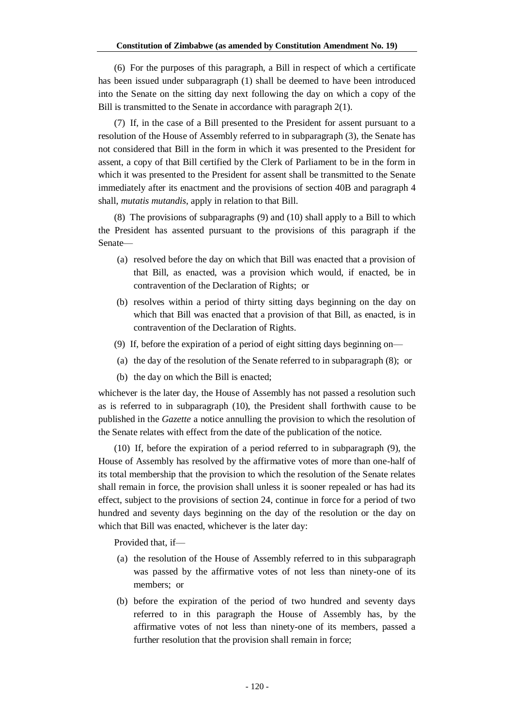(6) For the purposes of this paragraph, a Bill in respect of which a certificate has been issued under subparagraph (1) shall be deemed to have been introduced into the Senate on the sitting day next following the day on which a copy of the Bill is transmitted to the Senate in accordance with paragraph 2(1).

(7) If, in the case of a Bill presented to the President for assent pursuant to a resolution of the House of Assembly referred to in subparagraph (3), the Senate has not considered that Bill in the form in which it was presented to the President for assent, a copy of that Bill certified by the Clerk of Parliament to be in the form in which it was presented to the President for assent shall be transmitted to the Senate immediately after its enactment and the provisions of section 40B and paragraph 4 shall, *mutatis mutandis*, apply in relation to that Bill.

(8) The provisions of subparagraphs (9) and (10) shall apply to a Bill to which the President has assented pursuant to the provisions of this paragraph if the Senate—

- (a) resolved before the day on which that Bill was enacted that a provision of that Bill, as enacted, was a provision which would, if enacted, be in contravention of the Declaration of Rights; or
- (b) resolves within a period of thirty sitting days beginning on the day on which that Bill was enacted that a provision of that Bill, as enacted, is in contravention of the Declaration of Rights.
- (9) If, before the expiration of a period of eight sitting days beginning on—
- (a) the day of the resolution of the Senate referred to in subparagraph (8); or
- (b) the day on which the Bill is enacted;

whichever is the later day, the House of Assembly has not passed a resolution such as is referred to in subparagraph (10), the President shall forthwith cause to be published in the *Gazette* a notice annulling the provision to which the resolution of the Senate relates with effect from the date of the publication of the notice.

(10) If, before the expiration of a period referred to in subparagraph (9), the House of Assembly has resolved by the affirmative votes of more than one-half of its total membership that the provision to which the resolution of the Senate relates shall remain in force, the provision shall unless it is sooner repealed or has had its effect, subject to the provisions of section 24, continue in force for a period of two hundred and seventy days beginning on the day of the resolution or the day on which that Bill was enacted, whichever is the later day:

Provided that, if—

- (a) the resolution of the House of Assembly referred to in this subparagraph was passed by the affirmative votes of not less than ninety-one of its members; or
- (b) before the expiration of the period of two hundred and seventy days referred to in this paragraph the House of Assembly has, by the affirmative votes of not less than ninety-one of its members, passed a further resolution that the provision shall remain in force;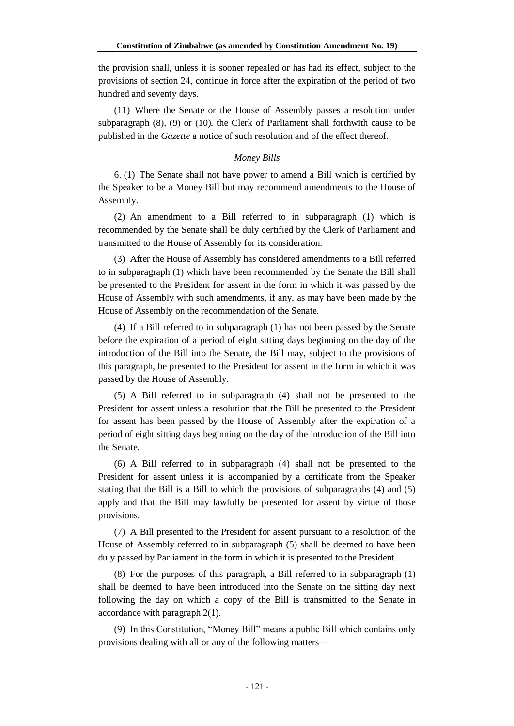the provision shall, unless it is sooner repealed or has had its effect, subject to the provisions of section 24, continue in force after the expiration of the period of two hundred and seventy days.

(11) Where the Senate or the House of Assembly passes a resolution under subparagraph (8), (9) or (10), the Clerk of Parliament shall forthwith cause to be published in the *Gazette* a notice of such resolution and of the effect thereof.

# *Money Bills*

6. (1) The Senate shall not have power to amend a Bill which is certified by the Speaker to be a Money Bill but may recommend amendments to the House of Assembly.

(2) An amendment to a Bill referred to in subparagraph (1) which is recommended by the Senate shall be duly certified by the Clerk of Parliament and transmitted to the House of Assembly for its consideration.

(3) After the House of Assembly has considered amendments to a Bill referred to in subparagraph (1) which have been recommended by the Senate the Bill shall be presented to the President for assent in the form in which it was passed by the House of Assembly with such amendments, if any, as may have been made by the House of Assembly on the recommendation of the Senate.

(4) If a Bill referred to in subparagraph (1) has not been passed by the Senate before the expiration of a period of eight sitting days beginning on the day of the introduction of the Bill into the Senate, the Bill may, subject to the provisions of this paragraph, be presented to the President for assent in the form in which it was passed by the House of Assembly.

(5) A Bill referred to in subparagraph (4) shall not be presented to the President for assent unless a resolution that the Bill be presented to the President for assent has been passed by the House of Assembly after the expiration of a period of eight sitting days beginning on the day of the introduction of the Bill into the Senate.

(6) A Bill referred to in subparagraph (4) shall not be presented to the President for assent unless it is accompanied by a certificate from the Speaker stating that the Bill is a Bill to which the provisions of subparagraphs (4) and (5) apply and that the Bill may lawfully be presented for assent by virtue of those provisions.

(7) A Bill presented to the President for assent pursuant to a resolution of the House of Assembly referred to in subparagraph (5) shall be deemed to have been duly passed by Parliament in the form in which it is presented to the President.

(8) For the purposes of this paragraph, a Bill referred to in subparagraph (1) shall be deemed to have been introduced into the Senate on the sitting day next following the day on which a copy of the Bill is transmitted to the Senate in accordance with paragraph 2(1).

(9) In this Constitution, "Money Bill" means a public Bill which contains only provisions dealing with all or any of the following matters—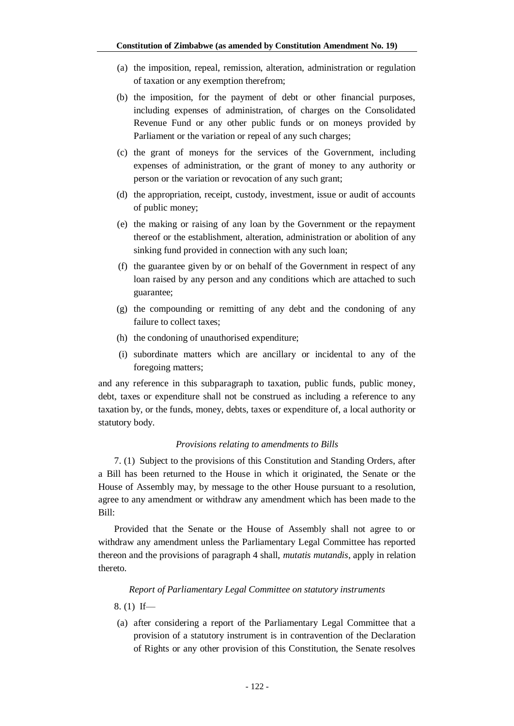- (a) the imposition, repeal, remission, alteration, administration or regulation of taxation or any exemption therefrom;
- (b) the imposition, for the payment of debt or other financial purposes, including expenses of administration, of charges on the Consolidated Revenue Fund or any other public funds or on moneys provided by Parliament or the variation or repeal of any such charges;
- (c) the grant of moneys for the services of the Government, including expenses of administration, or the grant of money to any authority or person or the variation or revocation of any such grant;
- (d) the appropriation, receipt, custody, investment, issue or audit of accounts of public money;
- (e) the making or raising of any loan by the Government or the repayment thereof or the establishment, alteration, administration or abolition of any sinking fund provided in connection with any such loan;
- (f) the guarantee given by or on behalf of the Government in respect of any loan raised by any person and any conditions which are attached to such guarantee;
- (g) the compounding or remitting of any debt and the condoning of any failure to collect taxes;
- (h) the condoning of unauthorised expenditure;
- (i) subordinate matters which are ancillary or incidental to any of the foregoing matters;

and any reference in this subparagraph to taxation, public funds, public money, debt, taxes or expenditure shall not be construed as including a reference to any taxation by, or the funds, money, debts, taxes or expenditure of, a local authority or statutory body.

# *Provisions relating to amendments to Bills*

7. (1) Subject to the provisions of this Constitution and Standing Orders, after a Bill has been returned to the House in which it originated, the Senate or the House of Assembly may, by message to the other House pursuant to a resolution, agree to any amendment or withdraw any amendment which has been made to the Bill:

Provided that the Senate or the House of Assembly shall not agree to or withdraw any amendment unless the Parliamentary Legal Committee has reported thereon and the provisions of paragraph 4 shall, *mutatis mutandis*, apply in relation thereto.

*Report of Parliamentary Legal Committee on statutory instruments*

8. (1) If—

(a) after considering a report of the Parliamentary Legal Committee that a provision of a statutory instrument is in contravention of the Declaration of Rights or any other provision of this Constitution, the Senate resolves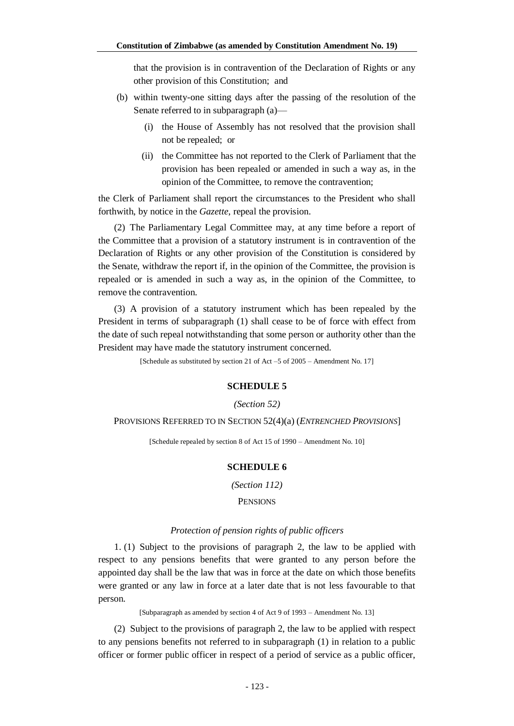that the provision is in contravention of the Declaration of Rights or any other provision of this Constitution; and

- (b) within twenty-one sitting days after the passing of the resolution of the Senate referred to in subparagraph (a)—
	- (i) the House of Assembly has not resolved that the provision shall not be repealed; or
	- (ii) the Committee has not reported to the Clerk of Parliament that the provision has been repealed or amended in such a way as, in the opinion of the Committee, to remove the contravention;

the Clerk of Parliament shall report the circumstances to the President who shall forthwith, by notice in the *Gazette*, repeal the provision.

(2) The Parliamentary Legal Committee may, at any time before a report of the Committee that a provision of a statutory instrument is in contravention of the Declaration of Rights or any other provision of the Constitution is considered by the Senate, withdraw the report if, in the opinion of the Committee, the provision is repealed or is amended in such a way as, in the opinion of the Committee, to remove the contravention.

(3) A provision of a statutory instrument which has been repealed by the President in terms of subparagraph (1) shall cease to be of force with effect from the date of such repeal notwithstanding that some person or authority other than the President may have made the statutory instrument concerned.

[Schedule as substituted by section 21 of Act –5 of 2005 – Amendment No. 17]

# **SCHEDULE 5**

### *(Section 52)*

# PROVISIONS REFERRED TO IN SECTION 52(4)(a) (*ENTRENCHED PROVISIONS*]

[Schedule repealed by section 8 of Act 15 of 1990 – Amendment No. 10]

#### **SCHEDULE 6**

*(Section 112)*

#### PENSIONS

## *Protection of pension rights of public officers*

1. (1) Subject to the provisions of paragraph 2, the law to be applied with respect to any pensions benefits that were granted to any person before the appointed day shall be the law that was in force at the date on which those benefits were granted or any law in force at a later date that is not less favourable to that person.

[Subparagraph as amended by section 4 of Act 9 of 1993 – Amendment No. 13]

(2) Subject to the provisions of paragraph 2, the law to be applied with respect to any pensions benefits not referred to in subparagraph (1) in relation to a public officer or former public officer in respect of a period of service as a public officer,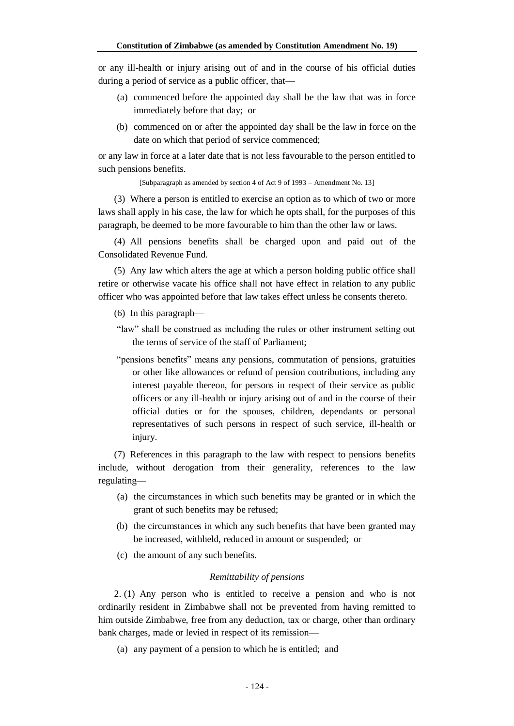or any ill-health or injury arising out of and in the course of his official duties during a period of service as a public officer, that—

- (a) commenced before the appointed day shall be the law that was in force immediately before that day; or
- (b) commenced on or after the appointed day shall be the law in force on the date on which that period of service commenced;

or any law in force at a later date that is not less favourable to the person entitled to such pensions benefits.

[Subparagraph as amended by section 4 of Act 9 of 1993 – Amendment No. 13]

(3) Where a person is entitled to exercise an option as to which of two or more laws shall apply in his case, the law for which he opts shall, for the purposes of this paragraph, be deemed to be more favourable to him than the other law or laws.

(4) All pensions benefits shall be charged upon and paid out of the Consolidated Revenue Fund.

(5) Any law which alters the age at which a person holding public office shall retire or otherwise vacate his office shall not have effect in relation to any public officer who was appointed before that law takes effect unless he consents thereto.

- (6) In this paragraph—
- "law" shall be construed as including the rules or other instrument setting out the terms of service of the staff of Parliament;
- "pensions benefits" means any pensions, commutation of pensions, gratuities or other like allowances or refund of pension contributions, including any interest payable thereon, for persons in respect of their service as public officers or any ill-health or injury arising out of and in the course of their official duties or for the spouses, children, dependants or personal representatives of such persons in respect of such service, ill-health or injury.

(7) References in this paragraph to the law with respect to pensions benefits include, without derogation from their generality, references to the law regulating—

- (a) the circumstances in which such benefits may be granted or in which the grant of such benefits may be refused;
- (b) the circumstances in which any such benefits that have been granted may be increased, withheld, reduced in amount or suspended; or
- (c) the amount of any such benefits.

### *Remittability of pensions*

2. (1) Any person who is entitled to receive a pension and who is not ordinarily resident in Zimbabwe shall not be prevented from having remitted to him outside Zimbabwe, free from any deduction, tax or charge, other than ordinary bank charges, made or levied in respect of its remission—

(a) any payment of a pension to which he is entitled; and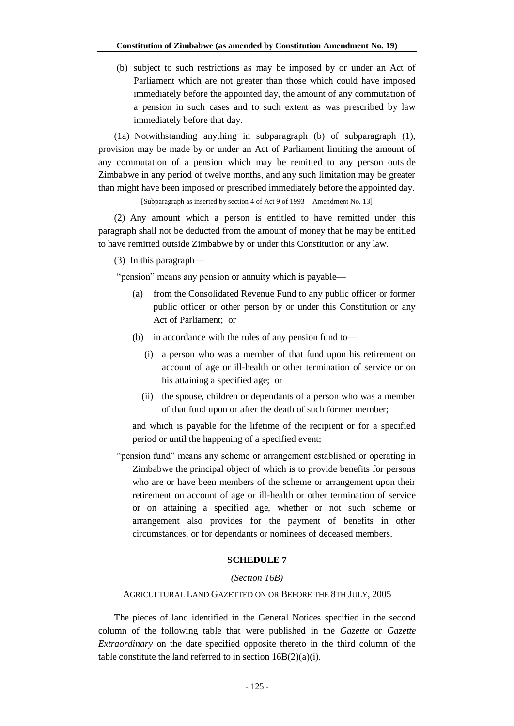(b) subject to such restrictions as may be imposed by or under an Act of Parliament which are not greater than those which could have imposed immediately before the appointed day, the amount of any commutation of a pension in such cases and to such extent as was prescribed by law immediately before that day.

(1a) Notwithstanding anything in subparagraph (b) of subparagraph (1), provision may be made by or under an Act of Parliament limiting the amount of any commutation of a pension which may be remitted to any person outside Zimbabwe in any period of twelve months, and any such limitation may be greater than might have been imposed or prescribed immediately before the appointed day.

[Subparagraph as inserted by section 4 of Act 9 of 1993 – Amendment No. 13]

(2) Any amount which a person is entitled to have remitted under this paragraph shall not be deducted from the amount of money that he may be entitled to have remitted outside Zimbabwe by or under this Constitution or any law.

(3) In this paragraph—

"pension" means any pension or annuity which is payable—

- (a) from the Consolidated Revenue Fund to any public officer or former public officer or other person by or under this Constitution or any Act of Parliament; or
- (b) in accordance with the rules of any pension fund to—
	- (i) a person who was a member of that fund upon his retirement on account of age or ill-health or other termination of service or on his attaining a specified age; or
	- (ii) the spouse, children or dependants of a person who was a member of that fund upon or after the death of such former member;

and which is payable for the lifetime of the recipient or for a specified period or until the happening of a specified event;

"pension fund" means any scheme or arrangement established or operating in Zimbabwe the principal object of which is to provide benefits for persons who are or have been members of the scheme or arrangement upon their retirement on account of age or ill-health or other termination of service or on attaining a specified age, whether or not such scheme or arrangement also provides for the payment of benefits in other circumstances, or for dependants or nominees of deceased members.

# **SCHEDULE 7**

### *(Section 16B)*

## AGRICULTURAL LAND GAZETTED ON OR BEFORE THE 8TH JULY, 2005

The pieces of land identified in the General Notices specified in the second column of the following table that were published in the *Gazette* or *Gazette Extraordinary* on the date specified opposite thereto in the third column of the table constitute the land referred to in section  $16B(2)(a)(i)$ .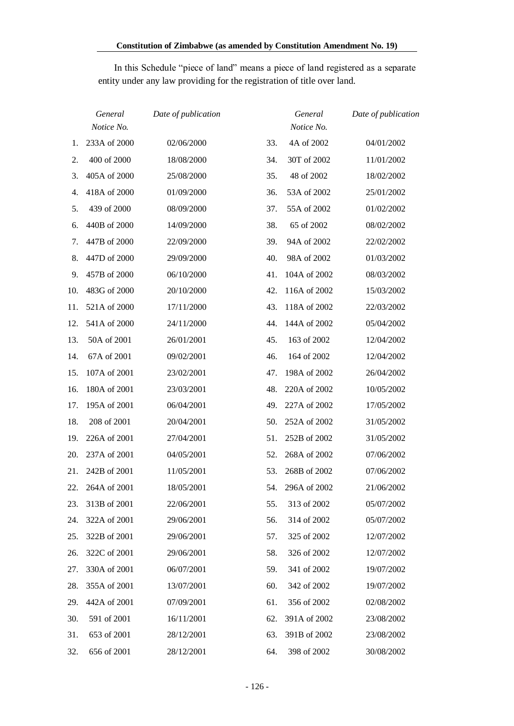In this Schedule "piece of land" means a piece of land registered as a separate entity under any law providing for the registration of title over land.

|     | General<br>Notice No. | Date of publication |     | General<br>Notice No. | Date of publication |
|-----|-----------------------|---------------------|-----|-----------------------|---------------------|
| 1.  | 233A of 2000          | 02/06/2000          | 33. | 4A of 2002            | 04/01/2002          |
| 2.  | 400 of 2000           | 18/08/2000          | 34. | 30T of 2002           | 11/01/2002          |
| 3.  | 405A of 2000          | 25/08/2000          | 35. | 48 of 2002            | 18/02/2002          |
| 4.  | 418A of 2000          | 01/09/2000          | 36. | 53A of 2002           | 25/01/2002          |
| 5.  | 439 of 2000           | 08/09/2000          | 37. | 55A of 2002           | 01/02/2002          |
| 6.  | 440B of 2000          | 14/09/2000          | 38. | 65 of 2002            | 08/02/2002          |
| 7.  | 447B of 2000          | 22/09/2000          | 39. | 94A of 2002           | 22/02/2002          |
| 8.  | 447D of 2000          | 29/09/2000          | 40. | 98A of 2002           | 01/03/2002          |
| 9.  | 457B of 2000          | 06/10/2000          | 41. | 104A of 2002          | 08/03/2002          |
| 10. | 483G of 2000          | 20/10/2000          | 42. | 116A of 2002          | 15/03/2002          |
| 11. | 521A of 2000          | 17/11/2000          | 43. | 118A of 2002          | 22/03/2002          |
| 12. | 541A of 2000          | 24/11/2000          | 44. | 144A of 2002          | 05/04/2002          |
| 13. | 50A of 2001           | 26/01/2001          | 45. | 163 of 2002           | 12/04/2002          |
| 14. | 67A of 2001           | 09/02/2001          | 46. | 164 of 2002           | 12/04/2002          |
| 15. | 107A of 2001          | 23/02/2001          | 47. | 198A of 2002          | 26/04/2002          |
| 16. | 180A of 2001          | 23/03/2001          | 48. | 220A of 2002          | 10/05/2002          |
| 17. | 195A of 2001          | 06/04/2001          | 49. | 227A of 2002          | 17/05/2002          |
| 18. | 208 of 2001           | 20/04/2001          | 50. | 252A of 2002          | 31/05/2002          |
| 19. | 226A of 2001          | 27/04/2001          | 51. | 252B of 2002          | 31/05/2002          |
| 20. | 237A of 2001          | 04/05/2001          | 52. | 268A of 2002          | 07/06/2002          |
| 21. | 242B of 2001          | 11/05/2001          | 53. | 268B of 2002          | 07/06/2002          |
| 22. | 264A of 2001          | 18/05/2001          | 54. | 296A of 2002          | 21/06/2002          |
| 23. | 313B of 2001          | 22/06/2001          | 55. | 313 of 2002           | 05/07/2002          |
| 24. | 322A of 2001          | 29/06/2001          | 56. | 314 of 2002           | 05/07/2002          |
| 25. | 322B of 2001          | 29/06/2001          | 57. | 325 of 2002           | 12/07/2002          |
| 26. | 322C of 2001          | 29/06/2001          | 58. | 326 of 2002           | 12/07/2002          |
| 27. | 330A of 2001          | 06/07/2001          | 59. | 341 of 2002           | 19/07/2002          |
| 28. | 355A of 2001          | 13/07/2001          | 60. | 342 of 2002           | 19/07/2002          |
| 29. | 442A of 2001          | 07/09/2001          | 61. | 356 of 2002           | 02/08/2002          |
| 30. | 591 of 2001           | 16/11/2001          | 62. | 391A of 2002          | 23/08/2002          |
| 31. | 653 of 2001           | 28/12/2001          | 63. | 391B of 2002          | 23/08/2002          |
| 32. | 656 of 2001           | 28/12/2001          | 64. | 398 of 2002           | 30/08/2002          |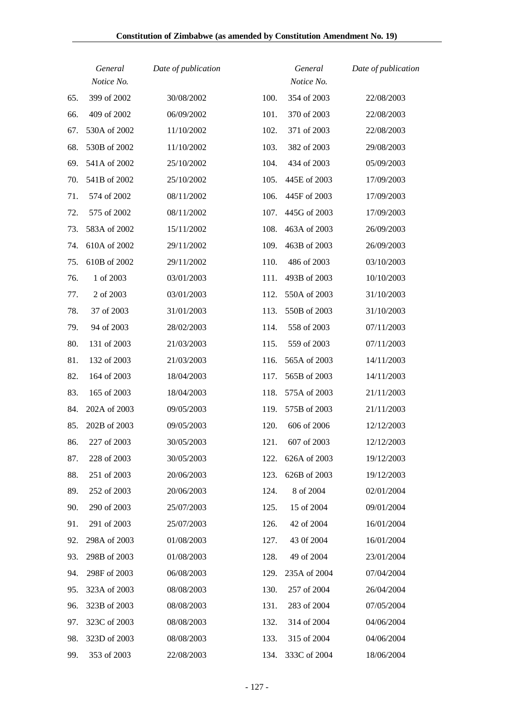|     | General<br>Notice No. | Date of publication |      | General<br>Notice No. | Date of publication |
|-----|-----------------------|---------------------|------|-----------------------|---------------------|
| 65. | 399 of 2002           | 30/08/2002          | 100. | 354 of 2003           | 22/08/2003          |
| 66. | 409 of 2002           | 06/09/2002          | 101. | 370 of 2003           | 22/08/2003          |
| 67. | 530A of 2002          | 11/10/2002          | 102. | 371 of 2003           | 22/08/2003          |
| 68. | 530B of 2002          | 11/10/2002          | 103. | 382 of 2003           | 29/08/2003          |
| 69. | 541A of 2002          | 25/10/2002          | 104. | 434 of 2003           | 05/09/2003          |
| 70. | 541B of 2002          | 25/10/2002          | 105. | 445E of 2003          | 17/09/2003          |
| 71. | 574 of 2002           | 08/11/2002          | 106. | 445F of 2003          | 17/09/2003          |
| 72. | 575 of 2002           | 08/11/2002          | 107. | 445G of 2003          | 17/09/2003          |
| 73. | 583A of 2002          | 15/11/2002          | 108. | 463A of 2003          | 26/09/2003          |
| 74. | 610A of 2002          | 29/11/2002          | 109. | 463B of 2003          | 26/09/2003          |
| 75. | 610B of 2002          | 29/11/2002          | 110. | 486 of 2003           | 03/10/2003          |
| 76. | 1 of 2003             | 03/01/2003          | 111. | 493B of 2003          | 10/10/2003          |
| 77. | 2 of 2003             | 03/01/2003          | 112. | 550A of 2003          | 31/10/2003          |
| 78. | 37 of 2003            | 31/01/2003          | 113. | 550B of 2003          | 31/10/2003          |
| 79. | 94 of 2003            | 28/02/2003          | 114. | 558 of 2003           | 07/11/2003          |
| 80. | 131 of 2003           | 21/03/2003          | 115. | 559 of 2003           | 07/11/2003          |
| 81. | 132 of 2003           | 21/03/2003          | 116. | 565A of 2003          | 14/11/2003          |
| 82. | 164 of 2003           | 18/04/2003          | 117. | 565B of 2003          | 14/11/2003          |
| 83. | 165 of 2003           | 18/04/2003          | 118. | 575A of 2003          | 21/11/2003          |
| 84. | 202A of 2003          | 09/05/2003          | 119. | 575B of 2003          | 21/11/2003          |
| 85. | 202B of 2003          | 09/05/2003          | 120. | 606 of 2006           | 12/12/2003          |
| 86. | 227 of 2003           | 30/05/2003          | 121. | 607 of 2003           | 12/12/2003          |
| 87. | 228 of 2003           | 30/05/2003          | 122. | 626A of 2003          | 19/12/2003          |
| 88. | 251 of 2003           | 20/06/2003          | 123. | 626B of 2003          | 19/12/2003          |
| 89. | 252 of 2003           | 20/06/2003          | 124. | 8 of 2004             | 02/01/2004          |
| 90. | 290 of 2003           | 25/07/2003          | 125. | 15 of 2004            | 09/01/2004          |
| 91. | 291 of 2003           | 25/07/2003          | 126. | 42 of 2004            | 16/01/2004          |
| 92. | 298A of 2003          | 01/08/2003          | 127. | 43 Of 2004            | 16/01/2004          |
| 93. | 298B of 2003          | 01/08/2003          | 128. | 49 of 2004            | 23/01/2004          |
| 94. | 298F of 2003          | 06/08/2003          | 129. | 235A of 2004          | 07/04/2004          |
| 95. | 323A of 2003          | 08/08/2003          | 130. | 257 of 2004           | 26/04/2004          |
| 96. | 323B of 2003          | 08/08/2003          | 131. | 283 of 2004           | 07/05/2004          |
| 97. | 323C of 2003          | 08/08/2003          | 132. | 314 of 2004           | 04/06/2004          |
| 98. | 323D of 2003          | 08/08/2003          | 133. | 315 of 2004           | 04/06/2004          |
| 99. | 353 of 2003           | 22/08/2003          | 134. | 333C of 2004          | 18/06/2004          |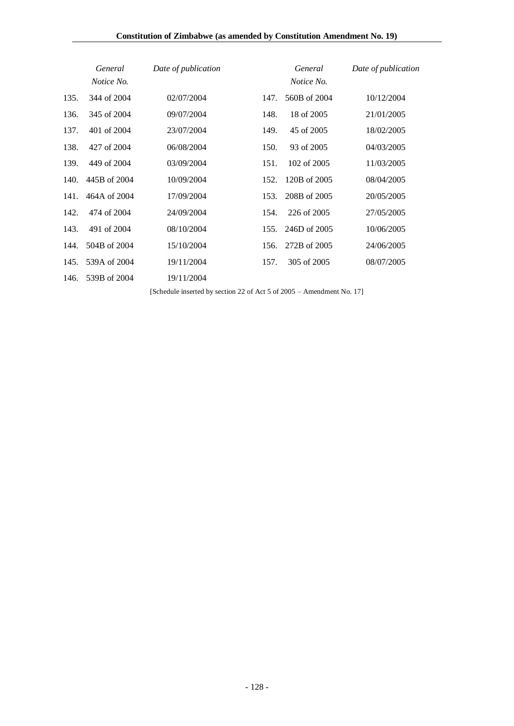|      | General<br>Notice No. | Date of publication |      | General<br>Notice No. | Date of publication |
|------|-----------------------|---------------------|------|-----------------------|---------------------|
| 135. | 344 of 2004           | 02/07/2004          | 147. | 560B of 2004          | 10/12/2004          |
| 136. | 345 of 2004           | 09/07/2004          | 148. | 18 of 2005            | 21/01/2005          |
| 137. | 401 of 2004           | 23/07/2004          | 149. | 45 of 2005            | 18/02/2005          |
| 138. | 427 of 2004           | 06/08/2004          | 150. | 93 of 2005            | 04/03/2005          |
| 139. | 449 of 2004           | 03/09/2004          | 151. | 102 of 2005           | 11/03/2005          |
| 140. | 445B of 2004          | 10/09/2004          | 152. | 120B of 2005          | 08/04/2005          |
| 141. | 464A of 2004          | 17/09/2004          | 153. | 208B of 2005          | 20/05/2005          |
| 142. | 474 of 2004           | 24/09/2004          | 154. | 226 of 2005           | 27/05/2005          |
| 143. | 491 of 2004           | 08/10/2004          | 155. | 246D of 2005          | 10/06/2005          |
| 144. | 504B of 2004          | 15/10/2004          | 156. | 272B of 2005          | 24/06/2005          |
| 145. | 539A of 2004          | 19/11/2004          | 157. | 305 of 2005           | 08/07/2005          |
| 146. | 539B of 2004          | 19/11/2004          |      |                       |                     |

[Schedule inserted by section 22 of Act 5 of 2005 – Amendment No. 17]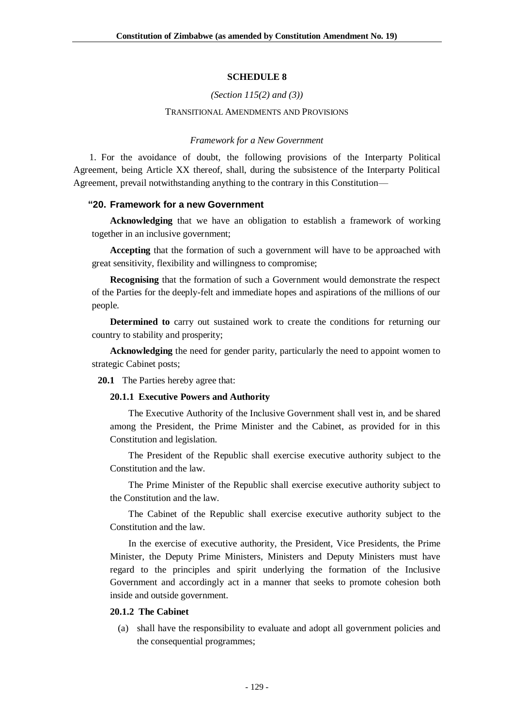# **SCHEDULE 8**

## *(Section 115(2) and (3))*

# TRANSITIONAL AMENDMENTS AND PROVISIONS

### *Framework for a New Government*

1. For the avoidance of doubt, the following provisions of the Interparty Political Agreement, being Article XX thereof, shall, during the subsistence of the Interparty Political Agreement, prevail notwithstanding anything to the contrary in this Constitution—

# **"20. Framework for a new Government**

**Acknowledging** that we have an obligation to establish a framework of working together in an inclusive government;

**Accepting** that the formation of such a government will have to be approached with great sensitivity, flexibility and willingness to compromise;

**Recognising** that the formation of such a Government would demonstrate the respect of the Parties for the deeply-felt and immediate hopes and aspirations of the millions of our people.

**Determined to** carry out sustained work to create the conditions for returning our country to stability and prosperity;

**Acknowledging** the need for gender parity, particularly the need to appoint women to strategic Cabinet posts;

20.1 The Parties hereby agree that:

### **20.1.1 Executive Powers and Authority**

The Executive Authority of the Inclusive Government shall vest in, and be shared among the President, the Prime Minister and the Cabinet, as provided for in this Constitution and legislation.

The President of the Republic shall exercise executive authority subject to the Constitution and the law.

The Prime Minister of the Republic shall exercise executive authority subject to the Constitution and the law.

The Cabinet of the Republic shall exercise executive authority subject to the Constitution and the law.

In the exercise of executive authority, the President, Vice Presidents, the Prime Minister, the Deputy Prime Ministers, Ministers and Deputy Ministers must have regard to the principles and spirit underlying the formation of the Inclusive Government and accordingly act in a manner that seeks to promote cohesion both inside and outside government.

## **20.1.2 The Cabinet**

(a) shall have the responsibility to evaluate and adopt all government policies and the consequential programmes;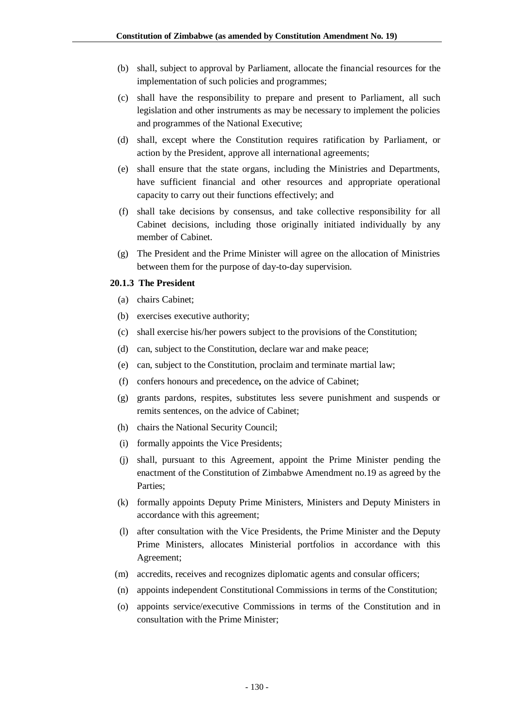- (b) shall, subject to approval by Parliament, allocate the financial resources for the implementation of such policies and programmes;
- (c) shall have the responsibility to prepare and present to Parliament, all such legislation and other instruments as may be necessary to implement the policies and programmes of the National Executive;
- (d) shall, except where the Constitution requires ratification by Parliament, or action by the President, approve all international agreements;
- (e) shall ensure that the state organs, including the Ministries and Departments, have sufficient financial and other resources and appropriate operational capacity to carry out their functions effectively; and
- (f) shall take decisions by consensus, and take collective responsibility for all Cabinet decisions, including those originally initiated individually by any member of Cabinet.
- (g) The President and the Prime Minister will agree on the allocation of Ministries between them for the purpose of day-to-day supervision.

# **20.1.3 The President**

- (a) chairs Cabinet;
- (b) exercises executive authority;
- (c) shall exercise his/her powers subject to the provisions of the Constitution;
- (d) can, subject to the Constitution, declare war and make peace;
- (e) can, subject to the Constitution, proclaim and terminate martial law;
- (f) confers honours and precedence**,** on the advice of Cabinet;
- (g) grants pardons, respites, substitutes less severe punishment and suspends or remits sentences, on the advice of Cabinet;
- (h) chairs the National Security Council;
- (i) formally appoints the Vice Presidents;
- (j) shall, pursuant to this Agreement, appoint the Prime Minister pending the enactment of the Constitution of Zimbabwe Amendment no.19 as agreed by the Parties;
- (k) formally appoints Deputy Prime Ministers, Ministers and Deputy Ministers in accordance with this agreement;
- (l) after consultation with the Vice Presidents, the Prime Minister and the Deputy Prime Ministers, allocates Ministerial portfolios in accordance with this Agreement;
- (m) accredits, receives and recognizes diplomatic agents and consular officers;
- (n) appoints independent Constitutional Commissions in terms of the Constitution;
- (o) appoints service/executive Commissions in terms of the Constitution and in consultation with the Prime Minister;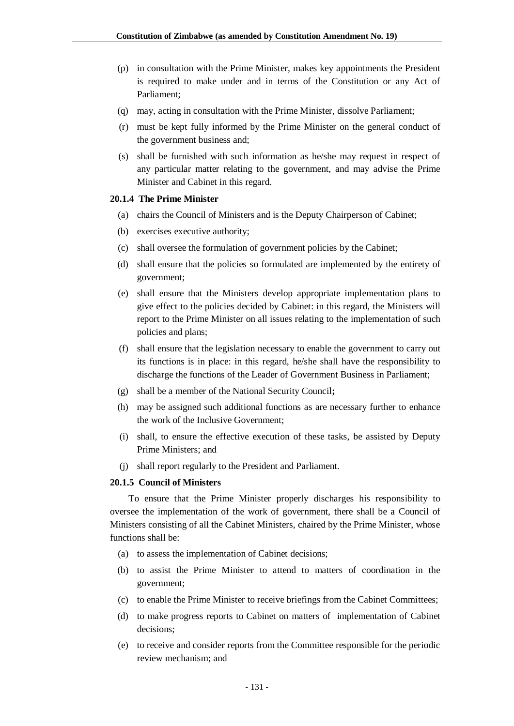- (p) in consultation with the Prime Minister, makes key appointments the President is required to make under and in terms of the Constitution or any Act of Parliament;
- (q) may, acting in consultation with the Prime Minister, dissolve Parliament;
- (r) must be kept fully informed by the Prime Minister on the general conduct of the government business and;
- (s) shall be furnished with such information as he/she may request in respect of any particular matter relating to the government, and may advise the Prime Minister and Cabinet in this regard.

# **20.1.4 The Prime Minister**

- (a) chairs the Council of Ministers and is the Deputy Chairperson of Cabinet;
- (b) exercises executive authority;
- (c) shall oversee the formulation of government policies by the Cabinet;
- (d) shall ensure that the policies so formulated are implemented by the entirety of government;
- (e) shall ensure that the Ministers develop appropriate implementation plans to give effect to the policies decided by Cabinet: in this regard, the Ministers will report to the Prime Minister on all issues relating to the implementation of such policies and plans;
- (f) shall ensure that the legislation necessary to enable the government to carry out its functions is in place: in this regard, he/she shall have the responsibility to discharge the functions of the Leader of Government Business in Parliament;
- (g) shall be a member of the National Security Council**;**
- (h) may be assigned such additional functions as are necessary further to enhance the work of the Inclusive Government;
- (i) shall, to ensure the effective execution of these tasks, be assisted by Deputy Prime Ministers; and
- (j) shall report regularly to the President and Parliament.

# **20.1.5 Council of Ministers**

To ensure that the Prime Minister properly discharges his responsibility to oversee the implementation of the work of government, there shall be a Council of Ministers consisting of all the Cabinet Ministers, chaired by the Prime Minister, whose functions shall be:

- (a) to assess the implementation of Cabinet decisions;
- (b) to assist the Prime Minister to attend to matters of coordination in the government;
- (c) to enable the Prime Minister to receive briefings from the Cabinet Committees;
- (d) to make progress reports to Cabinet on matters of implementation of Cabinet decisions;
- (e) to receive and consider reports from the Committee responsible for the periodic review mechanism; and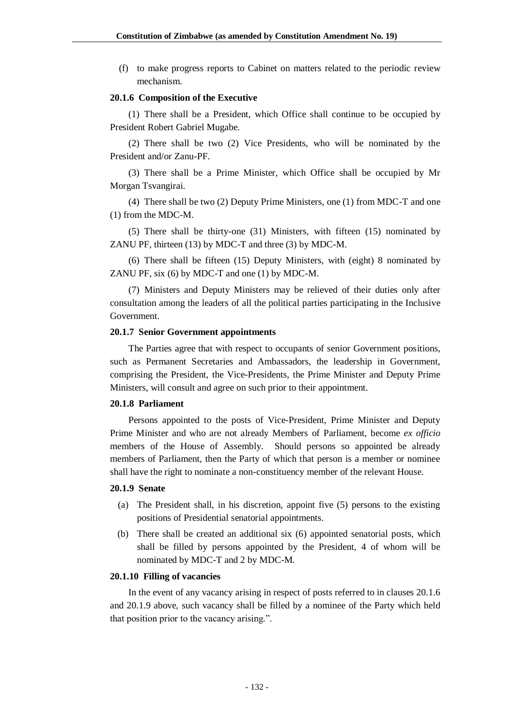(f) to make progress reports to Cabinet on matters related to the periodic review mechanism.

## **20.1.6 Composition of the Executive**

(1) There shall be a President, which Office shall continue to be occupied by President Robert Gabriel Mugabe.

(2) There shall be two (2) Vice Presidents, who will be nominated by the President and/or Zanu-PF.

(3) There shall be a Prime Minister, which Office shall be occupied by Mr Morgan Tsvangirai.

(4) There shall be two (2) Deputy Prime Ministers, one (1) from MDC-T and one (1) from the MDC-M.

(5) There shall be thirty-one (31) Ministers, with fifteen (15) nominated by ZANU PF, thirteen (13) by MDC-T and three (3) by MDC-M.

(6) There shall be fifteen (15) Deputy Ministers, with (eight) 8 nominated by ZANU PF, six (6) by MDC-T and one (1) by MDC-M.

(7) Ministers and Deputy Ministers may be relieved of their duties only after consultation among the leaders of all the political parties participating in the Inclusive Government.

## **20.1.7 Senior Government appointments**

The Parties agree that with respect to occupants of senior Government positions, such as Permanent Secretaries and Ambassadors, the leadership in Government, comprising the President, the Vice-Presidents, the Prime Minister and Deputy Prime Ministers, will consult and agree on such prior to their appointment.

### **20.1.8 Parliament**

Persons appointed to the posts of Vice-President, Prime Minister and Deputy Prime Minister and who are not already Members of Parliament, become *ex officio*  members of the House of Assembly. Should persons so appointed be already members of Parliament, then the Party of which that person is a member or nominee shall have the right to nominate a non-constituency member of the relevant House.

# **20.1.9 Senate**

- (a) The President shall, in his discretion, appoint five (5) persons to the existing positions of Presidential senatorial appointments.
- (b) There shall be created an additional six (6) appointed senatorial posts, which shall be filled by persons appointed by the President, 4 of whom will be nominated by MDC-T and 2 by MDC-M.

# **20.1.10 Filling of vacancies**

In the event of any vacancy arising in respect of posts referred to in clauses 20.1.6 and 20.1.9 above, such vacancy shall be filled by a nominee of the Party which held that position prior to the vacancy arising.".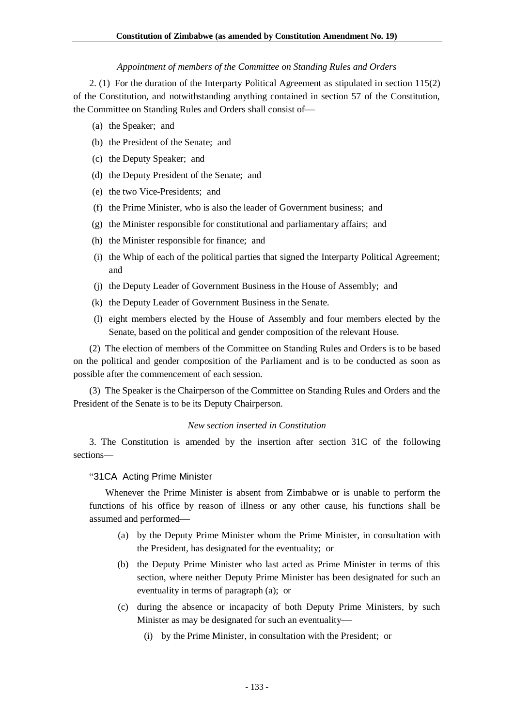# *Appointment of members of the Committee on Standing Rules and Orders*

2. (1) For the duration of the Interparty Political Agreement as stipulated in section 115(2) of the Constitution, and notwithstanding anything contained in section 57 of the Constitution, the Committee on Standing Rules and Orders shall consist of-

- (a) the Speaker; and
- (b) the President of the Senate; and
- (c) the Deputy Speaker; and
- (d) the Deputy President of the Senate; and
- (e) the two Vice-Presidents; and
- (f) the Prime Minister, who is also the leader of Government business; and
- (g) the Minister responsible for constitutional and parliamentary affairs; and
- (h) the Minister responsible for finance; and
- (i) the Whip of each of the political parties that signed the Interparty Political Agreement; and
- (j) the Deputy Leader of Government Business in the House of Assembly; and
- (k) the Deputy Leader of Government Business in the Senate.
- (l) eight members elected by the House of Assembly and four members elected by the Senate, based on the political and gender composition of the relevant House.

(2) The election of members of the Committee on Standing Rules and Orders is to be based on the political and gender composition of the Parliament and is to be conducted as soon as possible after the commencement of each session.

(3) The Speaker is the Chairperson of the Committee on Standing Rules and Orders and the President of the Senate is to be its Deputy Chairperson.

### *New section inserted in Constitution*

3. The Constitution is amended by the insertion after section 31C of the following sections—

# "31CA Acting Prime Minister

Whenever the Prime Minister is absent from Zimbabwe or is unable to perform the functions of his office by reason of illness or any other cause, his functions shall be assumed and performed—

- (a) by the Deputy Prime Minister whom the Prime Minister, in consultation with the President, has designated for the eventuality; or
- (b) the Deputy Prime Minister who last acted as Prime Minister in terms of this section, where neither Deputy Prime Minister has been designated for such an eventuality in terms of paragraph (a); or
- (c) during the absence or incapacity of both Deputy Prime Ministers, by such Minister as may be designated for such an eventuality—
	- (i) by the Prime Minister, in consultation with the President; or